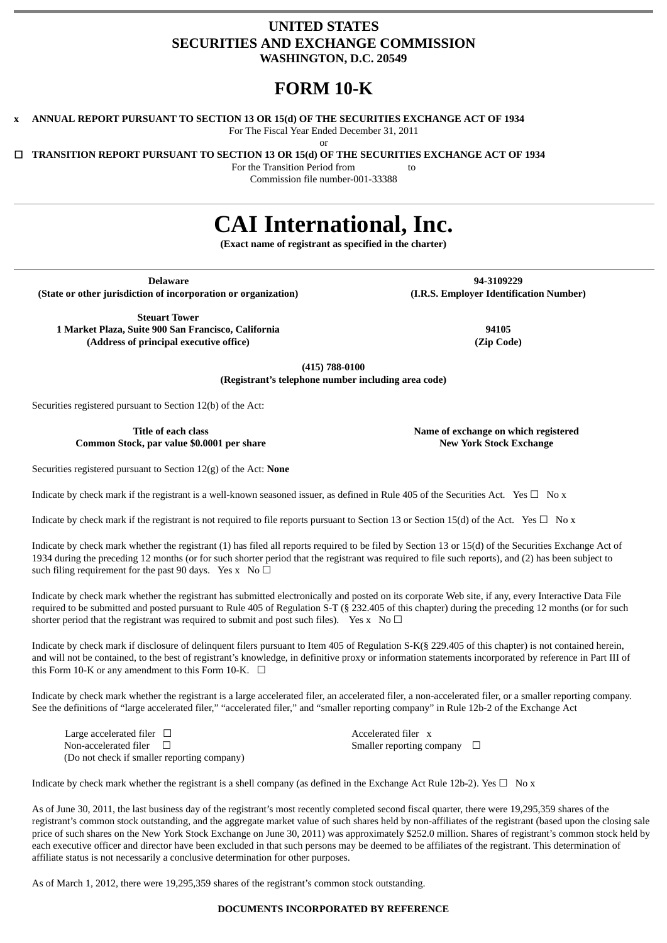## **UNITED STATES SECURITIES AND EXCHANGE COMMISSION WASHINGTON, D.C. 20549**

## **FORM 10-K**

**x ANNUAL REPORT PURSUANT TO SECTION 13 OR 15(d) OF THE SECURITIES EXCHANGE ACT OF 1934**

For The Fiscal Year Ended December 31, 2011

☐ **TRANSITION REPORT PURSUANT TO SECTION 13 OR 15(d) OF THE SECURITIES EXCHANGE ACT OF 1934**

For the Transition Period from to

or

Commission file number-001-33388

# **CAI International, Inc.**

**(Exact name of registrant as specified in the charter)**

**Delaware 94-3109229 (State or other jurisdiction of incorporation or organization) (I.R.S. Employer Identification Number)**

**Steuart Tower 1 Market Plaza, Suite 900 San Francisco, California 94105 (Address of principal executive office) (Zip Code)**

**(415) 788-0100**

**(Registrant's telephone number including area code)**

Securities registered pursuant to Section 12(b) of the Act:

**Title of each class Name of exchange on which registered Common Stock, par value \$0.0001 per share New York Stock Exchange**

Securities registered pursuant to Section 12(g) of the Act: **None**

Indicate by check mark if the registrant is a well-known seasoned issuer, as defined in Rule 405 of the Securities Act. Yes  $\Box$  No x

Indicate by check mark if the registrant is not required to file reports pursuant to Section 13 or Section 15(d) of the Act. Yes  $\Box$  No x

Indicate by check mark whether the registrant (1) has filed all reports required to be filed by Section 13 or 15(d) of the Securities Exchange Act of 1934 during the preceding 12 months (or for such shorter period that the registrant was required to file such reports), and (2) has been subject to such filing requirement for the past 90 days. Yes x No  $\Box$ 

Indicate by check mark whether the registrant has submitted electronically and posted on its corporate Web site, if any, every Interactive Data File required to be submitted and posted pursuant to Rule 405 of Regulation S-T (§ 232.405 of this chapter) during the preceding 12 months (or for such shorter period that the registrant was required to submit and post such files). Yes x No  $\Box$ 

Indicate by check mark if disclosure of delinquent filers pursuant to Item 405 of Regulation S-K(§ 229.405 of this chapter) is not contained herein, and will not be contained, to the best of registrant's knowledge, in definitive proxy or information statements incorporated by reference in Part III of this Form 10-K or any amendment to this Form 10-K.  $\Box$ 

Indicate by check mark whether the registrant is a large accelerated filer, an accelerated filer, a non-accelerated filer, or a smaller reporting company. See the definitions of "large accelerated filer," "accelerated filer," and "smaller reporting company" in Rule 12b-2 of the Exchange Act

Large accelerated filer □ <br>
Accelerated filer x Non-accelerated filer  $□$ (Do not check if smaller reporting company)

Smaller reporting company  $\Box$ 

Indicate by check mark whether the registrant is a shell company (as defined in the Exchange Act Rule 12b-2). Yes  $\Box$  No x

As of June 30, 2011, the last business day of the registrant's most recently completed second fiscal quarter, there were 19,295,359 shares of the registrant's common stock outstanding, and the aggregate market value of such shares held by non-affiliates of the registrant (based upon the closing sale price of such shares on the New York Stock Exchange on June 30, 2011) was approximately \$252.0 million. Shares of registrant's common stock held by each executive officer and director have been excluded in that such persons may be deemed to be affiliates of the registrant. This determination of affiliate status is not necessarily a conclusive determination for other purposes.

As of March 1, 2012, there were 19,295,359 shares of the registrant's common stock outstanding.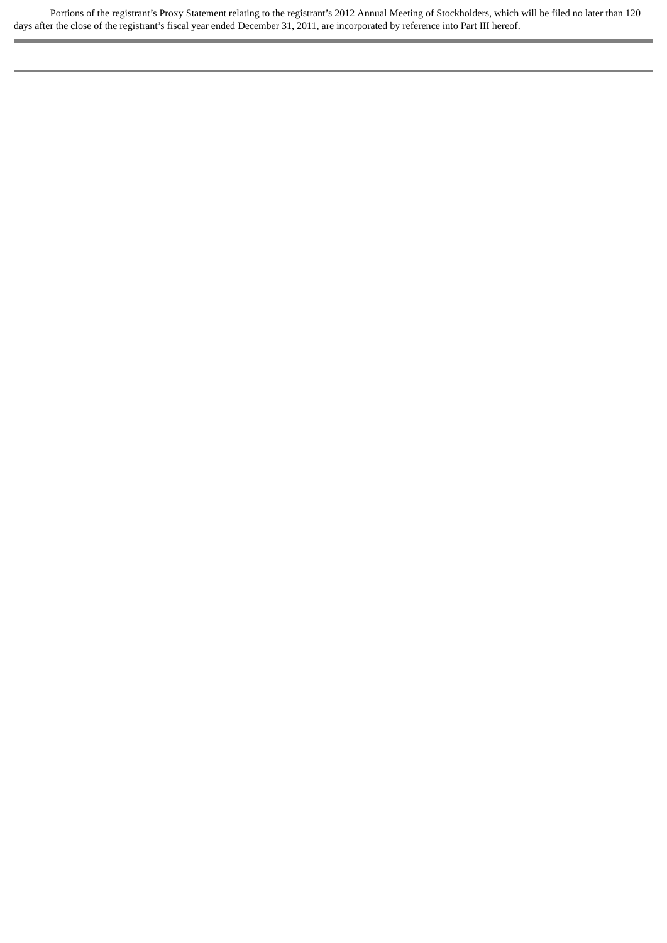Portions of the registrant's Proxy Statement relating to the registrant's 2012 Annual Meeting of Stockholders, which will be filed no later than 120 days after the close of the registrant's fiscal year ended December 31, 2011, are incorporated by reference into Part III hereof.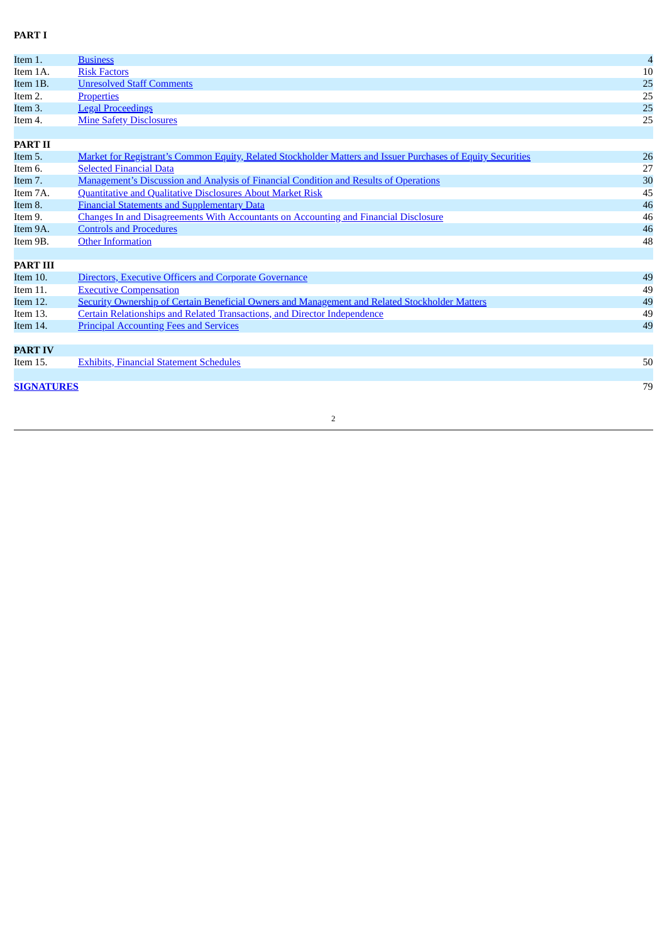## <span id="page-2-0"></span>**PART I**

| Item 1.           | <b>Business</b>                                                                                              | $\overline{\mathcal{A}}$ |
|-------------------|--------------------------------------------------------------------------------------------------------------|--------------------------|
| Item 1A.          | <b>Risk Factors</b>                                                                                          | 10                       |
| Item 1B.          | <b>Unresolved Staff Comments</b>                                                                             | 25                       |
| Item 2.           | <b>Properties</b>                                                                                            | 25                       |
| Item 3.           | <b>Legal Proceedings</b>                                                                                     | 25                       |
| Item 4.           | <b>Mine Safety Disclosures</b>                                                                               | 25                       |
|                   |                                                                                                              |                          |
| <b>PART II</b>    |                                                                                                              |                          |
| Item 5.           | Market for Registrant's Common Equity, Related Stockholder Matters and Issuer Purchases of Equity Securities | 26                       |
| Item 6.           | <b>Selected Financial Data</b>                                                                               | 27                       |
| Item 7.           | <b>Management's Discussion and Analysis of Financial Condition and Results of Operations</b>                 | 30                       |
| Item 7A.          | <b>Quantitative and Qualitative Disclosures About Market Risk</b>                                            | 45                       |
| Item 8.           | <b>Financial Statements and Supplementary Data</b>                                                           | 46                       |
| Item 9.           | <b>Changes In and Disagreements With Accountants on Accounting and Financial Disclosure</b>                  | 46                       |
| Item 9A.          | <b>Controls and Procedures</b>                                                                               | 46                       |
| Item 9B.          | <b>Other Information</b>                                                                                     | 48                       |
|                   |                                                                                                              |                          |
| <b>PART III</b>   |                                                                                                              |                          |
| Item 10.          | Directors, Executive Officers and Corporate Governance                                                       | 49                       |
| Item 11.          | <b>Executive Compensation</b>                                                                                | 49                       |
| Item 12.          | <b>Security Ownership of Certain Beneficial Owners and Management and Related Stockholder Matters</b>        | 49                       |
| Item 13.          | <b>Certain Relationships and Related Transactions, and Director Independence</b>                             | 49                       |
| Item 14.          | <b>Principal Accounting Fees and Services</b>                                                                | 49                       |
|                   |                                                                                                              |                          |
| <b>PART IV</b>    |                                                                                                              |                          |
| Item 15.          | <b>Exhibits, Financial Statement Schedules</b>                                                               | 50                       |
|                   |                                                                                                              |                          |
| <b>SIGNATURES</b> |                                                                                                              | 79                       |
|                   |                                                                                                              |                          |

## 2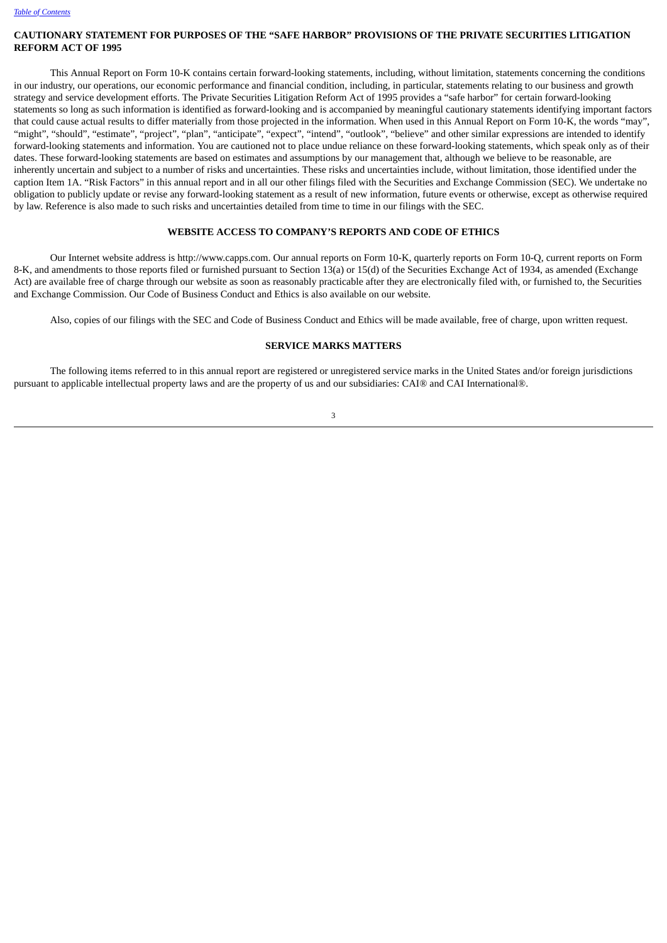## **CAUTIONARY STATEMENT FOR PURPOSES OF THE "SAFE HARBOR" PROVISIONS OF THE PRIVATE SECURITIES LITIGATION REFORM ACT OF 1995**

This Annual Report on Form 10-K contains certain forward-looking statements, including, without limitation, statements concerning the conditions in our industry, our operations, our economic performance and financial condition, including, in particular, statements relating to our business and growth strategy and service development efforts. The Private Securities Litigation Reform Act of 1995 provides a "safe harbor" for certain forward-looking statements so long as such information is identified as forward-looking and is accompanied by meaningful cautionary statements identifying important factors that could cause actual results to differ materially from those projected in the information. When used in this Annual Report on Form 10-K, the words "may", "might", "should", "estimate", "project", "plan", "anticipate", "expect", "intend", "outlook", "believe" and other similar expressions are intended to identify forward-looking statements and information. You are cautioned not to place undue reliance on these forward-looking statements, which speak only as of their dates. These forward-looking statements are based on estimates and assumptions by our management that, although we believe to be reasonable, are inherently uncertain and subject to a number of risks and uncertainties. These risks and uncertainties include, without limitation, those identified under the caption Item 1A. "Risk Factors" in this annual report and in all our other filings filed with the Securities and Exchange Commission (SEC). We undertake no obligation to publicly update or revise any forward-looking statement as a result of new information, future events or otherwise, except as otherwise required by law. Reference is also made to such risks and uncertainties detailed from time to time in our filings with the SEC.

#### **WEBSITE ACCESS TO COMPANY'S REPORTS AND CODE OF ETHICS**

Our Internet website address is http://www.capps.com. Our annual reports on Form 10-K, quarterly reports on Form 10-Q, current reports on Form 8-K, and amendments to those reports filed or furnished pursuant to Section 13(a) or 15(d) of the Securities Exchange Act of 1934, as amended (Exchange Act) are available free of charge through our website as soon as reasonably practicable after they are electronically filed with, or furnished to, the Securities and Exchange Commission. Our Code of Business Conduct and Ethics is also available on our website.

Also, copies of our filings with the SEC and Code of Business Conduct and Ethics will be made available, free of charge, upon written request.

### **SERVICE MARKS MATTERS**

The following items referred to in this annual report are registered or unregistered service marks in the United States and/or foreign jurisdictions pursuant to applicable intellectual property laws and are the property of us and our subsidiaries: CAI® and CAI International®.

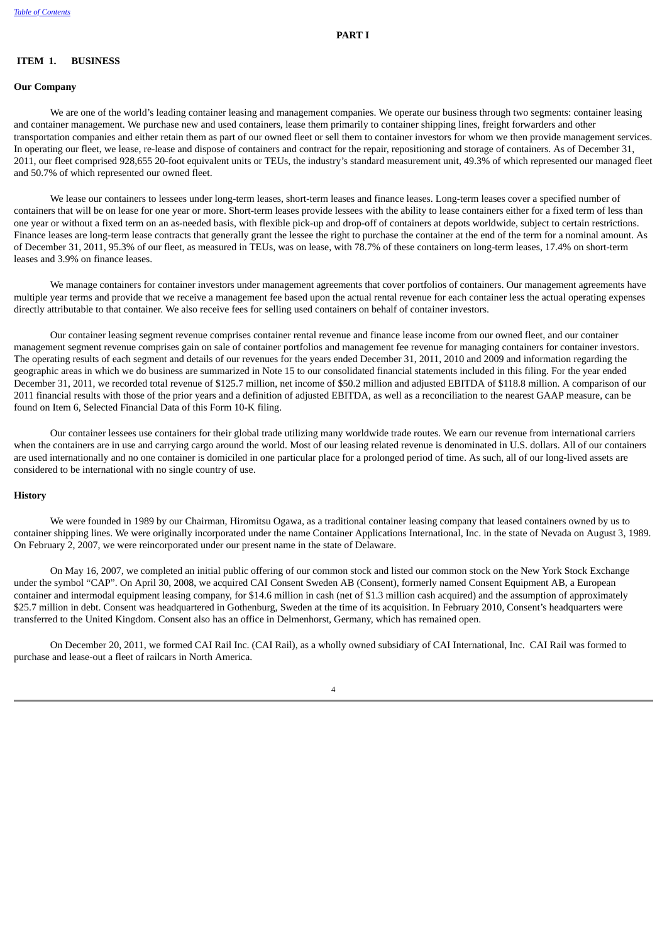#### **PART I**

## <span id="page-4-0"></span>**ITEM 1. BUSINESS**

#### **Our Company**

We are one of the world's leading container leasing and management companies. We operate our business through two segments: container leasing and container management. We purchase new and used containers, lease them primarily to container shipping lines, freight forwarders and other transportation companies and either retain them as part of our owned fleet or sell them to container investors for whom we then provide management services. In operating our fleet, we lease, re-lease and dispose of containers and contract for the repair, repositioning and storage of containers. As of December 31, 2011, our fleet comprised 928,655 20-foot equivalent units or TEUs, the industry's standard measurement unit, 49.3% of which represented our managed fleet and 50.7% of which represented our owned fleet.

We lease our containers to lessees under long-term leases, short-term leases and finance leases. Long-term leases cover a specified number of containers that will be on lease for one year or more. Short-term leases provide lessees with the ability to lease containers either for a fixed term of less than one year or without a fixed term on an as-needed basis, with flexible pick-up and drop-off of containers at depots worldwide, subject to certain restrictions. Finance leases are long-term lease contracts that generally grant the lessee the right to purchase the container at the end of the term for a nominal amount. As of December 31, 2011, 95.3% of our fleet, as measured in TEUs, was on lease, with 78.7% of these containers on long-term leases, 17.4% on short-term leases and 3.9% on finance leases.

We manage containers for container investors under management agreements that cover portfolios of containers. Our management agreements have multiple year terms and provide that we receive a management fee based upon the actual rental revenue for each container less the actual operating expenses directly attributable to that container. We also receive fees for selling used containers on behalf of container investors.

Our container leasing segment revenue comprises container rental revenue and finance lease income from our owned fleet, and our container management segment revenue comprises gain on sale of container portfolios and management fee revenue for managing containers for container investors. The operating results of each segment and details of our revenues for the years ended December 31, 2011, 2010 and 2009 and information regarding the geographic areas in which we do business are summarized in Note 15 to our consolidated financial statements included in this filing. For the year ended December 31, 2011, we recorded total revenue of \$125.7 million, net income of \$50.2 million and adjusted EBITDA of \$118.8 million. A comparison of our 2011 financial results with those of the prior years and a definition of adjusted EBITDA, as well as a reconciliation to the nearest GAAP measure, can be found on Item 6, Selected Financial Data of this Form 10-K filing.

Our container lessees use containers for their global trade utilizing many worldwide trade routes. We earn our revenue from international carriers when the containers are in use and carrying cargo around the world. Most of our leasing related revenue is denominated in U.S. dollars. All of our containers are used internationally and no one container is domiciled in one particular place for a prolonged period of time. As such, all of our long-lived assets are considered to be international with no single country of use.

## **History**

We were founded in 1989 by our Chairman, Hiromitsu Ogawa, as a traditional container leasing company that leased containers owned by us to container shipping lines. We were originally incorporated under the name Container Applications International, Inc. in the state of Nevada on August 3, 1989. On February 2, 2007, we were reincorporated under our present name in the state of Delaware.

On May 16, 2007, we completed an initial public offering of our common stock and listed our common stock on the New York Stock Exchange under the symbol "CAP". On April 30, 2008, we acquired CAI Consent Sweden AB (Consent), formerly named Consent Equipment AB, a European container and intermodal equipment leasing company, for \$14.6 million in cash (net of \$1.3 million cash acquired) and the assumption of approximately \$25.7 million in debt. Consent was headquartered in Gothenburg, Sweden at the time of its acquisition. In February 2010, Consent's headquarters were transferred to the United Kingdom. Consent also has an office in Delmenhorst, Germany, which has remained open.

On December 20, 2011, we formed CAI Rail Inc. (CAI Rail), as a wholly owned subsidiary of CAI International, Inc. CAI Rail was formed to purchase and lease-out a fleet of railcars in North America.

## $\overline{A}$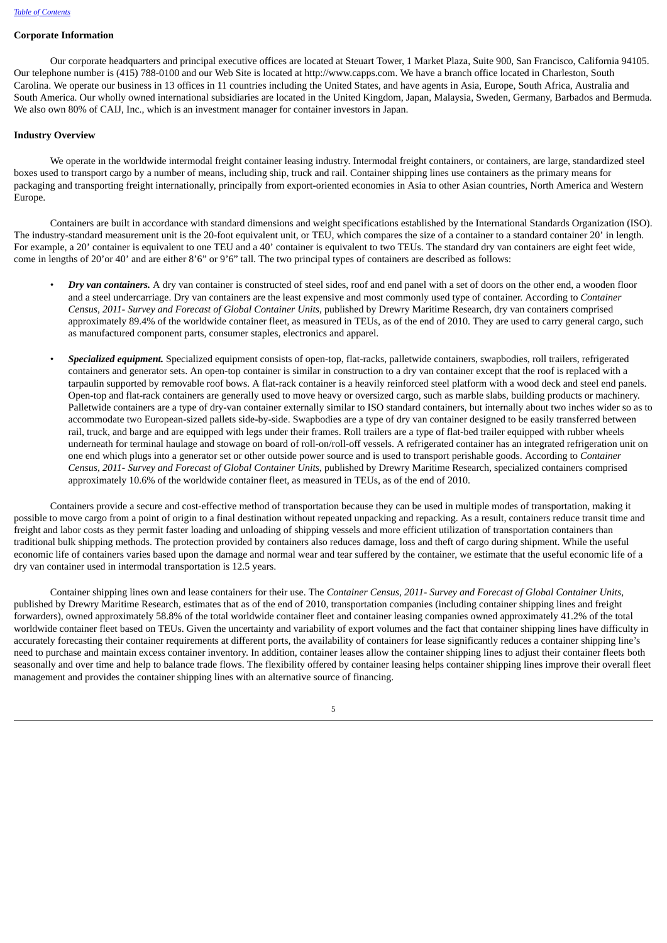## **Corporate Information**

Our corporate headquarters and principal executive offices are located at Steuart Tower, 1 Market Plaza, Suite 900, San Francisco, California 94105. Our telephone number is (415) 788-0100 and our Web Site is located at http://www.capps.com. We have a branch office located in Charleston, South Carolina. We operate our business in 13 offices in 11 countries including the United States, and have agents in Asia, Europe, South Africa, Australia and South America. Our wholly owned international subsidiaries are located in the United Kingdom, Japan, Malaysia, Sweden, Germany, Barbados and Bermuda. We also own 80% of CAIJ, Inc., which is an investment manager for container investors in Japan.

### **Industry Overview**

We operate in the worldwide intermodal freight container leasing industry. Intermodal freight containers, or containers, are large, standardized steel boxes used to transport cargo by a number of means, including ship, truck and rail. Container shipping lines use containers as the primary means for packaging and transporting freight internationally, principally from export-oriented economies in Asia to other Asian countries, North America and Western Europe.

Containers are built in accordance with standard dimensions and weight specifications established by the International Standards Organization (ISO). The industry-standard measurement unit is the 20-foot equivalent unit, or TEU, which compares the size of a container to a standard container 20' in length. For example, a 20' container is equivalent to one TEU and a 40' container is equivalent to two TEUs. The standard dry van containers are eight feet wide, come in lengths of 20'or 40' and are either 8'6" or 9'6" tall. The two principal types of containers are described as follows:

- *Dry van containers.* A dry van container is constructed of steel sides, roof and end panel with a set of doors on the other end, a wooden floor and a steel undercarriage. Dry van containers are the least expensive and most commonly used type of container. According to *Container Census, 2011- Survey and Forecast of Global Container Units,* published by Drewry Maritime Research*,* dry van containers comprised approximately 89.4% of the worldwide container fleet, as measured in TEUs, as of the end of 2010. They are used to carry general cargo, such as manufactured component parts, consumer staples, electronics and apparel.
- *Specialized equipment.* Specialized equipment consists of open-top, flat-racks, palletwide containers, swapbodies, roll trailers, refrigerated containers and generator sets. An open-top container is similar in construction to a dry van container except that the roof is replaced with a tarpaulin supported by removable roof bows. A flat-rack container is a heavily reinforced steel platform with a wood deck and steel end panels. Open-top and flat-rack containers are generally used to move heavy or oversized cargo, such as marble slabs, building products or machinery. Palletwide containers are a type of dry-van container externally similar to ISO standard containers, but internally about two inches wider so as to accommodate two European-sized pallets side-by-side. Swapbodies are a type of dry van container designed to be easily transferred between rail, truck, and barge and are equipped with legs under their frames. Roll trailers are a type of flat-bed trailer equipped with rubber wheels underneath for terminal haulage and stowage on board of roll-on/roll-off vessels. A refrigerated container has an integrated refrigeration unit on one end which plugs into a generator set or other outside power source and is used to transport perishable goods. According to *Container Census, 2011- Survey and Forecast of Global Container Units,* published by Drewry Maritime Research, specialized containers comprised approximately 10.6% of the worldwide container fleet, as measured in TEUs, as of the end of 2010.

Containers provide a secure and cost-effective method of transportation because they can be used in multiple modes of transportation, making it possible to move cargo from a point of origin to a final destination without repeated unpacking and repacking. As a result, containers reduce transit time and freight and labor costs as they permit faster loading and unloading of shipping vessels and more efficient utilization of transportation containers than traditional bulk shipping methods. The protection provided by containers also reduces damage, loss and theft of cargo during shipment. While the useful economic life of containers varies based upon the damage and normal wear and tear suffered by the container, we estimate that the useful economic life of a dry van container used in intermodal transportation is 12.5 years.

Container shipping lines own and lease containers for their use. The *Container Census, 2011- Survey and Forecast of Global Container Units,* published by Drewry Maritime Research, estimates that as of the end of 2010, transportation companies (including container shipping lines and freight forwarders), owned approximately 58.8% of the total worldwide container fleet and container leasing companies owned approximately 41.2% of the total worldwide container fleet based on TEUs. Given the uncertainty and variability of export volumes and the fact that container shipping lines have difficulty in accurately forecasting their container requirements at different ports, the availability of containers for lease significantly reduces a container shipping line's need to purchase and maintain excess container inventory. In addition, container leases allow the container shipping lines to adjust their container fleets both seasonally and over time and help to balance trade flows. The flexibility offered by container leasing helps container shipping lines improve their overall fleet management and provides the container shipping lines with an alternative source of financing.

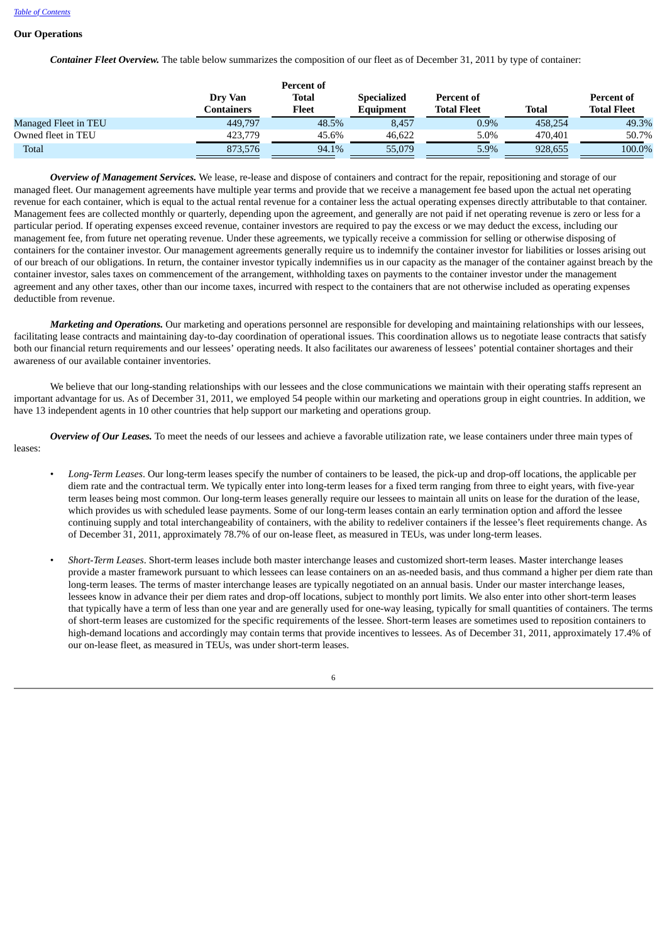## **Our Operations**

*Container Fleet Overview.* The table below summarizes the composition of our fleet as of December 31, 2011 by type of container:

|                      |                       | Percent of                   |                                 |                                  |         |                                  |
|----------------------|-----------------------|------------------------------|---------------------------------|----------------------------------|---------|----------------------------------|
|                      | Dry Van<br>Containers | <b>Total</b><br><b>Fleet</b> | <b>Specialized</b><br>Equipment | Percent of<br><b>Total Fleet</b> | Total   | Percent of<br><b>Total Fleet</b> |
| Managed Fleet in TEU | 449.797               | 48.5%                        | 8,457                           | 0.9%                             | 458,254 | 49.3%                            |
| Owned fleet in TEU   | 423.779               | 45.6%                        | 46,622                          | 5.0%                             | 470.401 | 50.7%                            |
| <b>Total</b>         | 873,576               | 94.1%                        | 55,079                          | 5.9%                             | 928.655 | 100.0%                           |

*Overview of Management Services.* We lease, re-lease and dispose of containers and contract for the repair, repositioning and storage of our managed fleet. Our management agreements have multiple year terms and provide that we receive a management fee based upon the actual net operating revenue for each container, which is equal to the actual rental revenue for a container less the actual operating expenses directly attributable to that container. Management fees are collected monthly or quarterly, depending upon the agreement, and generally are not paid if net operating revenue is zero or less for a particular period. If operating expenses exceed revenue, container investors are required to pay the excess or we may deduct the excess, including our management fee, from future net operating revenue. Under these agreements, we typically receive a commission for selling or otherwise disposing of containers for the container investor. Our management agreements generally require us to indemnify the container investor for liabilities or losses arising out of our breach of our obligations. In return, the container investor typically indemnifies us in our capacity as the manager of the container against breach by the container investor, sales taxes on commencement of the arrangement, withholding taxes on payments to the container investor under the management agreement and any other taxes, other than our income taxes, incurred with respect to the containers that are not otherwise included as operating expenses deductible from revenue.

*Marketing and Operations.* Our marketing and operations personnel are responsible for developing and maintaining relationships with our lessees, facilitating lease contracts and maintaining day-to-day coordination of operational issues. This coordination allows us to negotiate lease contracts that satisfy both our financial return requirements and our lessees' operating needs. It also facilitates our awareness of lessees' potential container shortages and their awareness of our available container inventories.

We believe that our long-standing relationships with our lessees and the close communications we maintain with their operating staffs represent an important advantage for us. As of December 31, 2011, we employed 54 people within our marketing and operations group in eight countries. In addition, we have 13 independent agents in 10 other countries that help support our marketing and operations group.

*Overview of Our Leases.* To meet the needs of our lessees and achieve a favorable utilization rate, we lease containers under three main types of leases:

- *Long-Term Leases*. Our long-term leases specify the number of containers to be leased, the pick-up and drop-off locations, the applicable per diem rate and the contractual term. We typically enter into long-term leases for a fixed term ranging from three to eight years, with five-year term leases being most common. Our long-term leases generally require our lessees to maintain all units on lease for the duration of the lease, which provides us with scheduled lease payments. Some of our long-term leases contain an early termination option and afford the lessee continuing supply and total interchangeability of containers, with the ability to redeliver containers if the lessee's fleet requirements change. As of December 31, 2011, approximately 78.7% of our on-lease fleet, as measured in TEUs, was under long-term leases.
- *Short-Term Leases*. Short-term leases include both master interchange leases and customized short-term leases. Master interchange leases provide a master framework pursuant to which lessees can lease containers on an as-needed basis, and thus command a higher per diem rate than long-term leases. The terms of master interchange leases are typically negotiated on an annual basis. Under our master interchange leases, lessees know in advance their per diem rates and drop-off locations, subject to monthly port limits. We also enter into other short-term leases that typically have a term of less than one year and are generally used for one-way leasing, typically for small quantities of containers. The terms of short-term leases are customized for the specific requirements of the lessee. Short-term leases are sometimes used to reposition containers to high-demand locations and accordingly may contain terms that provide incentives to lessees. As of December 31, 2011, approximately 17.4% of our on-lease fleet, as measured in TEUs, was under short-term leases.

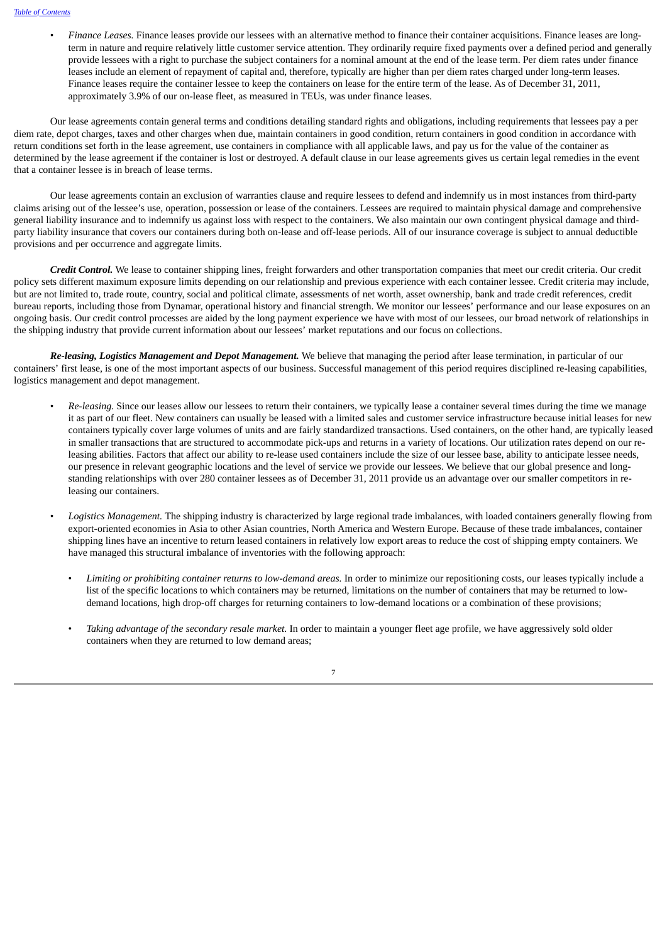• *Finance Leases.* Finance leases provide our lessees with an alternative method to finance their container acquisitions. Finance leases are longterm in nature and require relatively little customer service attention. They ordinarily require fixed payments over a defined period and generally provide lessees with a right to purchase the subject containers for a nominal amount at the end of the lease term. Per diem rates under finance leases include an element of repayment of capital and, therefore, typically are higher than per diem rates charged under long-term leases. Finance leases require the container lessee to keep the containers on lease for the entire term of the lease. As of December 31, 2011, approximately 3.9% of our on-lease fleet, as measured in TEUs, was under finance leases.

Our lease agreements contain general terms and conditions detailing standard rights and obligations, including requirements that lessees pay a per diem rate, depot charges, taxes and other charges when due, maintain containers in good condition, return containers in good condition in accordance with return conditions set forth in the lease agreement, use containers in compliance with all applicable laws, and pay us for the value of the container as determined by the lease agreement if the container is lost or destroyed. A default clause in our lease agreements gives us certain legal remedies in the event that a container lessee is in breach of lease terms.

Our lease agreements contain an exclusion of warranties clause and require lessees to defend and indemnify us in most instances from third-party claims arising out of the lessee's use, operation, possession or lease of the containers. Lessees are required to maintain physical damage and comprehensive general liability insurance and to indemnify us against loss with respect to the containers. We also maintain our own contingent physical damage and thirdparty liability insurance that covers our containers during both on-lease and off-lease periods. All of our insurance coverage is subject to annual deductible provisions and per occurrence and aggregate limits.

*Credit Control.* We lease to container shipping lines, freight forwarders and other transportation companies that meet our credit criteria. Our credit policy sets different maximum exposure limits depending on our relationship and previous experience with each container lessee. Credit criteria may include, but are not limited to, trade route, country, social and political climate, assessments of net worth, asset ownership, bank and trade credit references, credit bureau reports, including those from Dynamar, operational history and financial strength. We monitor our lessees' performance and our lease exposures on an ongoing basis. Our credit control processes are aided by the long payment experience we have with most of our lessees, our broad network of relationships in the shipping industry that provide current information about our lessees' market reputations and our focus on collections.

*Re-leasing, Logistics Management and Depot Management.* We believe that managing the period after lease termination, in particular of our containers' first lease, is one of the most important aspects of our business. Successful management of this period requires disciplined re-leasing capabilities, logistics management and depot management.

- *Re-leasing.* Since our leases allow our lessees to return their containers, we typically lease a container several times during the time we manage it as part of our fleet. New containers can usually be leased with a limited sales and customer service infrastructure because initial leases for new containers typically cover large volumes of units and are fairly standardized transactions. Used containers, on the other hand, are typically leased in smaller transactions that are structured to accommodate pick-ups and returns in a variety of locations. Our utilization rates depend on our releasing abilities. Factors that affect our ability to re-lease used containers include the size of our lessee base, ability to anticipate lessee needs, our presence in relevant geographic locations and the level of service we provide our lessees. We believe that our global presence and longstanding relationships with over 280 container lessees as of December 31, 2011 provide us an advantage over our smaller competitors in releasing our containers.
- *Logistics Management.* The shipping industry is characterized by large regional trade imbalances, with loaded containers generally flowing from export-oriented economies in Asia to other Asian countries, North America and Western Europe. Because of these trade imbalances, container shipping lines have an incentive to return leased containers in relatively low export areas to reduce the cost of shipping empty containers. We have managed this structural imbalance of inventories with the following approach:
	- *Limiting or prohibiting container returns to low-demand areas.* In order to minimize our repositioning costs, our leases typically include a list of the specific locations to which containers may be returned, limitations on the number of containers that may be returned to lowdemand locations, high drop-off charges for returning containers to low-demand locations or a combination of these provisions;
	- *Taking advantage of the secondary resale market.* In order to maintain a younger fleet age profile, we have aggressively sold older containers when they are returned to low demand areas;

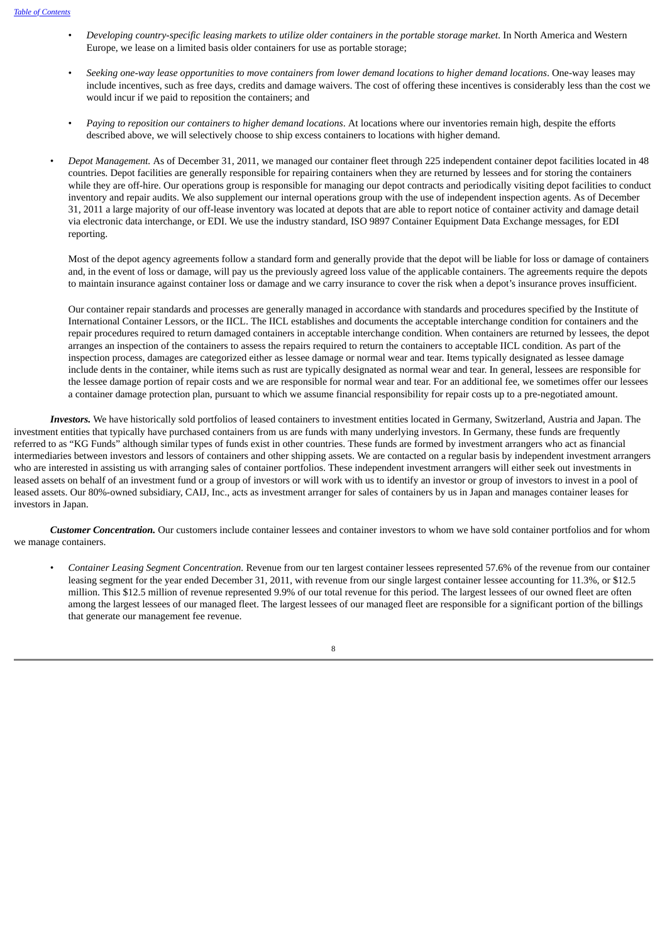- Developing country-specific leasing markets to utilize older containers in the portable storage market. In North America and Western Europe, we lease on a limited basis older containers for use as portable storage;
- Seeking one-way lease opportunities to move containers from lower demand locations to higher demand locations. One-way leases may include incentives, such as free days, credits and damage waivers. The cost of offering these incentives is considerably less than the cost we would incur if we paid to reposition the containers; and
- *Paying to reposition our containers to higher demand locations*. At locations where our inventories remain high, despite the efforts described above, we will selectively choose to ship excess containers to locations with higher demand.
- *Depot Management.* As of December 31, 2011, we managed our container fleet through 225 independent container depot facilities located in 48 countries. Depot facilities are generally responsible for repairing containers when they are returned by lessees and for storing the containers while they are off-hire. Our operations group is responsible for managing our depot contracts and periodically visiting depot facilities to conduct inventory and repair audits. We also supplement our internal operations group with the use of independent inspection agents. As of December 31, 2011 a large majority of our off-lease inventory was located at depots that are able to report notice of container activity and damage detail via electronic data interchange, or EDI. We use the industry standard, ISO 9897 Container Equipment Data Exchange messages, for EDI reporting.

Most of the depot agency agreements follow a standard form and generally provide that the depot will be liable for loss or damage of containers and, in the event of loss or damage, will pay us the previously agreed loss value of the applicable containers. The agreements require the depots to maintain insurance against container loss or damage and we carry insurance to cover the risk when a depot's insurance proves insufficient.

Our container repair standards and processes are generally managed in accordance with standards and procedures specified by the Institute of International Container Lessors, or the IICL. The IICL establishes and documents the acceptable interchange condition for containers and the repair procedures required to return damaged containers in acceptable interchange condition. When containers are returned by lessees, the depot arranges an inspection of the containers to assess the repairs required to return the containers to acceptable IICL condition. As part of the inspection process, damages are categorized either as lessee damage or normal wear and tear. Items typically designated as lessee damage include dents in the container, while items such as rust are typically designated as normal wear and tear. In general, lessees are responsible for the lessee damage portion of repair costs and we are responsible for normal wear and tear. For an additional fee, we sometimes offer our lessees a container damage protection plan, pursuant to which we assume financial responsibility for repair costs up to a pre-negotiated amount.

*Investors.* We have historically sold portfolios of leased containers to investment entities located in Germany, Switzerland, Austria and Japan. The investment entities that typically have purchased containers from us are funds with many underlying investors. In Germany, these funds are frequently referred to as "KG Funds" although similar types of funds exist in other countries. These funds are formed by investment arrangers who act as financial intermediaries between investors and lessors of containers and other shipping assets. We are contacted on a regular basis by independent investment arrangers who are interested in assisting us with arranging sales of container portfolios. These independent investment arrangers will either seek out investments in leased assets on behalf of an investment fund or a group of investors or will work with us to identify an investor or group of investors to invest in a pool of leased assets. Our 80%-owned subsidiary, CAIJ, Inc., acts as investment arranger for sales of containers by us in Japan and manages container leases for investors in Japan.

*Customer Concentration.* Our customers include container lessees and container investors to whom we have sold container portfolios and for whom we manage containers.

• *Container Leasing Segment Concentration.* Revenue from our ten largest container lessees represented 57.6% of the revenue from our container leasing segment for the year ended December 31, 2011, with revenue from our single largest container lessee accounting for 11.3%, or \$12.5 million. This \$12.5 million of revenue represented 9.9% of our total revenue for this period. The largest lessees of our owned fleet are often among the largest lessees of our managed fleet. The largest lessees of our managed fleet are responsible for a significant portion of the billings that generate our management fee revenue.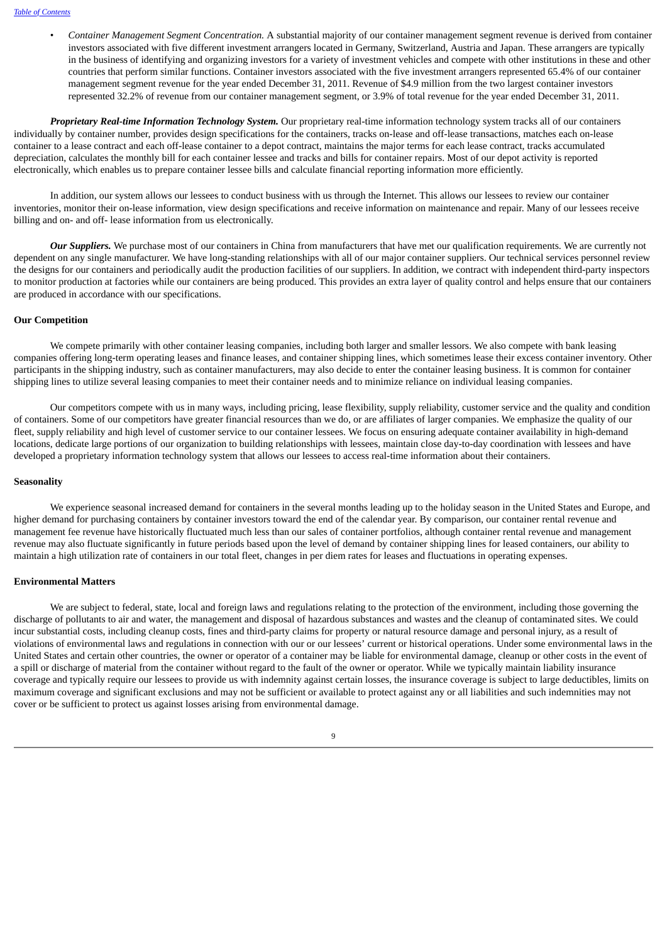• *Container Management Segment Concentration.* A substantial majority of our container management segment revenue is derived from container investors associated with five different investment arrangers located in Germany, Switzerland, Austria and Japan. These arrangers are typically in the business of identifying and organizing investors for a variety of investment vehicles and compete with other institutions in these and other countries that perform similar functions. Container investors associated with the five investment arrangers represented 65.4% of our container management segment revenue for the year ended December 31, 2011. Revenue of \$4.9 million from the two largest container investors represented 32.2% of revenue from our container management segment, or 3.9% of total revenue for the year ended December 31, 2011.

*Proprietary Real-time Information Technology System.* Our proprietary real-time information technology system tracks all of our containers individually by container number, provides design specifications for the containers, tracks on-lease and off-lease transactions, matches each on-lease container to a lease contract and each off-lease container to a depot contract, maintains the major terms for each lease contract, tracks accumulated depreciation, calculates the monthly bill for each container lessee and tracks and bills for container repairs. Most of our depot activity is reported electronically, which enables us to prepare container lessee bills and calculate financial reporting information more efficiently.

In addition, our system allows our lessees to conduct business with us through the Internet. This allows our lessees to review our container inventories, monitor their on-lease information, view design specifications and receive information on maintenance and repair. Many of our lessees receive billing and on- and off- lease information from us electronically.

*Our Suppliers.* We purchase most of our containers in China from manufacturers that have met our qualification requirements. We are currently not dependent on any single manufacturer. We have long-standing relationships with all of our major container suppliers. Our technical services personnel review the designs for our containers and periodically audit the production facilities of our suppliers. In addition, we contract with independent third-party inspectors to monitor production at factories while our containers are being produced. This provides an extra layer of quality control and helps ensure that our containers are produced in accordance with our specifications.

#### **Our Competition**

We compete primarily with other container leasing companies, including both larger and smaller lessors. We also compete with bank leasing companies offering long-term operating leases and finance leases, and container shipping lines, which sometimes lease their excess container inventory. Other participants in the shipping industry, such as container manufacturers, may also decide to enter the container leasing business. It is common for container shipping lines to utilize several leasing companies to meet their container needs and to minimize reliance on individual leasing companies.

Our competitors compete with us in many ways, including pricing, lease flexibility, supply reliability, customer service and the quality and condition of containers. Some of our competitors have greater financial resources than we do, or are affiliates of larger companies. We emphasize the quality of our fleet, supply reliability and high level of customer service to our container lessees. We focus on ensuring adequate container availability in high-demand locations, dedicate large portions of our organization to building relationships with lessees, maintain close day-to-day coordination with lessees and have developed a proprietary information technology system that allows our lessees to access real-time information about their containers.

#### **Seasonality**

We experience seasonal increased demand for containers in the several months leading up to the holiday season in the United States and Europe, and higher demand for purchasing containers by container investors toward the end of the calendar year. By comparison, our container rental revenue and management fee revenue have historically fluctuated much less than our sales of container portfolios, although container rental revenue and management revenue may also fluctuate significantly in future periods based upon the level of demand by container shipping lines for leased containers, our ability to maintain a high utilization rate of containers in our total fleet, changes in per diem rates for leases and fluctuations in operating expenses.

## **Environmental Matters**

We are subject to federal, state, local and foreign laws and regulations relating to the protection of the environment, including those governing the discharge of pollutants to air and water, the management and disposal of hazardous substances and wastes and the cleanup of contaminated sites. We could incur substantial costs, including cleanup costs, fines and third-party claims for property or natural resource damage and personal injury, as a result of violations of environmental laws and regulations in connection with our or our lessees' current or historical operations. Under some environmental laws in the United States and certain other countries, the owner or operator of a container may be liable for environmental damage, cleanup or other costs in the event of a spill or discharge of material from the container without regard to the fault of the owner or operator. While we typically maintain liability insurance coverage and typically require our lessees to provide us with indemnity against certain losses, the insurance coverage is subject to large deductibles, limits on maximum coverage and significant exclusions and may not be sufficient or available to protect against any or all liabilities and such indemnities may not cover or be sufficient to protect us against losses arising from environmental damage.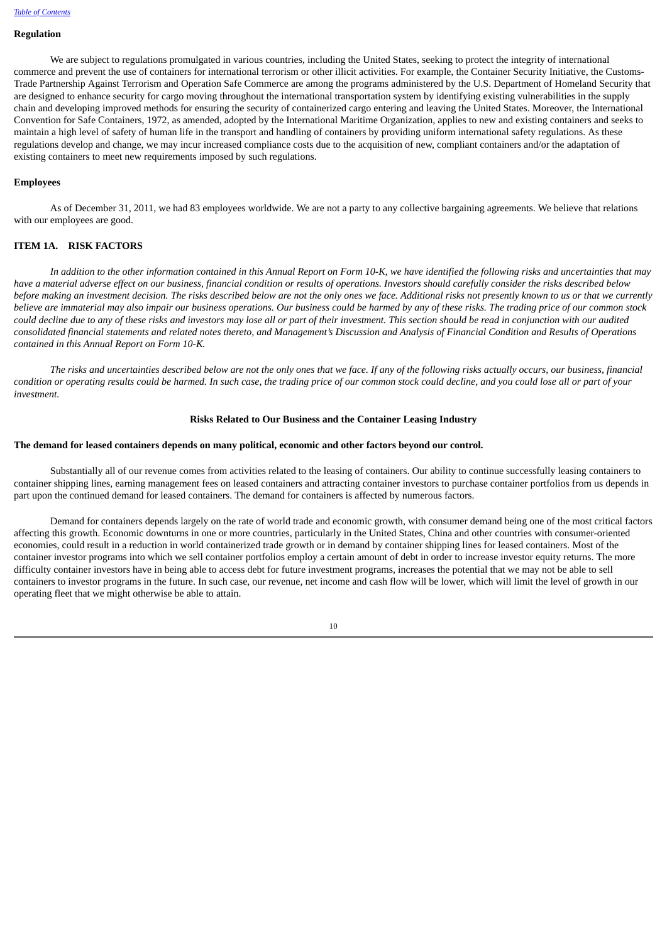#### **Regulation**

We are subject to regulations promulgated in various countries, including the United States, seeking to protect the integrity of international commerce and prevent the use of containers for international terrorism or other illicit activities. For example, the Container Security Initiative, the Customs-Trade Partnership Against Terrorism and Operation Safe Commerce are among the programs administered by the U.S. Department of Homeland Security that are designed to enhance security for cargo moving throughout the international transportation system by identifying existing vulnerabilities in the supply chain and developing improved methods for ensuring the security of containerized cargo entering and leaving the United States. Moreover, the International Convention for Safe Containers, 1972, as amended, adopted by the International Maritime Organization, applies to new and existing containers and seeks to maintain a high level of safety of human life in the transport and handling of containers by providing uniform international safety regulations. As these regulations develop and change, we may incur increased compliance costs due to the acquisition of new, compliant containers and/or the adaptation of existing containers to meet new requirements imposed by such regulations.

#### **Employees**

As of December 31, 2011, we had 83 employees worldwide. We are not a party to any collective bargaining agreements. We believe that relations with our employees are good.

#### <span id="page-10-0"></span>**ITEM 1A. RISK FACTORS**

In addition to the other information contained in this Annual Report on Form 10-K, we have identified the following risks and uncertainties that may have a material adverse effect on our business, financial condition or results of operations. Investors should carefully consider the risks described below before making an investment decision. The risks described below are not the only ones we face. Additional risks not presently known to us or that we currently believe are immaterial may also impair our business operations. Our business could be harmed by any of these risks. The trading price of our common stock could decline due to any of these risks and investors may lose all or part of their investment. This section should be read in conjunction with our audited consolidated financial statements and related notes thereto, and Management's Discussion and Analysis of Financial Condition and Results of Operations *contained in this Annual Report on Form 10-K.*

The risks and uncertainties described below are not the only ones that we face. If any of the following risks actually occurs, our business, financial condition or operating results could be harmed. In such case, the trading price of our common stock could decline, and you could lose all or part of your *investment.*

#### **Risks Related to Our Business and the Container Leasing Industry**

#### **The demand for leased containers depends on many political, economic and other factors beyond our control.**

Substantially all of our revenue comes from activities related to the leasing of containers. Our ability to continue successfully leasing containers to container shipping lines, earning management fees on leased containers and attracting container investors to purchase container portfolios from us depends in part upon the continued demand for leased containers. The demand for containers is affected by numerous factors.

Demand for containers depends largely on the rate of world trade and economic growth, with consumer demand being one of the most critical factors affecting this growth. Economic downturns in one or more countries, particularly in the United States, China and other countries with consumer-oriented economies, could result in a reduction in world containerized trade growth or in demand by container shipping lines for leased containers. Most of the container investor programs into which we sell container portfolios employ a certain amount of debt in order to increase investor equity returns. The more difficulty container investors have in being able to access debt for future investment programs, increases the potential that we may not be able to sell containers to investor programs in the future. In such case, our revenue, net income and cash flow will be lower, which will limit the level of growth in our operating fleet that we might otherwise be able to attain.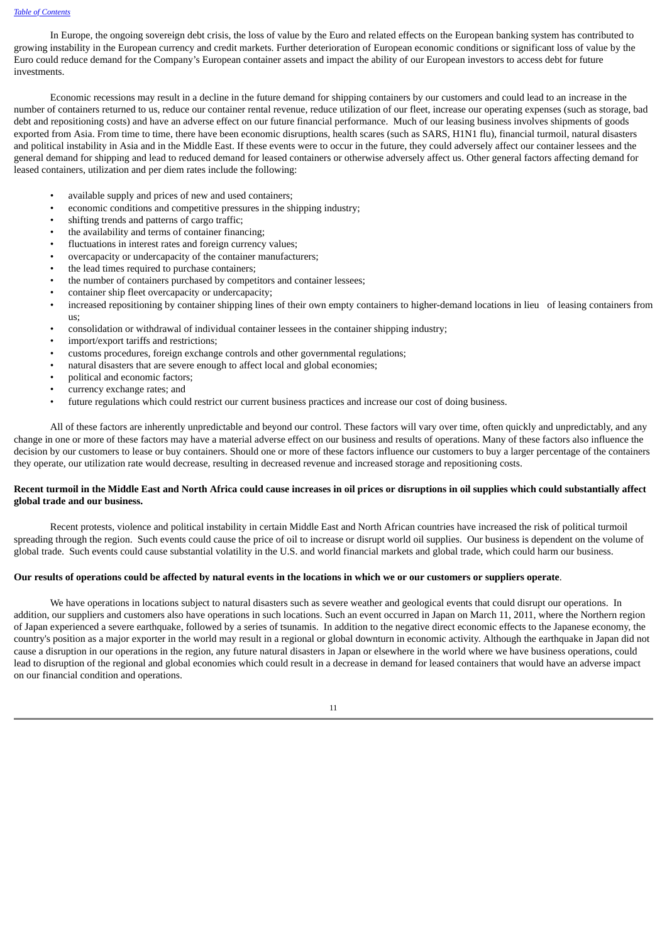In Europe, the ongoing sovereign debt crisis, the loss of value by the Euro and related effects on the European banking system has contributed to growing instability in the European currency and credit markets. Further deterioration of European economic conditions or significant loss of value by the Euro could reduce demand for the Company's European container assets and impact the ability of our European investors to access debt for future investments.

Economic recessions may result in a decline in the future demand for shipping containers by our customers and could lead to an increase in the number of containers returned to us, reduce our container rental revenue, reduce utilization of our fleet, increase our operating expenses (such as storage, bad debt and repositioning costs) and have an adverse effect on our future financial performance. Much of our leasing business involves shipments of goods exported from Asia. From time to time, there have been economic disruptions, health scares (such as SARS, H1N1 flu), financial turmoil, natural disasters and political instability in Asia and in the Middle East. If these events were to occur in the future, they could adversely affect our container lessees and the general demand for shipping and lead to reduced demand for leased containers or otherwise adversely affect us. Other general factors affecting demand for leased containers, utilization and per diem rates include the following:

- available supply and prices of new and used containers;
- economic conditions and competitive pressures in the shipping industry;
- shifting trends and patterns of cargo traffic;
- the availability and terms of container financing;
- fluctuations in interest rates and foreign currency values;
- overcapacity or undercapacity of the container manufacturers;
- the lead times required to purchase containers;
- the number of containers purchased by competitors and container lessees;
- container ship fleet overcapacity or undercapacity;
- increased repositioning by container shipping lines of their own empty containers to higher-demand locations in lieu of leasing containers from us;
- consolidation or withdrawal of individual container lessees in the container shipping industry;
- import/export tariffs and restrictions;
- customs procedures, foreign exchange controls and other governmental regulations;
- natural disasters that are severe enough to affect local and global economies;
- political and economic factors;
- currency exchange rates; and
- future regulations which could restrict our current business practices and increase our cost of doing business.

All of these factors are inherently unpredictable and beyond our control. These factors will vary over time, often quickly and unpredictably, and any change in one or more of these factors may have a material adverse effect on our business and results of operations. Many of these factors also influence the decision by our customers to lease or buy containers. Should one or more of these factors influence our customers to buy a larger percentage of the containers they operate, our utilization rate would decrease, resulting in decreased revenue and increased storage and repositioning costs.

### Recent turmoil in the Middle East and North Africa could cause increases in oil prices or disruptions in oil supplies which could substantially affect **global trade and our business.**

Recent protests, violence and political instability in certain Middle East and North African countries have increased the risk of political turmoil spreading through the region. Such events could cause the price of oil to increase or disrupt world oil supplies. Our business is dependent on the volume of global trade. Such events could cause substantial volatility in the U.S. and world financial markets and global trade, which could harm our business.

#### Our results of operations could be affected by natural events in the locations in which we or our customers or suppliers operate.

We have operations in locations subject to natural disasters such as severe weather and geological events that could disrupt our operations. In addition, our suppliers and customers also have operations in such locations. Such an event occurred in Japan on March 11, 2011, where the Northern region of Japan experienced a severe earthquake, followed by a series of tsunamis. In addition to the negative direct economic effects to the Japanese economy, the country's position as a major exporter in the world may result in a regional or global downturn in economic activity. Although the earthquake in Japan did not cause a disruption in our operations in the region, any future natural disasters in Japan or elsewhere in the world where we have business operations, could lead to disruption of the regional and global economies which could result in a decrease in demand for leased containers that would have an adverse impact on our financial condition and operations.

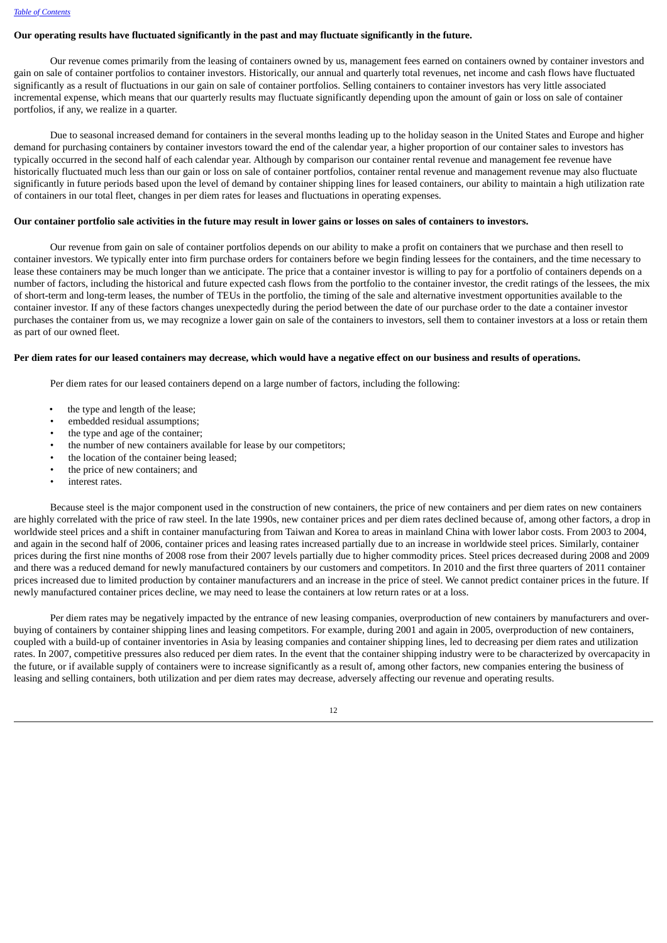## **Our operating results have fluctuated significantly in the past and may fluctuate significantly in the future.**

Our revenue comes primarily from the leasing of containers owned by us, management fees earned on containers owned by container investors and gain on sale of container portfolios to container investors. Historically, our annual and quarterly total revenues, net income and cash flows have fluctuated significantly as a result of fluctuations in our gain on sale of container portfolios. Selling containers to container investors has very little associated incremental expense, which means that our quarterly results may fluctuate significantly depending upon the amount of gain or loss on sale of container portfolios, if any, we realize in a quarter.

Due to seasonal increased demand for containers in the several months leading up to the holiday season in the United States and Europe and higher demand for purchasing containers by container investors toward the end of the calendar year, a higher proportion of our container sales to investors has typically occurred in the second half of each calendar year. Although by comparison our container rental revenue and management fee revenue have historically fluctuated much less than our gain or loss on sale of container portfolios, container rental revenue and management revenue may also fluctuate significantly in future periods based upon the level of demand by container shipping lines for leased containers, our ability to maintain a high utilization rate of containers in our total fleet, changes in per diem rates for leases and fluctuations in operating expenses.

#### Our container portfolio sale activities in the future may result in lower gains or losses on sales of containers to investors.

Our revenue from gain on sale of container portfolios depends on our ability to make a profit on containers that we purchase and then resell to container investors. We typically enter into firm purchase orders for containers before we begin finding lessees for the containers, and the time necessary to lease these containers may be much longer than we anticipate. The price that a container investor is willing to pay for a portfolio of containers depends on a number of factors, including the historical and future expected cash flows from the portfolio to the container investor, the credit ratings of the lessees, the mix of short-term and long-term leases, the number of TEUs in the portfolio, the timing of the sale and alternative investment opportunities available to the container investor. If any of these factors changes unexpectedly during the period between the date of our purchase order to the date a container investor purchases the container from us, we may recognize a lower gain on sale of the containers to investors, sell them to container investors at a loss or retain them as part of our owned fleet.

#### Per diem rates for our leased containers may decrease, which would have a negative effect on our business and results of operations.

Per diem rates for our leased containers depend on a large number of factors, including the following:

- the type and length of the lease;
- embedded residual assumptions;
- the type and age of the container;
- the number of new containers available for lease by our competitors;
- the location of the container being leased;
- the price of new containers; and
- interest rates.

Because steel is the major component used in the construction of new containers, the price of new containers and per diem rates on new containers are highly correlated with the price of raw steel. In the late 1990s, new container prices and per diem rates declined because of, among other factors, a drop in worldwide steel prices and a shift in container manufacturing from Taiwan and Korea to areas in mainland China with lower labor costs. From 2003 to 2004, and again in the second half of 2006, container prices and leasing rates increased partially due to an increase in worldwide steel prices. Similarly, container prices during the first nine months of 2008 rose from their 2007 levels partially due to higher commodity prices. Steel prices decreased during 2008 and 2009 and there was a reduced demand for newly manufactured containers by our customers and competitors. In 2010 and the first three quarters of 2011 container prices increased due to limited production by container manufacturers and an increase in the price of steel. We cannot predict container prices in the future. If newly manufactured container prices decline, we may need to lease the containers at low return rates or at a loss.

Per diem rates may be negatively impacted by the entrance of new leasing companies, overproduction of new containers by manufacturers and overbuying of containers by container shipping lines and leasing competitors. For example, during 2001 and again in 2005, overproduction of new containers, coupled with a build-up of container inventories in Asia by leasing companies and container shipping lines, led to decreasing per diem rates and utilization rates. In 2007, competitive pressures also reduced per diem rates. In the event that the container shipping industry were to be characterized by overcapacity in the future, or if available supply of containers were to increase significantly as a result of, among other factors, new companies entering the business of leasing and selling containers, both utilization and per diem rates may decrease, adversely affecting our revenue and operating results.

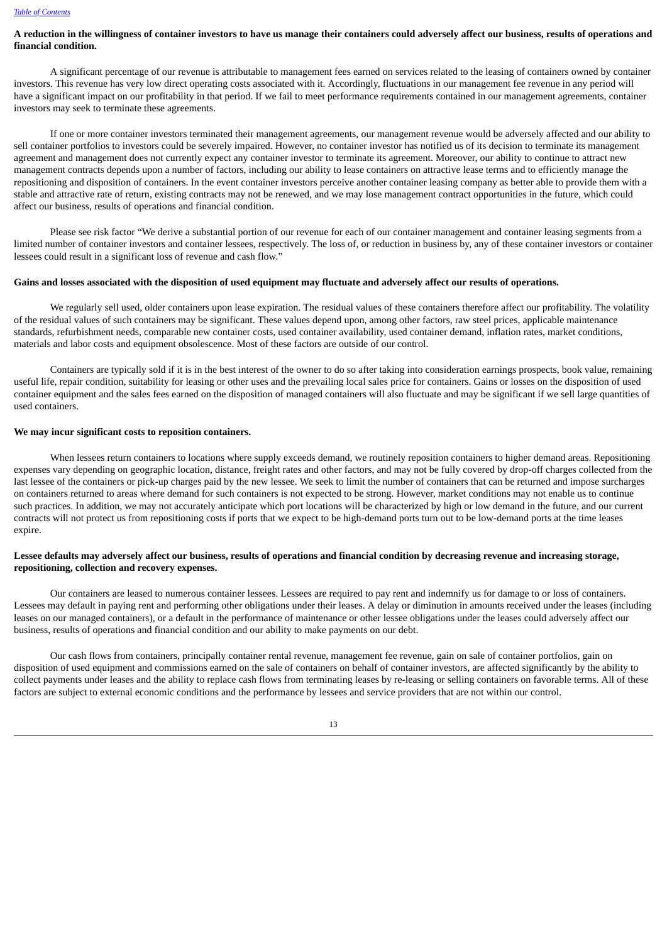## A reduction in the willingness of container investors to have us manage their containers could adversely affect our business, results of operations and **financial condition.**

A significant percentage of our revenue is attributable to management fees earned on services related to the leasing of containers owned by container investors. This revenue has very low direct operating costs associated with it. Accordingly, fluctuations in our management fee revenue in any period will have a significant impact on our profitability in that period. If we fail to meet performance requirements contained in our management agreements, container investors may seek to terminate these agreements.

If one or more container investors terminated their management agreements, our management revenue would be adversely affected and our ability to sell container portfolios to investors could be severely impaired. However, no container investor has notified us of its decision to terminate its management agreement and management does not currently expect any container investor to terminate its agreement. Moreover, our ability to continue to attract new management contracts depends upon a number of factors, including our ability to lease containers on attractive lease terms and to efficiently manage the repositioning and disposition of containers. In the event container investors perceive another container leasing company as better able to provide them with a stable and attractive rate of return, existing contracts may not be renewed, and we may lose management contract opportunities in the future, which could affect our business, results of operations and financial condition.

Please see risk factor "We derive a substantial portion of our revenue for each of our container management and container leasing segments from a limited number of container investors and container lessees, respectively. The loss of, or reduction in business by, any of these container investors or container lessees could result in a significant loss of revenue and cash flow."

#### Gains and losses associated with the disposition of used equipment may fluctuate and adversely affect our results of operations.

We regularly sell used, older containers upon lease expiration. The residual values of these containers therefore affect our profitability. The volatility of the residual values of such containers may be significant. These values depend upon, among other factors, raw steel prices, applicable maintenance standards, refurbishment needs, comparable new container costs, used container availability, used container demand, inflation rates, market conditions, materials and labor costs and equipment obsolescence. Most of these factors are outside of our control.

Containers are typically sold if it is in the best interest of the owner to do so after taking into consideration earnings prospects, book value, remaining useful life, repair condition, suitability for leasing or other uses and the prevailing local sales price for containers. Gains or losses on the disposition of used container equipment and the sales fees earned on the disposition of managed containers will also fluctuate and may be significant if we sell large quantities of used containers.

#### **We may incur significant costs to reposition containers.**

When lessees return containers to locations where supply exceeds demand, we routinely reposition containers to higher demand areas. Repositioning expenses vary depending on geographic location, distance, freight rates and other factors, and may not be fully covered by drop-off charges collected from the last lessee of the containers or pick-up charges paid by the new lessee. We seek to limit the number of containers that can be returned and impose surcharges on containers returned to areas where demand for such containers is not expected to be strong. However, market conditions may not enable us to continue such practices. In addition, we may not accurately anticipate which port locations will be characterized by high or low demand in the future, and our current contracts will not protect us from repositioning costs if ports that we expect to be high-demand ports turn out to be low-demand ports at the time leases expire.

## Lessee defaults may adversely affect our business, results of operations and financial condition by decreasing revenue and increasing storage, **repositioning, collection and recovery expenses.**

Our containers are leased to numerous container lessees. Lessees are required to pay rent and indemnify us for damage to or loss of containers. Lessees may default in paying rent and performing other obligations under their leases. A delay or diminution in amounts received under the leases (including leases on our managed containers), or a default in the performance of maintenance or other lessee obligations under the leases could adversely affect our business, results of operations and financial condition and our ability to make payments on our debt.

Our cash flows from containers, principally container rental revenue, management fee revenue, gain on sale of container portfolios, gain on disposition of used equipment and commissions earned on the sale of containers on behalf of container investors, are affected significantly by the ability to collect payments under leases and the ability to replace cash flows from terminating leases by re-leasing or selling containers on favorable terms. All of these factors are subject to external economic conditions and the performance by lessees and service providers that are not within our control.

13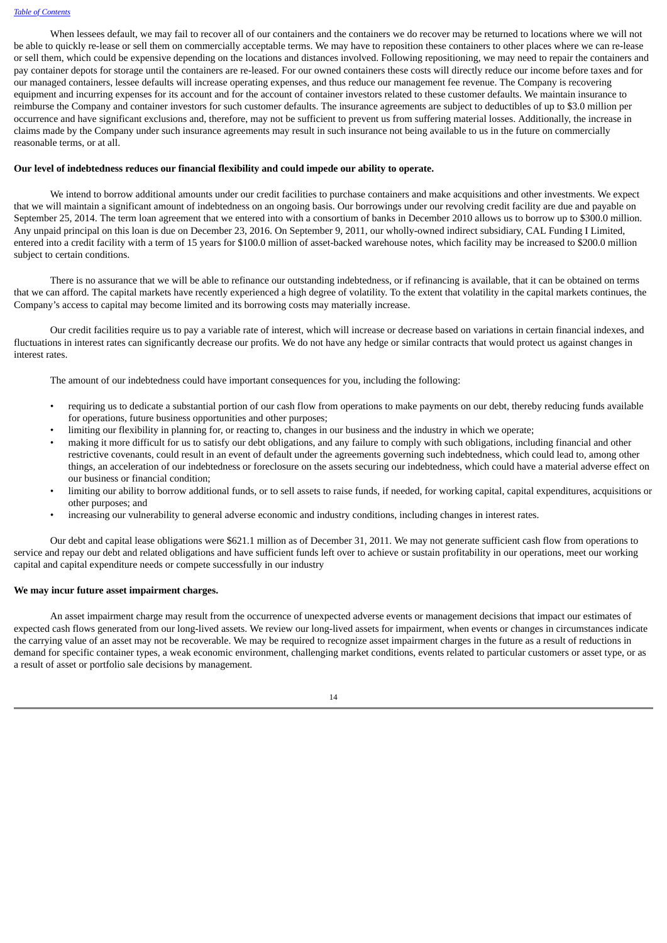When lessees default, we may fail to recover all of our containers and the containers we do recover may be returned to locations where we will not be able to quickly re-lease or sell them on commercially acceptable terms. We may have to reposition these containers to other places where we can re-lease or sell them, which could be expensive depending on the locations and distances involved. Following repositioning, we may need to repair the containers and pay container depots for storage until the containers are re-leased. For our owned containers these costs will directly reduce our income before taxes and for our managed containers, lessee defaults will increase operating expenses, and thus reduce our management fee revenue. The Company is recovering equipment and incurring expenses for its account and for the account of container investors related to these customer defaults. We maintain insurance to reimburse the Company and container investors for such customer defaults. The insurance agreements are subject to deductibles of up to \$3.0 million per occurrence and have significant exclusions and, therefore, may not be sufficient to prevent us from suffering material losses. Additionally, the increase in claims made by the Company under such insurance agreements may result in such insurance not being available to us in the future on commercially reasonable terms, or at all.

#### **Our level of indebtedness reduces our financial flexibility and could impede our ability to operate.**

We intend to borrow additional amounts under our credit facilities to purchase containers and make acquisitions and other investments. We expect that we will maintain a significant amount of indebtedness on an ongoing basis. Our borrowings under our revolving credit facility are due and payable on September 25, 2014. The term loan agreement that we entered into with a consortium of banks in December 2010 allows us to borrow up to \$300.0 million. Any unpaid principal on this loan is due on December 23, 2016. On September 9, 2011, our wholly-owned indirect subsidiary, CAL Funding I Limited, entered into a credit facility with a term of 15 years for \$100.0 million of asset-backed warehouse notes, which facility may be increased to \$200.0 million subject to certain conditions.

There is no assurance that we will be able to refinance our outstanding indebtedness, or if refinancing is available, that it can be obtained on terms that we can afford. The capital markets have recently experienced a high degree of volatility. To the extent that volatility in the capital markets continues, the Company's access to capital may become limited and its borrowing costs may materially increase.

Our credit facilities require us to pay a variable rate of interest, which will increase or decrease based on variations in certain financial indexes, and fluctuations in interest rates can significantly decrease our profits. We do not have any hedge or similar contracts that would protect us against changes in interest rates.

The amount of our indebtedness could have important consequences for you, including the following:

- requiring us to dedicate a substantial portion of our cash flow from operations to make payments on our debt, thereby reducing funds available for operations, future business opportunities and other purposes;
- limiting our flexibility in planning for, or reacting to, changes in our business and the industry in which we operate;
- making it more difficult for us to satisfy our debt obligations, and any failure to comply with such obligations, including financial and other restrictive covenants, could result in an event of default under the agreements governing such indebtedness, which could lead to, among other things, an acceleration of our indebtedness or foreclosure on the assets securing our indebtedness, which could have a material adverse effect on our business or financial condition;
- limiting our ability to borrow additional funds, or to sell assets to raise funds, if needed, for working capital, capital expenditures, acquisitions or other purposes; and
- increasing our vulnerability to general adverse economic and industry conditions, including changes in interest rates.

Our debt and capital lease obligations were \$621.1 million as of December 31, 2011. We may not generate sufficient cash flow from operations to service and repay our debt and related obligations and have sufficient funds left over to achieve or sustain profitability in our operations, meet our working capital and capital expenditure needs or compete successfully in our industry

#### **We may incur future asset impairment charges.**

An asset impairment charge may result from the occurrence of unexpected adverse events or management decisions that impact our estimates of expected cash flows generated from our long-lived assets. We review our long-lived assets for impairment, when events or changes in circumstances indicate the carrying value of an asset may not be recoverable. We may be required to recognize asset impairment charges in the future as a result of reductions in demand for specific container types, a weak economic environment, challenging market conditions, events related to particular customers or asset type, or as a result of asset or portfolio sale decisions by management.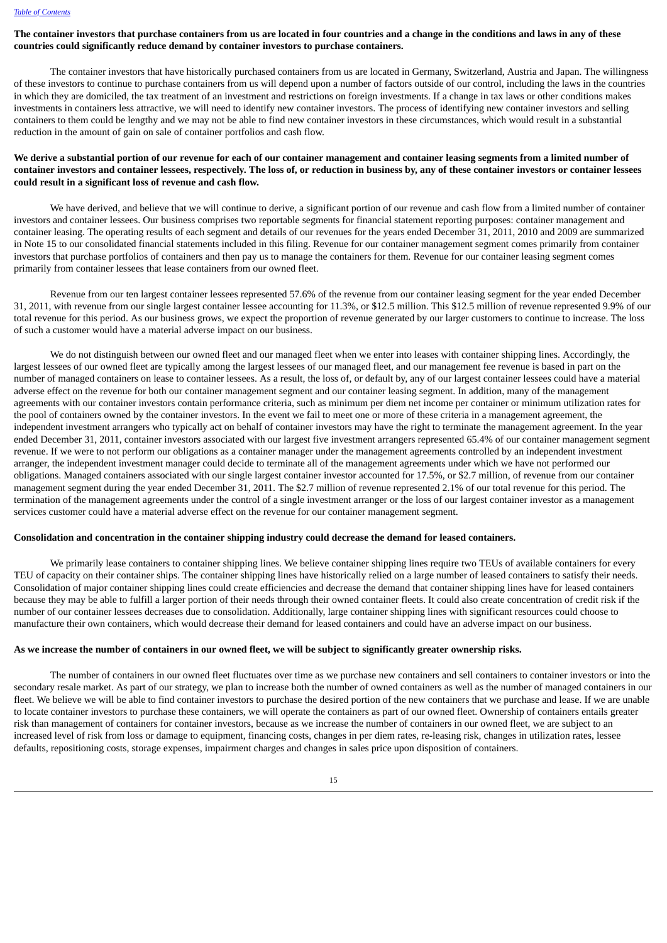## The container investors that purchase containers from us are located in four countries and a change in the conditions and laws in any of these **countries could significantly reduce demand by container investors to purchase containers.**

The container investors that have historically purchased containers from us are located in Germany, Switzerland, Austria and Japan. The willingness of these investors to continue to purchase containers from us will depend upon a number of factors outside of our control, including the laws in the countries in which they are domiciled, the tax treatment of an investment and restrictions on foreign investments. If a change in tax laws or other conditions makes investments in containers less attractive, we will need to identify new container investors. The process of identifying new container investors and selling containers to them could be lengthy and we may not be able to find new container investors in these circumstances, which would result in a substantial reduction in the amount of gain on sale of container portfolios and cash flow.

## We derive a substantial portion of our revenue for each of our container management and container leasing segments from a limited number of container investors and container lessees, respectively. The loss of, or reduction in business by, any of these container investors or container lessees **could result in a significant loss of revenue and cash flow.**

We have derived, and believe that we will continue to derive, a significant portion of our revenue and cash flow from a limited number of container investors and container lessees. Our business comprises two reportable segments for financial statement reporting purposes: container management and container leasing. The operating results of each segment and details of our revenues for the years ended December 31, 2011, 2010 and 2009 are summarized in Note 15 to our consolidated financial statements included in this filing. Revenue for our container management segment comes primarily from container investors that purchase portfolios of containers and then pay us to manage the containers for them. Revenue for our container leasing segment comes primarily from container lessees that lease containers from our owned fleet.

Revenue from our ten largest container lessees represented 57.6% of the revenue from our container leasing segment for the year ended December 31, 2011, with revenue from our single largest container lessee accounting for 11.3%, or \$12.5 million. This \$12.5 million of revenue represented 9.9% of our total revenue for this period. As our business grows, we expect the proportion of revenue generated by our larger customers to continue to increase. The loss of such a customer would have a material adverse impact on our business.

We do not distinguish between our owned fleet and our managed fleet when we enter into leases with container shipping lines. Accordingly, the largest lessees of our owned fleet are typically among the largest lessees of our managed fleet, and our management fee revenue is based in part on the number of managed containers on lease to container lessees. As a result, the loss of, or default by, any of our largest container lessees could have a material adverse effect on the revenue for both our container management segment and our container leasing segment. In addition, many of the management agreements with our container investors contain performance criteria, such as minimum per diem net income per container or minimum utilization rates for the pool of containers owned by the container investors. In the event we fail to meet one or more of these criteria in a management agreement, the independent investment arrangers who typically act on behalf of container investors may have the right to terminate the management agreement. In the year ended December 31, 2011, container investors associated with our largest five investment arrangers represented 65.4% of our container management segment revenue. If we were to not perform our obligations as a container manager under the management agreements controlled by an independent investment arranger, the independent investment manager could decide to terminate all of the management agreements under which we have not performed our obligations. Managed containers associated with our single largest container investor accounted for 17.5%, or \$2.7 million, of revenue from our container management segment during the year ended December 31, 2011. The \$2.7 million of revenue represented 2.1% of our total revenue for this period. The termination of the management agreements under the control of a single investment arranger or the loss of our largest container investor as a management services customer could have a material adverse effect on the revenue for our container management segment.

## **Consolidation and concentration in the container shipping industry could decrease the demand for leased containers.**

We primarily lease containers to container shipping lines. We believe container shipping lines require two TEUs of available containers for every TEU of capacity on their container ships. The container shipping lines have historically relied on a large number of leased containers to satisfy their needs. Consolidation of major container shipping lines could create efficiencies and decrease the demand that container shipping lines have for leased containers because they may be able to fulfill a larger portion of their needs through their owned container fleets. It could also create concentration of credit risk if the number of our container lessees decreases due to consolidation. Additionally, large container shipping lines with significant resources could choose to manufacture their own containers, which would decrease their demand for leased containers and could have an adverse impact on our business.

#### As we increase the number of containers in our owned fleet, we will be subject to significantly greater ownership risks.

The number of containers in our owned fleet fluctuates over time as we purchase new containers and sell containers to container investors or into the secondary resale market. As part of our strategy, we plan to increase both the number of owned containers as well as the number of managed containers in our fleet. We believe we will be able to find container investors to purchase the desired portion of the new containers that we purchase and lease. If we are unable to locate container investors to purchase these containers, we will operate the containers as part of our owned fleet. Ownership of containers entails greater risk than management of containers for container investors, because as we increase the number of containers in our owned fleet, we are subject to an increased level of risk from loss or damage to equipment, financing costs, changes in per diem rates, re-leasing risk, changes in utilization rates, lessee defaults, repositioning costs, storage expenses, impairment charges and changes in sales price upon disposition of containers.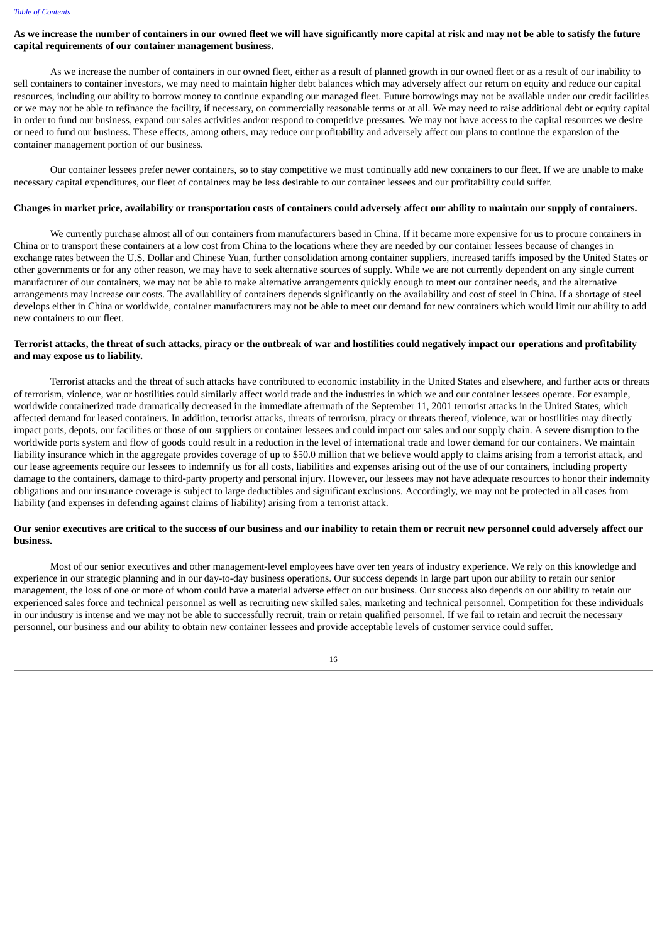## As we increase the number of containers in our owned fleet we will have significantly more capital at risk and may not be able to satisfy the future **capital requirements of our container management business.**

As we increase the number of containers in our owned fleet, either as a result of planned growth in our owned fleet or as a result of our inability to sell containers to container investors, we may need to maintain higher debt balances which may adversely affect our return on equity and reduce our capital resources, including our ability to borrow money to continue expanding our managed fleet. Future borrowings may not be available under our credit facilities or we may not be able to refinance the facility, if necessary, on commercially reasonable terms or at all. We may need to raise additional debt or equity capital in order to fund our business, expand our sales activities and/or respond to competitive pressures. We may not have access to the capital resources we desire or need to fund our business. These effects, among others, may reduce our profitability and adversely affect our plans to continue the expansion of the container management portion of our business.

Our container lessees prefer newer containers, so to stay competitive we must continually add new containers to our fleet. If we are unable to make necessary capital expenditures, our fleet of containers may be less desirable to our container lessees and our profitability could suffer.

#### Changes in market price, availability or transportation costs of containers could adversely affect our ability to maintain our supply of containers.

We currently purchase almost all of our containers from manufacturers based in China. If it became more expensive for us to procure containers in China or to transport these containers at a low cost from China to the locations where they are needed by our container lessees because of changes in exchange rates between the U.S. Dollar and Chinese Yuan, further consolidation among container suppliers, increased tariffs imposed by the United States or other governments or for any other reason, we may have to seek alternative sources of supply. While we are not currently dependent on any single current manufacturer of our containers, we may not be able to make alternative arrangements quickly enough to meet our container needs, and the alternative arrangements may increase our costs. The availability of containers depends significantly on the availability and cost of steel in China. If a shortage of steel develops either in China or worldwide, container manufacturers may not be able to meet our demand for new containers which would limit our ability to add new containers to our fleet.

## Terrorist attacks, the threat of such attacks, piracy or the outbreak of war and hostilities could negatively impact our operations and profitability **and may expose us to liability.**

Terrorist attacks and the threat of such attacks have contributed to economic instability in the United States and elsewhere, and further acts or threats of terrorism, violence, war or hostilities could similarly affect world trade and the industries in which we and our container lessees operate. For example, worldwide containerized trade dramatically decreased in the immediate aftermath of the September 11, 2001 terrorist attacks in the United States, which affected demand for leased containers. In addition, terrorist attacks, threats of terrorism, piracy or threats thereof, violence, war or hostilities may directly impact ports, depots, our facilities or those of our suppliers or container lessees and could impact our sales and our supply chain. A severe disruption to the worldwide ports system and flow of goods could result in a reduction in the level of international trade and lower demand for our containers. We maintain liability insurance which in the aggregate provides coverage of up to \$50.0 million that we believe would apply to claims arising from a terrorist attack, and our lease agreements require our lessees to indemnify us for all costs, liabilities and expenses arising out of the use of our containers, including property damage to the containers, damage to third-party property and personal injury. However, our lessees may not have adequate resources to honor their indemnity obligations and our insurance coverage is subject to large deductibles and significant exclusions. Accordingly, we may not be protected in all cases from liability (and expenses in defending against claims of liability) arising from a terrorist attack.

## Our senior executives are critical to the success of our business and our inability to retain them or recruit new personnel could adversely affect our **business.**

Most of our senior executives and other management-level employees have over ten years of industry experience. We rely on this knowledge and experience in our strategic planning and in our day-to-day business operations. Our success depends in large part upon our ability to retain our senior management, the loss of one or more of whom could have a material adverse effect on our business. Our success also depends on our ability to retain our experienced sales force and technical personnel as well as recruiting new skilled sales, marketing and technical personnel. Competition for these individuals in our industry is intense and we may not be able to successfully recruit, train or retain qualified personnel. If we fail to retain and recruit the necessary personnel, our business and our ability to obtain new container lessees and provide acceptable levels of customer service could suffer.

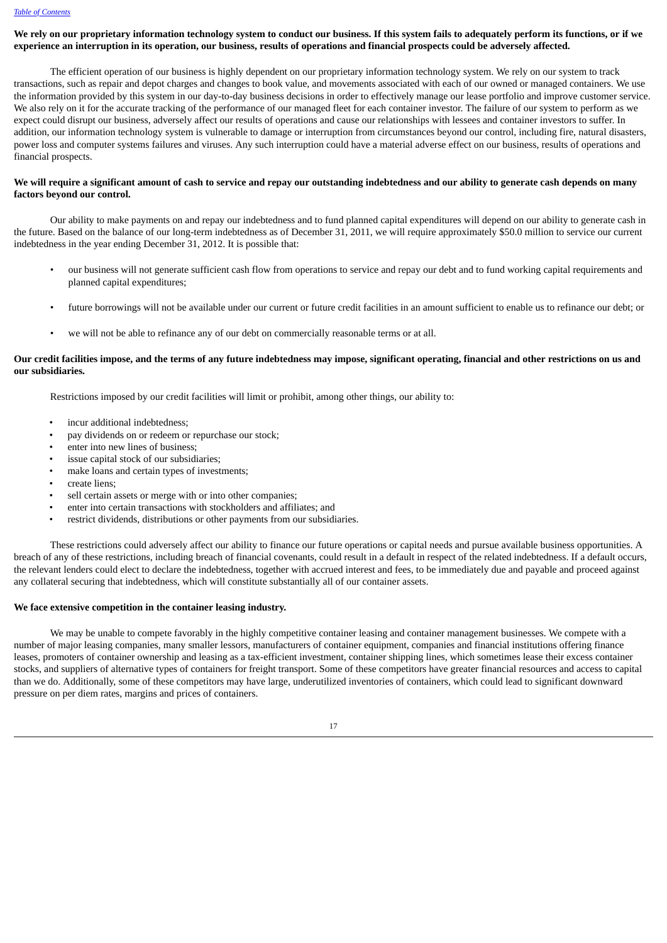## We rely on our proprietary information technology system to conduct our business. If this system fails to adequately perform its functions, or if we experience an interruption in its operation, our business, results of operations and financial prospects could be adversely affected.

The efficient operation of our business is highly dependent on our proprietary information technology system. We rely on our system to track transactions, such as repair and depot charges and changes to book value, and movements associated with each of our owned or managed containers. We use the information provided by this system in our day-to-day business decisions in order to effectively manage our lease portfolio and improve customer service. We also rely on it for the accurate tracking of the performance of our managed fleet for each container investor. The failure of our system to perform as we expect could disrupt our business, adversely affect our results of operations and cause our relationships with lessees and container investors to suffer. In addition, our information technology system is vulnerable to damage or interruption from circumstances beyond our control, including fire, natural disasters, power loss and computer systems failures and viruses. Any such interruption could have a material adverse effect on our business, results of operations and financial prospects.

## We will require a significant amount of cash to service and repay our outstanding indebtedness and our ability to generate cash depends on many **factors beyond our control.**

Our ability to make payments on and repay our indebtedness and to fund planned capital expenditures will depend on our ability to generate cash in the future. Based on the balance of our long-term indebtedness as of December 31, 2011, we will require approximately \$50.0 million to service our current indebtedness in the year ending December 31, 2012. It is possible that:

- our business will not generate sufficient cash flow from operations to service and repay our debt and to fund working capital requirements and planned capital expenditures;
- future borrowings will not be available under our current or future credit facilities in an amount sufficient to enable us to refinance our debt; or
- we will not be able to refinance any of our debt on commercially reasonable terms or at all.

## Our credit facilities impose, and the terms of any future indebtedness may impose, significant operating, financial and other restrictions on us and **our subsidiaries.**

Restrictions imposed by our credit facilities will limit or prohibit, among other things, our ability to:

- incur additional indebtedness:
- pay dividends on or redeem or repurchase our stock;
- enter into new lines of business;
- issue capital stock of our subsidiaries;
- make loans and certain types of investments;
- create liens;
- sell certain assets or merge with or into other companies;
- enter into certain transactions with stockholders and affiliates; and
- restrict dividends, distributions or other payments from our subsidiaries.

These restrictions could adversely affect our ability to finance our future operations or capital needs and pursue available business opportunities. A breach of any of these restrictions, including breach of financial covenants, could result in a default in respect of the related indebtedness. If a default occurs, the relevant lenders could elect to declare the indebtedness, together with accrued interest and fees, to be immediately due and payable and proceed against any collateral securing that indebtedness, which will constitute substantially all of our container assets.

#### **We face extensive competition in the container leasing industry.**

We may be unable to compete favorably in the highly competitive container leasing and container management businesses. We compete with a number of major leasing companies, many smaller lessors, manufacturers of container equipment, companies and financial institutions offering finance leases, promoters of container ownership and leasing as a tax-efficient investment, container shipping lines, which sometimes lease their excess container stocks, and suppliers of alternative types of containers for freight transport. Some of these competitors have greater financial resources and access to capital than we do. Additionally, some of these competitors may have large, underutilized inventories of containers, which could lead to significant downward pressure on per diem rates, margins and prices of containers.

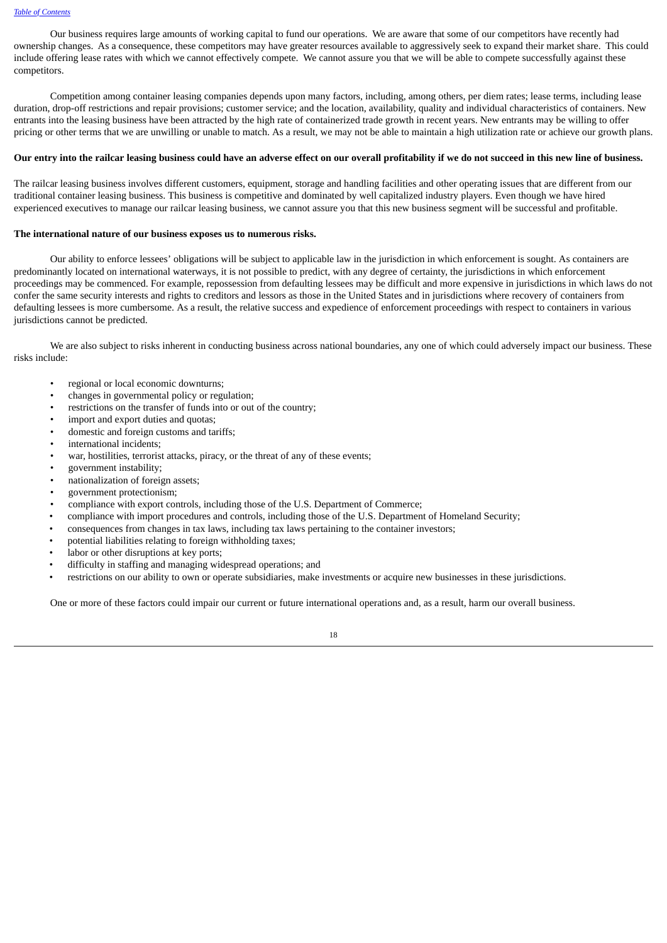Our business requires large amounts of working capital to fund our operations. We are aware that some of our competitors have recently had ownership changes. As a consequence, these competitors may have greater resources available to aggressively seek to expand their market share. This could include offering lease rates with which we cannot effectively compete. We cannot assure you that we will be able to compete successfully against these competitors.

Competition among container leasing companies depends upon many factors, including, among others, per diem rates; lease terms, including lease duration, drop-off restrictions and repair provisions; customer service; and the location, availability, quality and individual characteristics of containers. New entrants into the leasing business have been attracted by the high rate of containerized trade growth in recent years. New entrants may be willing to offer pricing or other terms that we are unwilling or unable to match. As a result, we may not be able to maintain a high utilization rate or achieve our growth plans.

## Our entry into the railcar leasing business could have an adverse effect on our overall profitability if we do not succeed in this new line of business.

The railcar leasing business involves different customers, equipment, storage and handling facilities and other operating issues that are different from our traditional container leasing business. This business is competitive and dominated by well capitalized industry players. Even though we have hired experienced executives to manage our railcar leasing business, we cannot assure you that this new business segment will be successful and profitable.

#### **The international nature of our business exposes us to numerous risks.**

Our ability to enforce lessees' obligations will be subject to applicable law in the jurisdiction in which enforcement is sought. As containers are predominantly located on international waterways, it is not possible to predict, with any degree of certainty, the jurisdictions in which enforcement proceedings may be commenced. For example, repossession from defaulting lessees may be difficult and more expensive in jurisdictions in which laws do not confer the same security interests and rights to creditors and lessors as those in the United States and in jurisdictions where recovery of containers from defaulting lessees is more cumbersome. As a result, the relative success and expedience of enforcement proceedings with respect to containers in various jurisdictions cannot be predicted.

We are also subject to risks inherent in conducting business across national boundaries, any one of which could adversely impact our business. These risks include:

- regional or local economic downturns;
- changes in governmental policy or regulation;
- restrictions on the transfer of funds into or out of the country;
- import and export duties and quotas;
- domestic and foreign customs and tariffs;
- international incidents:
- war, hostilities, terrorist attacks, piracy, or the threat of any of these events;
- government instability;
- nationalization of foreign assets;
- government protectionism;
- compliance with export controls, including those of the U.S. Department of Commerce;
- compliance with import procedures and controls, including those of the U.S. Department of Homeland Security;
- consequences from changes in tax laws, including tax laws pertaining to the container investors;
- potential liabilities relating to foreign withholding taxes;
- labor or other disruptions at key ports;
- difficulty in staffing and managing widespread operations; and
- restrictions on our ability to own or operate subsidiaries, make investments or acquire new businesses in these jurisdictions.

One or more of these factors could impair our current or future international operations and, as a result, harm our overall business.

18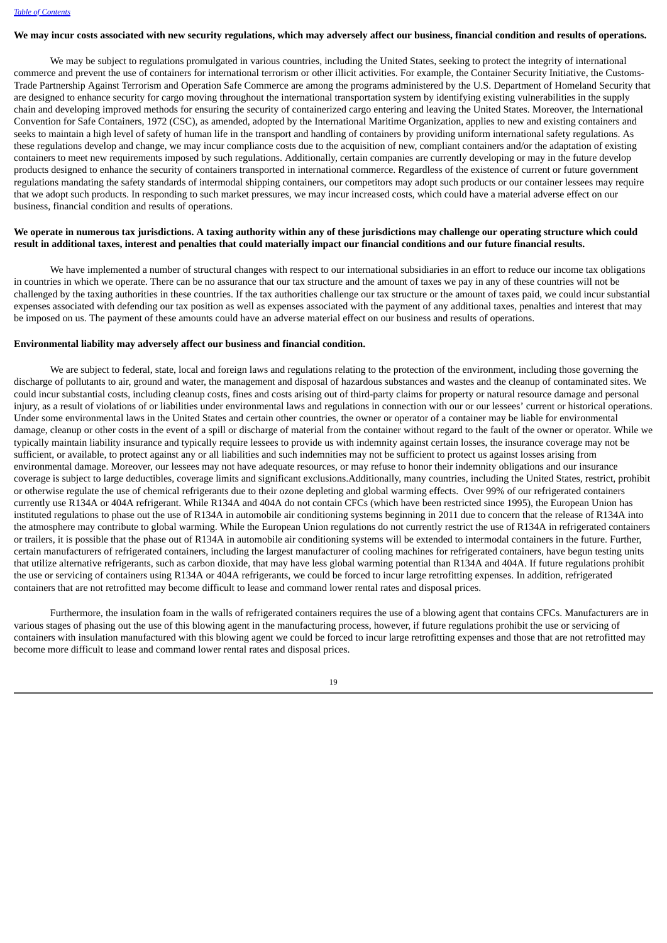### We may incur costs associated with new security regulations, which may adversely affect our business, financial condition and results of operations.

We may be subject to regulations promulgated in various countries, including the United States, seeking to protect the integrity of international commerce and prevent the use of containers for international terrorism or other illicit activities. For example, the Container Security Initiative, the Customs-Trade Partnership Against Terrorism and Operation Safe Commerce are among the programs administered by the U.S. Department of Homeland Security that are designed to enhance security for cargo moving throughout the international transportation system by identifying existing vulnerabilities in the supply chain and developing improved methods for ensuring the security of containerized cargo entering and leaving the United States. Moreover, the International Convention for Safe Containers, 1972 (CSC), as amended, adopted by the International Maritime Organization, applies to new and existing containers and seeks to maintain a high level of safety of human life in the transport and handling of containers by providing uniform international safety regulations. As these regulations develop and change, we may incur compliance costs due to the acquisition of new, compliant containers and/or the adaptation of existing containers to meet new requirements imposed by such regulations. Additionally, certain companies are currently developing or may in the future develop products designed to enhance the security of containers transported in international commerce. Regardless of the existence of current or future government regulations mandating the safety standards of intermodal shipping containers, our competitors may adopt such products or our container lessees may require that we adopt such products. In responding to such market pressures, we may incur increased costs, which could have a material adverse effect on our business, financial condition and results of operations.

## We operate in numerous tax jurisdictions. A taxing authority within any of these jurisdictions may challenge our operating structure which could result in additional taxes, interest and penalties that could materially impact our financial conditions and our future financial results.

We have implemented a number of structural changes with respect to our international subsidiaries in an effort to reduce our income tax obligations in countries in which we operate. There can be no assurance that our tax structure and the amount of taxes we pay in any of these countries will not be challenged by the taxing authorities in these countries. If the tax authorities challenge our tax structure or the amount of taxes paid, we could incur substantial expenses associated with defending our tax position as well as expenses associated with the payment of any additional taxes, penalties and interest that may be imposed on us. The payment of these amounts could have an adverse material effect on our business and results of operations.

#### **Environmental liability may adversely affect our business and financial condition.**

We are subject to federal, state, local and foreign laws and regulations relating to the protection of the environment, including those governing the discharge of pollutants to air, ground and water, the management and disposal of hazardous substances and wastes and the cleanup of contaminated sites. We could incur substantial costs, including cleanup costs, fines and costs arising out of third-party claims for property or natural resource damage and personal injury, as a result of violations of or liabilities under environmental laws and regulations in connection with our or our lessees' current or historical operations. Under some environmental laws in the United States and certain other countries, the owner or operator of a container may be liable for environmental damage, cleanup or other costs in the event of a spill or discharge of material from the container without regard to the fault of the owner or operator. While we typically maintain liability insurance and typically require lessees to provide us with indemnity against certain losses, the insurance coverage may not be sufficient, or available, to protect against any or all liabilities and such indemnities may not be sufficient to protect us against losses arising from environmental damage. Moreover, our lessees may not have adequate resources, or may refuse to honor their indemnity obligations and our insurance coverage is subject to large deductibles, coverage limits and significant exclusions.Additionally, many countries, including the United States, restrict, prohibit or otherwise regulate the use of chemical refrigerants due to their ozone depleting and global warming effects. Over 99% of our refrigerated containers currently use R134A or 404A refrigerant. While R134A and 404A do not contain CFCs (which have been restricted since 1995), the European Union has instituted regulations to phase out the use of R134A in automobile air conditioning systems beginning in 2011 due to concern that the release of R134A into the atmosphere may contribute to global warming. While the European Union regulations do not currently restrict the use of R134A in refrigerated containers or trailers, it is possible that the phase out of R134A in automobile air conditioning systems will be extended to intermodal containers in the future. Further, certain manufacturers of refrigerated containers, including the largest manufacturer of cooling machines for refrigerated containers, have begun testing units that utilize alternative refrigerants, such as carbon dioxide, that may have less global warming potential than R134A and 404A. If future regulations prohibit the use or servicing of containers using R134A or 404A refrigerants, we could be forced to incur large retrofitting expenses. In addition, refrigerated containers that are not retrofitted may become difficult to lease and command lower rental rates and disposal prices.

Furthermore, the insulation foam in the walls of refrigerated containers requires the use of a blowing agent that contains CFCs. Manufacturers are in various stages of phasing out the use of this blowing agent in the manufacturing process, however, if future regulations prohibit the use or servicing of containers with insulation manufactured with this blowing agent we could be forced to incur large retrofitting expenses and those that are not retrofitted may become more difficult to lease and command lower rental rates and disposal prices.

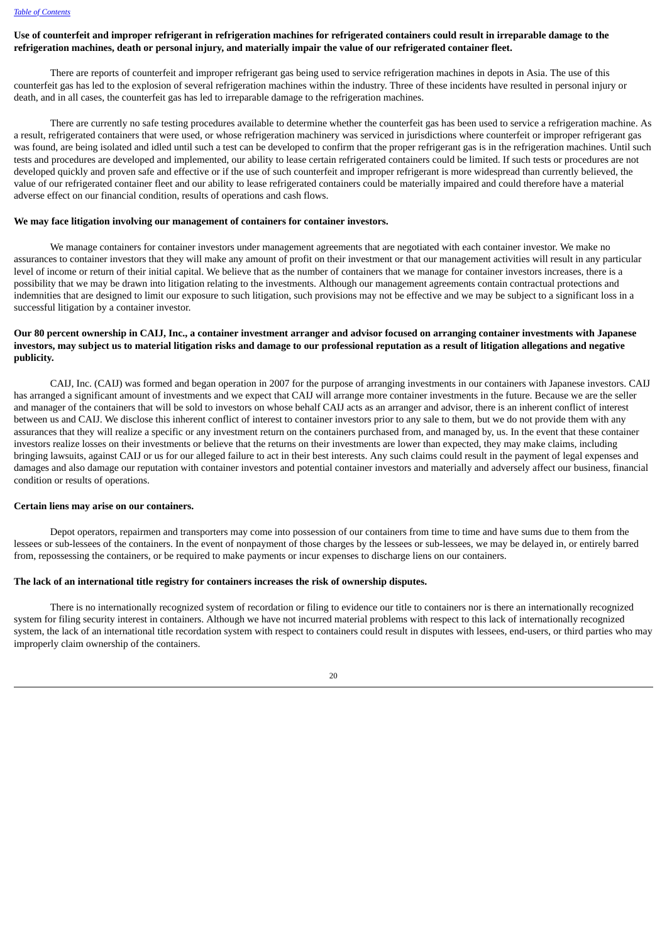## Use of counterfeit and improper refrigerant in refrigeration machines for refrigerated containers could result in irreparable damage to the refrigeration machines, death or personal injury, and materially impair the value of our refrigerated container fleet.

There are reports of counterfeit and improper refrigerant gas being used to service refrigeration machines in depots in Asia. The use of this counterfeit gas has led to the explosion of several refrigeration machines within the industry. Three of these incidents have resulted in personal injury or death, and in all cases, the counterfeit gas has led to irreparable damage to the refrigeration machines.

There are currently no safe testing procedures available to determine whether the counterfeit gas has been used to service a refrigeration machine. As a result, refrigerated containers that were used, or whose refrigeration machinery was serviced in jurisdictions where counterfeit or improper refrigerant gas was found, are being isolated and idled until such a test can be developed to confirm that the proper refrigerant gas is in the refrigeration machines. Until such tests and procedures are developed and implemented, our ability to lease certain refrigerated containers could be limited. If such tests or procedures are not developed quickly and proven safe and effective or if the use of such counterfeit and improper refrigerant is more widespread than currently believed, the value of our refrigerated container fleet and our ability to lease refrigerated containers could be materially impaired and could therefore have a material adverse effect on our financial condition, results of operations and cash flows.

#### **We may face litigation involving our management of containers for container investors.**

We manage containers for container investors under management agreements that are negotiated with each container investor. We make no assurances to container investors that they will make any amount of profit on their investment or that our management activities will result in any particular level of income or return of their initial capital. We believe that as the number of containers that we manage for container investors increases, there is a possibility that we may be drawn into litigation relating to the investments. Although our management agreements contain contractual protections and indemnities that are designed to limit our exposure to such litigation, such provisions may not be effective and we may be subject to a significant loss in a successful litigation by a container investor.

## Our 80 percent ownership in CAIJ, Inc., a container investment arranger and advisor focused on arranging container investments with Japanese investors, may subject us to material litigation risks and damage to our professional reputation as a result of litigation allegations and negative **publicity.**

CAIJ, Inc. (CAIJ) was formed and began operation in 2007 for the purpose of arranging investments in our containers with Japanese investors. CAIJ has arranged a significant amount of investments and we expect that CAIJ will arrange more container investments in the future. Because we are the seller and manager of the containers that will be sold to investors on whose behalf CAIJ acts as an arranger and advisor, there is an inherent conflict of interest between us and CAIJ. We disclose this inherent conflict of interest to container investors prior to any sale to them, but we do not provide them with any assurances that they will realize a specific or any investment return on the containers purchased from, and managed by, us. In the event that these container investors realize losses on their investments or believe that the returns on their investments are lower than expected, they may make claims, including bringing lawsuits, against CAIJ or us for our alleged failure to act in their best interests. Any such claims could result in the payment of legal expenses and damages and also damage our reputation with container investors and potential container investors and materially and adversely affect our business, financial condition or results of operations.

#### **Certain liens may arise on our containers.**

Depot operators, repairmen and transporters may come into possession of our containers from time to time and have sums due to them from the lessees or sub-lessees of the containers. In the event of nonpayment of those charges by the lessees or sub-lessees, we may be delayed in, or entirely barred from, repossessing the containers, or be required to make payments or incur expenses to discharge liens on our containers.

## **The lack of an international title registry for containers increases the risk of ownership disputes.**

There is no internationally recognized system of recordation or filing to evidence our title to containers nor is there an internationally recognized system for filing security interest in containers. Although we have not incurred material problems with respect to this lack of internationally recognized system, the lack of an international title recordation system with respect to containers could result in disputes with lessees, end-users, or third parties who may improperly claim ownership of the containers.

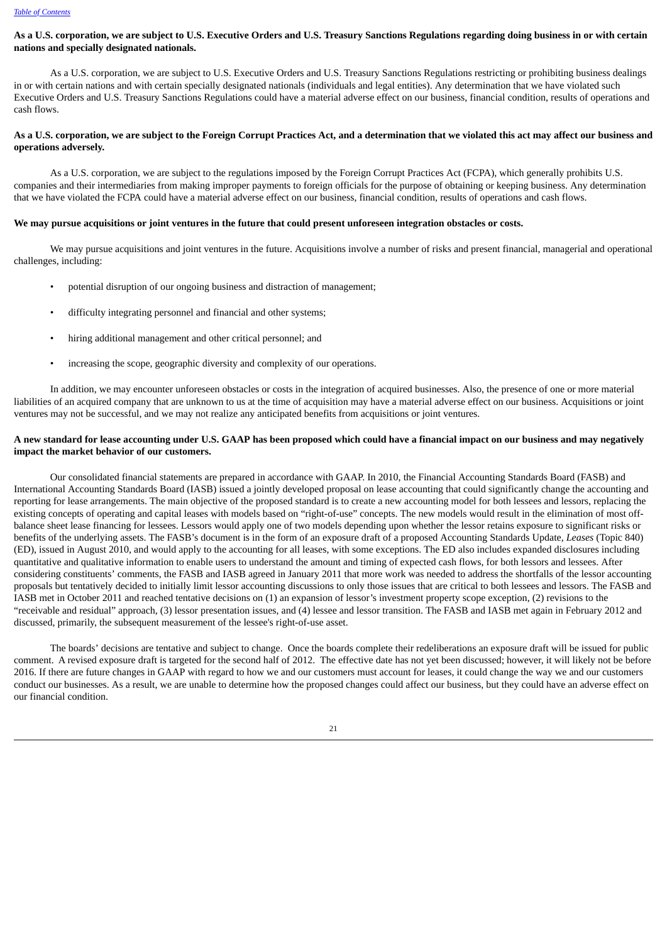## As a U.S. corporation, we are subject to U.S. Executive Orders and U.S. Treasury Sanctions Regulations regarding doing business in or with certain **nations and specially designated nationals.**

As a U.S. corporation, we are subject to U.S. Executive Orders and U.S. Treasury Sanctions Regulations restricting or prohibiting business dealings in or with certain nations and with certain specially designated nationals (individuals and legal entities). Any determination that we have violated such Executive Orders and U.S. Treasury Sanctions Regulations could have a material adverse effect on our business, financial condition, results of operations and cash flows.

## As a U.S. corporation, we are subject to the Foreign Corrupt Practices Act, and a determination that we violated this act may affect our business and **operations adversely.**

As a U.S. corporation, we are subject to the regulations imposed by the Foreign Corrupt Practices Act (FCPA), which generally prohibits U.S. companies and their intermediaries from making improper payments to foreign officials for the purpose of obtaining or keeping business. Any determination that we have violated the FCPA could have a material adverse effect on our business, financial condition, results of operations and cash flows.

#### We may pursue acquisitions or joint ventures in the future that could present unforeseen integration obstacles or costs.

We may pursue acquisitions and joint ventures in the future. Acquisitions involve a number of risks and present financial, managerial and operational challenges, including:

- potential disruption of our ongoing business and distraction of management;
- difficulty integrating personnel and financial and other systems;
- hiring additional management and other critical personnel; and
- increasing the scope, geographic diversity and complexity of our operations.

In addition, we may encounter unforeseen obstacles or costs in the integration of acquired businesses. Also, the presence of one or more material liabilities of an acquired company that are unknown to us at the time of acquisition may have a material adverse effect on our business. Acquisitions or joint ventures may not be successful, and we may not realize any anticipated benefits from acquisitions or joint ventures.

## A new standard for lease accounting under U.S. GAAP has been proposed which could have a financial impact on our business and may negatively **impact the market behavior of our customers.**

Our consolidated financial statements are prepared in accordance with GAAP. In 2010, the Financial Accounting Standards Board (FASB) and International Accounting Standards Board (IASB) issued a jointly developed proposal on lease accounting that could significantly change the accounting and reporting for lease arrangements. The main objective of the proposed standard is to create a new accounting model for both lessees and lessors, replacing the existing concepts of operating and capital leases with models based on "right-of-use" concepts. The new models would result in the elimination of most offbalance sheet lease financing for lessees. Lessors would apply one of two models depending upon whether the lessor retains exposure to significant risks or benefits of the underlying assets. The FASB's document is in the form of an exposure draft of a proposed Accounting Standards Update, *Leases* (Topic 840) (ED), issued in August 2010, and would apply to the accounting for all leases, with some exceptions. The ED also includes expanded disclosures including quantitative and qualitative information to enable users to understand the amount and timing of expected cash flows, for both lessors and lessees. After considering constituents' comments, the FASB and IASB agreed in January 2011 that more work was needed to address the shortfalls of the lessor accounting proposals but tentatively decided to initially limit lessor accounting discussions to only those issues that are critical to both lessees and lessors. The FASB and IASB met in October 2011 and reached tentative decisions on (1) an expansion of lessor's investment property scope exception, (2) revisions to the "receivable and residual" approach, (3) lessor presentation issues, and (4) lessee and lessor transition. The FASB and IASB met again in February 2012 and discussed, primarily, the subsequent measurement of the lessee's right-of-use asset.

The boards' decisions are tentative and subject to change. Once the boards complete their redeliberations an exposure draft will be issued for public comment. A revised exposure draft is targeted for the second half of 2012. The effective date has not yet been discussed; however, it will likely not be before 2016. If there are future changes in GAAP with regard to how we and our customers must account for leases, it could change the way we and our customers conduct our businesses. As a result, we are unable to determine how the proposed changes could affect our business, but they could have an adverse effect on our financial condition.

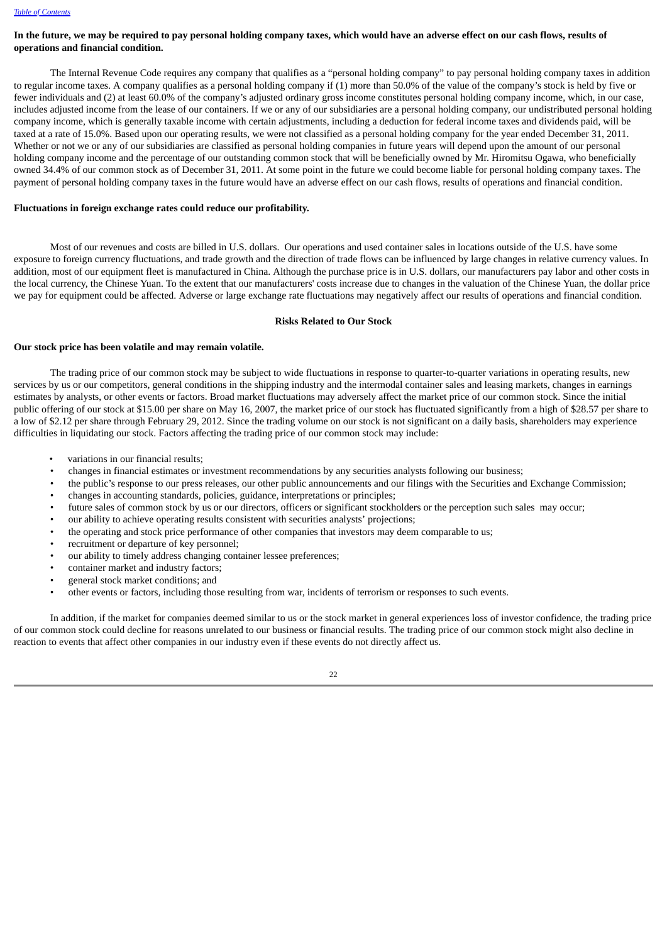## In the future, we may be required to pay personal holding company taxes, which would have an adverse effect on our cash flows, results of **operations and financial condition.**

The Internal Revenue Code requires any company that qualifies as a "personal holding company" to pay personal holding company taxes in addition to regular income taxes. A company qualifies as a personal holding company if (1) more than 50.0% of the value of the company's stock is held by five or fewer individuals and (2) at least 60.0% of the company's adjusted ordinary gross income constitutes personal holding company income, which, in our case, includes adjusted income from the lease of our containers. If we or any of our subsidiaries are a personal holding company, our undistributed personal holding company income, which is generally taxable income with certain adjustments, including a deduction for federal income taxes and dividends paid, will be taxed at a rate of 15.0%. Based upon our operating results, we were not classified as a personal holding company for the year ended December 31, 2011. Whether or not we or any of our subsidiaries are classified as personal holding companies in future years will depend upon the amount of our personal holding company income and the percentage of our outstanding common stock that will be beneficially owned by Mr. Hiromitsu Ogawa, who beneficially owned 34.4% of our common stock as of December 31, 2011. At some point in the future we could become liable for personal holding company taxes. The payment of personal holding company taxes in the future would have an adverse effect on our cash flows, results of operations and financial condition.

#### **Fluctuations in foreign exchange rates could reduce our profitability.**

Most of our revenues and costs are billed in U.S. dollars. Our operations and used container sales in locations outside of the U.S. have some exposure to foreign currency fluctuations, and trade growth and the direction of trade flows can be influenced by large changes in relative currency values. In addition, most of our equipment fleet is manufactured in China. Although the purchase price is in U.S. dollars, our manufacturers pay labor and other costs in the local currency, the Chinese Yuan. To the extent that our manufacturers' costs increase due to changes in the valuation of the Chinese Yuan, the dollar price we pay for equipment could be affected. Adverse or large exchange rate fluctuations may negatively affect our results of operations and financial condition.

## **Risks Related to Our Stock**

#### **Our stock price has been volatile and may remain volatile.**

The trading price of our common stock may be subject to wide fluctuations in response to quarter-to-quarter variations in operating results, new services by us or our competitors, general conditions in the shipping industry and the intermodal container sales and leasing markets, changes in earnings estimates by analysts, or other events or factors. Broad market fluctuations may adversely affect the market price of our common stock. Since the initial public offering of our stock at \$15.00 per share on May 16, 2007, the market price of our stock has fluctuated significantly from a high of \$28.57 per share to a low of \$2.12 per share through February 29, 2012. Since the trading volume on our stock is not significant on a daily basis, shareholders may experience difficulties in liquidating our stock. Factors affecting the trading price of our common stock may include:

- variations in our financial results;
- changes in financial estimates or investment recommendations by any securities analysts following our business;
- the public's response to our press releases, our other public announcements and our filings with the Securities and Exchange Commission;
- changes in accounting standards, policies, guidance, interpretations or principles;
- future sales of common stock by us or our directors, officers or significant stockholders or the perception such sales may occur;
- our ability to achieve operating results consistent with securities analysts' projections;
- the operating and stock price performance of other companies that investors may deem comparable to us;
- recruitment or departure of key personnel;
- our ability to timely address changing container lessee preferences;
- container market and industry factors;
- general stock market conditions; and
- other events or factors, including those resulting from war, incidents of terrorism or responses to such events.

In addition, if the market for companies deemed similar to us or the stock market in general experiences loss of investor confidence, the trading price of our common stock could decline for reasons unrelated to our business or financial results. The trading price of our common stock might also decline in reaction to events that affect other companies in our industry even if these events do not directly affect us.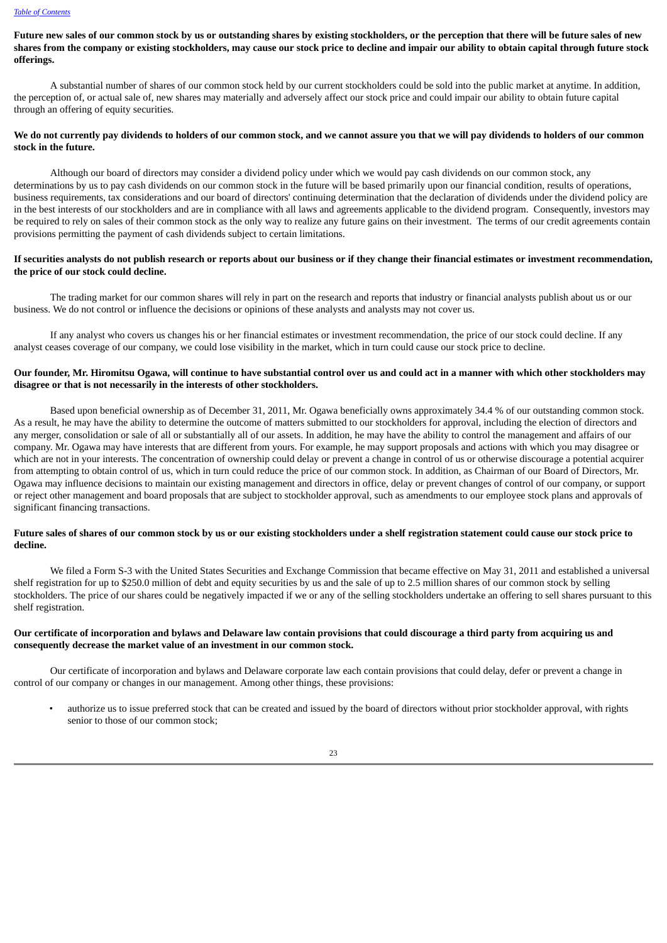Future new sales of our common stock by us or outstanding shares by existing stockholders, or the perception that there will be future sales of new shares from the company or existing stockholders, may cause our stock price to decline and impair our ability to obtain capital through future stock **offerings.**

A substantial number of shares of our common stock held by our current stockholders could be sold into the public market at anytime. In addition, the perception of, or actual sale of, new shares may materially and adversely affect our stock price and could impair our ability to obtain future capital through an offering of equity securities.

## We do not currently pay dividends to holders of our common stock, and we cannot assure you that we will pay dividends to holders of our common **stock in the future.**

Although our board of directors may consider a dividend policy under which we would pay cash dividends on our common stock, any determinations by us to pay cash dividends on our common stock in the future will be based primarily upon our financial condition, results of operations, business requirements, tax considerations and our board of directors' continuing determination that the declaration of dividends under the dividend policy are in the best interests of our stockholders and are in compliance with all laws and agreements applicable to the dividend program. Consequently, investors may be required to rely on sales of their common stock as the only way to realize any future gains on their investment. The terms of our credit agreements contain provisions permitting the payment of cash dividends subject to certain limitations.

#### If securities analysts do not publish research or reports about our business or if they change their financial estimates or investment recommendation, **the price of our stock could decline.**

The trading market for our common shares will rely in part on the research and reports that industry or financial analysts publish about us or our business. We do not control or influence the decisions or opinions of these analysts and analysts may not cover us.

If any analyst who covers us changes his or her financial estimates or investment recommendation, the price of our stock could decline. If any analyst ceases coverage of our company, we could lose visibility in the market, which in turn could cause our stock price to decline.

## Our founder, Mr. Hiromitsu Ogawa, will continue to have substantial control over us and could act in a manner with which other stockholders may **disagree or that is not necessarily in the interests of other stockholders.**

Based upon beneficial ownership as of December 31, 2011, Mr. Ogawa beneficially owns approximately 34.4 % of our outstanding common stock. As a result, he may have the ability to determine the outcome of matters submitted to our stockholders for approval, including the election of directors and any merger, consolidation or sale of all or substantially all of our assets. In addition, he may have the ability to control the management and affairs of our company. Mr. Ogawa may have interests that are different from yours. For example, he may support proposals and actions with which you may disagree or which are not in your interests. The concentration of ownership could delay or prevent a change in control of us or otherwise discourage a potential acquirer from attempting to obtain control of us, which in turn could reduce the price of our common stock. In addition, as Chairman of our Board of Directors, Mr. Ogawa may influence decisions to maintain our existing management and directors in office, delay or prevent changes of control of our company, or support or reject other management and board proposals that are subject to stockholder approval, such as amendments to our employee stock plans and approvals of significant financing transactions.

## Future sales of shares of our common stock by us or our existing stockholders under a shelf registration statement could cause our stock price to **decline.**

We filed a Form S-3 with the United States Securities and Exchange Commission that became effective on May 31, 2011 and established a universal shelf registration for up to \$250.0 million of debt and equity securities by us and the sale of up to 2.5 million shares of our common stock by selling stockholders. The price of our shares could be negatively impacted if we or any of the selling stockholders undertake an offering to sell shares pursuant to this shelf registration.

## Our certificate of incorporation and bylaws and Delaware law contain provisions that could discourage a third party from acquiring us and **consequently decrease the market value of an investment in our common stock.**

Our certificate of incorporation and bylaws and Delaware corporate law each contain provisions that could delay, defer or prevent a change in control of our company or changes in our management. Among other things, these provisions:

• authorize us to issue preferred stock that can be created and issued by the board of directors without prior stockholder approval, with rights senior to those of our common stock;

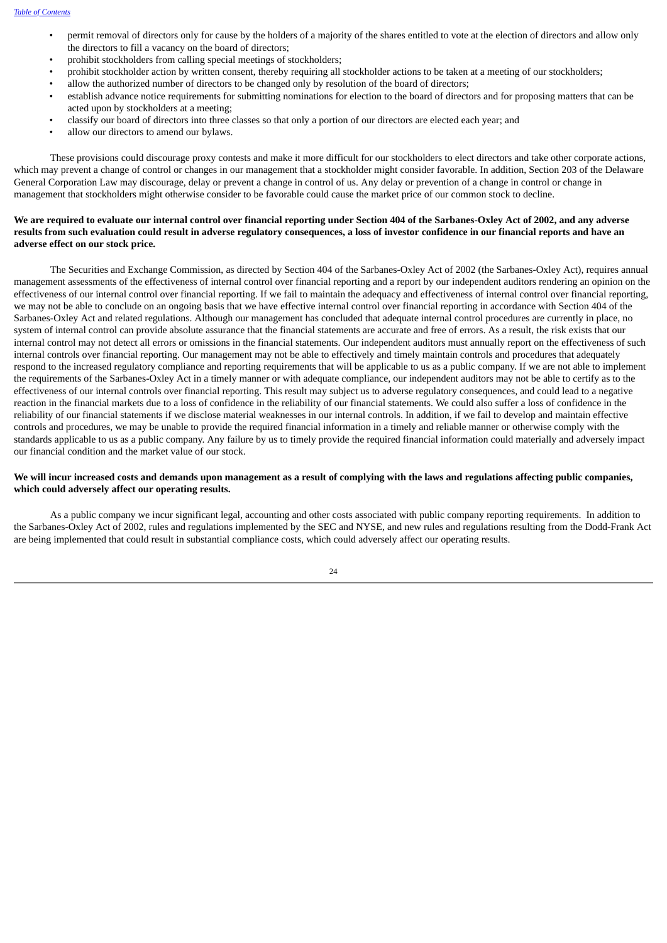- permit removal of directors only for cause by the holders of a majority of the shares entitled to vote at the election of directors and allow only the directors to fill a vacancy on the board of directors;
- prohibit stockholders from calling special meetings of stockholders;
- prohibit stockholder action by written consent, thereby requiring all stockholder actions to be taken at a meeting of our stockholders;
- allow the authorized number of directors to be changed only by resolution of the board of directors;
- establish advance notice requirements for submitting nominations for election to the board of directors and for proposing matters that can be acted upon by stockholders at a meeting;
- classify our board of directors into three classes so that only a portion of our directors are elected each year; and
- allow our directors to amend our bylaws.

These provisions could discourage proxy contests and make it more difficult for our stockholders to elect directors and take other corporate actions, which may prevent a change of control or changes in our management that a stockholder might consider favorable. In addition, Section 203 of the Delaware General Corporation Law may discourage, delay or prevent a change in control of us. Any delay or prevention of a change in control or change in management that stockholders might otherwise consider to be favorable could cause the market price of our common stock to decline.

## We are required to evaluate our internal control over financial reporting under Section 404 of the Sarbanes-Oxley Act of 2002, and any adverse results from such evaluation could result in adverse regulatory consequences, a loss of investor confidence in our financial reports and have an **adverse effect on our stock price.**

The Securities and Exchange Commission, as directed by Section 404 of the Sarbanes-Oxley Act of 2002 (the Sarbanes-Oxley Act), requires annual management assessments of the effectiveness of internal control over financial reporting and a report by our independent auditors rendering an opinion on the effectiveness of our internal control over financial reporting. If we fail to maintain the adequacy and effectiveness of internal control over financial reporting, we may not be able to conclude on an ongoing basis that we have effective internal control over financial reporting in accordance with Section 404 of the Sarbanes-Oxley Act and related regulations. Although our management has concluded that adequate internal control procedures are currently in place, no system of internal control can provide absolute assurance that the financial statements are accurate and free of errors. As a result, the risk exists that our internal control may not detect all errors or omissions in the financial statements. Our independent auditors must annually report on the effectiveness of such internal controls over financial reporting. Our management may not be able to effectively and timely maintain controls and procedures that adequately respond to the increased regulatory compliance and reporting requirements that will be applicable to us as a public company. If we are not able to implement the requirements of the Sarbanes-Oxley Act in a timely manner or with adequate compliance, our independent auditors may not be able to certify as to the effectiveness of our internal controls over financial reporting. This result may subject us to adverse regulatory consequences, and could lead to a negative reaction in the financial markets due to a loss of confidence in the reliability of our financial statements. We could also suffer a loss of confidence in the reliability of our financial statements if we disclose material weaknesses in our internal controls. In addition, if we fail to develop and maintain effective controls and procedures, we may be unable to provide the required financial information in a timely and reliable manner or otherwise comply with the standards applicable to us as a public company. Any failure by us to timely provide the required financial information could materially and adversely impact our financial condition and the market value of our stock.

## We will incur increased costs and demands upon management as a result of complying with the laws and regulations affecting public companies, **which could adversely affect our operating results.**

As a public company we incur significant legal, accounting and other costs associated with public company reporting requirements. In addition to the Sarbanes-Oxley Act of 2002, rules and regulations implemented by the SEC and NYSE, and new rules and regulations resulting from the Dodd-Frank Act are being implemented that could result in substantial compliance costs, which could adversely affect our operating results.

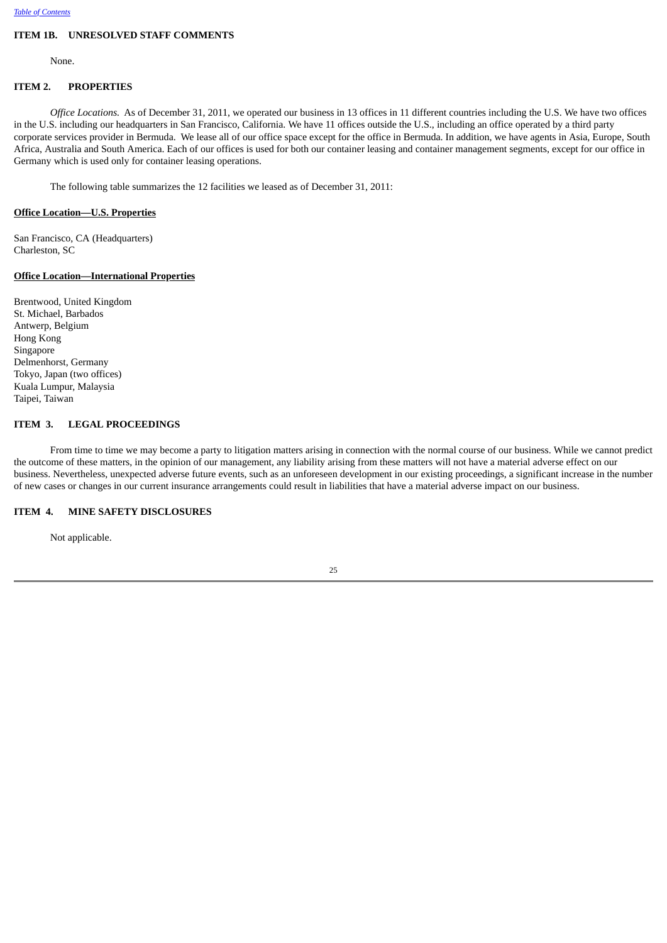## **ITEM 1B. UNRESOLVED STAFF COMMENTS**

<span id="page-25-1"></span><span id="page-25-0"></span>None.

## **ITEM 2. PROPERTIES**

*Office Locations.* As of December 31, 2011, we operated our business in 13 offices in 11 different countries including the U.S. We have two offices in the U.S. including our headquarters in San Francisco, California. We have 11 offices outside the U.S., including an office operated by a third party corporate services provider in Bermuda. We lease all of our office space except for the office in Bermuda. In addition, we have agents in Asia, Europe, South Africa, Australia and South America. Each of our offices is used for both our container leasing and container management segments, except for our office in Germany which is used only for container leasing operations.

The following table summarizes the 12 facilities we leased as of December 31, 2011:

## **Office Location—U.S. Properties**

San Francisco, CA (Headquarters) Charleston, SC

## **Office Location—International Properties**

Brentwood, United Kingdom St. Michael, Barbados Antwerp, Belgium Hong Kong Singapore Delmenhorst, Germany Tokyo, Japan (two offices) Kuala Lumpur, Malaysia Taipei, Taiwan

## <span id="page-25-2"></span>**ITEM 3. LEGAL PROCEEDINGS**

From time to time we may become a party to litigation matters arising in connection with the normal course of our business. While we cannot predict the outcome of these matters, in the opinion of our management, any liability arising from these matters will not have a material adverse effect on our business. Nevertheless, unexpected adverse future events, such as an unforeseen development in our existing proceedings, a significant increase in the number of new cases or changes in our current insurance arrangements could result in liabilities that have a material adverse impact on our business.

#### **ITEM 4. MINE SAFETY DISCLOSURES**

<span id="page-25-3"></span>Not applicable.

25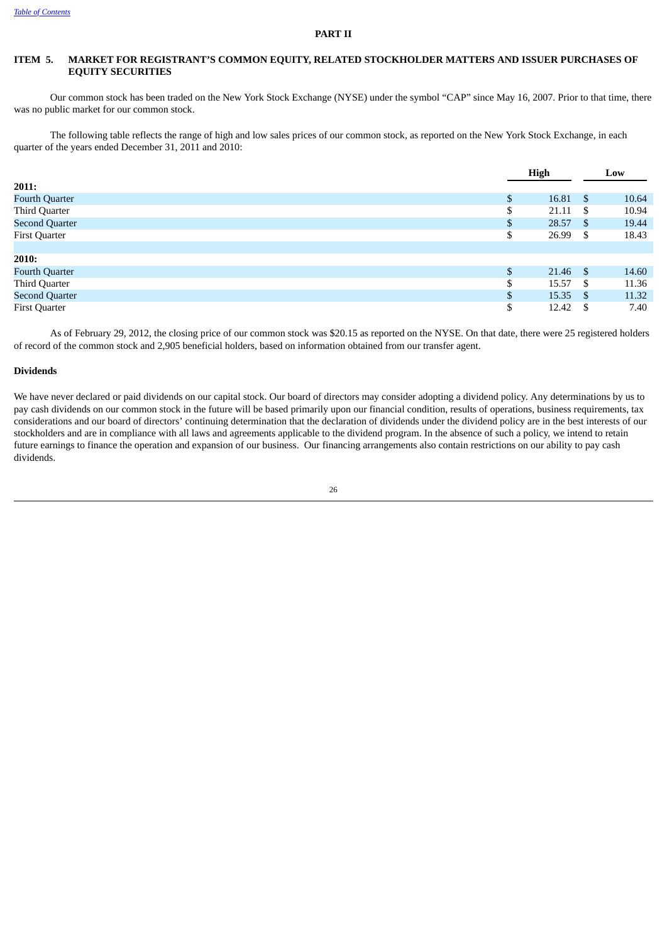#### **PART II**

## <span id="page-26-0"></span>**ITEM 5. MARKET FOR REGISTRANT'S COMMON EQUITY, RELATED STOCKHOLDER MATTERS AND ISSUER PURCHASES OF EQUITY SECURITIES**

Our common stock has been traded on the New York Stock Exchange (NYSE) under the symbol "CAP" since May 16, 2007. Prior to that time, there was no public market for our common stock.

The following table reflects the range of high and low sales prices of our common stock, as reported on the New York Stock Exchange, in each quarter of the years ended December 31, 2011 and 2010:

|                       | <b>High</b> |      | Low   |
|-----------------------|-------------|------|-------|
| 2011:                 |             |      |       |
| <b>Fourth Quarter</b> | \$<br>16.81 | -S   | 10.64 |
| Third Quarter         | \$<br>21.11 | -S   | 10.94 |
| <b>Second Quarter</b> | \$<br>28.57 | -S   | 19.44 |
| <b>First Quarter</b>  | \$<br>26.99 | S.   | 18.43 |
|                       |             |      |       |
| 2010:                 |             |      |       |
| <b>Fourth Quarter</b> | \$<br>21.46 | - \$ | 14.60 |
| Third Quarter         | \$<br>15.57 | S.   | 11.36 |
| <b>Second Quarter</b> | \$<br>15.35 | -S   | 11.32 |
| <b>First Quarter</b>  | \$<br>12.42 | S.   | 7.40  |

As of February 29, 2012, the closing price of our common stock was \$20.15 as reported on the NYSE. On that date, there were 25 registered holders of record of the common stock and 2,905 beneficial holders, based on information obtained from our transfer agent.

## **Dividends**

We have never declared or paid dividends on our capital stock. Our board of directors may consider adopting a dividend policy. Any determinations by us to pay cash dividends on our common stock in the future will be based primarily upon our financial condition, results of operations, business requirements, tax considerations and our board of directors' continuing determination that the declaration of dividends under the dividend policy are in the best interests of our stockholders and are in compliance with all laws and agreements applicable to the dividend program. In the absence of such a policy, we intend to retain future earnings to finance the operation and expansion of our business. Our financing arrangements also contain restrictions on our ability to pay cash dividends.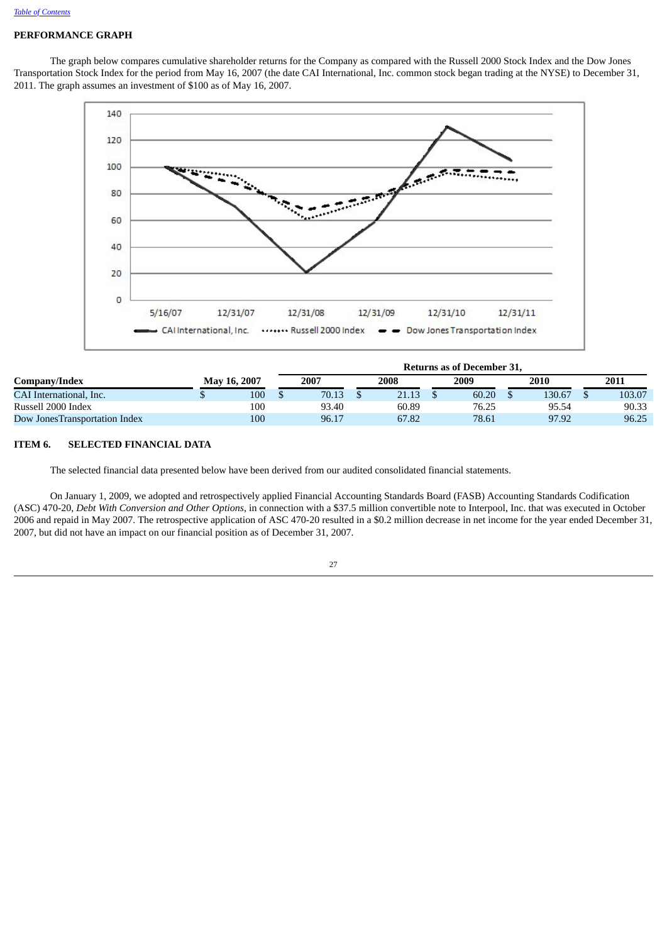## **PERFORMANCE GRAPH**

The graph below compares cumulative shareholder returns for the Company as compared with the Russell 2000 Stock Index and the Dow Jones Transportation Stock Index for the period from May 16, 2007 (the date CAI International, Inc. common stock began trading at the NYSE) to December 31, 2011. The graph assumes an investment of \$100 as of May 16, 2007.



|                                | <b>Returns as of December 31.</b> |              |  |       |  |       |  |       |  |        |  |        |  |
|--------------------------------|-----------------------------------|--------------|--|-------|--|-------|--|-------|--|--------|--|--------|--|
| Company/Index                  |                                   | May 16, 2007 |  | 2007  |  | 2008  |  | 2009  |  | 2010   |  | 2011   |  |
| CAI International, Inc.        |                                   | 100          |  | 70.13 |  | 21.13 |  | 60.20 |  | 130.67 |  | 103.07 |  |
| Russell 2000 Index             |                                   | 100          |  | 93.40 |  | 60.89 |  | 76.25 |  | 95.54  |  | 90.33  |  |
| Dow Jones Transportation Index |                                   | 100          |  | 96.17 |  | 67.82 |  | 78.61 |  | 97.92  |  | 96.25  |  |

## **ITEM 6. SELECTED FINANCIAL DATA**

<span id="page-27-0"></span>The selected financial data presented below have been derived from our audited consolidated financial statements.

On January 1, 2009, we adopted and retrospectively applied Financial Accounting Standards Board (FASB) Accounting Standards Codification (ASC) 470-20, *Debt With Conversion and Other Options*, in connection with a \$37.5 million convertible note to Interpool, Inc. that was executed in October 2006 and repaid in May 2007. The retrospective application of ASC 470-20 resulted in a \$0.2 million decrease in net income for the year ended December 31, 2007, but did not have an impact on our financial position as of December 31, 2007.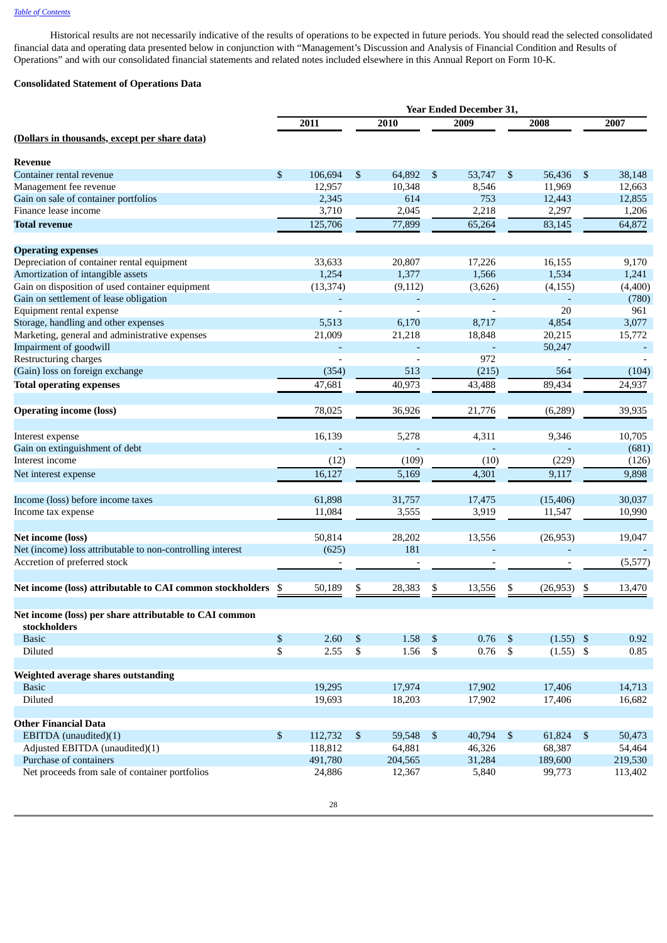Historical results are not necessarily indicative of the results of operations to be expected in future periods. You should read the selected consolidated financial data and operating data presented below in conjunction with "Management's Discussion and Analysis of Financial Condition and Results of Operations" and with our consolidated financial statements and related notes included elsewhere in this Annual Report on Form 10-K.

## **Consolidated Statement of Operations Data**

|                                                                        | <b>Year Ended December 31,</b> |                          |    |          |              |                          |                |             |                           |         |
|------------------------------------------------------------------------|--------------------------------|--------------------------|----|----------|--------------|--------------------------|----------------|-------------|---------------------------|---------|
|                                                                        |                                | 2011                     |    | 2010     |              | 2009                     |                | 2008        |                           | 2007    |
| (Dollars in thousands, except per share data)                          |                                |                          |    |          |              |                          |                |             |                           |         |
|                                                                        |                                |                          |    |          |              |                          |                |             |                           |         |
| <b>Revenue</b>                                                         |                                |                          |    |          |              |                          |                |             |                           |         |
| Container rental revenue                                               | \$                             | 106,694                  | \$ | 64.892   | \$           | 53,747                   | \$             | 56.436      | $\boldsymbol{\mathsf{S}}$ | 38,148  |
| Management fee revenue                                                 |                                | 12,957                   |    | 10,348   |              | 8,546                    |                | 11,969      |                           | 12,663  |
| Gain on sale of container portfolios                                   |                                | 2,345                    |    | 614      |              | 753                      |                | 12,443      |                           | 12,855  |
| Finance lease income                                                   |                                | 3,710                    |    | 2,045    |              | 2,218                    |                | 2,297       |                           | 1,206   |
| <b>Total revenue</b>                                                   |                                | 125,706                  |    | 77,899   |              | 65,264                   |                | 83,145      |                           | 64,872  |
| <b>Operating expenses</b>                                              |                                |                          |    |          |              |                          |                |             |                           |         |
| Depreciation of container rental equipment                             |                                | 33,633                   |    | 20,807   |              | 17,226                   |                | 16,155      |                           | 9,170   |
| Amortization of intangible assets                                      |                                | 1,254                    |    | 1,377    |              | 1,566                    |                | 1,534       |                           | 1,241   |
| Gain on disposition of used container equipment                        |                                | (13, 374)                |    | (9, 112) |              | (3,626)                  |                | (4, 155)    |                           | (4,400) |
| Gain on settlement of lease obligation                                 |                                | $\overline{\phantom{a}}$ |    |          |              | $\overline{\phantom{a}}$ |                |             |                           | (780)   |
| Equipment rental expense                                               |                                |                          |    |          |              |                          |                | 20          |                           | 961     |
| Storage, handling and other expenses                                   |                                | 5,513                    |    | 6,170    |              | 8,717                    |                | 4,854       |                           | 3,077   |
| Marketing, general and administrative expenses                         |                                | 21,009                   |    | 21,218   |              | 18,848                   |                | 20,215      |                           | 15,772  |
| Impairment of goodwill                                                 |                                |                          |    |          |              |                          |                | 50,247      |                           |         |
| Restructuring charges                                                  |                                |                          |    |          |              | 972                      |                |             |                           |         |
| (Gain) loss on foreign exchange                                        |                                | (354)                    |    | 513      |              | (215)                    |                | 564         |                           | (104)   |
| <b>Total operating expenses</b>                                        |                                | 47,681                   |    | 40,973   |              | 43,488                   |                | 89,434      |                           | 24,937  |
| <b>Operating income (loss)</b>                                         |                                | 78,025                   |    | 36,926   |              | 21,776                   |                | (6, 289)    |                           | 39,935  |
|                                                                        |                                |                          |    |          |              |                          |                |             |                           |         |
| Interest expense                                                       |                                | 16,139                   |    | 5,278    |              | 4,311                    |                | 9,346       |                           | 10,705  |
| Gain on extinguishment of debt                                         |                                |                          |    |          |              |                          |                |             |                           | (681)   |
| Interest income                                                        |                                | (12)                     |    | (109)    |              | (10)                     |                | (229)       |                           | (126)   |
| Net interest expense                                                   |                                | 16,127                   |    | 5,169    |              | 4,301                    |                | 9,117       |                           | 9,898   |
| Income (loss) before income taxes                                      |                                | 61,898                   |    | 31,757   |              | 17,475                   |                | (15, 406)   |                           | 30,037  |
| Income tax expense                                                     |                                | 11,084                   |    | 3,555    |              | 3,919                    |                | 11,547      |                           | 10,990  |
|                                                                        |                                |                          |    |          |              |                          |                |             |                           |         |
| Net income (loss)                                                      |                                | 50,814                   |    | 28,202   |              | 13,556                   |                | (26,953)    |                           | 19,047  |
| Net (income) loss attributable to non-controlling interest             |                                | (625)                    |    | 181      |              |                          |                |             |                           |         |
| Accretion of preferred stock                                           |                                |                          |    |          |              |                          |                |             |                           | (5,577) |
| Net income (loss) attributable to CAI common stockholders \$           |                                | 50,189                   | \$ | 28,383   | \$           | 13,556                   | \$             | (26, 953)   | \$                        | 13,470  |
|                                                                        |                                |                          |    |          |              |                          |                |             |                           |         |
| Net income (loss) per share attributable to CAI common<br>stockholders |                                |                          |    |          |              |                          |                |             |                           |         |
| <b>Basic</b>                                                           | \$                             | 2.60                     | \$ | 1.58     | $\mathbb{S}$ | $0.76\,$                 | $\mathfrak{s}$ | $(1.55)$ \$ |                           | 0.92    |
| Diluted                                                                | \$                             | 2.55                     | \$ | 1.56     | \$           | 0.76                     | $\mathfrak s$  | $(1.55)$ \$ |                           | 0.85    |
| Weighted average shares outstanding                                    |                                |                          |    |          |              |                          |                |             |                           |         |
| <b>Basic</b>                                                           |                                | 19,295                   |    | 17,974   |              | 17,902                   |                | 17,406      |                           | 14,713  |
| Diluted                                                                |                                | 19,693                   |    | 18,203   |              | 17,902                   |                | 17,406      |                           | 16,682  |
| <b>Other Financial Data</b>                                            |                                |                          |    |          |              |                          |                |             |                           |         |
| EBITDA (unaudited)(1)                                                  | \$                             | 112,732                  | \$ | 59,548   | $\mathbb{S}$ | 40,794                   | \$             | 61,824      | $\boldsymbol{\mathsf{S}}$ | 50,473  |
| Adjusted EBITDA (unaudited)(1)                                         |                                | 118,812                  |    | 64,881   |              | 46,326                   |                | 68,387      |                           | 54,464  |
| Purchase of containers                                                 |                                | 491,780                  |    | 204,565  |              | 31,284                   |                | 189,600     |                           | 219,530 |
| Net proceeds from sale of container portfolios                         |                                | 24,886                   |    | 12,367   |              | 5,840                    |                | 99,773      |                           | 113,402 |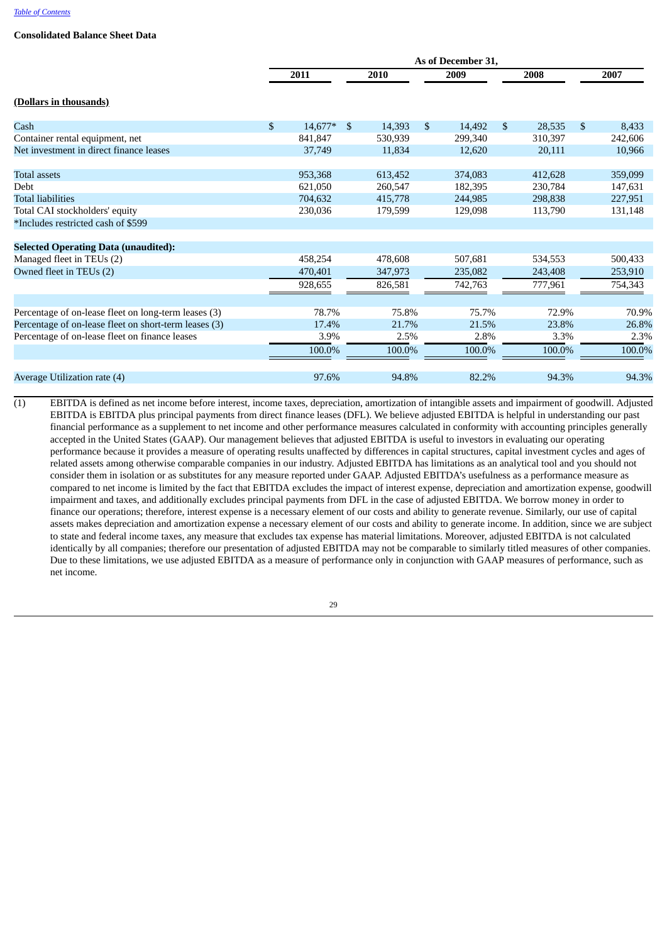## **Consolidated Balance Sheet Data**

|                                                       | As of December 31, |         |               |         |    |         |    |         |              |         |
|-------------------------------------------------------|--------------------|---------|---------------|---------|----|---------|----|---------|--------------|---------|
|                                                       |                    | 2011    |               | 2010    |    | 2009    |    | 2008    |              | 2007    |
| (Dollars in thousands)                                |                    |         |               |         |    |         |    |         |              |         |
| Cash                                                  | $\mathbb{S}$       | 14,677* | <sup>\$</sup> | 14,393  | \$ | 14,492  | \$ | 28,535  | $\mathbb{S}$ | 8,433   |
| Container rental equipment, net                       |                    | 841.847 |               | 530.939 |    | 299.340 |    | 310,397 |              | 242,606 |
| Net investment in direct finance leases               |                    | 37,749  |               | 11,834  |    | 12,620  |    | 20,111  |              | 10,966  |
| <b>Total assets</b>                                   |                    | 953,368 |               | 613,452 |    | 374,083 |    | 412,628 |              | 359,099 |
| Debt                                                  |                    | 621,050 |               | 260,547 |    | 182,395 |    | 230.784 |              | 147,631 |
| <b>Total liabilities</b>                              |                    | 704,632 |               | 415,778 |    | 244,985 |    | 298,838 |              | 227,951 |
| Total CAI stockholders' equity                        |                    | 230,036 |               | 179,599 |    | 129,098 |    | 113,790 |              | 131,148 |
| *Includes restricted cash of \$599                    |                    |         |               |         |    |         |    |         |              |         |
| <b>Selected Operating Data (unaudited):</b>           |                    |         |               |         |    |         |    |         |              |         |
| Managed fleet in TEUs (2)                             |                    | 458,254 |               | 478,608 |    | 507,681 |    | 534,553 |              | 500,433 |
| Owned fleet in TEUs (2)                               |                    | 470,401 |               | 347,973 |    | 235,082 |    | 243,408 |              | 253,910 |
|                                                       |                    | 928,655 |               | 826,581 |    | 742,763 |    | 777,961 |              | 754,343 |
|                                                       |                    |         |               |         |    |         |    |         |              |         |
| Percentage of on-lease fleet on long-term leases (3)  |                    | 78.7%   |               | 75.8%   |    | 75.7%   |    | 72.9%   |              | 70.9%   |
| Percentage of on-lease fleet on short-term leases (3) |                    | 17.4%   |               | 21.7%   |    | 21.5%   |    | 23.8%   |              | 26.8%   |
| Percentage of on-lease fleet on finance leases        |                    | 3.9%    |               | 2.5%    |    | 2.8%    |    | 3.3%    |              | 2.3%    |
|                                                       |                    | 100.0%  |               | 100.0%  |    | 100.0%  |    | 100.0%  |              | 100.0%  |
| Average Utilization rate (4)                          |                    | 97.6%   |               | 94.8%   |    | 82.2%   |    | 94.3%   |              | 94.3%   |

(1) EBITDA is defined as net income before interest, income taxes, depreciation, amortization of intangible assets and impairment of goodwill. Adjusted EBITDA is EBITDA plus principal payments from direct finance leases (DFL). We believe adjusted EBITDA is helpful in understanding our past financial performance as a supplement to net income and other performance measures calculated in conformity with accounting principles generally accepted in the United States (GAAP). Our management believes that adjusted EBITDA is useful to investors in evaluating our operating performance because it provides a measure of operating results unaffected by differences in capital structures, capital investment cycles and ages of related assets among otherwise comparable companies in our industry. Adjusted EBITDA has limitations as an analytical tool and you should not consider them in isolation or as substitutes for any measure reported under GAAP. Adjusted EBITDA's usefulness as a performance measure as compared to net income is limited by the fact that EBITDA excludes the impact of interest expense, depreciation and amortization expense, goodwill impairment and taxes, and additionally excludes principal payments from DFL in the case of adjusted EBITDA. We borrow money in order to finance our operations; therefore, interest expense is a necessary element of our costs and ability to generate revenue. Similarly, our use of capital assets makes depreciation and amortization expense a necessary element of our costs and ability to generate income. In addition, since we are subject to state and federal income taxes, any measure that excludes tax expense has material limitations. Moreover, adjusted EBITDA is not calculated identically by all companies; therefore our presentation of adjusted EBITDA may not be comparable to similarly titled measures of other companies. Due to these limitations, we use adjusted EBITDA as a measure of performance only in conjunction with GAAP measures of performance, such as net income.

29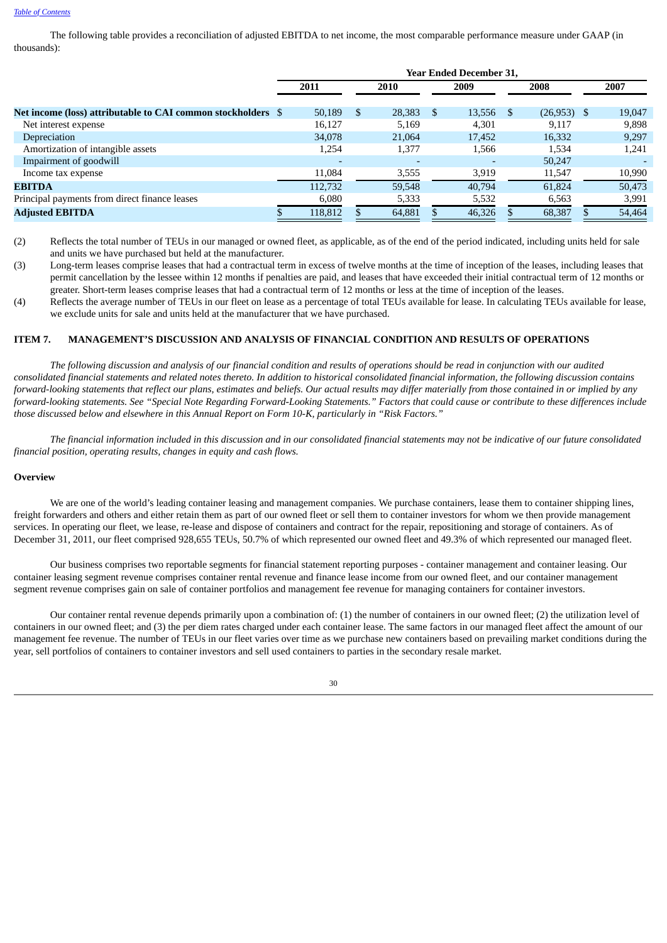#### *Table of [Contents](#page-2-0)*

The following table provides a reconciliation of adjusted EBITDA to net income, the most comparable performance measure under GAAP (in thousands):

|                                                              | <b>Year Ended December 31,</b> |                          |    |        |     |                          |    |               |  |        |
|--------------------------------------------------------------|--------------------------------|--------------------------|----|--------|-----|--------------------------|----|---------------|--|--------|
|                                                              |                                | 2011                     |    | 2010   |     | 2009                     |    | 2008          |  | 2007   |
| Net income (loss) attributable to CAI common stockholders \$ |                                | 50,189                   | -S | 28,383 | -\$ | 13,556                   | -S | $(26,953)$ \$ |  | 19,047 |
| Net interest expense                                         |                                | 16,127                   |    | 5,169  |     | 4,301                    |    | 9.117         |  | 9,898  |
| Depreciation                                                 |                                | 34,078                   |    | 21,064 |     | 17,452                   |    | 16,332        |  | 9,297  |
| Amortization of intangible assets                            |                                | 1,254                    |    | 1,377  |     | 1,566                    |    | 1,534         |  | 1,241  |
| Impairment of goodwill                                       |                                | $\overline{\phantom{0}}$ |    |        |     | $\overline{\phantom{0}}$ |    | 50,247        |  |        |
| Income tax expense                                           |                                | 11,084                   |    | 3,555  |     | 3,919                    |    | 11,547        |  | 10,990 |
| <b>EBITDA</b>                                                |                                | 112,732                  |    | 59,548 |     | 40,794                   |    | 61,824        |  | 50,473 |
| Principal payments from direct finance leases                |                                | 6,080                    |    | 5,333  |     | 5,532                    |    | 6,563         |  | 3,991  |
| <b>Adjusted EBITDA</b>                                       |                                | 118,812                  |    | 64,881 |     | 46,326                   |    | 68,387        |  | 54,464 |

(2) Reflects the total number of TEUs in our managed or owned fleet, as applicable, as of the end of the period indicated, including units held for sale and units we have purchased but held at the manufacturer.

(3) Long-term leases comprise leases that had a contractual term in excess of twelve months at the time of inception of the leases, including leases that permit cancellation by the lessee within 12 months if penalties are paid, and leases that have exceeded their initial contractual term of 12 months or greater. Short-term leases comprise leases that had a contractual term of 12 months or less at the time of inception of the leases.

(4) Reflects the average number of TEUs in our fleet on lease as a percentage of total TEUs available for lease. In calculating TEUs available for lease, we exclude units for sale and units held at the manufacturer that we have purchased.

#### <span id="page-30-0"></span>**ITEM 7. MANAGEMENT'S DISCUSSION AND ANALYSIS OF FINANCIAL CONDITION AND RESULTS OF OPERATIONS**

The following discussion and analysis of our financial condition and results of operations should be read in conjunction with our audited consolidated financial statements and related notes thereto. In addition to historical consolidated financial information, the following discussion contains forward-looking statements that reflect our plans, estimates and beliefs. Our actual results may differ materially from those contained in or implied by any forward-looking statements. See "Special Note Regarding Forward-Looking Statements." Factors that could cause or contribute to these differences include *those discussed below and elsewhere in this Annual Report on Form 10-K, particularly in "Risk Factors."*

The financial information included in this discussion and in our consolidated financial statements may not be indicative of our future consolidated *financial position, operating results, changes in equity and cash flows.*

#### **Overview**

We are one of the world's leading container leasing and management companies. We purchase containers, lease them to container shipping lines, freight forwarders and others and either retain them as part of our owned fleet or sell them to container investors for whom we then provide management services. In operating our fleet, we lease, re-lease and dispose of containers and contract for the repair, repositioning and storage of containers. As of December 31, 2011, our fleet comprised 928,655 TEUs, 50.7% of which represented our owned fleet and 49.3% of which represented our managed fleet.

Our business comprises two reportable segments for financial statement reporting purposes - container management and container leasing. Our container leasing segment revenue comprises container rental revenue and finance lease income from our owned fleet, and our container management segment revenue comprises gain on sale of container portfolios and management fee revenue for managing containers for container investors.

Our container rental revenue depends primarily upon a combination of: (1) the number of containers in our owned fleet; (2) the utilization level of containers in our owned fleet; and (3) the per diem rates charged under each container lease. The same factors in our managed fleet affect the amount of our management fee revenue. The number of TEUs in our fleet varies over time as we purchase new containers based on prevailing market conditions during the year, sell portfolios of containers to container investors and sell used containers to parties in the secondary resale market.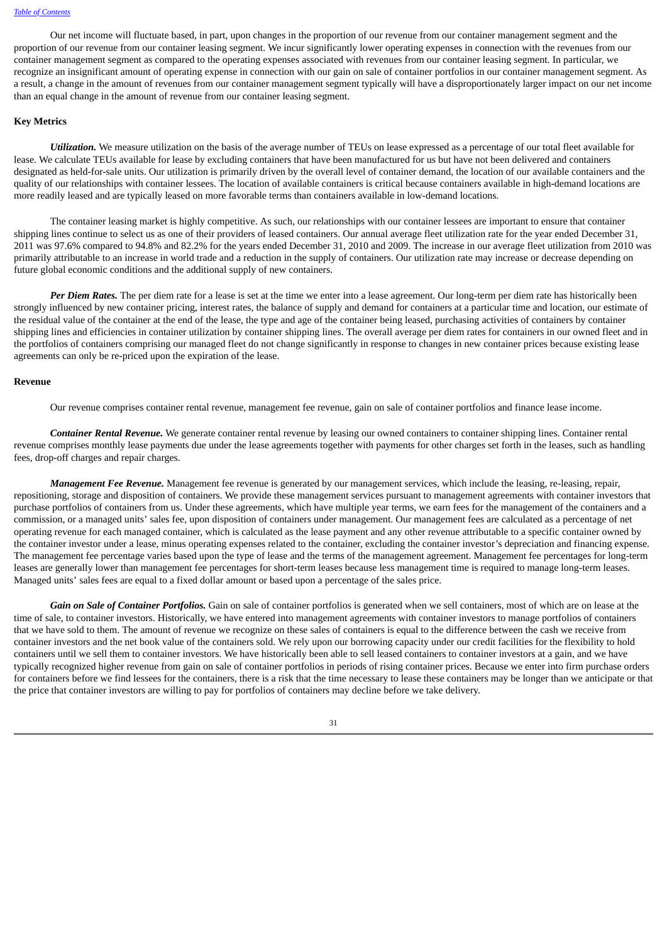Our net income will fluctuate based, in part, upon changes in the proportion of our revenue from our container management segment and the proportion of our revenue from our container leasing segment. We incur significantly lower operating expenses in connection with the revenues from our container management segment as compared to the operating expenses associated with revenues from our container leasing segment. In particular, we recognize an insignificant amount of operating expense in connection with our gain on sale of container portfolios in our container management segment. As a result, a change in the amount of revenues from our container management segment typically will have a disproportionately larger impact on our net income than an equal change in the amount of revenue from our container leasing segment.

#### **Key Metrics**

*Utilization.* We measure utilization on the basis of the average number of TEUs on lease expressed as a percentage of our total fleet available for lease. We calculate TEUs available for lease by excluding containers that have been manufactured for us but have not been delivered and containers designated as held-for-sale units. Our utilization is primarily driven by the overall level of container demand, the location of our available containers and the quality of our relationships with container lessees. The location of available containers is critical because containers available in high-demand locations are more readily leased and are typically leased on more favorable terms than containers available in low-demand locations.

The container leasing market is highly competitive. As such, our relationships with our container lessees are important to ensure that container shipping lines continue to select us as one of their providers of leased containers. Our annual average fleet utilization rate for the year ended December 31, 2011 was 97.6% compared to 94.8% and 82.2% for the years ended December 31, 2010 and 2009. The increase in our average fleet utilization from 2010 was primarily attributable to an increase in world trade and a reduction in the supply of containers. Our utilization rate may increase or decrease depending on future global economic conditions and the additional supply of new containers.

*Per Diem Rates.* The per diem rate for a lease is set at the time we enter into a lease agreement. Our long-term per diem rate has historically been strongly influenced by new container pricing, interest rates, the balance of supply and demand for containers at a particular time and location, our estimate of the residual value of the container at the end of the lease, the type and age of the container being leased, purchasing activities of containers by container shipping lines and efficiencies in container utilization by container shipping lines. The overall average per diem rates for containers in our owned fleet and in the portfolios of containers comprising our managed fleet do not change significantly in response to changes in new container prices because existing lease agreements can only be re-priced upon the expiration of the lease.

#### **Revenue**

Our revenue comprises container rental revenue, management fee revenue, gain on sale of container portfolios and finance lease income.

*Container Rental Revenue.* We generate container rental revenue by leasing our owned containers to container shipping lines. Container rental revenue comprises monthly lease payments due under the lease agreements together with payments for other charges set forth in the leases, such as handling fees, drop-off charges and repair charges.

*Management Fee Revenue.* Management fee revenue is generated by our management services, which include the leasing, re-leasing, repair, repositioning, storage and disposition of containers. We provide these management services pursuant to management agreements with container investors that purchase portfolios of containers from us. Under these agreements, which have multiple year terms, we earn fees for the management of the containers and a commission, or a managed units' sales fee, upon disposition of containers under management. Our management fees are calculated as a percentage of net operating revenue for each managed container, which is calculated as the lease payment and any other revenue attributable to a specific container owned by the container investor under a lease, minus operating expenses related to the container, excluding the container investor's depreciation and financing expense. The management fee percentage varies based upon the type of lease and the terms of the management agreement. Management fee percentages for long-term leases are generally lower than management fee percentages for short-term leases because less management time is required to manage long-term leases. Managed units' sales fees are equal to a fixed dollar amount or based upon a percentage of the sales price.

*Gain on Sale of Container Portfolios.* Gain on sale of container portfolios is generated when we sell containers, most of which are on lease at the time of sale, to container investors. Historically, we have entered into management agreements with container investors to manage portfolios of containers that we have sold to them. The amount of revenue we recognize on these sales of containers is equal to the difference between the cash we receive from container investors and the net book value of the containers sold. We rely upon our borrowing capacity under our credit facilities for the flexibility to hold containers until we sell them to container investors. We have historically been able to sell leased containers to container investors at a gain, and we have typically recognized higher revenue from gain on sale of container portfolios in periods of rising container prices. Because we enter into firm purchase orders for containers before we find lessees for the containers, there is a risk that the time necessary to lease these containers may be longer than we anticipate or that the price that container investors are willing to pay for portfolios of containers may decline before we take delivery.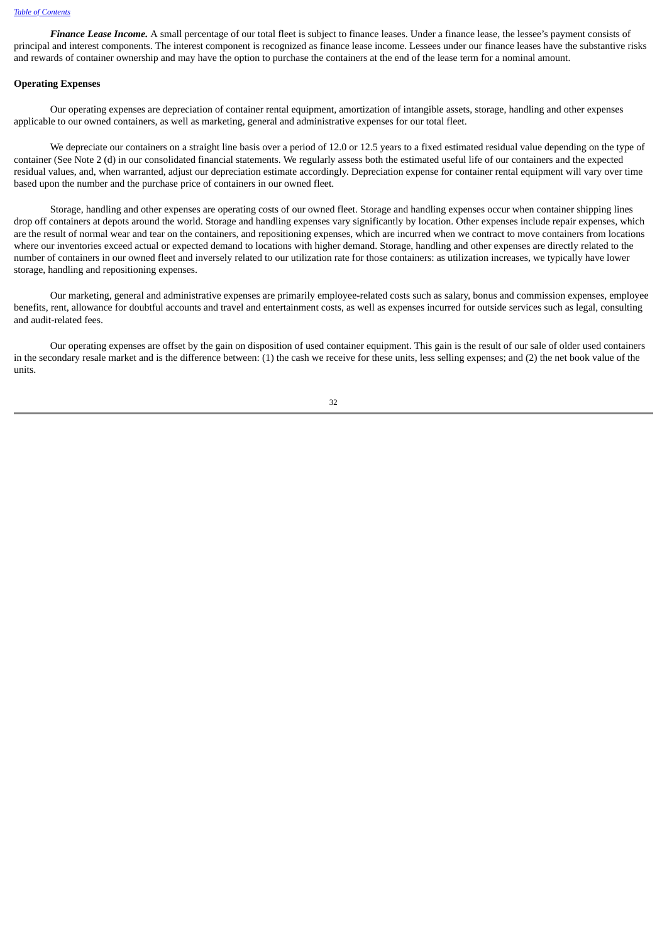*Finance Lease Income.* A small percentage of our total fleet is subject to finance leases. Under a finance lease, the lessee's payment consists of principal and interest components. The interest component is recognized as finance lease income. Lessees under our finance leases have the substantive risks and rewards of container ownership and may have the option to purchase the containers at the end of the lease term for a nominal amount.

#### **Operating Expenses**

Our operating expenses are depreciation of container rental equipment, amortization of intangible assets, storage, handling and other expenses applicable to our owned containers, as well as marketing, general and administrative expenses for our total fleet.

We depreciate our containers on a straight line basis over a period of 12.0 or 12.5 years to a fixed estimated residual value depending on the type of container (See Note 2 (d) in our consolidated financial statements. We regularly assess both the estimated useful life of our containers and the expected residual values, and, when warranted, adjust our depreciation estimate accordingly. Depreciation expense for container rental equipment will vary over time based upon the number and the purchase price of containers in our owned fleet.

Storage, handling and other expenses are operating costs of our owned fleet. Storage and handling expenses occur when container shipping lines drop off containers at depots around the world. Storage and handling expenses vary significantly by location. Other expenses include repair expenses, which are the result of normal wear and tear on the containers, and repositioning expenses, which are incurred when we contract to move containers from locations where our inventories exceed actual or expected demand to locations with higher demand. Storage, handling and other expenses are directly related to the number of containers in our owned fleet and inversely related to our utilization rate for those containers: as utilization increases, we typically have lower storage, handling and repositioning expenses.

Our marketing, general and administrative expenses are primarily employee-related costs such as salary, bonus and commission expenses, employee benefits, rent, allowance for doubtful accounts and travel and entertainment costs, as well as expenses incurred for outside services such as legal, consulting and audit-related fees.

Our operating expenses are offset by the gain on disposition of used container equipment. This gain is the result of our sale of older used containers in the secondary resale market and is the difference between: (1) the cash we receive for these units, less selling expenses; and (2) the net book value of the units.

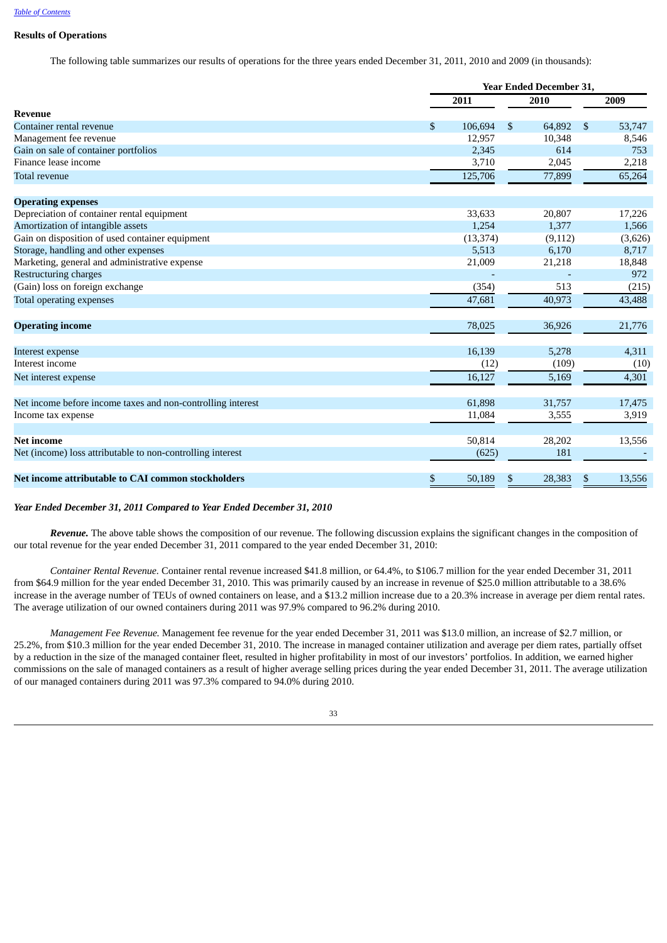## **Results of Operations**

The following table summarizes our results of operations for the three years ended December 31, 2011, 2010 and 2009 (in thousands):

|                                                             |               | <b>Year Ended December 31,</b> |              |
|-------------------------------------------------------------|---------------|--------------------------------|--------------|
|                                                             | 2011          | 2010                           | 2009         |
| <b>Revenue</b>                                              |               |                                |              |
| Container rental revenue                                    | \$<br>106,694 | \$<br>64,892                   | \$<br>53,747 |
| Management fee revenue                                      | 12,957        | 10,348                         | 8,546        |
| Gain on sale of container portfolios                        | 2,345         | 614                            | 753          |
| Finance lease income                                        | 3,710         | 2,045                          | 2,218        |
| <b>Total revenue</b>                                        | 125,706       | 77,899                         | 65,264       |
| <b>Operating expenses</b>                                   |               |                                |              |
| Depreciation of container rental equipment                  | 33,633        | 20,807                         | 17,226       |
| Amortization of intangible assets                           | 1,254         | 1,377                          | 1,566        |
| Gain on disposition of used container equipment             | (13, 374)     | (9, 112)                       | (3,626)      |
| Storage, handling and other expenses                        | 5,513         | 6,170                          | 8,717        |
| Marketing, general and administrative expense               | 21,009        | 21,218                         | 18,848       |
| Restructuring charges                                       |               |                                | 972          |
| (Gain) loss on foreign exchange                             | (354)         | 513                            | (215)        |
| Total operating expenses                                    | 47,681        | 40,973                         | 43,488       |
| <b>Operating income</b>                                     | 78,025        | 36,926                         | 21,776       |
| Interest expense                                            | 16,139        | 5,278                          | 4,311        |
| Interest income                                             | (12)          | (109)                          | (10)         |
| Net interest expense                                        | 16,127        | 5,169                          | 4,301        |
| Net income before income taxes and non-controlling interest | 61,898        | 31,757                         | 17,475       |
| Income tax expense                                          | 11,084        | 3,555                          | 3,919        |
| <b>Net income</b>                                           | 50,814        | 28,202                         | 13,556       |
| Net (income) loss attributable to non-controlling interest  | (625)         | 181                            |              |
| Net income attributable to CAI common stockholders          | \$<br>50,189  | \$<br>28,383                   | \$<br>13,556 |

## *Year Ended December 31, 2011 Compared to Year Ended December 31, 2010*

*Revenue.* The above table shows the composition of our revenue. The following discussion explains the significant changes in the composition of our total revenue for the year ended December 31, 2011 compared to the year ended December 31, 2010:

*Container Rental Revenue.* Container rental revenue increased \$41.8 million, or 64.4%, to \$106.7 million for the year ended December 31, 2011 from \$64.9 million for the year ended December 31, 2010. This was primarily caused by an increase in revenue of \$25.0 million attributable to a 38.6% increase in the average number of TEUs of owned containers on lease, and a \$13.2 million increase due to a 20.3% increase in average per diem rental rates. The average utilization of our owned containers during 2011 was 97.9% compared to 96.2% during 2010.

*Management Fee Revenue.* Management fee revenue for the year ended December 31, 2011 was \$13.0 million, an increase of \$2.7 million, or 25.2%, from \$10.3 million for the year ended December 31, 2010. The increase in managed container utilization and average per diem rates, partially offset by a reduction in the size of the managed container fleet, resulted in higher profitability in most of our investors' portfolios. In addition, we earned higher commissions on the sale of managed containers as a result of higher average selling prices during the year ended December 31, 2011. The average utilization of our managed containers during 2011 was 97.3% compared to 94.0% during 2010.

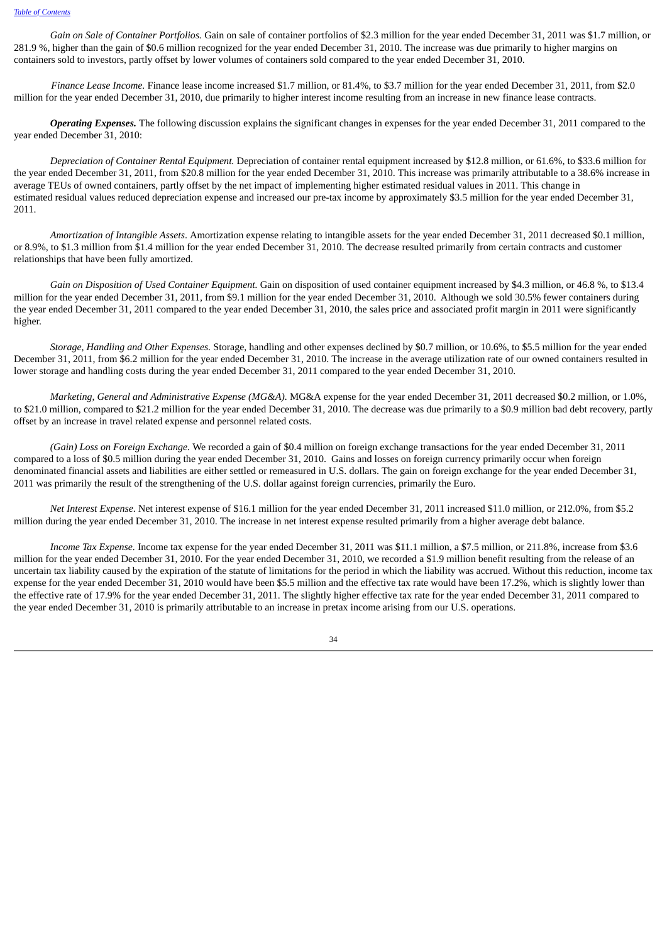*Gain on Sale of Container Portfolios.* Gain on sale of container portfolios of \$2.3 million for the year ended December 31, 2011 was \$1.7 million, or 281.9 %, higher than the gain of \$0.6 million recognized for the year ended December 31, 2010. The increase was due primarily to higher margins on containers sold to investors, partly offset by lower volumes of containers sold compared to the year ended December 31, 2010.

*Finance Lease Income.* Finance lease income increased \$1.7 million, or 81.4%, to \$3.7 million for the year ended December 31, 2011, from \$2.0 million for the year ended December 31, 2010, due primarily to higher interest income resulting from an increase in new finance lease contracts.

*Operating Expenses.* The following discussion explains the significant changes in expenses for the year ended December 31, 2011 compared to the year ended December 31, 2010:

*Depreciation of Container Rental Equipment.* Depreciation of container rental equipment increased by \$12.8 million, or 61.6%, to \$33.6 million for the year ended December 31, 2011, from \$20.8 million for the year ended December 31, 2010. This increase was primarily attributable to a 38.6% increase in average TEUs of owned containers, partly offset by the net impact of implementing higher estimated residual values in 2011. This change in estimated residual values reduced depreciation expense and increased our pre-tax income by approximately \$3.5 million for the year ended December 31, 2011.

*Amortization of Intangible Assets*. Amortization expense relating to intangible assets for the year ended December 31, 2011 decreased \$0.1 million, or 8.9%, to \$1.3 million from \$1.4 million for the year ended December 31, 2010. The decrease resulted primarily from certain contracts and customer relationships that have been fully amortized.

*Gain on Disposition of Used Container Equipment.* Gain on disposition of used container equipment increased by \$4.3 million, or 46.8 %, to \$13.4 million for the year ended December 31, 2011, from \$9.1 million for the year ended December 31, 2010. Although we sold 30.5% fewer containers during the year ended December 31, 2011 compared to the year ended December 31, 2010, the sales price and associated profit margin in 2011 were significantly higher.

*Storage, Handling and Other Expenses.* Storage, handling and other expenses declined by \$0.7 million, or 10.6%, to \$5.5 million for the year ended December 31, 2011, from \$6.2 million for the year ended December 31, 2010. The increase in the average utilization rate of our owned containers resulted in lower storage and handling costs during the year ended December 31, 2011 compared to the year ended December 31, 2010.

*Marketing, General and Administrative Expense (MG&A).* MG&A expense for the year ended December 31, 2011 decreased \$0.2 million, or 1.0%, to \$21.0 million, compared to \$21.2 million for the year ended December 31, 2010. The decrease was due primarily to a \$0.9 million bad debt recovery, partly offset by an increase in travel related expense and personnel related costs.

*(Gain) Loss on Foreign Exchange.* We recorded a gain of \$0.4 million on foreign exchange transactions for the year ended December 31, 2011 compared to a loss of \$0.5 million during the year ended December 31, 2010. Gains and losses on foreign currency primarily occur when foreign denominated financial assets and liabilities are either settled or remeasured in U.S. dollars. The gain on foreign exchange for the year ended December 31, 2011 was primarily the result of the strengthening of the U.S. dollar against foreign currencies, primarily the Euro.

*Net Interest Expense*. Net interest expense of \$16.1 million for the year ended December 31, 2011 increased \$11.0 million, or 212.0%, from \$5.2 million during the year ended December 31, 2010. The increase in net interest expense resulted primarily from a higher average debt balance.

*Income Tax Expense.* Income tax expense for the year ended December 31, 2011 was \$11.1 million, a \$7.5 million, or 211.8%, increase from \$3.6 million for the year ended December 31, 2010. For the year ended December 31, 2010, we recorded a \$1.9 million benefit resulting from the release of an uncertain tax liability caused by the expiration of the statute of limitations for the period in which the liability was accrued. Without this reduction, income tax expense for the year ended December 31, 2010 would have been \$5.5 million and the effective tax rate would have been 17.2%, which is slightly lower than the effective rate of 17.9% for the year ended December 31, 2011. The slightly higher effective tax rate for the year ended December 31, 2011 compared to the year ended December 31, 2010 is primarily attributable to an increase in pretax income arising from our U.S. operations.

34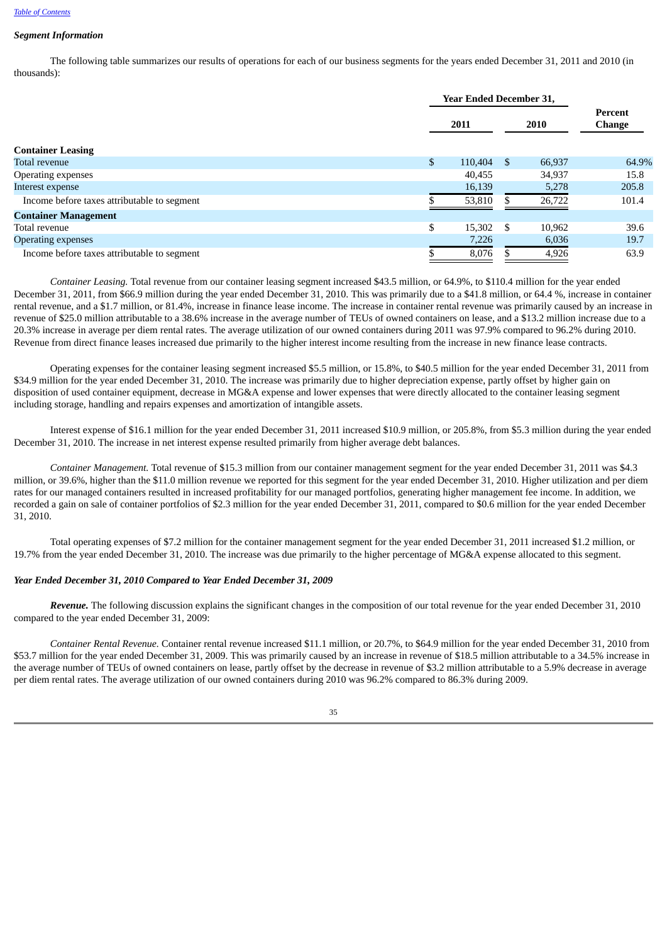## *Segment Information*

The following table summarizes our results of operations for each of our business segments for the years ended December 31, 2011 and 2010 (in thousands):

|                                             | <b>Year Ended December 31,</b> |               |        |                          |  |
|---------------------------------------------|--------------------------------|---------------|--------|--------------------------|--|
|                                             | 2011                           |               | 2010   | Percent<br><b>Change</b> |  |
| <b>Container Leasing</b>                    |                                |               |        |                          |  |
| Total revenue                               | \$<br>110,404                  | <sup>\$</sup> | 66,937 | 64.9%                    |  |
| <b>Operating expenses</b>                   | 40,455                         |               | 34,937 | 15.8                     |  |
| Interest expense                            | 16,139                         |               | 5,278  | 205.8                    |  |
| Income before taxes attributable to segment | 53,810                         |               | 26,722 | 101.4                    |  |
| <b>Container Management</b>                 |                                |               |        |                          |  |
| Total revenue                               | \$<br>15,302                   | \$.           | 10,962 | 39.6                     |  |
| Operating expenses                          | 7,226                          |               | 6,036  | 19.7                     |  |
| Income before taxes attributable to segment | 8,076                          |               | 4,926  | 63.9                     |  |

*Container Leasing.* Total revenue from our container leasing segment increased \$43.5 million, or 64.9%, to \$110.4 million for the year ended December 31, 2011, from \$66.9 million during the year ended December 31, 2010. This was primarily due to a \$41.8 million, or 64.4 %, increase in container rental revenue, and a \$1.7 million, or 81.4%, increase in finance lease income. The increase in container rental revenue was primarily caused by an increase in revenue of \$25.0 million attributable to a 38.6% increase in the average number of TEUs of owned containers on lease, and a \$13.2 million increase due to a 20.3% increase in average per diem rental rates. The average utilization of our owned containers during 2011 was 97.9% compared to 96.2% during 2010. Revenue from direct finance leases increased due primarily to the higher interest income resulting from the increase in new finance lease contracts.

Operating expenses for the container leasing segment increased \$5.5 million, or 15.8%, to \$40.5 million for the year ended December 31, 2011 from \$34.9 million for the year ended December 31, 2010. The increase was primarily due to higher depreciation expense, partly offset by higher gain on disposition of used container equipment, decrease in MG&A expense and lower expenses that were directly allocated to the container leasing segment including storage, handling and repairs expenses and amortization of intangible assets.

Interest expense of \$16.1 million for the year ended December 31, 2011 increased \$10.9 million, or 205.8%, from \$5.3 million during the year ended December 31, 2010. The increase in net interest expense resulted primarily from higher average debt balances.

*Container Management.* Total revenue of \$15.3 million from our container management segment for the year ended December 31, 2011 was \$4.3 million, or 39.6%, higher than the \$11.0 million revenue we reported for this segment for the year ended December 31, 2010. Higher utilization and per diem rates for our managed containers resulted in increased profitability for our managed portfolios, generating higher management fee income. In addition, we recorded a gain on sale of container portfolios of \$2.3 million for the year ended December 31, 2011, compared to \$0.6 million for the year ended December 31, 2010.

Total operating expenses of \$7.2 million for the container management segment for the year ended December 31, 2011 increased \$1.2 million, or 19.7% from the year ended December 31, 2010. The increase was due primarily to the higher percentage of MG&A expense allocated to this segment.

#### *Year Ended December 31, 2010 Compared to Year Ended December 31, 2009*

*Revenue.* The following discussion explains the significant changes in the composition of our total revenue for the year ended December 31, 2010 compared to the year ended December 31, 2009:

*Container Rental Revenue.* Container rental revenue increased \$11.1 million, or 20.7%, to \$64.9 million for the year ended December 31, 2010 from \$53.7 million for the year ended December 31, 2009. This was primarily caused by an increase in revenue of \$18.5 million attributable to a 34.5% increase in the average number of TEUs of owned containers on lease, partly offset by the decrease in revenue of \$3.2 million attributable to a 5.9% decrease in average per diem rental rates. The average utilization of our owned containers during 2010 was 96.2% compared to 86.3% during 2009.

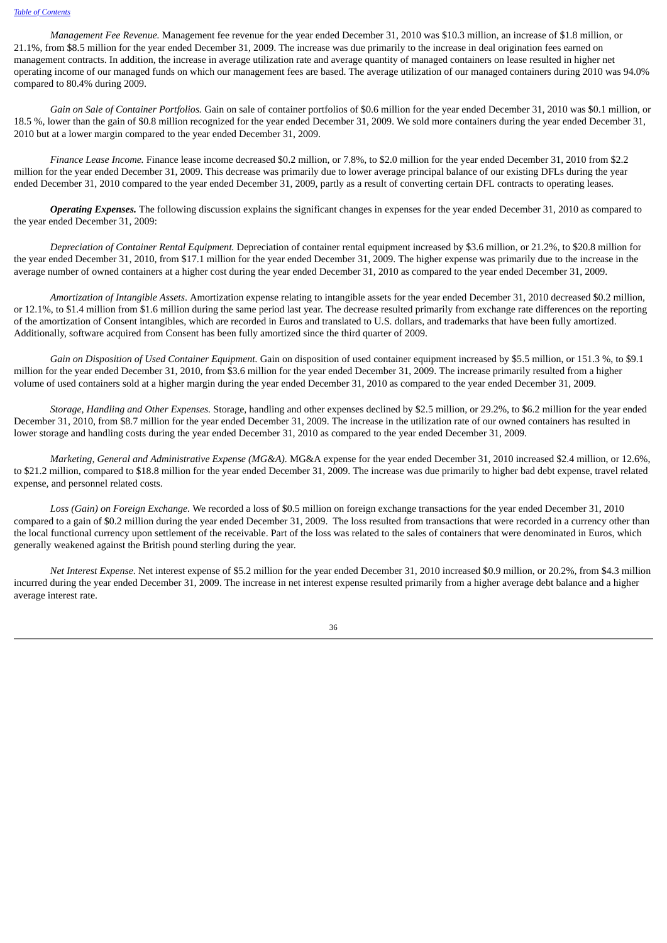*Management Fee Revenue.* Management fee revenue for the year ended December 31, 2010 was \$10.3 million, an increase of \$1.8 million, or 21.1%, from \$8.5 million for the year ended December 31, 2009. The increase was due primarily to the increase in deal origination fees earned on management contracts. In addition, the increase in average utilization rate and average quantity of managed containers on lease resulted in higher net operating income of our managed funds on which our management fees are based. The average utilization of our managed containers during 2010 was 94.0% compared to 80.4% during 2009.

*Gain on Sale of Container Portfolios.* Gain on sale of container portfolios of \$0.6 million for the year ended December 31, 2010 was \$0.1 million, or 18.5 %, lower than the gain of \$0.8 million recognized for the year ended December 31, 2009. We sold more containers during the year ended December 31, 2010 but at a lower margin compared to the year ended December 31, 2009.

*Finance Lease Income.* Finance lease income decreased \$0.2 million, or 7.8%, to \$2.0 million for the year ended December 31, 2010 from \$2.2 million for the year ended December 31, 2009. This decrease was primarily due to lower average principal balance of our existing DFLs during the year ended December 31, 2010 compared to the year ended December 31, 2009, partly as a result of converting certain DFL contracts to operating leases.

*Operating Expenses.* The following discussion explains the significant changes in expenses for the year ended December 31, 2010 as compared to the year ended December 31, 2009:

*Depreciation of Container Rental Equipment.* Depreciation of container rental equipment increased by \$3.6 million, or 21.2%, to \$20.8 million for the year ended December 31, 2010, from \$17.1 million for the year ended December 31, 2009. The higher expense was primarily due to the increase in the average number of owned containers at a higher cost during the year ended December 31, 2010 as compared to the year ended December 31, 2009.

*Amortization of Intangible Assets*. Amortization expense relating to intangible assets for the year ended December 31, 2010 decreased \$0.2 million, or 12.1%, to \$1.4 million from \$1.6 million during the same period last year. The decrease resulted primarily from exchange rate differences on the reporting of the amortization of Consent intangibles, which are recorded in Euros and translated to U.S. dollars, and trademarks that have been fully amortized. Additionally, software acquired from Consent has been fully amortized since the third quarter of 2009.

*Gain on Disposition of Used Container Equipment.* Gain on disposition of used container equipment increased by \$5.5 million, or 151.3 %, to \$9.1 million for the year ended December 31, 2010, from \$3.6 million for the year ended December 31, 2009. The increase primarily resulted from a higher volume of used containers sold at a higher margin during the year ended December 31, 2010 as compared to the year ended December 31, 2009.

*Storage, Handling and Other Expenses.* Storage, handling and other expenses declined by \$2.5 million, or 29.2%, to \$6.2 million for the year ended December 31, 2010, from \$8.7 million for the year ended December 31, 2009. The increase in the utilization rate of our owned containers has resulted in lower storage and handling costs during the year ended December 31, 2010 as compared to the year ended December 31, 2009.

*Marketing, General and Administrative Expense (MG&A).* MG&A expense for the year ended December 31, 2010 increased \$2.4 million, or 12.6%, to \$21.2 million, compared to \$18.8 million for the year ended December 31, 2009. The increase was due primarily to higher bad debt expense, travel related expense, and personnel related costs.

*Loss (Gain) on Foreign Exchange.* We recorded a loss of \$0.5 million on foreign exchange transactions for the year ended December 31, 2010 compared to a gain of \$0.2 million during the year ended December 31, 2009. The loss resulted from transactions that were recorded in a currency other than the local functional currency upon settlement of the receivable. Part of the loss was related to the sales of containers that were denominated in Euros, which generally weakened against the British pound sterling during the year.

*Net Interest Expense*. Net interest expense of \$5.2 million for the year ended December 31, 2010 increased \$0.9 million, or 20.2%, from \$4.3 million incurred during the year ended December 31, 2009. The increase in net interest expense resulted primarily from a higher average debt balance and a higher average interest rate.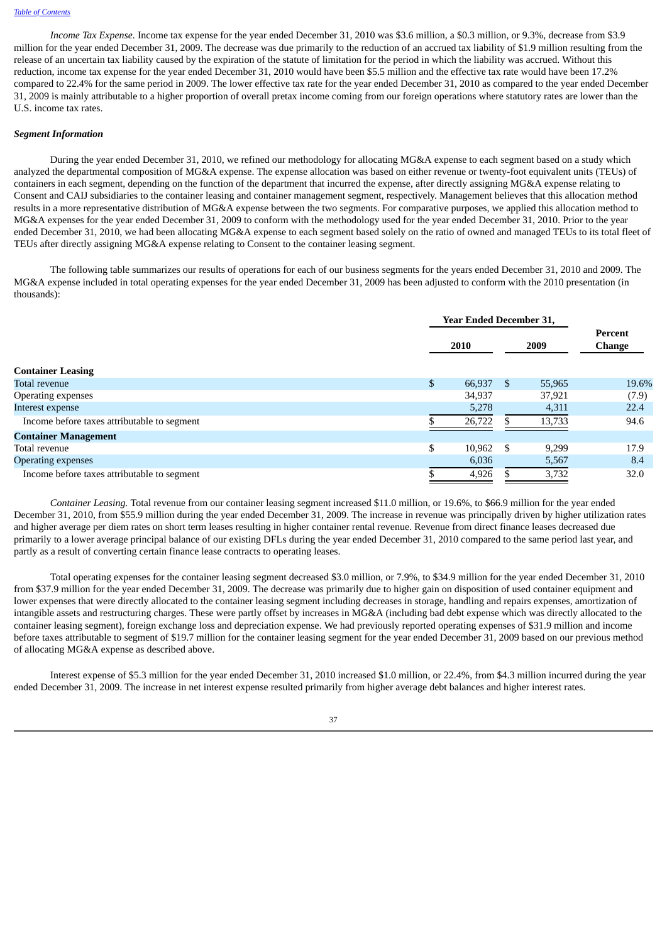*Income Tax Expense.* Income tax expense for the year ended December 31, 2010 was \$3.6 million, a \$0.3 million, or 9.3%, decrease from \$3.9 million for the year ended December 31, 2009. The decrease was due primarily to the reduction of an accrued tax liability of \$1.9 million resulting from the release of an uncertain tax liability caused by the expiration of the statute of limitation for the period in which the liability was accrued. Without this reduction, income tax expense for the year ended December 31, 2010 would have been \$5.5 million and the effective tax rate would have been 17.2% compared to 22.4% for the same period in 2009. The lower effective tax rate for the year ended December 31, 2010 as compared to the year ended December 31, 2009 is mainly attributable to a higher proportion of overall pretax income coming from our foreign operations where statutory rates are lower than the U.S. income tax rates.

#### *Segment Information*

During the year ended December 31, 2010, we refined our methodology for allocating MG&A expense to each segment based on a study which analyzed the departmental composition of MG&A expense. The expense allocation was based on either revenue or twenty-foot equivalent units (TEUs) of containers in each segment, depending on the function of the department that incurred the expense, after directly assigning MG&A expense relating to Consent and CAIJ subsidiaries to the container leasing and container management segment, respectively. Management believes that this allocation method results in a more representative distribution of MG&A expense between the two segments. For comparative purposes, we applied this allocation method to MG&A expenses for the year ended December 31, 2009 to conform with the methodology used for the year ended December 31, 2010. Prior to the year ended December 31, 2010, we had been allocating MG&A expense to each segment based solely on the ratio of owned and managed TEUs to its total fleet of TEUs after directly assigning MG&A expense relating to Consent to the container leasing segment.

The following table summarizes our results of operations for each of our business segments for the years ended December 31, 2010 and 2009. The MG&A expense included in total operating expenses for the year ended December 31, 2009 has been adjusted to conform with the 2010 presentation (in thousands):

|                                             |    | <b>Year Ended December 31,</b> |    |        |                   |
|---------------------------------------------|----|--------------------------------|----|--------|-------------------|
|                                             |    | 2010                           |    | 2009   | Percent<br>Change |
| <b>Container Leasing</b>                    |    |                                |    |        |                   |
| Total revenue                               | \$ | 66,937                         | \$ | 55,965 | 19.6%             |
| Operating expenses                          |    | 34.937                         |    | 37,921 | (7.9)             |
| Interest expense                            |    | 5,278                          |    | 4,311  | 22.4              |
| Income before taxes attributable to segment |    | 26,722                         |    | 13,733 | 94.6              |
| <b>Container Management</b>                 |    |                                |    |        |                   |
| Total revenue                               | \$ | 10,962                         | S  | 9,299  | 17.9              |
| <b>Operating expenses</b>                   |    | 6,036                          |    | 5,567  | 8.4               |
| Income before taxes attributable to segment |    | 4,926                          |    | 3,732  | 32.0              |

*Container Leasing.* Total revenue from our container leasing segment increased \$11.0 million, or 19.6%, to \$66.9 million for the year ended December 31, 2010, from \$55.9 million during the year ended December 31, 2009. The increase in revenue was principally driven by higher utilization rates and higher average per diem rates on short term leases resulting in higher container rental revenue. Revenue from direct finance leases decreased due primarily to a lower average principal balance of our existing DFLs during the year ended December 31, 2010 compared to the same period last year, and partly as a result of converting certain finance lease contracts to operating leases.

Total operating expenses for the container leasing segment decreased \$3.0 million, or 7.9%, to \$34.9 million for the year ended December 31, 2010 from \$37.9 million for the year ended December 31, 2009. The decrease was primarily due to higher gain on disposition of used container equipment and lower expenses that were directly allocated to the container leasing segment including decreases in storage, handling and repairs expenses, amortization of intangible assets and restructuring charges. These were partly offset by increases in MG&A (including bad debt expense which was directly allocated to the container leasing segment), foreign exchange loss and depreciation expense. We had previously reported operating expenses of \$31.9 million and income before taxes attributable to segment of \$19.7 million for the container leasing segment for the year ended December 31, 2009 based on our previous method of allocating MG&A expense as described above.

Interest expense of \$5.3 million for the year ended December 31, 2010 increased \$1.0 million, or 22.4%, from \$4.3 million incurred during the year ended December 31, 2009. The increase in net interest expense resulted primarily from higher average debt balances and higher interest rates.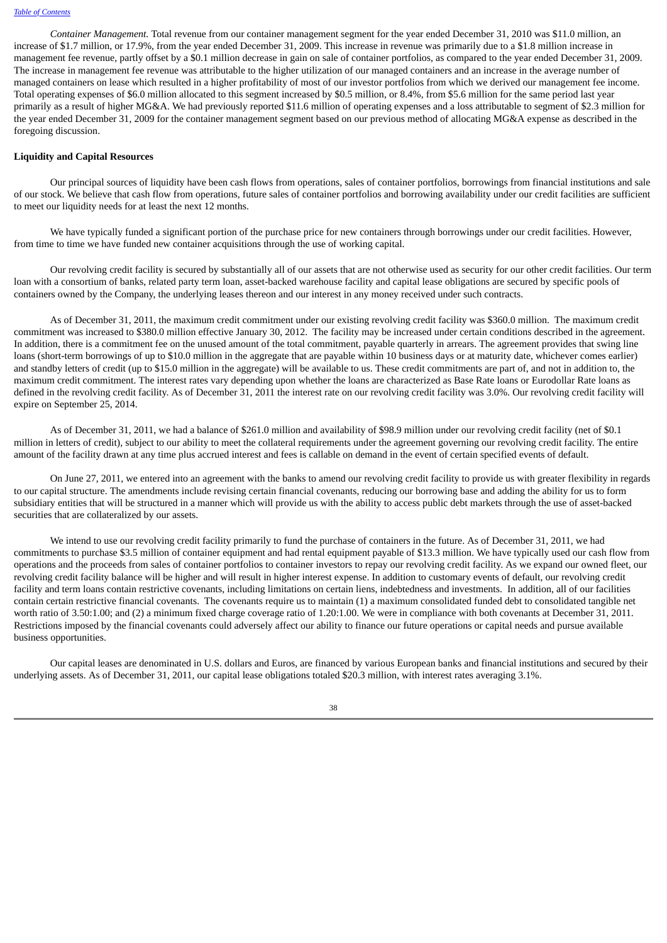*Container Management.* Total revenue from our container management segment for the year ended December 31, 2010 was \$11.0 million, an increase of \$1.7 million, or 17.9%, from the year ended December 31, 2009. This increase in revenue was primarily due to a \$1.8 million increase in management fee revenue, partly offset by a \$0.1 million decrease in gain on sale of container portfolios, as compared to the year ended December 31, 2009. The increase in management fee revenue was attributable to the higher utilization of our managed containers and an increase in the average number of managed containers on lease which resulted in a higher profitability of most of our investor portfolios from which we derived our management fee income. Total operating expenses of \$6.0 million allocated to this segment increased by \$0.5 million, or 8.4%, from \$5.6 million for the same period last year primarily as a result of higher MG&A. We had previously reported \$11.6 million of operating expenses and a loss attributable to segment of \$2.3 million for the year ended December 31, 2009 for the container management segment based on our previous method of allocating MG&A expense as described in the foregoing discussion.

### **Liquidity and Capital Resources**

Our principal sources of liquidity have been cash flows from operations, sales of container portfolios, borrowings from financial institutions and sale of our stock. We believe that cash flow from operations, future sales of container portfolios and borrowing availability under our credit facilities are sufficient to meet our liquidity needs for at least the next 12 months.

We have typically funded a significant portion of the purchase price for new containers through borrowings under our credit facilities. However, from time to time we have funded new container acquisitions through the use of working capital.

Our revolving credit facility is secured by substantially all of our assets that are not otherwise used as security for our other credit facilities. Our term loan with a consortium of banks, related party term loan, asset-backed warehouse facility and capital lease obligations are secured by specific pools of containers owned by the Company, the underlying leases thereon and our interest in any money received under such contracts.

As of December 31, 2011, the maximum credit commitment under our existing revolving credit facility was \$360.0 million. The maximum credit commitment was increased to \$380.0 million effective January 30, 2012. The facility may be increased under certain conditions described in the agreement. In addition, there is a commitment fee on the unused amount of the total commitment, payable quarterly in arrears. The agreement provides that swing line loans (short-term borrowings of up to \$10.0 million in the aggregate that are payable within 10 business days or at maturity date, whichever comes earlier) and standby letters of credit (up to \$15.0 million in the aggregate) will be available to us. These credit commitments are part of, and not in addition to, the maximum credit commitment. The interest rates vary depending upon whether the loans are characterized as Base Rate loans or Eurodollar Rate loans as defined in the revolving credit facility. As of December 31, 2011 the interest rate on our revolving credit facility was 3.0%. Our revolving credit facility will expire on September 25, 2014.

As of December 31, 2011, we had a balance of \$261.0 million and availability of \$98.9 million under our revolving credit facility (net of \$0.1 million in letters of credit), subject to our ability to meet the collateral requirements under the agreement governing our revolving credit facility. The entire amount of the facility drawn at any time plus accrued interest and fees is callable on demand in the event of certain specified events of default.

On June 27, 2011, we entered into an agreement with the banks to amend our revolving credit facility to provide us with greater flexibility in regards to our capital structure. The amendments include revising certain financial covenants, reducing our borrowing base and adding the ability for us to form subsidiary entities that will be structured in a manner which will provide us with the ability to access public debt markets through the use of asset-backed securities that are collateralized by our assets.

We intend to use our revolving credit facility primarily to fund the purchase of containers in the future. As of December 31, 2011, we had commitments to purchase \$3.5 million of container equipment and had rental equipment payable of \$13.3 million. We have typically used our cash flow from operations and the proceeds from sales of container portfolios to container investors to repay our revolving credit facility. As we expand our owned fleet, our revolving credit facility balance will be higher and will result in higher interest expense. In addition to customary events of default, our revolving credit facility and term loans contain restrictive covenants, including limitations on certain liens, indebtedness and investments. In addition, all of our facilities contain certain restrictive financial covenants. The covenants require us to maintain (1) a maximum consolidated funded debt to consolidated tangible net worth ratio of 3.50:1.00; and (2) a minimum fixed charge coverage ratio of 1.20:1.00. We were in compliance with both covenants at December 31, 2011. Restrictions imposed by the financial covenants could adversely affect our ability to finance our future operations or capital needs and pursue available business opportunities.

Our capital leases are denominated in U.S. dollars and Euros, are financed by various European banks and financial institutions and secured by their underlying assets. As of December 31, 2011, our capital lease obligations totaled \$20.3 million, with interest rates averaging 3.1%.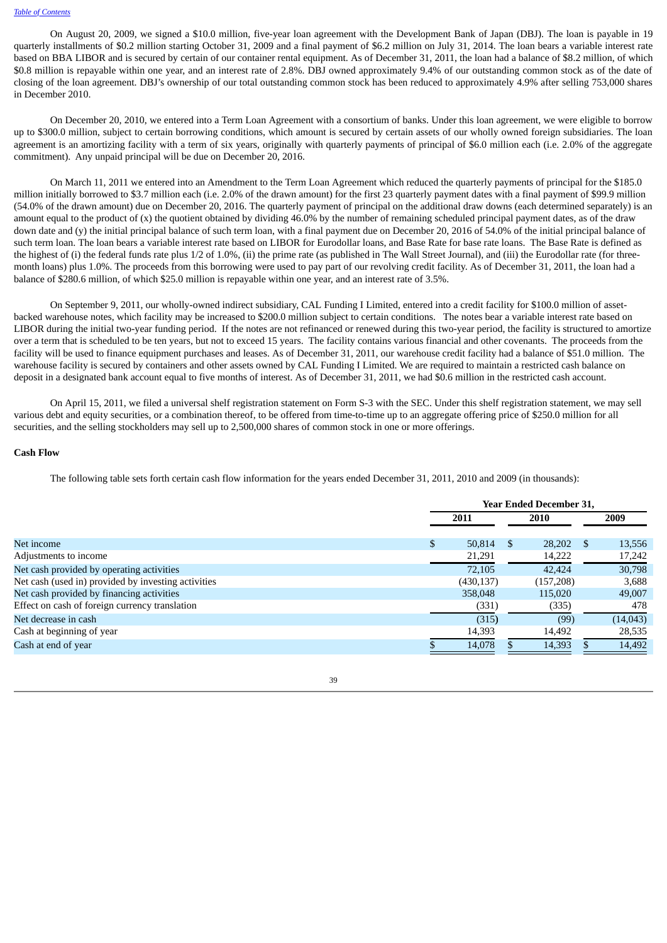On August 20, 2009, we signed a \$10.0 million, five-year loan agreement with the Development Bank of Japan (DBJ). The loan is payable in 19 quarterly installments of \$0.2 million starting October 31, 2009 and a final payment of \$6.2 million on July 31, 2014. The loan bears a variable interest rate based on BBA LIBOR and is secured by certain of our container rental equipment. As of December 31, 2011, the loan had a balance of \$8.2 million, of which \$0.8 million is repayable within one year, and an interest rate of 2.8%. DBJ owned approximately 9.4% of our outstanding common stock as of the date of closing of the loan agreement. DBJ's ownership of our total outstanding common stock has been reduced to approximately 4.9% after selling 753,000 shares in December 2010.

On December 20, 2010, we entered into a Term Loan Agreement with a consortium of banks. Under this loan agreement, we were eligible to borrow up to \$300.0 million, subject to certain borrowing conditions, which amount is secured by certain assets of our wholly owned foreign subsidiaries. The loan agreement is an amortizing facility with a term of six years, originally with quarterly payments of principal of \$6.0 million each (i.e. 2.0% of the aggregate commitment). Any unpaid principal will be due on December 20, 2016.

On March 11, 2011 we entered into an Amendment to the Term Loan Agreement which reduced the quarterly payments of principal for the \$185.0 million initially borrowed to \$3.7 million each (i.e. 2.0% of the drawn amount) for the first 23 quarterly payment dates with a final payment of \$99.9 million (54.0% of the drawn amount) due on December 20, 2016. The quarterly payment of principal on the additional draw downs (each determined separately) is an amount equal to the product of (x) the quotient obtained by dividing 46.0% by the number of remaining scheduled principal payment dates, as of the draw down date and (y) the initial principal balance of such term loan, with a final payment due on December 20, 2016 of 54.0% of the initial principal balance of such term loan. The loan bears a variable interest rate based on LIBOR for Eurodollar loans, and Base Rate for base rate loans. The Base Rate is defined as the highest of (i) the federal funds rate plus 1/2 of 1.0%, (ii) the prime rate (as published in The Wall Street Journal), and (iii) the Eurodollar rate (for threemonth loans) plus 1.0%. The proceeds from this borrowing were used to pay part of our revolving credit facility. As of December 31, 2011, the loan had a balance of \$280.6 million, of which \$25.0 million is repayable within one year, and an interest rate of 3.5%.

On September 9, 2011, our wholly-owned indirect subsidiary, CAL Funding I Limited, entered into a credit facility for \$100.0 million of assetbacked warehouse notes, which facility may be increased to \$200.0 million subject to certain conditions. The notes bear a variable interest rate based on LIBOR during the initial two-year funding period. If the notes are not refinanced or renewed during this two-year period, the facility is structured to amortize over a term that is scheduled to be ten years, but not to exceed 15 years. The facility contains various financial and other covenants. The proceeds from the facility will be used to finance equipment purchases and leases. As of December 31, 2011, our warehouse credit facility had a balance of \$51.0 million. The warehouse facility is secured by containers and other assets owned by CAL Funding I Limited. We are required to maintain a restricted cash balance on deposit in a designated bank account equal to five months of interest. As of December 31, 2011, we had \$0.6 million in the restricted cash account.

On April 15, 2011, we filed a universal shelf registration statement on Form S-3 with the SEC. Under this shelf registration statement, we may sell various debt and equity securities, or a combination thereof, to be offered from time-to-time up to an aggregate offering price of \$250.0 million for all securities, and the selling stockholders may sell up to 2,500,000 shares of common stock in one or more offerings.

### **Cash Flow**

The following table sets forth certain cash flow information for the years ended December 31, 2011, 2010 and 2009 (in thousands):

|                                                     | <b>Year Ended December 31,</b> |            |    |           |              |           |  |
|-----------------------------------------------------|--------------------------------|------------|----|-----------|--------------|-----------|--|
|                                                     | 2011                           |            |    | 2010      |              | 2009      |  |
| Net income                                          | \$                             | 50,814     | -S | 28,202    | <sup>S</sup> | 13,556    |  |
| Adjustments to income                               |                                | 21,291     |    | 14,222    |              | 17,242    |  |
| Net cash provided by operating activities           |                                | 72,105     |    | 42,424    |              | 30,798    |  |
| Net cash (used in) provided by investing activities |                                | (430, 137) |    | (157,208) |              | 3,688     |  |
| Net cash provided by financing activities           |                                | 358,048    |    | 115,020   |              | 49,007    |  |
| Effect on cash of foreign currency translation      |                                | (331)      |    | (335)     |              | 478       |  |
| Net decrease in cash                                |                                | (315)      |    | (99)      |              | (14, 043) |  |
| Cash at beginning of year                           |                                | 14,393     |    | 14,492    |              | 28,535    |  |
| Cash at end of year                                 |                                | 14,078     |    | 14,393    |              | 14,492    |  |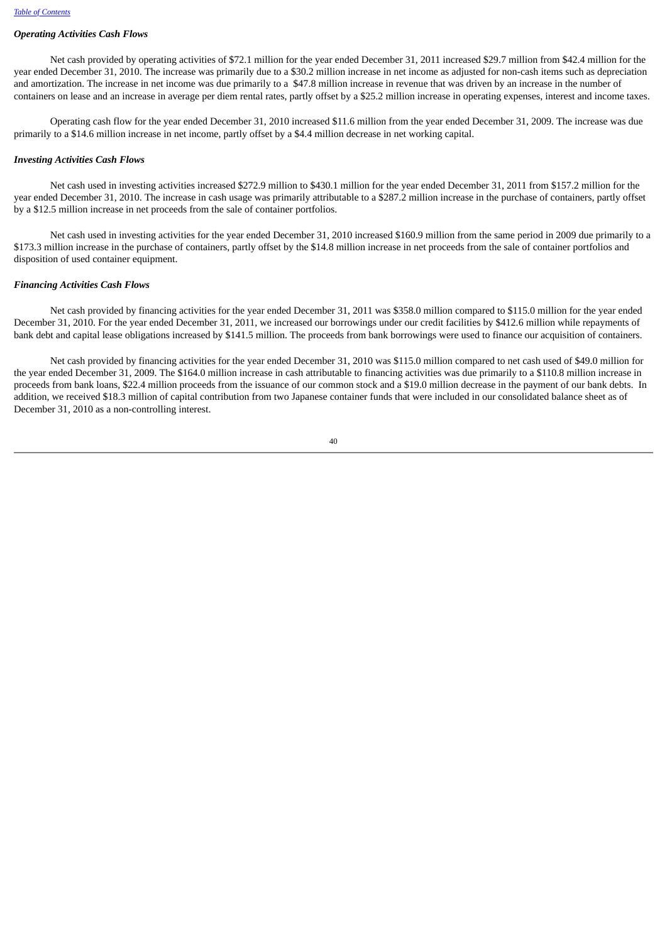#### *Operating Activities Cash Flows*

Net cash provided by operating activities of \$72.1 million for the year ended December 31, 2011 increased \$29.7 million from \$42.4 million for the year ended December 31, 2010. The increase was primarily due to a \$30.2 million increase in net income as adjusted for non-cash items such as depreciation and amortization. The increase in net income was due primarily to a \$47.8 million increase in revenue that was driven by an increase in the number of containers on lease and an increase in average per diem rental rates, partly offset by a \$25.2 million increase in operating expenses, interest and income taxes.

Operating cash flow for the year ended December 31, 2010 increased \$11.6 million from the year ended December 31, 2009. The increase was due primarily to a \$14.6 million increase in net income, partly offset by a \$4.4 million decrease in net working capital.

#### *Investing Activities Cash Flows*

Net cash used in investing activities increased \$272.9 million to \$430.1 million for the year ended December 31, 2011 from \$157.2 million for the year ended December 31, 2010. The increase in cash usage was primarily attributable to a \$287.2 million increase in the purchase of containers, partly offset by a \$12.5 million increase in net proceeds from the sale of container portfolios.

Net cash used in investing activities for the year ended December 31, 2010 increased \$160.9 million from the same period in 2009 due primarily to a \$173.3 million increase in the purchase of containers, partly offset by the \$14.8 million increase in net proceeds from the sale of container portfolios and disposition of used container equipment.

#### *Financing Activities Cash Flows*

Net cash provided by financing activities for the year ended December 31, 2011 was \$358.0 million compared to \$115.0 million for the year ended December 31, 2010. For the year ended December 31, 2011, we increased our borrowings under our credit facilities by \$412.6 million while repayments of bank debt and capital lease obligations increased by \$141.5 million. The proceeds from bank borrowings were used to finance our acquisition of containers.

Net cash provided by financing activities for the year ended December 31, 2010 was \$115.0 million compared to net cash used of \$49.0 million for the year ended December 31, 2009. The \$164.0 million increase in cash attributable to financing activities was due primarily to a \$110.8 million increase in proceeds from bank loans, \$22.4 million proceeds from the issuance of our common stock and a \$19.0 million decrease in the payment of our bank debts. In addition, we received \$18.3 million of capital contribution from two Japanese container funds that were included in our consolidated balance sheet as of December 31, 2010 as a non-controlling interest.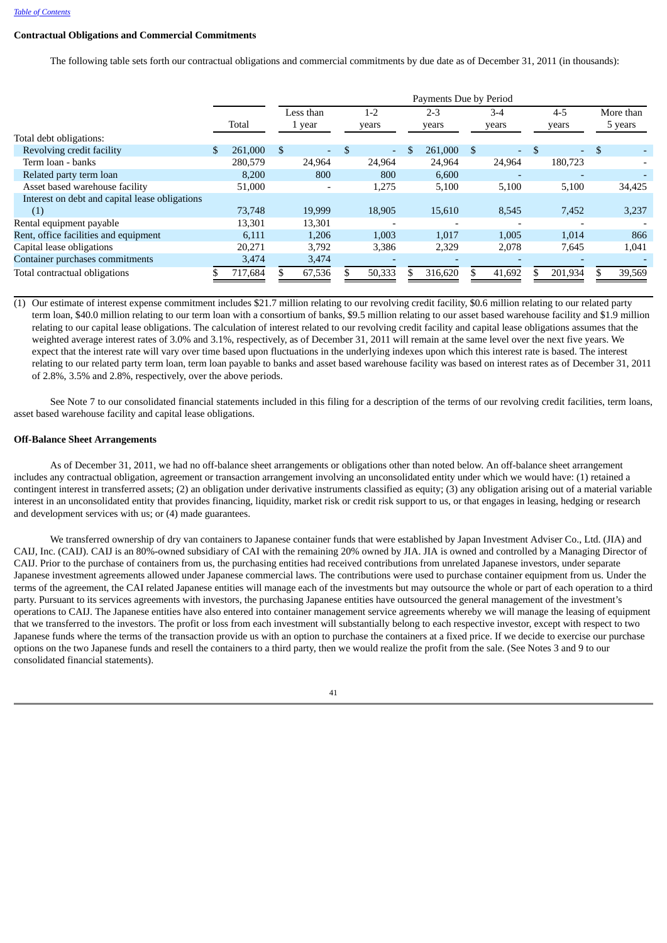## **Contractual Obligations and Commercial Commitments**

The following table sets forth our contractual obligations and commercial commitments by due date as of December 31, 2011 (in thousands):

|                                                | Payments Due by Period |         |    |           |    |         |         |         |       |        |         |                          |           |         |
|------------------------------------------------|------------------------|---------|----|-----------|----|---------|---------|---------|-------|--------|---------|--------------------------|-----------|---------|
|                                                |                        |         |    | Less than |    | $1 - 2$ | $2 - 3$ |         | $3-4$ |        | $4 - 5$ |                          | More than |         |
|                                                |                        | Total   |    | 1 year    |    | years   |         | years   |       | years  |         | years                    |           | 5 years |
| Total debt obligations:                        |                        |         |    |           |    |         |         |         |       |        |         |                          |           |         |
| Revolving credit facility                      |                        | 261,000 | \$ | $\sim$    | \$ | $\sim$  | \$      | 261,000 | S     | ٠      | \$      | 47                       | \$.       |         |
| Term loan - banks                              |                        | 280,579 |    | 24,964    |    | 24,964  |         | 24,964  |       | 24,964 |         | 180,723                  |           |         |
| Related party term loan                        |                        | 8,200   |    | 800       |    | 800     |         | 6,600   |       |        |         | $\overline{\phantom{0}}$ |           |         |
| Asset based warehouse facility                 |                        | 51,000  |    |           |    | 1,275   |         | 5,100   |       | 5,100  |         | 5,100                    |           | 34,425  |
| Interest on debt and capital lease obligations |                        |         |    |           |    |         |         |         |       |        |         |                          |           |         |
| (1)                                            |                        | 73,748  |    | 19,999    |    | 18,905  |         | 15,610  |       | 8,545  |         | 7,452                    |           | 3,237   |
| Rental equipment payable                       |                        | 13,301  |    | 13,301    |    |         |         | ۰       |       |        |         |                          |           |         |
| Rent, office facilities and equipment          |                        | 6,111   |    | 1,206     |    | 1,003   |         | 1,017   |       | 1,005  |         | 1,014                    |           | 866     |
| Capital lease obligations                      |                        | 20.271  |    | 3.792     |    | 3,386   |         | 2,329   |       | 2,078  |         | 7,645                    |           | 1,041   |
| Container purchases commitments                |                        | 3,474   |    | 3,474     |    |         |         |         |       |        |         |                          |           |         |
| Total contractual obligations                  |                        | 717,684 |    | 67,536    |    | 50,333  |         | 316,620 |       | 41,692 |         | 201,934                  |           | 39,569  |

(1) Our estimate of interest expense commitment includes \$21.7 million relating to our revolving credit facility, \$0.6 million relating to our related party term loan, \$40.0 million relating to our term loan with a consortium of banks, \$9.5 million relating to our asset based warehouse facility and \$1.9 million relating to our capital lease obligations. The calculation of interest related to our revolving credit facility and capital lease obligations assumes that the weighted average interest rates of 3.0% and 3.1%, respectively, as of December 31, 2011 will remain at the same level over the next five years. We expect that the interest rate will vary over time based upon fluctuations in the underlying indexes upon which this interest rate is based. The interest relating to our related party term loan, term loan payable to banks and asset based warehouse facility was based on interest rates as of December 31, 2011 of 2.8%, 3.5% and 2.8%, respectively, over the above periods.

See Note 7 to our consolidated financial statements included in this filing for a description of the terms of our revolving credit facilities, term loans, asset based warehouse facility and capital lease obligations.

#### **Off-Balance Sheet Arrangements**

As of December 31, 2011, we had no off-balance sheet arrangements or obligations other than noted below. An off-balance sheet arrangement includes any contractual obligation, agreement or transaction arrangement involving an unconsolidated entity under which we would have: (1) retained a contingent interest in transferred assets; (2) an obligation under derivative instruments classified as equity; (3) any obligation arising out of a material variable interest in an unconsolidated entity that provides financing, liquidity, market risk or credit risk support to us, or that engages in leasing, hedging or research and development services with us; or (4) made guarantees.

We transferred ownership of dry van containers to Japanese container funds that were established by Japan Investment Adviser Co., Ltd. (JIA) and CAIJ, Inc. (CAIJ). CAIJ is an 80%-owned subsidiary of CAI with the remaining 20% owned by JIA. JIA is owned and controlled by a Managing Director of CAIJ. Prior to the purchase of containers from us, the purchasing entities had received contributions from unrelated Japanese investors, under separate Japanese investment agreements allowed under Japanese commercial laws. The contributions were used to purchase container equipment from us. Under the terms of the agreement, the CAI related Japanese entities will manage each of the investments but may outsource the whole or part of each operation to a third party. Pursuant to its services agreements with investors, the purchasing Japanese entities have outsourced the general management of the investment's operations to CAIJ. The Japanese entities have also entered into container management service agreements whereby we will manage the leasing of equipment that we transferred to the investors. The profit or loss from each investment will substantially belong to each respective investor, except with respect to two Japanese funds where the terms of the transaction provide us with an option to purchase the containers at a fixed price. If we decide to exercise our purchase options on the two Japanese funds and resell the containers to a third party, then we would realize the profit from the sale. (See Notes 3 and 9 to our consolidated financial statements).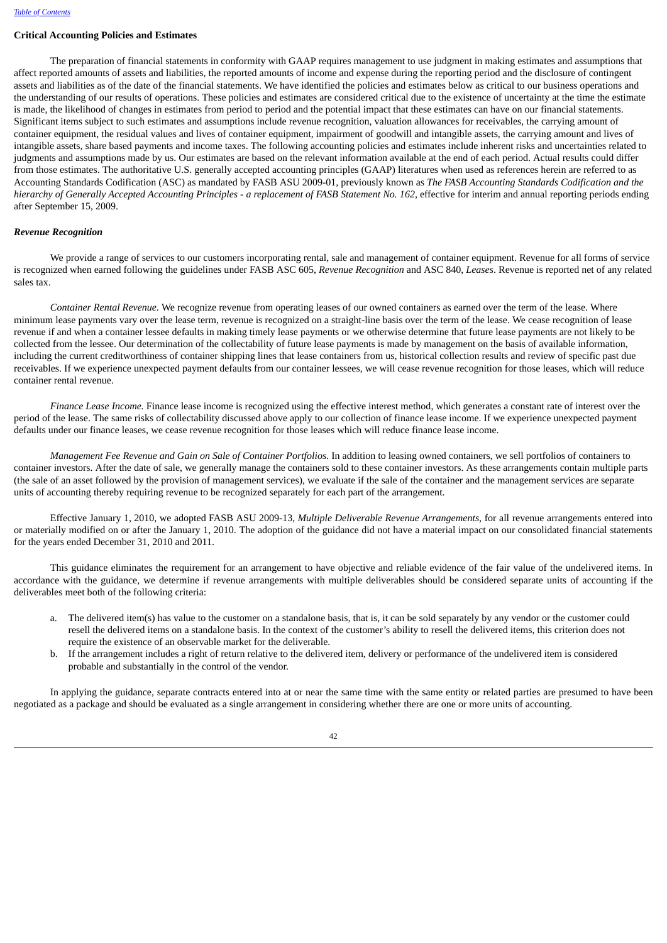## **Critical Accounting Policies and Estimates**

The preparation of financial statements in conformity with GAAP requires management to use judgment in making estimates and assumptions that affect reported amounts of assets and liabilities, the reported amounts of income and expense during the reporting period and the disclosure of contingent assets and liabilities as of the date of the financial statements. We have identified the policies and estimates below as critical to our business operations and the understanding of our results of operations. These policies and estimates are considered critical due to the existence of uncertainty at the time the estimate is made, the likelihood of changes in estimates from period to period and the potential impact that these estimates can have on our financial statements. Significant items subject to such estimates and assumptions include revenue recognition, valuation allowances for receivables, the carrying amount of container equipment, the residual values and lives of container equipment, impairment of goodwill and intangible assets, the carrying amount and lives of intangible assets, share based payments and income taxes. The following accounting policies and estimates include inherent risks and uncertainties related to judgments and assumptions made by us. Our estimates are based on the relevant information available at the end of each period. Actual results could differ from those estimates. The authoritative U.S. generally accepted accounting principles (GAAP) literatures when used as references herein are referred to as Accounting Standards Codification (ASC) as mandated by FASB ASU 2009-01, previously known as *The FASB Accounting Standards Codification and the* hierarchy of Generally Accepted Accounting Principles - a replacement of FASB Statement No. 162, effective for interim and annual reporting periods ending after September 15, 2009.

### *Revenue Recognition*

We provide a range of services to our customers incorporating rental, sale and management of container equipment. Revenue for all forms of service is recognized when earned following the guidelines under FASB ASC 605, *Revenue Recognition* and ASC 840, *Leases*. Revenue is reported net of any related sales tax.

*Container Rental Revenue.* We recognize revenue from operating leases of our owned containers as earned over the term of the lease. Where minimum lease payments vary over the lease term, revenue is recognized on a straight-line basis over the term of the lease. We cease recognition of lease revenue if and when a container lessee defaults in making timely lease payments or we otherwise determine that future lease payments are not likely to be collected from the lessee. Our determination of the collectability of future lease payments is made by management on the basis of available information, including the current creditworthiness of container shipping lines that lease containers from us, historical collection results and review of specific past due receivables. If we experience unexpected payment defaults from our container lessees, we will cease revenue recognition for those leases, which will reduce container rental revenue.

*Finance Lease Income.* Finance lease income is recognized using the effective interest method, which generates a constant rate of interest over the period of the lease. The same risks of collectability discussed above apply to our collection of finance lease income. If we experience unexpected payment defaults under our finance leases, we cease revenue recognition for those leases which will reduce finance lease income.

*Management Fee Revenue and Gain on Sale of Container Portfolios.* In addition to leasing owned containers, we sell portfolios of containers to container investors. After the date of sale, we generally manage the containers sold to these container investors. As these arrangements contain multiple parts (the sale of an asset followed by the provision of management services), we evaluate if the sale of the container and the management services are separate units of accounting thereby requiring revenue to be recognized separately for each part of the arrangement.

Effective January 1, 2010, we adopted FASB ASU 2009-13, *Multiple Deliverable Revenue Arrangements,* for all revenue arrangements entered into or materially modified on or after the January 1, 2010. The adoption of the guidance did not have a material impact on our consolidated financial statements for the years ended December 31, 2010 and 2011.

This guidance eliminates the requirement for an arrangement to have objective and reliable evidence of the fair value of the undelivered items. In accordance with the guidance, we determine if revenue arrangements with multiple deliverables should be considered separate units of accounting if the deliverables meet both of the following criteria:

- a. The delivered item(s) has value to the customer on a standalone basis, that is, it can be sold separately by any vendor or the customer could resell the delivered items on a standalone basis. In the context of the customer's ability to resell the delivered items, this criterion does not require the existence of an observable market for the deliverable.
- b. If the arrangement includes a right of return relative to the delivered item, delivery or performance of the undelivered item is considered probable and substantially in the control of the vendor.

In applying the guidance, separate contracts entered into at or near the same time with the same entity or related parties are presumed to have been negotiated as a package and should be evaluated as a single arrangement in considering whether there are one or more units of accounting.

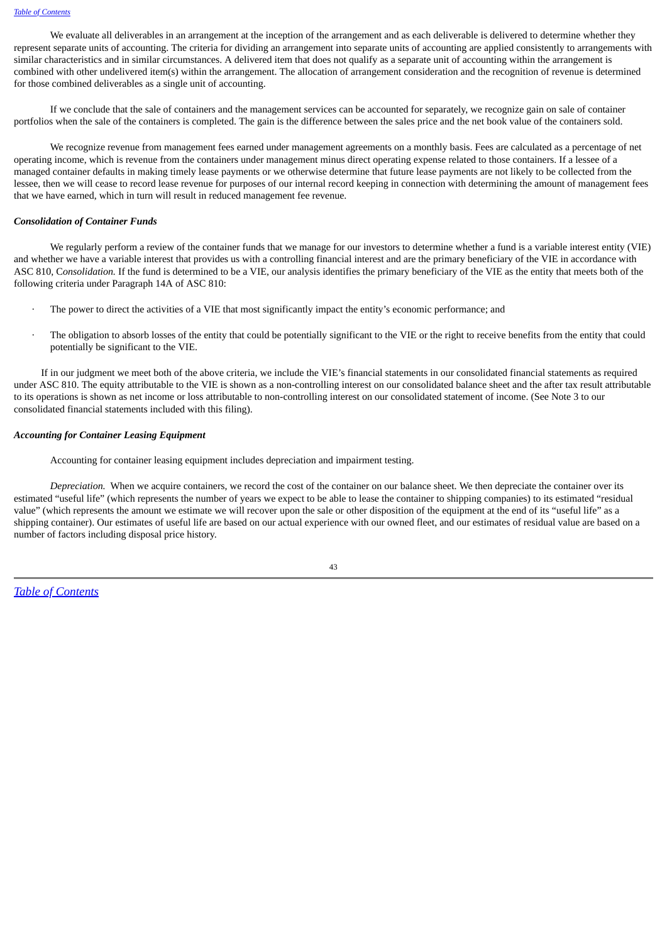We evaluate all deliverables in an arrangement at the inception of the arrangement and as each deliverable is delivered to determine whether they represent separate units of accounting. The criteria for dividing an arrangement into separate units of accounting are applied consistently to arrangements with similar characteristics and in similar circumstances. A delivered item that does not qualify as a separate unit of accounting within the arrangement is combined with other undelivered item(s) within the arrangement. The allocation of arrangement consideration and the recognition of revenue is determined for those combined deliverables as a single unit of accounting.

If we conclude that the sale of containers and the management services can be accounted for separately, we recognize gain on sale of container portfolios when the sale of the containers is completed. The gain is the difference between the sales price and the net book value of the containers sold.

We recognize revenue from management fees earned under management agreements on a monthly basis. Fees are calculated as a percentage of net operating income, which is revenue from the containers under management minus direct operating expense related to those containers. If a lessee of a managed container defaults in making timely lease payments or we otherwise determine that future lease payments are not likely to be collected from the lessee, then we will cease to record lease revenue for purposes of our internal record keeping in connection with determining the amount of management fees that we have earned, which in turn will result in reduced management fee revenue.

## *Consolidation of Container Funds*

We regularly perform a review of the container funds that we manage for our investors to determine whether a fund is a variable interest entity (VIE) and whether we have a variable interest that provides us with a controlling financial interest and are the primary beneficiary of the VIE in accordance with ASC 810, C*onsolidation.* If the fund is determined to be a VIE, our analysis identifies the primary beneficiary of the VIE as the entity that meets both of the following criteria under Paragraph 14A of ASC 810:

- The power to direct the activities of a VIE that most significantly impact the entity's economic performance; and
- · The obligation to absorb losses of the entity that could be potentially significant to the VIE or the right to receive benefits from the entity that could potentially be significant to the VIE.

If in our judgment we meet both of the above criteria, we include the VIE's financial statements in our consolidated financial statements as required under ASC 810. The equity attributable to the VIE is shown as a non-controlling interest on our consolidated balance sheet and the after tax result attributable to its operations is shown as net income or loss attributable to non-controlling interest on our consolidated statement of income. (See Note 3 to our consolidated financial statements included with this filing).

## *Accounting for Container Leasing Equipment*

Accounting for container leasing equipment includes depreciation and impairment testing.

*Depreciation.* When we acquire containers, we record the cost of the container on our balance sheet. We then depreciate the container over its estimated "useful life" (which represents the number of years we expect to be able to lease the container to shipping companies) to its estimated "residual value" (which represents the amount we estimate we will recover upon the sale or other disposition of the equipment at the end of its "useful life" as a shipping container). Our estimates of useful life are based on our actual experience with our owned fleet, and our estimates of residual value are based on a number of factors including disposal price history.

43

*[Table of Contents](#page-2-0)*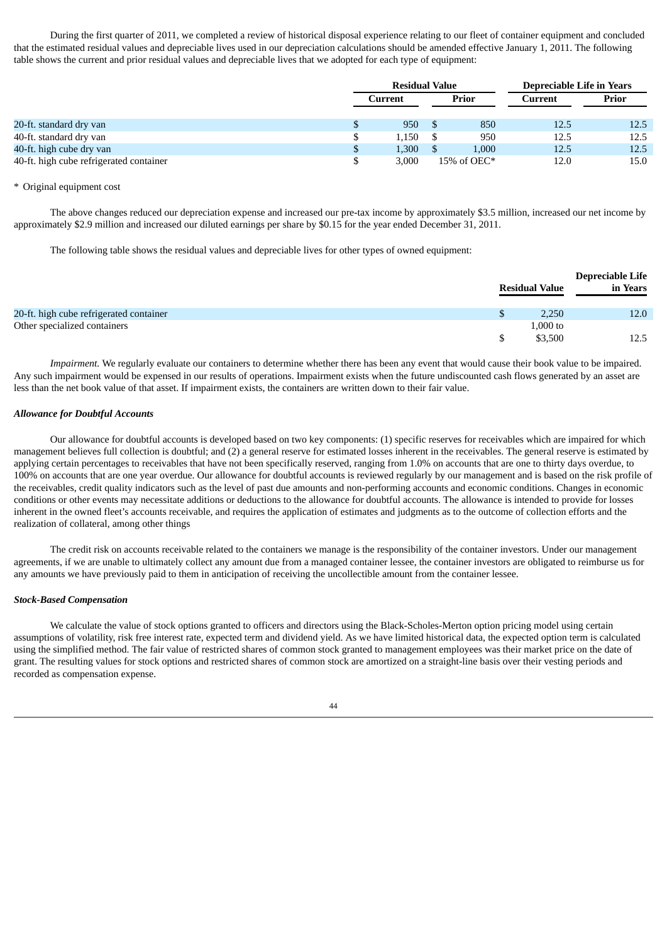During the first quarter of 2011, we completed a review of historical disposal experience relating to our fleet of container equipment and concluded that the estimated residual values and depreciable lives used in our depreciation calculations should be amended effective January 1, 2011. The following table shows the current and prior residual values and depreciable lives that we adopted for each type of equipment:

|                                         |    | <b>Residual Value</b> |  |             | <b>Depreciable Life in Years</b> |       |  |
|-----------------------------------------|----|-----------------------|--|-------------|----------------------------------|-------|--|
|                                         |    | Current               |  | Prior       | Current                          | Prior |  |
| 20-ft. standard dry van                 |    | 950                   |  | 850         | 12.5                             | 12.5  |  |
| 40-ft. standard dry van                 | S  | 1.150                 |  | 950         | 12.5                             | 12.5  |  |
| 40-ft. high cube dry van                | \$ | 1.300                 |  | 1.000       | 12.5                             | 12.5  |  |
| 40-ft. high cube refrigerated container |    | 3.000                 |  | 15% of OEC* | 12.0                             | 15.0  |  |

### \* Original equipment cost

The above changes reduced our depreciation expense and increased our pre-tax income by approximately \$3.5 million, increased our net income by approximately \$2.9 million and increased our diluted earnings per share by \$0.15 for the year ended December 31, 2011.

The following table shows the residual values and depreciable lives for other types of owned equipment:

|                                         | <b>Residual Value</b> | <b>Depreciable Life</b><br>in Years |
|-----------------------------------------|-----------------------|-------------------------------------|
| 20-ft. high cube refrigerated container | 2,250                 | 12.0                                |
| Other specialized containers            | $1,000$ to            |                                     |
|                                         | \$3,500               | 12.5                                |

*Impairment.* We regularly evaluate our containers to determine whether there has been any event that would cause their book value to be impaired. Any such impairment would be expensed in our results of operations. Impairment exists when the future undiscounted cash flows generated by an asset are less than the net book value of that asset. If impairment exists, the containers are written down to their fair value.

### *Allowance for Doubtful Accounts*

Our allowance for doubtful accounts is developed based on two key components: (1) specific reserves for receivables which are impaired for which management believes full collection is doubtful; and (2) a general reserve for estimated losses inherent in the receivables. The general reserve is estimated by applying certain percentages to receivables that have not been specifically reserved, ranging from 1.0% on accounts that are one to thirty days overdue, to 100% on accounts that are one year overdue. Our allowance for doubtful accounts is reviewed regularly by our management and is based on the risk profile of the receivables, credit quality indicators such as the level of past due amounts and non-performing accounts and economic conditions. Changes in economic conditions or other events may necessitate additions or deductions to the allowance for doubtful accounts. The allowance is intended to provide for losses inherent in the owned fleet's accounts receivable, and requires the application of estimates and judgments as to the outcome of collection efforts and the realization of collateral, among other things

The credit risk on accounts receivable related to the containers we manage is the responsibility of the container investors. Under our management agreements, if we are unable to ultimately collect any amount due from a managed container lessee, the container investors are obligated to reimburse us for any amounts we have previously paid to them in anticipation of receiving the uncollectible amount from the container lessee.

#### *Stock-Based Compensation*

We calculate the value of stock options granted to officers and directors using the Black-Scholes-Merton option pricing model using certain assumptions of volatility, risk free interest rate, expected term and dividend yield. As we have limited historical data, the expected option term is calculated using the simplified method. The fair value of restricted shares of common stock granted to management employees was their market price on the date of grant. The resulting values for stock options and restricted shares of common stock are amortized on a straight-line basis over their vesting periods and recorded as compensation expense.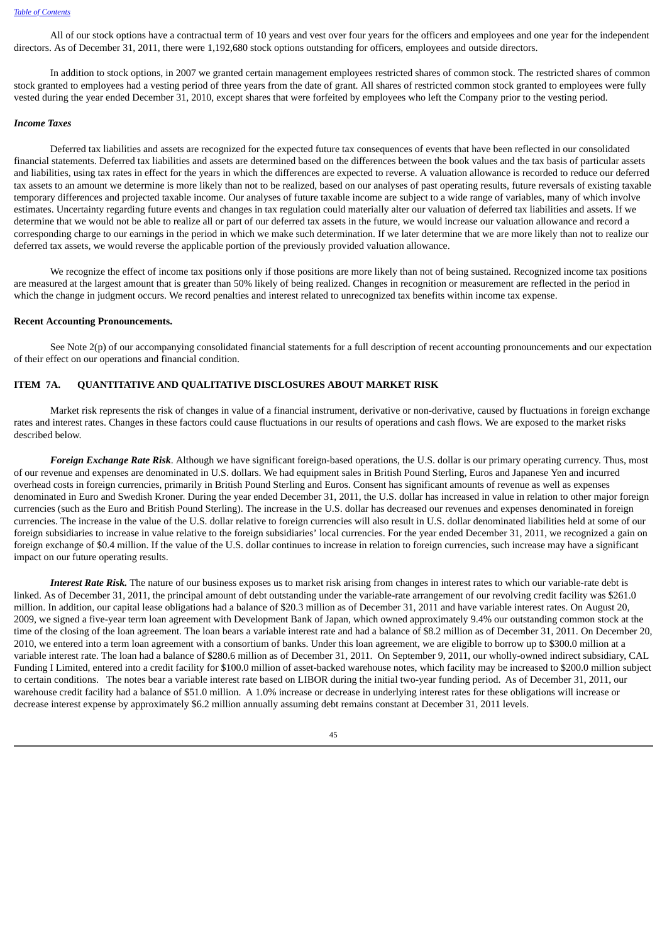All of our stock options have a contractual term of 10 years and vest over four years for the officers and employees and one year for the independent directors. As of December 31, 2011, there were 1,192,680 stock options outstanding for officers, employees and outside directors.

In addition to stock options, in 2007 we granted certain management employees restricted shares of common stock. The restricted shares of common stock granted to employees had a vesting period of three years from the date of grant. All shares of restricted common stock granted to employees were fully vested during the year ended December 31, 2010, except shares that were forfeited by employees who left the Company prior to the vesting period.

#### *Income Taxes*

Deferred tax liabilities and assets are recognized for the expected future tax consequences of events that have been reflected in our consolidated financial statements. Deferred tax liabilities and assets are determined based on the differences between the book values and the tax basis of particular assets and liabilities, using tax rates in effect for the years in which the differences are expected to reverse. A valuation allowance is recorded to reduce our deferred tax assets to an amount we determine is more likely than not to be realized, based on our analyses of past operating results, future reversals of existing taxable temporary differences and projected taxable income. Our analyses of future taxable income are subject to a wide range of variables, many of which involve estimates. Uncertainty regarding future events and changes in tax regulation could materially alter our valuation of deferred tax liabilities and assets. If we determine that we would not be able to realize all or part of our deferred tax assets in the future, we would increase our valuation allowance and record a corresponding charge to our earnings in the period in which we make such determination. If we later determine that we are more likely than not to realize our deferred tax assets, we would reverse the applicable portion of the previously provided valuation allowance.

We recognize the effect of income tax positions only if those positions are more likely than not of being sustained. Recognized income tax positions are measured at the largest amount that is greater than 50% likely of being realized. Changes in recognition or measurement are reflected in the period in which the change in judgment occurs. We record penalties and interest related to unrecognized tax benefits within income tax expense.

#### **Recent Accounting Pronouncements.**

See Note 2(p) of our accompanying consolidated financial statements for a full description of recent accounting pronouncements and our expectation of their effect on our operations and financial condition.

## **ITEM 7A. QUANTITATIVE AND QUALITATIVE DISCLOSURES ABOUT MARKET RISK**

Market risk represents the risk of changes in value of a financial instrument, derivative or non-derivative, caused by fluctuations in foreign exchange rates and interest rates. Changes in these factors could cause fluctuations in our results of operations and cash flows. We are exposed to the market risks described below.

*Foreign Exchange Rate Risk*. Although we have significant foreign-based operations, the U.S. dollar is our primary operating currency. Thus, most of our revenue and expenses are denominated in U.S. dollars. We had equipment sales in British Pound Sterling, Euros and Japanese Yen and incurred overhead costs in foreign currencies, primarily in British Pound Sterling and Euros. Consent has significant amounts of revenue as well as expenses denominated in Euro and Swedish Kroner. During the year ended December 31, 2011, the U.S. dollar has increased in value in relation to other major foreign currencies (such as the Euro and British Pound Sterling). The increase in the U.S. dollar has decreased our revenues and expenses denominated in foreign currencies. The increase in the value of the U.S. dollar relative to foreign currencies will also result in U.S. dollar denominated liabilities held at some of our foreign subsidiaries to increase in value relative to the foreign subsidiaries' local currencies. For the year ended December 31, 2011, we recognized a gain on foreign exchange of \$0.4 million. If the value of the U.S. dollar continues to increase in relation to foreign currencies, such increase may have a significant impact on our future operating results.

*Interest Rate Risk.* The nature of our business exposes us to market risk arising from changes in interest rates to which our variable-rate debt is linked. As of December 31, 2011, the principal amount of debt outstanding under the variable-rate arrangement of our revolving credit facility was \$261.0 million. In addition, our capital lease obligations had a balance of \$20.3 million as of December 31, 2011 and have variable interest rates. On August 20, 2009, we signed a five-year term loan agreement with Development Bank of Japan, which owned approximately 9.4% our outstanding common stock at the time of the closing of the loan agreement. The loan bears a variable interest rate and had a balance of \$8.2 million as of December 31, 2011. On December 20, 2010, we entered into a term loan agreement with a consortium of banks. Under this loan agreement, we are eligible to borrow up to \$300.0 million at a variable interest rate. The loan had a balance of \$280.6 million as of December 31, 2011. On September 9, 2011, our wholly-owned indirect subsidiary, CAL Funding I Limited, entered into a credit facility for \$100.0 million of asset-backed warehouse notes, which facility may be increased to \$200.0 million subject to certain conditions. The notes bear a variable interest rate based on LIBOR during the initial two-year funding period. As of December 31, 2011, our warehouse credit facility had a balance of \$51.0 million. A 1.0% increase or decrease in underlying interest rates for these obligations will increase or decrease interest expense by approximately \$6.2 million annually assuming debt remains constant at December 31, 2011 levels.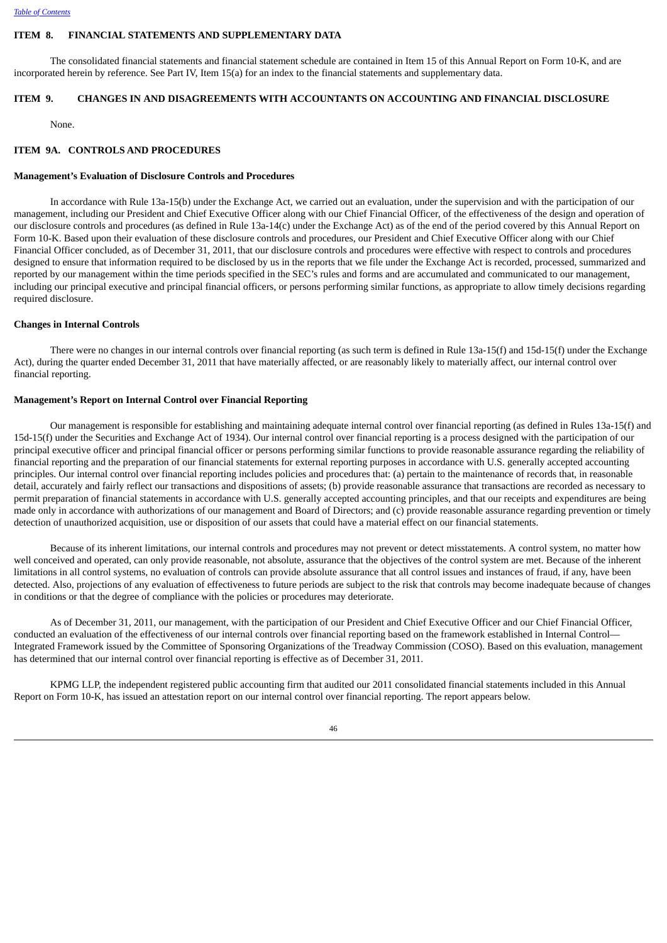## **ITEM 8. FINANCIAL STATEMENTS AND SUPPLEMENTARY DATA**

The consolidated financial statements and financial statement schedule are contained in Item 15 of this Annual Report on Form 10-K, and are incorporated herein by reference. See Part IV, Item 15(a) for an index to the financial statements and supplementary data.

## **ITEM 9. CHANGES IN AND DISAGREEMENTS WITH ACCOUNTANTS ON ACCOUNTING AND FINANCIAL DISCLOSURE**

None.

#### **ITEM 9A. CONTROLS AND PROCEDURES**

### **Management's Evaluation of Disclosure Controls and Procedures**

In accordance with Rule 13a-15(b) under the Exchange Act, we carried out an evaluation, under the supervision and with the participation of our management, including our President and Chief Executive Officer along with our Chief Financial Officer, of the effectiveness of the design and operation of our disclosure controls and procedures (as defined in Rule 13a-14(c) under the Exchange Act) as of the end of the period covered by this Annual Report on Form 10-K. Based upon their evaluation of these disclosure controls and procedures, our President and Chief Executive Officer along with our Chief Financial Officer concluded, as of December 31, 2011, that our disclosure controls and procedures were effective with respect to controls and procedures designed to ensure that information required to be disclosed by us in the reports that we file under the Exchange Act is recorded, processed, summarized and reported by our management within the time periods specified in the SEC's rules and forms and are accumulated and communicated to our management, including our principal executive and principal financial officers, or persons performing similar functions, as appropriate to allow timely decisions regarding required disclosure.

## **Changes in Internal Controls**

There were no changes in our internal controls over financial reporting (as such term is defined in Rule 13a-15(f) and 15d-15(f) under the Exchange Act), during the quarter ended December 31, 2011 that have materially affected, or are reasonably likely to materially affect, our internal control over financial reporting.

## **Management's Report on Internal Control over Financial Reporting**

Our management is responsible for establishing and maintaining adequate internal control over financial reporting (as defined in Rules 13a-15(f) and 15d-15(f) under the Securities and Exchange Act of 1934). Our internal control over financial reporting is a process designed with the participation of our principal executive officer and principal financial officer or persons performing similar functions to provide reasonable assurance regarding the reliability of financial reporting and the preparation of our financial statements for external reporting purposes in accordance with U.S. generally accepted accounting principles. Our internal control over financial reporting includes policies and procedures that: (a) pertain to the maintenance of records that, in reasonable detail, accurately and fairly reflect our transactions and dispositions of assets; (b) provide reasonable assurance that transactions are recorded as necessary to permit preparation of financial statements in accordance with U.S. generally accepted accounting principles, and that our receipts and expenditures are being made only in accordance with authorizations of our management and Board of Directors; and (c) provide reasonable assurance regarding prevention or timely detection of unauthorized acquisition, use or disposition of our assets that could have a material effect on our financial statements.

Because of its inherent limitations, our internal controls and procedures may not prevent or detect misstatements. A control system, no matter how well conceived and operated, can only provide reasonable, not absolute, assurance that the objectives of the control system are met. Because of the inherent limitations in all control systems, no evaluation of controls can provide absolute assurance that all control issues and instances of fraud, if any, have been detected. Also, projections of any evaluation of effectiveness to future periods are subject to the risk that controls may become inadequate because of changes in conditions or that the degree of compliance with the policies or procedures may deteriorate.

As of December 31, 2011, our management, with the participation of our President and Chief Executive Officer and our Chief Financial Officer, conducted an evaluation of the effectiveness of our internal controls over financial reporting based on the framework established in Internal Control— Integrated Framework issued by the Committee of Sponsoring Organizations of the Treadway Commission (COSO). Based on this evaluation, management has determined that our internal control over financial reporting is effective as of December 31, 2011.

KPMG LLP, the independent registered public accounting firm that audited our 2011 consolidated financial statements included in this Annual Report on Form 10-K, has issued an attestation report on our internal control over financial reporting. The report appears below.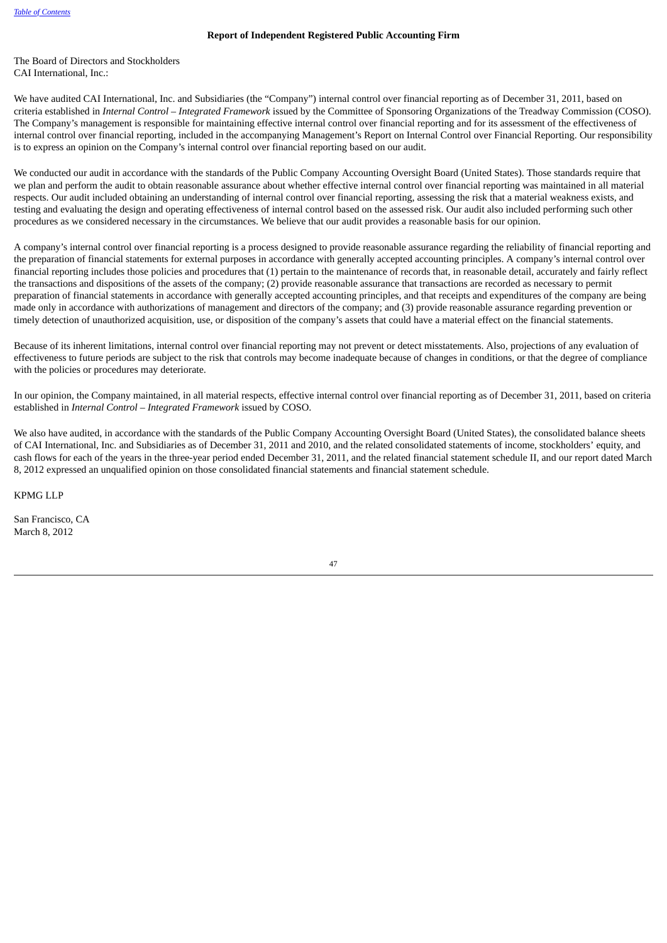## **Report of Independent Registered Public Accounting Firm**

The Board of Directors and Stockholders CAI International, Inc.:

We have audited CAI International, Inc. and Subsidiaries (the "Company") internal control over financial reporting as of December 31, 2011, based on criteria established in *Internal Control – Integrated Framework* issued by the Committee of Sponsoring Organizations of the Treadway Commission (COSO). The Company's management is responsible for maintaining effective internal control over financial reporting and for its assessment of the effectiveness of internal control over financial reporting, included in the accompanying Management's Report on Internal Control over Financial Reporting. Our responsibility is to express an opinion on the Company's internal control over financial reporting based on our audit.

We conducted our audit in accordance with the standards of the Public Company Accounting Oversight Board (United States). Those standards require that we plan and perform the audit to obtain reasonable assurance about whether effective internal control over financial reporting was maintained in all material respects. Our audit included obtaining an understanding of internal control over financial reporting, assessing the risk that a material weakness exists, and testing and evaluating the design and operating effectiveness of internal control based on the assessed risk. Our audit also included performing such other procedures as we considered necessary in the circumstances. We believe that our audit provides a reasonable basis for our opinion.

A company's internal control over financial reporting is a process designed to provide reasonable assurance regarding the reliability of financial reporting and the preparation of financial statements for external purposes in accordance with generally accepted accounting principles. A company's internal control over financial reporting includes those policies and procedures that (1) pertain to the maintenance of records that, in reasonable detail, accurately and fairly reflect the transactions and dispositions of the assets of the company; (2) provide reasonable assurance that transactions are recorded as necessary to permit preparation of financial statements in accordance with generally accepted accounting principles, and that receipts and expenditures of the company are being made only in accordance with authorizations of management and directors of the company; and (3) provide reasonable assurance regarding prevention or timely detection of unauthorized acquisition, use, or disposition of the company's assets that could have a material effect on the financial statements.

Because of its inherent limitations, internal control over financial reporting may not prevent or detect misstatements. Also, projections of any evaluation of effectiveness to future periods are subject to the risk that controls may become inadequate because of changes in conditions, or that the degree of compliance with the policies or procedures may deteriorate.

In our opinion, the Company maintained, in all material respects, effective internal control over financial reporting as of December 31, 2011, based on criteria established in *Internal Control – Integrated Framework* issued by COSO.

We also have audited, in accordance with the standards of the Public Company Accounting Oversight Board (United States), the consolidated balance sheets of CAI International, Inc. and Subsidiaries as of December 31, 2011 and 2010, and the related consolidated statements of income, stockholders' equity, and cash flows for each of the years in the three-year period ended December 31, 2011, and the related financial statement schedule II, and our report dated March 8, 2012 expressed an unqualified opinion on those consolidated financial statements and financial statement schedule.

KPMG LLP

San Francisco, CA March 8, 2012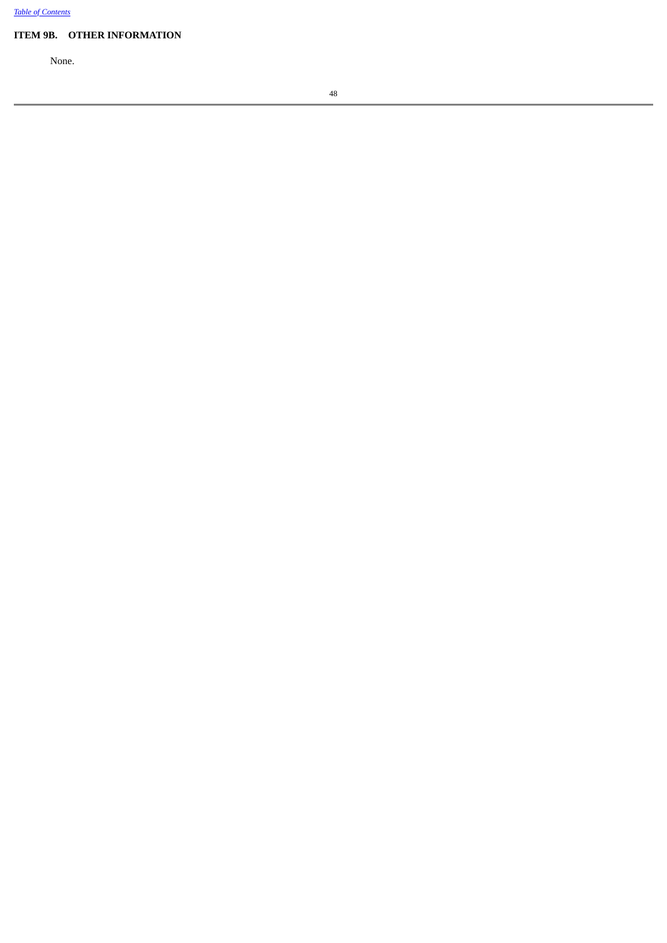# **ITEM 9B. OTHER INFORMATION**

None.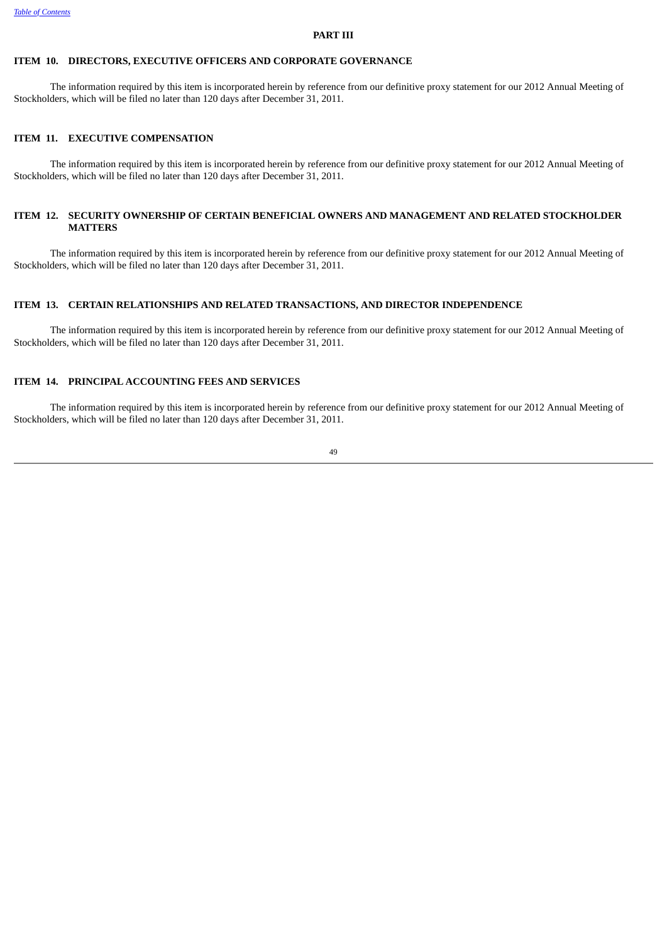### **PART III**

## **ITEM 10. DIRECTORS, EXECUTIVE OFFICERS AND CORPORATE GOVERNANCE**

The information required by this item is incorporated herein by reference from our definitive proxy statement for our 2012 Annual Meeting of Stockholders, which will be filed no later than 120 days after December 31, 2011.

### **ITEM 11. EXECUTIVE COMPENSATION**

The information required by this item is incorporated herein by reference from our definitive proxy statement for our 2012 Annual Meeting of Stockholders, which will be filed no later than 120 days after December 31, 2011.

## **ITEM 12. SECURITY OWNERSHIP OF CERTAIN BENEFICIAL OWNERS AND MANAGEMENT AND RELATED STOCKHOLDER MATTERS**

The information required by this item is incorporated herein by reference from our definitive proxy statement for our 2012 Annual Meeting of Stockholders, which will be filed no later than 120 days after December 31, 2011.

### **ITEM 13. CERTAIN RELATIONSHIPS AND RELATED TRANSACTIONS, AND DIRECTOR INDEPENDENCE**

The information required by this item is incorporated herein by reference from our definitive proxy statement for our 2012 Annual Meeting of Stockholders, which will be filed no later than 120 days after December 31, 2011.

## **ITEM 14. PRINCIPAL ACCOUNTING FEES AND SERVICES**

The information required by this item is incorporated herein by reference from our definitive proxy statement for our 2012 Annual Meeting of Stockholders, which will be filed no later than 120 days after December 31, 2011.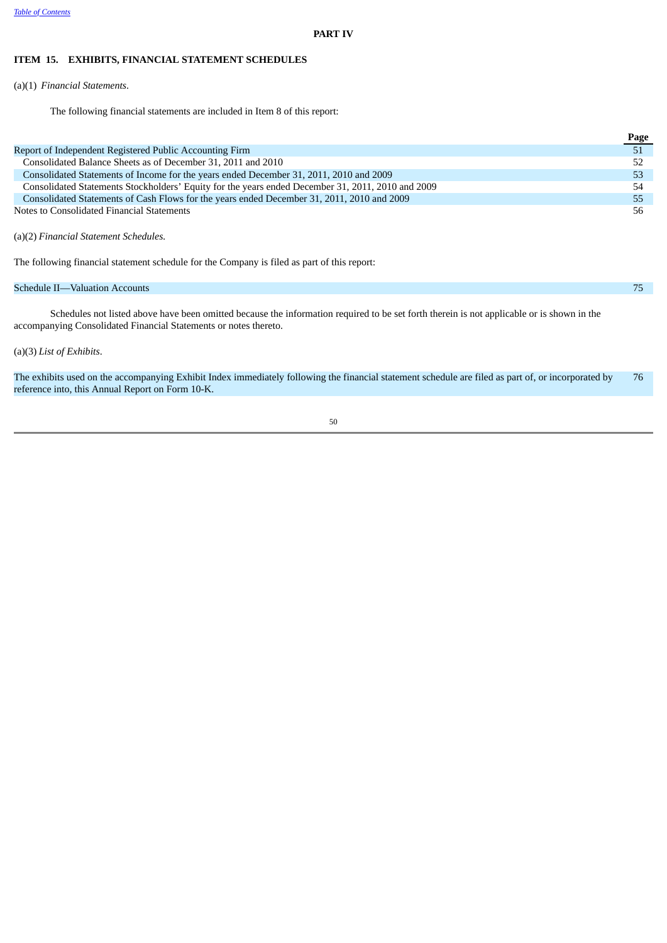**PART IV**

## **ITEM 15. EXHIBITS, FINANCIAL STATEMENT SCHEDULES**

(a)(1) *Financial Statements*.

The following financial statements are included in Item 8 of this report:

|                                                                                                   | Page |
|---------------------------------------------------------------------------------------------------|------|
| Report of Independent Registered Public Accounting Firm                                           |      |
| Consolidated Balance Sheets as of December 31, 2011 and 2010                                      |      |
| Consolidated Statements of Income for the years ended December 31, 2011, 2010 and 2009            |      |
| Consolidated Statements Stockholders' Equity for the years ended December 31, 2011, 2010 and 2009 |      |
| Consolidated Statements of Cash Flows for the years ended December 31, 2011, 2010 and 2009        |      |
| Notes to Consolidated Financial Statements                                                        | 56   |

(a)(2) *Financial Statement Schedules.*

The following financial statement schedule for the Company is filed as part of this report:

# Schedule II—Valuation Accounts 75

Schedules not listed above have been omitted because the information required to be set forth therein is not applicable or is shown in the accompanying Consolidated Financial Statements or notes thereto.

(a)(3) *List of Exhibits*.

The exhibits used on the accompanying Exhibit Index immediately following the financial statement schedule are filed as part of, or incorporated by reference into, this Annual Report on Form 10-K. 76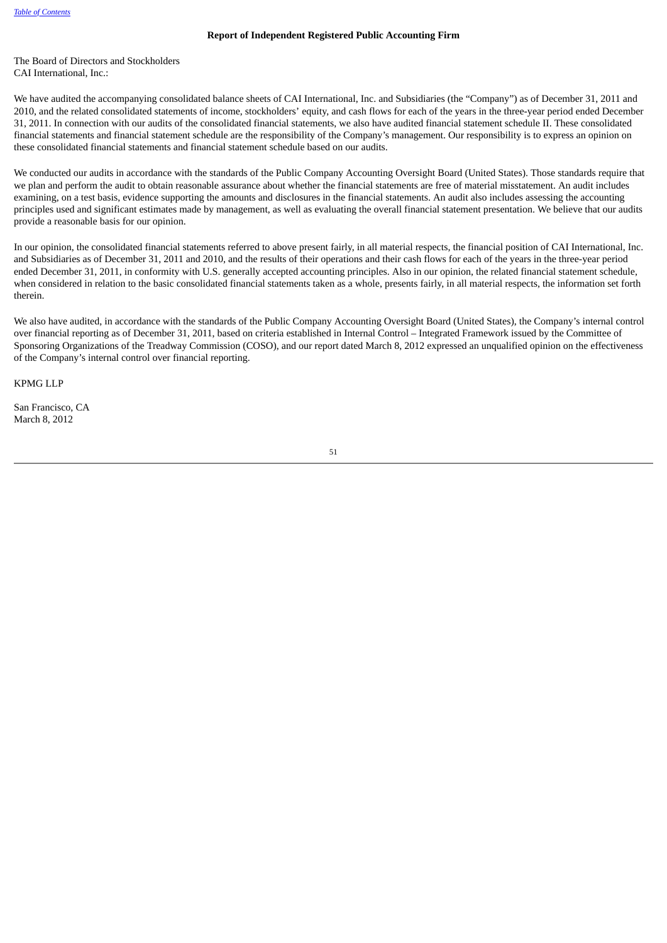## **Report of Independent Registered Public Accounting Firm**

The Board of Directors and Stockholders CAI International, Inc.:

We have audited the accompanying consolidated balance sheets of CAI International, Inc. and Subsidiaries (the "Company") as of December 31, 2011 and 2010, and the related consolidated statements of income, stockholders' equity, and cash flows for each of the years in the three-year period ended December 31, 2011. In connection with our audits of the consolidated financial statements, we also have audited financial statement schedule II. These consolidated financial statements and financial statement schedule are the responsibility of the Company's management. Our responsibility is to express an opinion on these consolidated financial statements and financial statement schedule based on our audits.

We conducted our audits in accordance with the standards of the Public Company Accounting Oversight Board (United States). Those standards require that we plan and perform the audit to obtain reasonable assurance about whether the financial statements are free of material misstatement. An audit includes examining, on a test basis, evidence supporting the amounts and disclosures in the financial statements. An audit also includes assessing the accounting principles used and significant estimates made by management, as well as evaluating the overall financial statement presentation. We believe that our audits provide a reasonable basis for our opinion.

In our opinion, the consolidated financial statements referred to above present fairly, in all material respects, the financial position of CAI International, Inc. and Subsidiaries as of December 31, 2011 and 2010, and the results of their operations and their cash flows for each of the years in the three-year period ended December 31, 2011, in conformity with U.S. generally accepted accounting principles. Also in our opinion, the related financial statement schedule, when considered in relation to the basic consolidated financial statements taken as a whole, presents fairly, in all material respects, the information set forth therein.

We also have audited, in accordance with the standards of the Public Company Accounting Oversight Board (United States), the Company's internal control over financial reporting as of December 31, 2011, based on criteria established in Internal Control – Integrated Framework issued by the Committee of Sponsoring Organizations of the Treadway Commission (COSO), and our report dated March 8, 2012 expressed an unqualified opinion on the effectiveness of the Company's internal control over financial reporting.

KPMG LLP

San Francisco, CA March 8, 2012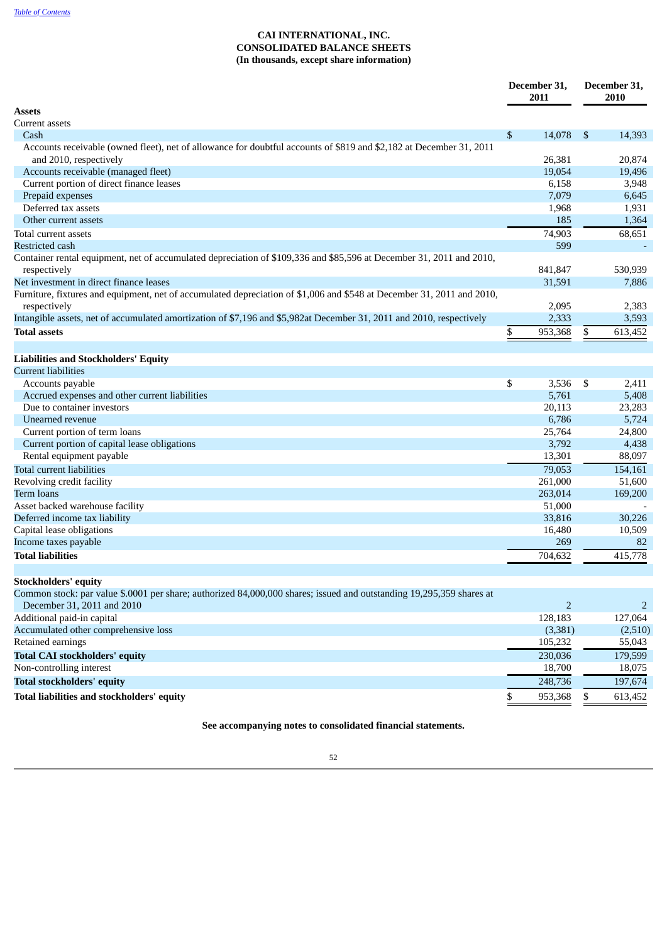# **CAI INTERNATIONAL, INC. CONSOLIDATED BALANCE SHEETS (In thousands, except share information)**

|                                                                                                                                                    |    | December 31,<br>2011 |    | December 31,<br>2010 |  |
|----------------------------------------------------------------------------------------------------------------------------------------------------|----|----------------------|----|----------------------|--|
| <b>Assets</b>                                                                                                                                      |    |                      |    |                      |  |
| Current assets                                                                                                                                     |    |                      |    |                      |  |
| Cash                                                                                                                                               | \$ | 14,078               | \$ | 14,393               |  |
| Accounts receivable (owned fleet), net of allowance for doubtful accounts of \$819 and \$2,182 at December 31, 2011<br>and 2010, respectively      |    | 26,381               |    | 20,874               |  |
| Accounts receivable (managed fleet)                                                                                                                |    | 19,054               |    | 19,496               |  |
| Current portion of direct finance leases                                                                                                           |    | 6,158                |    | 3,948                |  |
| Prepaid expenses                                                                                                                                   |    | 7,079                |    | 6,645                |  |
| Deferred tax assets                                                                                                                                |    | 1,968                |    | 1,931                |  |
| Other current assets                                                                                                                               |    | 185                  |    | 1,364                |  |
| Total current assets                                                                                                                               |    | 74,903               |    | 68,651               |  |
| Restricted cash                                                                                                                                    |    | 599                  |    |                      |  |
| Container rental equipment, net of accumulated depreciation of \$109,336 and \$85,596 at December 31, 2011 and 2010,<br>respectively               |    | 841,847              |    | 530,939              |  |
| Net investment in direct finance leases                                                                                                            |    | 31,591               |    | 7,886                |  |
| Furniture, fixtures and equipment, net of accumulated depreciation of \$1,006 and \$548 at December 31, 2011 and 2010,<br>respectively             |    | 2,095                |    | 2,383                |  |
| Intangible assets, net of accumulated amortization of \$7,196 and \$5,982at December 31, 2011 and 2010, respectively                               |    | 2,333                |    | 3,593                |  |
|                                                                                                                                                    |    |                      |    |                      |  |
| <b>Total assets</b>                                                                                                                                | \$ | 953,368              | \$ | 613,452              |  |
| <b>Liabilities and Stockholders' Equity</b>                                                                                                        |    |                      |    |                      |  |
| <b>Current liabilities</b>                                                                                                                         |    |                      |    |                      |  |
| Accounts payable                                                                                                                                   | \$ | 3,536                | \$ | 2,411                |  |
| Accrued expenses and other current liabilities                                                                                                     |    | 5,761                |    | 5,408                |  |
| Due to container investors                                                                                                                         |    | 20,113               |    | 23,283               |  |
| Unearned revenue                                                                                                                                   |    | 6,786                |    | 5,724                |  |
| Current portion of term loans                                                                                                                      |    | 25,764               |    | 24,800               |  |
| Current portion of capital lease obligations                                                                                                       |    | 3,792                |    | 4,438                |  |
| Rental equipment payable                                                                                                                           |    | 13,301               |    | 88,097               |  |
| <b>Total current liabilities</b>                                                                                                                   |    | 79,053               |    | 154,161              |  |
| Revolving credit facility                                                                                                                          |    | 261,000              |    | 51,600               |  |
| Term loans                                                                                                                                         |    | 263,014              |    | 169,200              |  |
| Asset backed warehouse facility                                                                                                                    |    | 51,000               |    |                      |  |
| Deferred income tax liability                                                                                                                      |    | 33,816               |    | 30,226               |  |
| Capital lease obligations                                                                                                                          |    | 16,480               |    | 10,509               |  |
| Income taxes payable                                                                                                                               |    | 269                  |    | 82                   |  |
| <b>Total liabilities</b>                                                                                                                           |    | 704,632              |    | 415,778              |  |
| <b>Stockholders' equity</b>                                                                                                                        |    |                      |    |                      |  |
| Common stock: par value \$.0001 per share; authorized 84,000,000 shares; issued and outstanding 19,295,359 shares at<br>December 31, 2011 and 2010 |    | $\overline{2}$       |    | 2                    |  |
| Additional paid-in capital                                                                                                                         |    | 128,183              |    | 127,064              |  |
| Accumulated other comprehensive loss                                                                                                               |    | (3, 381)             |    | (2,510)              |  |
| Retained earnings                                                                                                                                  |    | 105,232              |    | 55,043               |  |
| <b>Total CAI stockholders' equity</b>                                                                                                              |    | 230,036              |    | 179,599              |  |
| Non-controlling interest                                                                                                                           |    | 18,700               |    | 18,075               |  |
| <b>Total stockholders' equity</b>                                                                                                                  |    | 248,736              |    | 197,674              |  |
| <b>Total liabilities and stockholders' equity</b>                                                                                                  | \$ | 953,368              | \$ | 613,452              |  |
|                                                                                                                                                    |    |                      |    |                      |  |

**See accompanying notes to consolidated financial statements.**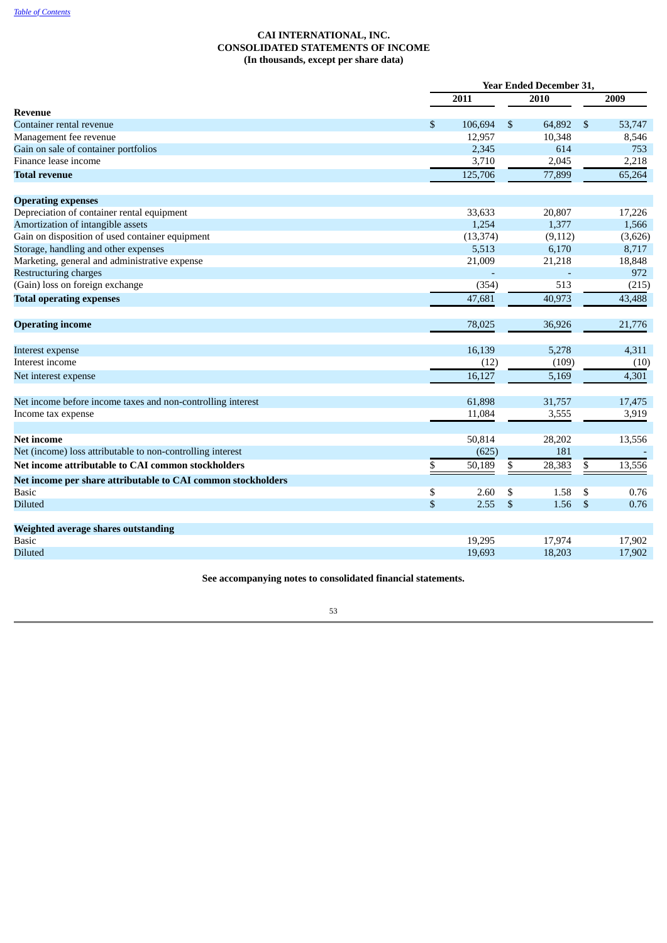# **CAI INTERNATIONAL, INC. CONSOLIDATED STATEMENTS OF INCOME (In thousands, except per share data)**

|                                                              | <b>Year Ended December 31,</b> |           |                           |          |                |         |
|--------------------------------------------------------------|--------------------------------|-----------|---------------------------|----------|----------------|---------|
|                                                              |                                | 2011      |                           | 2010     |                | 2009    |
| <b>Revenue</b>                                               |                                |           |                           |          |                |         |
| Container rental revenue                                     | \$                             | 106.694   | $\mathbb{S}$              | 64,892   | $\mathfrak{s}$ | 53,747  |
| Management fee revenue                                       |                                | 12,957    |                           | 10,348   |                | 8,546   |
| Gain on sale of container portfolios                         |                                | 2,345     |                           | 614      |                | 753     |
| Finance lease income                                         |                                | 3,710     |                           | 2,045    |                | 2,218   |
| <b>Total revenue</b>                                         |                                | 125,706   |                           | 77.899   |                | 65,264  |
| <b>Operating expenses</b>                                    |                                |           |                           |          |                |         |
| Depreciation of container rental equipment                   |                                | 33,633    |                           | 20,807   |                | 17,226  |
| Amortization of intangible assets                            |                                | 1,254     |                           | 1,377    |                | 1,566   |
| Gain on disposition of used container equipment              |                                | (13, 374) |                           | (9, 112) |                | (3,626) |
| Storage, handling and other expenses                         |                                | 5,513     |                           | 6,170    |                | 8,717   |
| Marketing, general and administrative expense                |                                | 21,009    |                           | 21,218   |                | 18,848  |
| Restructuring charges                                        |                                |           |                           |          |                | 972     |
| (Gain) loss on foreign exchange                              |                                | (354)     |                           | 513      |                | (215)   |
| <b>Total operating expenses</b>                              |                                | 47,681    |                           | 40,973   |                | 43,488  |
| <b>Operating income</b>                                      |                                | 78,025    |                           | 36,926   |                | 21,776  |
| Interest expense                                             |                                | 16,139    |                           | 5,278    |                | 4,311   |
| Interest income                                              |                                | (12)      |                           | (109)    |                | (10)    |
| Net interest expense                                         |                                | 16,127    |                           | 5,169    |                | 4,301   |
| Net income before income taxes and non-controlling interest  |                                | 61,898    |                           | 31,757   |                | 17,475  |
| Income tax expense                                           |                                | 11,084    |                           | 3,555    |                | 3,919   |
| <b>Net income</b>                                            |                                | 50,814    |                           | 28,202   |                | 13,556  |
| Net (income) loss attributable to non-controlling interest   |                                | (625)     |                           | 181      |                |         |
| Net income attributable to CAI common stockholders           | \$                             | 50,189    | \$                        | 28,383   | \$             | 13,556  |
| Net income per share attributable to CAI common stockholders |                                |           |                           |          |                |         |
| <b>Basic</b>                                                 | \$                             | 2.60      | \$                        | 1.58     | \$             | 0.76    |
| <b>Diluted</b>                                               | \$                             | 2.55      | $\boldsymbol{\mathsf{S}}$ | 1.56     | \$             | 0.76    |
| Weighted average shares outstanding                          |                                |           |                           |          |                |         |
| <b>Basic</b>                                                 |                                | 19.295    |                           | 17,974   |                | 17,902  |
| <b>Diluted</b>                                               |                                | 19,693    |                           | 18,203   |                | 17,902  |

**See accompanying notes to consolidated financial statements.**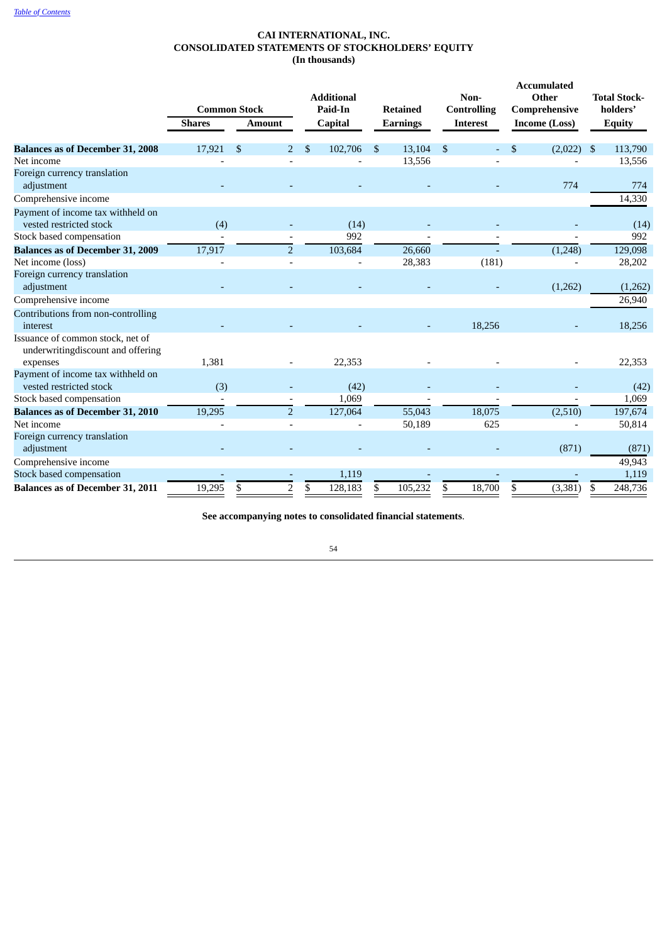# **CAI INTERNATIONAL, INC. CONSOLIDATED STATEMENTS OF STOCKHOLDERS' EQUITY (In thousands)**

|                                                                       | <b>Common Stock</b>      |                                |              | <b>Additional</b><br>Paid-In | <b>Retained</b> | Non-<br><b>Controlling</b> | <b>Accumulated</b><br>Other<br>Comprehensive |                      | <b>Total Stock-</b><br>holders' |
|-----------------------------------------------------------------------|--------------------------|--------------------------------|--------------|------------------------------|-----------------|----------------------------|----------------------------------------------|----------------------|---------------------------------|
|                                                                       | <b>Shares</b>            | <b>Amount</b>                  |              | <b>Capital</b>               | <b>Earnings</b> | <b>Interest</b>            |                                              | <b>Income (Loss)</b> | <b>Equity</b>                   |
| <b>Balances as of December 31, 2008</b>                               | 17,921                   | $\mathbb{S}$<br>$\overline{2}$ | $\mathbb{S}$ | 102,706                      | \$<br>13,104    | \$                         | \$                                           | $(2,022)$ \$         | 113,790                         |
| Net income                                                            |                          |                                |              |                              | 13,556          |                            |                                              |                      | 13,556                          |
| Foreign currency translation<br>adjustment                            |                          |                                |              |                              |                 |                            |                                              | 774                  | 774                             |
| Comprehensive income                                                  |                          |                                |              |                              |                 |                            |                                              |                      | 14,330                          |
| Payment of income tax withheld on<br>vested restricted stock          | (4)                      |                                |              | (14)                         |                 |                            |                                              |                      | (14)                            |
| Stock based compensation                                              | $\overline{\phantom{a}}$ |                                |              | 992                          |                 |                            |                                              |                      | 992                             |
| <b>Balances as of December 31, 2009</b>                               | 17,917                   | $\overline{2}$                 |              | 103,684                      | 26,660          |                            |                                              | (1,248)              | 129,098                         |
| Net income (loss)                                                     |                          |                                |              |                              | 28,383          | (181)                      |                                              |                      | 28,202                          |
| Foreign currency translation<br>adjustment                            |                          |                                |              |                              |                 |                            |                                              | (1,262)              | (1,262)                         |
| Comprehensive income                                                  |                          |                                |              |                              |                 |                            |                                              |                      | 26,940                          |
| Contributions from non-controlling<br>interest                        |                          |                                |              |                              |                 | 18,256                     |                                              |                      | 18,256                          |
| Issuance of common stock, net of<br>underwritingdiscount and offering |                          |                                |              |                              |                 |                            |                                              |                      |                                 |
| expenses<br>Payment of income tax withheld on                         | 1,381                    |                                |              | 22,353                       |                 |                            |                                              |                      | 22,353                          |
| vested restricted stock                                               | (3)                      |                                |              | (42)                         |                 |                            |                                              |                      | (42)                            |
| Stock based compensation                                              |                          |                                |              | 1,069                        |                 |                            |                                              |                      | 1,069                           |
| <b>Balances as of December 31, 2010</b>                               | 19,295                   | $\overline{2}$                 |              | 127,064                      | 55,043          | 18,075                     |                                              | (2,510)              | 197,674                         |
| Net income                                                            |                          |                                |              |                              | 50,189          | 625                        |                                              |                      | 50,814                          |
| Foreign currency translation<br>adjustment                            |                          |                                |              |                              |                 |                            |                                              | (871)                | (871)                           |
| Comprehensive income                                                  |                          |                                |              |                              |                 |                            |                                              |                      | 49,943                          |
| Stock based compensation                                              |                          |                                |              | 1,119                        |                 |                            |                                              |                      | 1,119                           |
| <b>Balances as of December 31, 2011</b>                               | 19,295                   | 2<br>\$                        | \$           | 128,183                      | \$<br>105,232   | \$<br>18,700               | \$                                           | (3, 381)             | \$<br>248,736                   |

**See accompanying notes to consolidated financial statements**.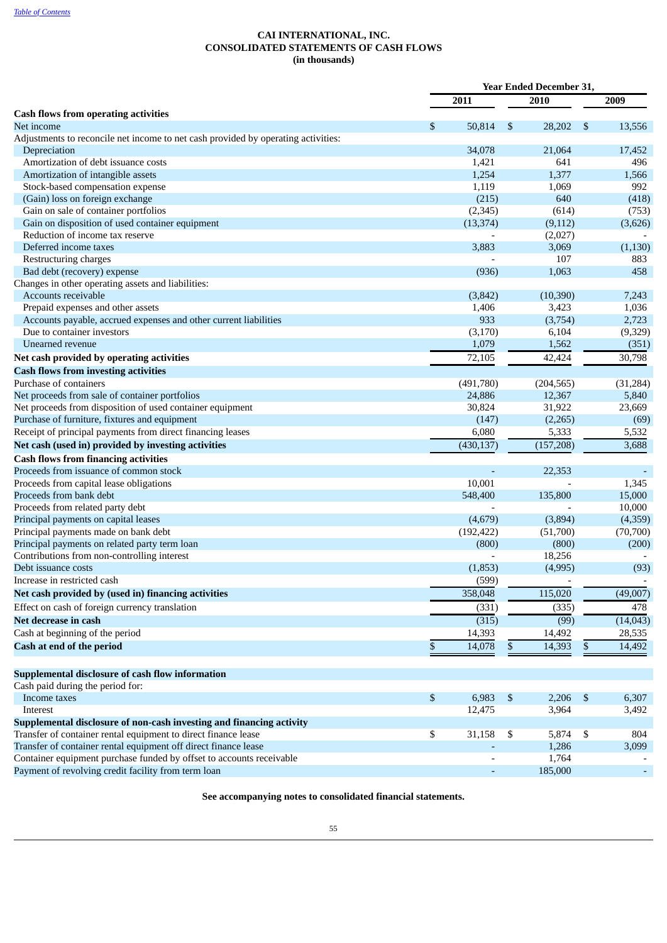## **CAI INTERNATIONAL, INC. CONSOLIDATED STATEMENTS OF CASH FLOWS (in thousands)**

|                                                                                   |                          | <b>Year Ended December 31,</b> |      |           |
|-----------------------------------------------------------------------------------|--------------------------|--------------------------------|------|-----------|
|                                                                                   | 2011                     | <b>2010</b>                    | 2009 |           |
| <b>Cash flows from operating activities</b>                                       |                          |                                |      |           |
| Net income                                                                        | \$<br>50,814             | \$<br>28,202                   | \$   | 13,556    |
| Adjustments to reconcile net income to net cash provided by operating activities: |                          |                                |      |           |
| Depreciation                                                                      | 34,078                   | 21,064                         |      | 17,452    |
| Amortization of debt issuance costs                                               | 1,421                    | 641                            |      | 496       |
| Amortization of intangible assets                                                 | 1,254                    | 1,377                          |      | 1,566     |
| Stock-based compensation expense                                                  | 1,119                    | 1,069                          |      | 992       |
| (Gain) loss on foreign exchange                                                   | (215)                    | 640                            |      | (418)     |
| Gain on sale of container portfolios                                              | (2, 345)                 | (614)                          |      | (753)     |
| Gain on disposition of used container equipment                                   | (13, 374)                | (9, 112)                       |      | (3,626)   |
| Reduction of income tax reserve                                                   |                          | (2,027)                        |      |           |
| Deferred income taxes                                                             | 3,883                    | 3,069                          |      | (1,130)   |
| Restructuring charges                                                             |                          | 107                            |      | 883       |
| Bad debt (recovery) expense                                                       | (936)                    | 1,063                          |      | 458       |
| Changes in other operating assets and liabilities:                                |                          |                                |      |           |
| Accounts receivable                                                               | (3, 842)                 | (10, 390)                      |      | 7,243     |
| Prepaid expenses and other assets                                                 | 1,406                    | 3,423                          |      | 1,036     |
| Accounts payable, accrued expenses and other current liabilities                  | 933                      | (3,754)                        |      | 2,723     |
| Due to container investors                                                        | (3,170)                  | 6,104                          |      | (9,329)   |
| Unearned revenue                                                                  | 1,079                    | 1,562                          |      | (351)     |
| Net cash provided by operating activities                                         | 72,105                   | 42,424                         |      | 30,798    |
| <b>Cash flows from investing activities</b>                                       |                          |                                |      |           |
| Purchase of containers                                                            | (491,780)                | (204, 565)                     |      | (31, 284) |
| Net proceeds from sale of container portfolios                                    | 24,886                   | 12,367                         |      | 5,840     |
| Net proceeds from disposition of used container equipment                         | 30,824                   | 31,922                         |      | 23,669    |
| Purchase of furniture, fixtures and equipment                                     | (147)                    | (2,265)                        |      | (69)      |
| Receipt of principal payments from direct financing leases                        | 6,080                    | 5,333                          |      | 5,532     |
| Net cash (used in) provided by investing activities                               | (430, 137)               | (157, 208)                     |      | 3,688     |
| <b>Cash flows from financing activities</b>                                       |                          |                                |      |           |
| Proceeds from issuance of common stock                                            |                          | 22,353                         |      |           |
| Proceeds from capital lease obligations                                           | 10,001                   |                                |      | 1,345     |
| Proceeds from bank debt                                                           | 548,400                  | 135,800                        |      | 15,000    |
| Proceeds from related party debt                                                  |                          |                                |      | 10,000    |
| Principal payments on capital leases                                              | (4,679)                  | (3,894)                        |      | (4,359)   |
| Principal payments made on bank debt                                              | (192, 422)               | (51,700)                       |      | (70, 700) |
| Principal payments on related party term loan                                     | (800)                    | (800)                          |      | (200)     |
| Contributions from non-controlling interest                                       |                          | 18,256                         |      |           |
| Debt issuance costs                                                               | (1,853)                  | (4,995)                        |      | (93)      |
| Increase in restricted cash                                                       | (599)                    |                                |      |           |
| Net cash provided by (used in) financing activities                               | 358,048                  | 115,020                        |      | (49,007)  |
|                                                                                   |                          |                                |      |           |
| Effect on cash of foreign currency translation                                    | (331)                    | (335)                          |      | 478       |
| Net decrease in cash                                                              | (315)                    | (99)                           |      | (14, 043) |
| Cash at beginning of the period                                                   | 14,393                   | 14,492                         |      | 28,535    |
| Cash at end of the period                                                         | \$<br>14,078             | \$<br>14,393                   | \$   | 14,492    |
| Supplemental disclosure of cash flow information                                  |                          |                                |      |           |
| Cash paid during the period for:                                                  |                          |                                |      |           |
| Income taxes                                                                      | \$<br>6,983              | \$<br>2,206                    | $\$$ | 6,307     |
| Interest                                                                          | 12,475                   | 3,964                          |      | 3,492     |
| Supplemental disclosure of non-cash investing and financing activity              |                          |                                |      |           |
| Transfer of container rental equipment to direct finance lease                    | \$<br>31,158             | \$<br>5,874                    | \$   | 804       |
| Transfer of container rental equipment off direct finance lease                   |                          | 1,286                          |      | 3,099     |
| Container equipment purchase funded by offset to accounts receivable              |                          | 1,764                          |      |           |
| Payment of revolving credit facility from term loan                               | $\overline{\phantom{a}}$ | 185,000                        |      |           |

**See accompanying notes to consolidated financial statements.**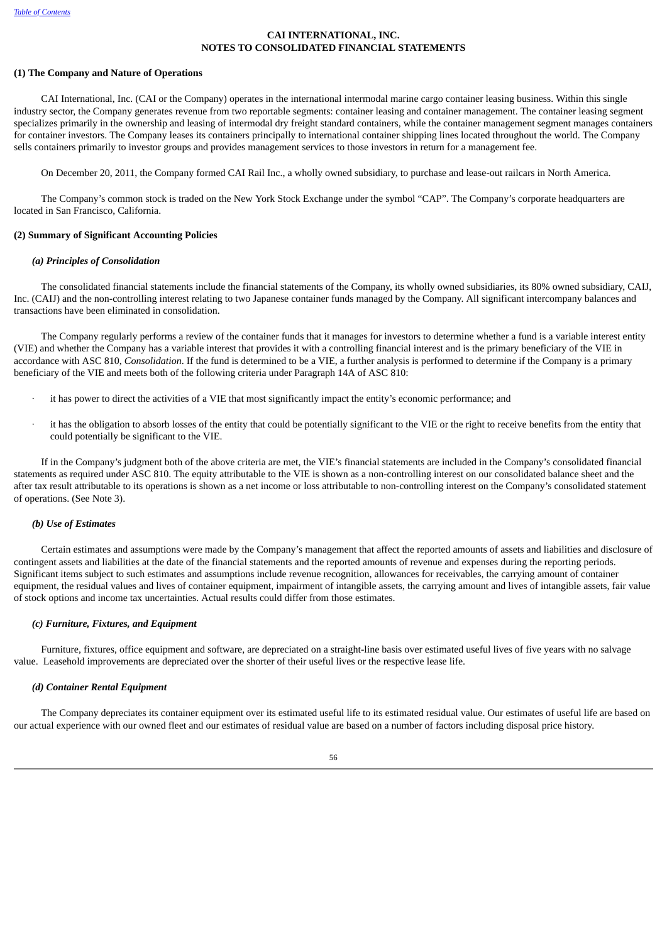## **CAI INTERNATIONAL, INC. NOTES TO CONSOLIDATED FINANCIAL STATEMENTS**

## **(1) The Company and Nature of Operations**

CAI International, Inc. (CAI or the Company) operates in the international intermodal marine cargo container leasing business. Within this single industry sector, the Company generates revenue from two reportable segments: container leasing and container management. The container leasing segment specializes primarily in the ownership and leasing of intermodal dry freight standard containers, while the container management segment manages containers for container investors. The Company leases its containers principally to international container shipping lines located throughout the world. The Company sells containers primarily to investor groups and provides management services to those investors in return for a management fee.

On December 20, 2011, the Company formed CAI Rail Inc., a wholly owned subsidiary, to purchase and lease-out railcars in North America.

The Company's common stock is traded on the New York Stock Exchange under the symbol "CAP". The Company's corporate headquarters are located in San Francisco, California.

#### **(2) Summary of Significant Accounting Policies**

### *(a) Principles of Consolidation*

The consolidated financial statements include the financial statements of the Company, its wholly owned subsidiaries, its 80% owned subsidiary, CAIJ, Inc. (CAIJ) and the non-controlling interest relating to two Japanese container funds managed by the Company. All significant intercompany balances and transactions have been eliminated in consolidation.

The Company regularly performs a review of the container funds that it manages for investors to determine whether a fund is a variable interest entity (VIE) and whether the Company has a variable interest that provides it with a controlling financial interest and is the primary beneficiary of the VIE in accordance with ASC 810, *Consolidation*. If the fund is determined to be a VIE, a further analysis is performed to determine if the Company is a primary beneficiary of the VIE and meets both of the following criteria under Paragraph 14A of ASC 810:

- it has power to direct the activities of a VIE that most significantly impact the entity's economic performance; and
- it has the obligation to absorb losses of the entity that could be potentially significant to the VIE or the right to receive benefits from the entity that could potentially be significant to the VIE.

If in the Company's judgment both of the above criteria are met, the VIE's financial statements are included in the Company's consolidated financial statements as required under ASC 810. The equity attributable to the VIE is shown as a non-controlling interest on our consolidated balance sheet and the after tax result attributable to its operations is shown as a net income or loss attributable to non-controlling interest on the Company's consolidated statement of operations. (See Note 3).

#### *(b) Use of Estimates*

Certain estimates and assumptions were made by the Company's management that affect the reported amounts of assets and liabilities and disclosure of contingent assets and liabilities at the date of the financial statements and the reported amounts of revenue and expenses during the reporting periods. Significant items subject to such estimates and assumptions include revenue recognition, allowances for receivables, the carrying amount of container equipment, the residual values and lives of container equipment, impairment of intangible assets, the carrying amount and lives of intangible assets, fair value of stock options and income tax uncertainties. Actual results could differ from those estimates.

#### *(c) Furniture, Fixtures, and Equipment*

Furniture, fixtures, office equipment and software, are depreciated on a straight-line basis over estimated useful lives of five years with no salvage value. Leasehold improvements are depreciated over the shorter of their useful lives or the respective lease life.

#### *(d) Container Rental Equipment*

The Company depreciates its container equipment over its estimated useful life to its estimated residual value. Our estimates of useful life are based on our actual experience with our owned fleet and our estimates of residual value are based on a number of factors including disposal price history.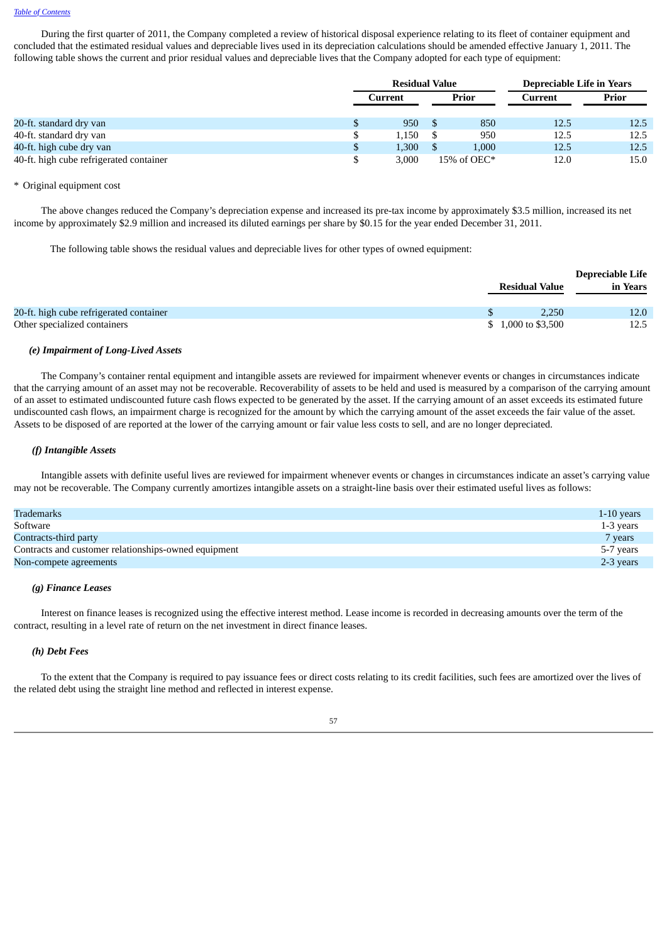#### *Table of [Contents](#page-2-0)*

During the first quarter of 2011, the Company completed a review of historical disposal experience relating to its fleet of container equipment and concluded that the estimated residual values and depreciable lives used in its depreciation calculations should be amended effective January 1, 2011. The following table shows the current and prior residual values and depreciable lives that the Company adopted for each type of equipment:

|                                         |                | <b>Residual Value</b> |  |             | <b>Depreciable Life in Years</b> |       |  |
|-----------------------------------------|----------------|-----------------------|--|-------------|----------------------------------|-------|--|
|                                         |                | Current               |  | Prior       | Current                          | Prior |  |
| 20-ft. standard dry van                 |                | 950                   |  | 850         | 12.5                             | 12.5  |  |
| 40-ft. standard dry van                 | \$             | 1.150                 |  | 950         | 12.5                             | 12.5  |  |
| 40-ft. high cube dry van                | $\mathfrak{S}$ | 1.300                 |  | 1.000       | 12.5                             | 12.5  |  |
| 40-ft. high cube refrigerated container |                | 3,000                 |  | 15% of OEC* | 12.0                             | 15.0  |  |

#### \* Original equipment cost

The above changes reduced the Company's depreciation expense and increased its pre-tax income by approximately \$3.5 million, increased its net income by approximately \$2.9 million and increased its diluted earnings per share by \$0.15 for the year ended December 31, 2011.

The following table shows the residual values and depreciable lives for other types of owned equipment:

|                                         |                       | Depreciable Life |
|-----------------------------------------|-----------------------|------------------|
|                                         | <b>Residual Value</b> | in Years         |
|                                         |                       |                  |
| 20-ft. high cube refrigerated container | 2.250                 | 12.0             |
| Other specialized containers            | $$1,000$ to \$3,500   | 12.5             |

### *(e) Impairment of Long-Lived Assets*

The Company's container rental equipment and intangible assets are reviewed for impairment whenever events or changes in circumstances indicate that the carrying amount of an asset may not be recoverable. Recoverability of assets to be held and used is measured by a comparison of the carrying amount of an asset to estimated undiscounted future cash flows expected to be generated by the asset. If the carrying amount of an asset exceeds its estimated future undiscounted cash flows, an impairment charge is recognized for the amount by which the carrying amount of the asset exceeds the fair value of the asset. Assets to be disposed of are reported at the lower of the carrying amount or fair value less costs to sell, and are no longer depreciated.

## *(f) Intangible Assets*

Intangible assets with definite useful lives are reviewed for impairment whenever events or changes in circumstances indicate an asset's carrying value may not be recoverable. The Company currently amortizes intangible assets on a straight-line basis over their estimated useful lives as follows:

| Trademarks                                           | $1-10$ years |
|------------------------------------------------------|--------------|
| Software                                             | 1-3 years    |
| Contracts-third party                                | 7 years      |
| Contracts and customer relationships-owned equipment | 5-7 years    |
| Non-compete agreements                               | 2-3 years    |

#### *(g) Finance Leases*

Interest on finance leases is recognized using the effective interest method. Lease income is recorded in decreasing amounts over the term of the contract, resulting in a level rate of return on the net investment in direct finance leases.

### *(h) Debt Fees*

To the extent that the Company is required to pay issuance fees or direct costs relating to its credit facilities, such fees are amortized over the lives of the related debt using the straight line method and reflected in interest expense.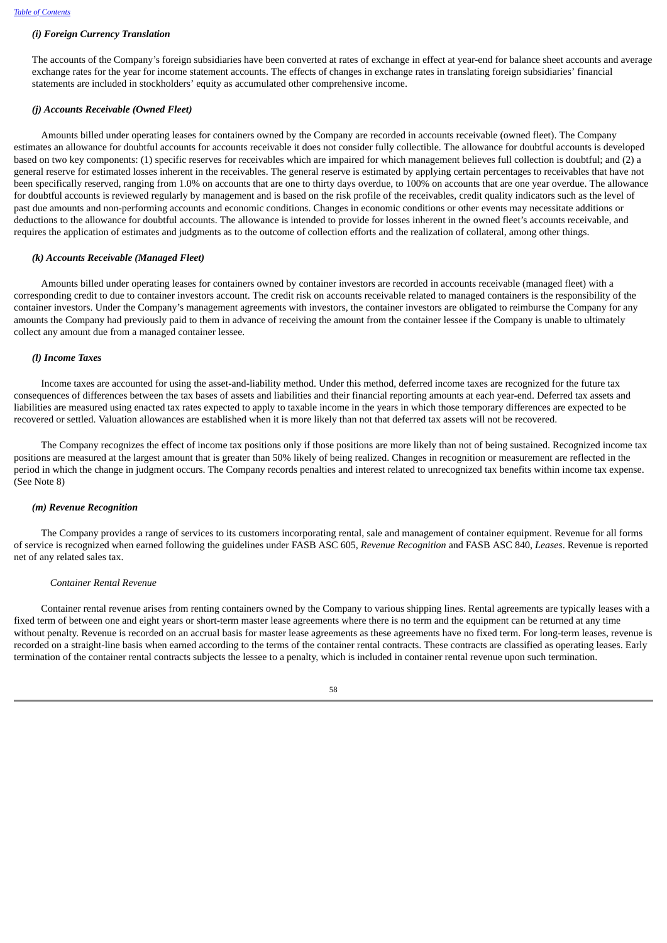#### *(i) Foreign Currency Translation*

The accounts of the Company's foreign subsidiaries have been converted at rates of exchange in effect at year-end for balance sheet accounts and average exchange rates for the year for income statement accounts. The effects of changes in exchange rates in translating foreign subsidiaries' financial statements are included in stockholders' equity as accumulated other comprehensive income.

## *(j) Accounts Receivable (Owned Fleet)*

Amounts billed under operating leases for containers owned by the Company are recorded in accounts receivable (owned fleet). The Company estimates an allowance for doubtful accounts for accounts receivable it does not consider fully collectible. The allowance for doubtful accounts is developed based on two key components: (1) specific reserves for receivables which are impaired for which management believes full collection is doubtful; and (2) a general reserve for estimated losses inherent in the receivables. The general reserve is estimated by applying certain percentages to receivables that have not been specifically reserved, ranging from 1.0% on accounts that are one to thirty days overdue, to 100% on accounts that are one year overdue. The allowance for doubtful accounts is reviewed regularly by management and is based on the risk profile of the receivables, credit quality indicators such as the level of past due amounts and non-performing accounts and economic conditions. Changes in economic conditions or other events may necessitate additions or deductions to the allowance for doubtful accounts. The allowance is intended to provide for losses inherent in the owned fleet's accounts receivable, and requires the application of estimates and judgments as to the outcome of collection efforts and the realization of collateral, among other things.

### *(k) Accounts Receivable (Managed Fleet)*

Amounts billed under operating leases for containers owned by container investors are recorded in accounts receivable (managed fleet) with a corresponding credit to due to container investors account. The credit risk on accounts receivable related to managed containers is the responsibility of the container investors. Under the Company's management agreements with investors, the container investors are obligated to reimburse the Company for any amounts the Company had previously paid to them in advance of receiving the amount from the container lessee if the Company is unable to ultimately collect any amount due from a managed container lessee.

#### *(l) Income Taxes*

Income taxes are accounted for using the asset-and-liability method. Under this method, deferred income taxes are recognized for the future tax consequences of differences between the tax bases of assets and liabilities and their financial reporting amounts at each year-end. Deferred tax assets and liabilities are measured using enacted tax rates expected to apply to taxable income in the years in which those temporary differences are expected to be recovered or settled. Valuation allowances are established when it is more likely than not that deferred tax assets will not be recovered.

The Company recognizes the effect of income tax positions only if those positions are more likely than not of being sustained. Recognized income tax positions are measured at the largest amount that is greater than 50% likely of being realized. Changes in recognition or measurement are reflected in the period in which the change in judgment occurs. The Company records penalties and interest related to unrecognized tax benefits within income tax expense. (See Note 8)

### *(m) Revenue Recognition*

The Company provides a range of services to its customers incorporating rental, sale and management of container equipment. Revenue for all forms of service is recognized when earned following the guidelines under FASB ASC 605, *Revenue Recognition* and FASB ASC 840, *Leases*. Revenue is reported net of any related sales tax.

### *Container Rental Revenue*

Container rental revenue arises from renting containers owned by the Company to various shipping lines. Rental agreements are typically leases with a fixed term of between one and eight years or short-term master lease agreements where there is no term and the equipment can be returned at any time without penalty. Revenue is recorded on an accrual basis for master lease agreements as these agreements have no fixed term. For long-term leases, revenue is recorded on a straight-line basis when earned according to the terms of the container rental contracts. These contracts are classified as operating leases. Early termination of the container rental contracts subjects the lessee to a penalty, which is included in container rental revenue upon such termination.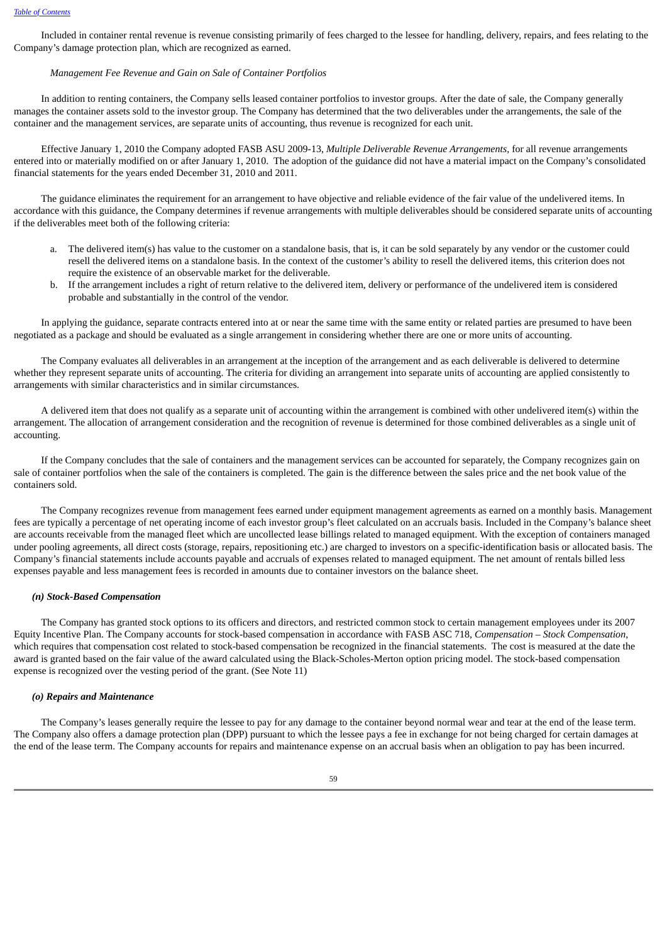Included in container rental revenue is revenue consisting primarily of fees charged to the lessee for handling, delivery, repairs, and fees relating to the Company's damage protection plan, which are recognized as earned.

### *Management Fee Revenue and Gain on Sale of Container Portfolios*

In addition to renting containers, the Company sells leased container portfolios to investor groups. After the date of sale, the Company generally manages the container assets sold to the investor group. The Company has determined that the two deliverables under the arrangements, the sale of the container and the management services, are separate units of accounting, thus revenue is recognized for each unit.

Effective January 1, 2010 the Company adopted FASB ASU 2009-13, *Multiple Deliverable Revenue Arrangements,* for all revenue arrangements entered into or materially modified on or after January 1, 2010. The adoption of the guidance did not have a material impact on the Company's consolidated financial statements for the years ended December 31, 2010 and 2011.

The guidance eliminates the requirement for an arrangement to have objective and reliable evidence of the fair value of the undelivered items. In accordance with this guidance, the Company determines if revenue arrangements with multiple deliverables should be considered separate units of accounting if the deliverables meet both of the following criteria:

- a. The delivered item(s) has value to the customer on a standalone basis, that is, it can be sold separately by any vendor or the customer could resell the delivered items on a standalone basis. In the context of the customer's ability to resell the delivered items, this criterion does not require the existence of an observable market for the deliverable.
- b. If the arrangement includes a right of return relative to the delivered item, delivery or performance of the undelivered item is considered probable and substantially in the control of the vendor.

In applying the guidance, separate contracts entered into at or near the same time with the same entity or related parties are presumed to have been negotiated as a package and should be evaluated as a single arrangement in considering whether there are one or more units of accounting.

The Company evaluates all deliverables in an arrangement at the inception of the arrangement and as each deliverable is delivered to determine whether they represent separate units of accounting. The criteria for dividing an arrangement into separate units of accounting are applied consistently to arrangements with similar characteristics and in similar circumstances.

A delivered item that does not qualify as a separate unit of accounting within the arrangement is combined with other undelivered item(s) within the arrangement. The allocation of arrangement consideration and the recognition of revenue is determined for those combined deliverables as a single unit of accounting.

If the Company concludes that the sale of containers and the management services can be accounted for separately, the Company recognizes gain on sale of container portfolios when the sale of the containers is completed. The gain is the difference between the sales price and the net book value of the containers sold.

The Company recognizes revenue from management fees earned under equipment management agreements as earned on a monthly basis. Management fees are typically a percentage of net operating income of each investor group's fleet calculated on an accruals basis. Included in the Company's balance sheet are accounts receivable from the managed fleet which are uncollected lease billings related to managed equipment. With the exception of containers managed under pooling agreements, all direct costs (storage, repairs, repositioning etc.) are charged to investors on a specific-identification basis or allocated basis. The Company's financial statements include accounts payable and accruals of expenses related to managed equipment. The net amount of rentals billed less expenses payable and less management fees is recorded in amounts due to container investors on the balance sheet.

### *(n) Stock-Based Compensation*

The Company has granted stock options to its officers and directors, and restricted common stock to certain management employees under its 2007 Equity Incentive Plan. The Company accounts for stock-based compensation in accordance with FASB ASC 718, *Compensation – Stock Compensation*, which requires that compensation cost related to stock-based compensation be recognized in the financial statements. The cost is measured at the date the award is granted based on the fair value of the award calculated using the Black-Scholes-Merton option pricing model. The stock-based compensation expense is recognized over the vesting period of the grant. (See Note 11)

### *(o) Repairs and Maintenance*

The Company's leases generally require the lessee to pay for any damage to the container beyond normal wear and tear at the end of the lease term. The Company also offers a damage protection plan (DPP) pursuant to which the lessee pays a fee in exchange for not being charged for certain damages at the end of the lease term. The Company accounts for repairs and maintenance expense on an accrual basis when an obligation to pay has been incurred.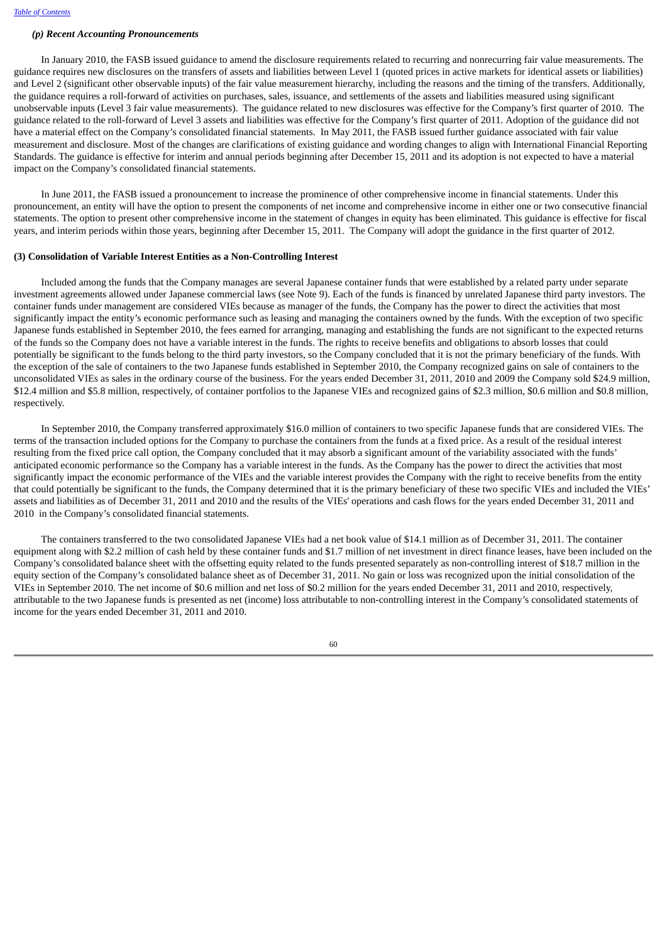### *(p) Recent Accounting Pronouncements*

In January 2010, the FASB issued guidance to amend the disclosure requirements related to recurring and nonrecurring fair value measurements. The guidance requires new disclosures on the transfers of assets and liabilities between Level 1 (quoted prices in active markets for identical assets or liabilities) and Level 2 (significant other observable inputs) of the fair value measurement hierarchy, including the reasons and the timing of the transfers. Additionally, the guidance requires a roll-forward of activities on purchases, sales, issuance, and settlements of the assets and liabilities measured using significant unobservable inputs (Level 3 fair value measurements). The guidance related to new disclosures was effective for the Company's first quarter of 2010. The guidance related to the roll-forward of Level 3 assets and liabilities was effective for the Company's first quarter of 2011. Adoption of the guidance did not have a material effect on the Company's consolidated financial statements. In May 2011, the FASB issued further guidance associated with fair value measurement and disclosure. Most of the changes are clarifications of existing guidance and wording changes to align with International Financial Reporting Standards. The guidance is effective for interim and annual periods beginning after December 15, 2011 and its adoption is not expected to have a material impact on the Company's consolidated financial statements.

In June 2011, the FASB issued a pronouncement to increase the prominence of other comprehensive income in financial statements. Under this pronouncement, an entity will have the option to present the components of net income and comprehensive income in either one or two consecutive financial statements. The option to present other comprehensive income in the statement of changes in equity has been eliminated. This guidance is effective for fiscal years, and interim periods within those years, beginning after December 15, 2011. The Company will adopt the guidance in the first quarter of 2012.

#### **(3) Consolidation of Variable Interest Entities as a Non-Controlling Interest**

Included among the funds that the Company manages are several Japanese container funds that were established by a related party under separate investment agreements allowed under Japanese commercial laws (see Note 9). Each of the funds is financed by unrelated Japanese third party investors. The container funds under management are considered VIEs because as manager of the funds, the Company has the power to direct the activities that most significantly impact the entity's economic performance such as leasing and managing the containers owned by the funds. With the exception of two specific Japanese funds established in September 2010, the fees earned for arranging, managing and establishing the funds are not significant to the expected returns of the funds so the Company does not have a variable interest in the funds. The rights to receive benefits and obligations to absorb losses that could potentially be significant to the funds belong to the third party investors, so the Company concluded that it is not the primary beneficiary of the funds. With the exception of the sale of containers to the two Japanese funds established in September 2010, the Company recognized gains on sale of containers to the unconsolidated VIEs as sales in the ordinary course of the business. For the years ended December 31, 2011, 2010 and 2009 the Company sold \$24.9 million, \$12.4 million and \$5.8 million, respectively, of container portfolios to the Japanese VIEs and recognized gains of \$2.3 million, \$0.6 million and \$0.8 million, respectively.

In September 2010, the Company transferred approximately \$16.0 million of containers to two specific Japanese funds that are considered VIEs. The terms of the transaction included options for the Company to purchase the containers from the funds at a fixed price. As a result of the residual interest resulting from the fixed price call option, the Company concluded that it may absorb a significant amount of the variability associated with the funds' anticipated economic performance so the Company has a variable interest in the funds. As the Company has the power to direct the activities that most significantly impact the economic performance of the VIEs and the variable interest provides the Company with the right to receive benefits from the entity that could potentially be significant to the funds, the Company determined that it is the primary beneficiary of these two specific VIEs and included the VIEs' assets and liabilities as of December 31, 2011 and 2010 and the results of the VIEs' operations and cash flows for the years ended December 31, 2011 and 2010 in the Company's consolidated financial statements.

The containers transferred to the two consolidated Japanese VIEs had a net book value of \$14.1 million as of December 31, 2011. The container equipment along with \$2.2 million of cash held by these container funds and \$1.7 million of net investment in direct finance leases, have been included on the Company's consolidated balance sheet with the offsetting equity related to the funds presented separately as non-controlling interest of \$18.7 million in the equity section of the Company's consolidated balance sheet as of December 31, 2011. No gain or loss was recognized upon the initial consolidation of the VIEs in September 2010. The net income of \$0.6 million and net loss of \$0.2 million for the years ended December 31, 2011 and 2010, respectively, attributable to the two Japanese funds is presented as net (income) loss attributable to non-controlling interest in the Company's consolidated statements of income for the years ended December 31, 2011 and 2010.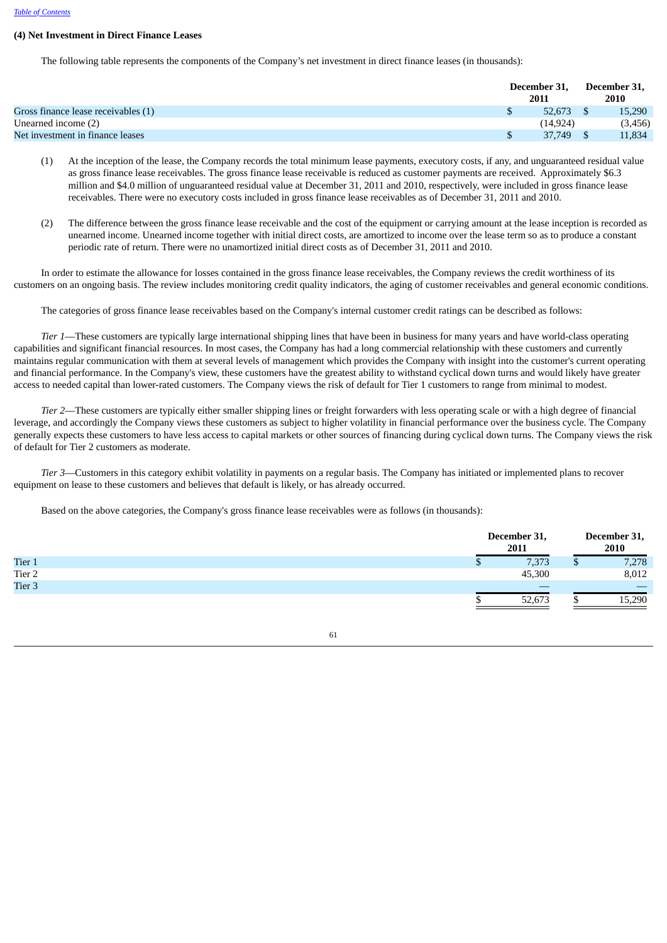# **(4) Net Investment in Direct Finance Leases**

The following table represents the components of the Company's net investment in direct finance leases (in thousands):

|                                     |  | December 31, |  |         |  | December 31, |
|-------------------------------------|--|--------------|--|---------|--|--------------|
|                                     |  | 2011         |  | 2010    |  |              |
| Gross finance lease receivables (1) |  | 52.673       |  | 15,290  |  |              |
| Unearned income (2)                 |  | (14.924)     |  | (3,456) |  |              |
| Net investment in finance leases    |  | 37.749       |  | 11,834  |  |              |

- (1) At the inception of the lease, the Company records the total minimum lease payments, executory costs, if any, and unguaranteed residual value as gross finance lease receivables. The gross finance lease receivable is reduced as customer payments are received. Approximately \$6.3 million and \$4.0 million of unguaranteed residual value at December 31, 2011 and 2010, respectively, were included in gross finance lease receivables. There were no executory costs included in gross finance lease receivables as of December 31, 2011 and 2010.
- (2) The difference between the gross finance lease receivable and the cost of the equipment or carrying amount at the lease inception is recorded as unearned income. Unearned income together with initial direct costs, are amortized to income over the lease term so as to produce a constant periodic rate of return. There were no unamortized initial direct costs as of December 31, 2011 and 2010.

In order to estimate the allowance for losses contained in the gross finance lease receivables, the Company reviews the credit worthiness of its customers on an ongoing basis. The review includes monitoring credit quality indicators, the aging of customer receivables and general economic conditions.

The categories of gross finance lease receivables based on the Company's internal customer credit ratings can be described as follows:

*Tier 1*—These customers are typically large international shipping lines that have been in business for many years and have world-class operating capabilities and significant financial resources. In most cases, the Company has had a long commercial relationship with these customers and currently maintains regular communication with them at several levels of management which provides the Company with insight into the customer's current operating and financial performance. In the Company's view, these customers have the greatest ability to withstand cyclical down turns and would likely have greater access to needed capital than lower-rated customers. The Company views the risk of default for Tier 1 customers to range from minimal to modest.

*Tier 2*—These customers are typically either smaller shipping lines or freight forwarders with less operating scale or with a high degree of financial leverage, and accordingly the Company views these customers as subject to higher volatility in financial performance over the business cycle. The Company generally expects these customers to have less access to capital markets or other sources of financing during cyclical down turns. The Company views the risk of default for Tier 2 customers as moderate.

*Tier 3*—Customers in this category exhibit volatility in payments on a regular basis. The Company has initiated or implemented plans to recover equipment on lease to these customers and believes that default is likely, or has already occurred.

Based on the above categories, the Company's gross finance lease receivables were as follows (in thousands):

|        | December 31,<br>2011 |        |  | December 31,<br>2010 |
|--------|----------------------|--------|--|----------------------|
| Tier 1 | ۳U                   | 7,373  |  | 7,278                |
| Tier 2 |                      | 45,300 |  | 8,012                |
| Tier 3 |                      |        |  |                      |
|        |                      | 52,673 |  | 15,290               |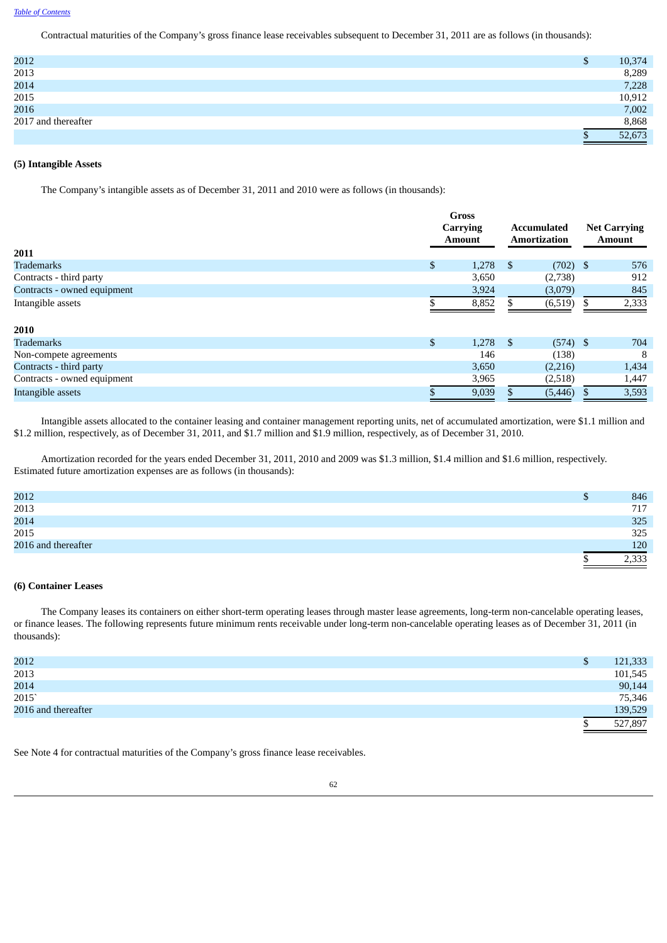#### *Table of [Contents](#page-2-0)*

Contractual maturities of the Company's gross finance lease receivables subsequent to December 31, 2011 are as follows (in thousands):

| 2012                | 10,374 |
|---------------------|--------|
| 2013                | 8,289  |
| 2014                | 7,228  |
| 2015                | 10,912 |
| 2016                | 7,002  |
| 2017 and thereafter | 8,868  |
|                     | 52,673 |

## **(5) Intangible Assets**

The Company's intangible assets as of December 31, 2011 and 2010 were as follows (in thousands):

| 2011                        | <b>Gross</b><br>Carrying<br><b>Amount</b> |      |            | <b>Net Carrying</b><br><b>Amount</b> |       |
|-----------------------------|-------------------------------------------|------|------------|--------------------------------------|-------|
| <b>Trademarks</b>           | \$<br>1,278                               | - \$ | $(702)$ \$ |                                      | 576   |
| Contracts - third party     | 3,650                                     |      | (2,738)    |                                      | 912   |
| Contracts - owned equipment | 3,924                                     |      | (3,079)    |                                      | 845   |
| Intangible assets           | 8,852                                     |      | (6,519)    |                                      | 2,333 |
| 2010                        |                                           |      |            |                                      |       |
| <b>Trademarks</b>           | \$<br>1,278                               | -S   | $(574)$ \$ |                                      | 704   |
| Non-compete agreements      | 146                                       |      | (138)      |                                      | 8     |
| Contracts - third party     | 3,650                                     |      | (2,216)    |                                      | 1,434 |
| Contracts - owned equipment | 3,965                                     |      | (2,518)    |                                      | 1,447 |
| Intangible assets           | 9,039                                     |      | (5, 446)   |                                      | 3,593 |

Intangible assets allocated to the container leasing and container management reporting units, net of accumulated amortization, were \$1.1 million and \$1.2 million, respectively, as of December 31, 2011, and \$1.7 million and \$1.9 million, respectively, as of December 31, 2010.

Amortization recorded for the years ended December 31, 2011, 2010 and 2009 was \$1.3 million, \$1.4 million and \$1.6 million, respectively. Estimated future amortization expenses are as follows (in thousands):

| 2012                | 846   |
|---------------------|-------|
| 2013                | 717   |
| 2014                | 325   |
| 2015                | 325   |
| 2016 and thereafter | 120   |
|                     | 2,333 |

## **(6) Container Leases**

The Company leases its containers on either short-term operating leases through master lease agreements, long-term non-cancelable operating leases, or finance leases. The following represents future minimum rents receivable under long-term non-cancelable operating leases as of December 31, 2011 (in thousands):

| 2012                | 121,333 |
|---------------------|---------|
| 2013                | 101,545 |
| 2014                | 90,144  |
| 2015                | 75,346  |
| 2016 and thereafter | 139,529 |
|                     | 527,897 |

See Note 4 for contractual maturities of the Company's gross finance lease receivables.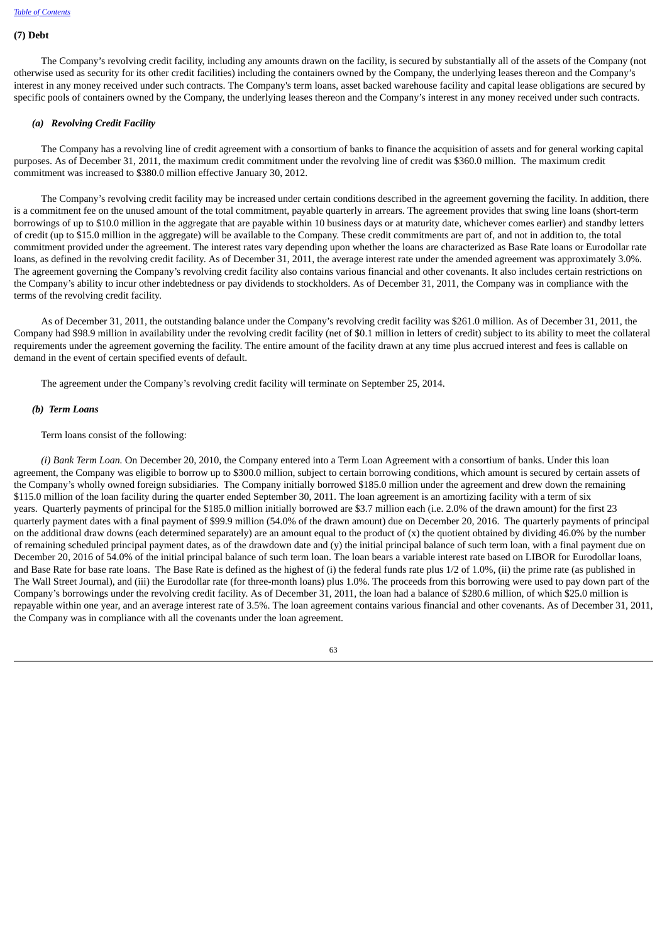## **(7) Debt**

The Company's revolving credit facility, including any amounts drawn on the facility, is secured by substantially all of the assets of the Company (not otherwise used as security for its other credit facilities) including the containers owned by the Company, the underlying leases thereon and the Company's interest in any money received under such contracts. The Company's term loans, asset backed warehouse facility and capital lease obligations are secured by specific pools of containers owned by the Company, the underlying leases thereon and the Company's interest in any money received under such contracts.

## *(a) Revolving Credit Facility*

The Company has a revolving line of credit agreement with a consortium of banks to finance the acquisition of assets and for general working capital purposes. As of December 31, 2011, the maximum credit commitment under the revolving line of credit was \$360.0 million. The maximum credit commitment was increased to \$380.0 million effective January 30, 2012.

The Company's revolving credit facility may be increased under certain conditions described in the agreement governing the facility. In addition, there is a commitment fee on the unused amount of the total commitment, payable quarterly in arrears. The agreement provides that swing line loans (short-term borrowings of up to \$10.0 million in the aggregate that are payable within 10 business days or at maturity date, whichever comes earlier) and standby letters of credit (up to \$15.0 million in the aggregate) will be available to the Company. These credit commitments are part of, and not in addition to, the total commitment provided under the agreement. The interest rates vary depending upon whether the loans are characterized as Base Rate loans or Eurodollar rate loans, as defined in the revolving credit facility. As of December 31, 2011, the average interest rate under the amended agreement was approximately 3.0%. The agreement governing the Company's revolving credit facility also contains various financial and other covenants. It also includes certain restrictions on the Company's ability to incur other indebtedness or pay dividends to stockholders. As of December 31, 2011, the Company was in compliance with the terms of the revolving credit facility.

As of December 31, 2011, the outstanding balance under the Company's revolving credit facility was \$261.0 million. As of December 31, 2011, the Company had \$98.9 million in availability under the revolving credit facility (net of \$0.1 million in letters of credit) subject to its ability to meet the collateral requirements under the agreement governing the facility. The entire amount of the facility drawn at any time plus accrued interest and fees is callable on demand in the event of certain specified events of default.

The agreement under the Company's revolving credit facility will terminate on September 25, 2014.

## *(b) Term Loans*

Term loans consist of the following:

*(i) Bank Term Loan.* On December 20, 2010, the Company entered into a Term Loan Agreement with a consortium of banks. Under this loan agreement, the Company was eligible to borrow up to \$300.0 million, subject to certain borrowing conditions, which amount is secured by certain assets of the Company's wholly owned foreign subsidiaries. The Company initially borrowed \$185.0 million under the agreement and drew down the remaining \$115.0 million of the loan facility during the quarter ended September 30, 2011. The loan agreement is an amortizing facility with a term of six years. Quarterly payments of principal for the \$185.0 million initially borrowed are \$3.7 million each (i.e. 2.0% of the drawn amount) for the first 23 quarterly payment dates with a final payment of \$99.9 million (54.0% of the drawn amount) due on December 20, 2016. The quarterly payments of principal on the additional draw downs (each determined separately) are an amount equal to the product of  $(x)$  the quotient obtained by dividing 46.0% by the number of remaining scheduled principal payment dates, as of the drawdown date and (y) the initial principal balance of such term loan, with a final payment due on December 20, 2016 of 54.0% of the initial principal balance of such term loan. The loan bears a variable interest rate based on LIBOR for Eurodollar loans, and Base Rate for base rate loans. The Base Rate is defined as the highest of (i) the federal funds rate plus 1/2 of 1.0%, (ii) the prime rate (as published in The Wall Street Journal), and (iii) the Eurodollar rate (for three-month loans) plus 1.0%. The proceeds from this borrowing were used to pay down part of the Company's borrowings under the revolving credit facility. As of December 31, 2011, the loan had a balance of \$280.6 million, of which \$25.0 million is repayable within one year, and an average interest rate of 3.5%. The loan agreement contains various financial and other covenants. As of December 31, 2011, the Company was in compliance with all the covenants under the loan agreement.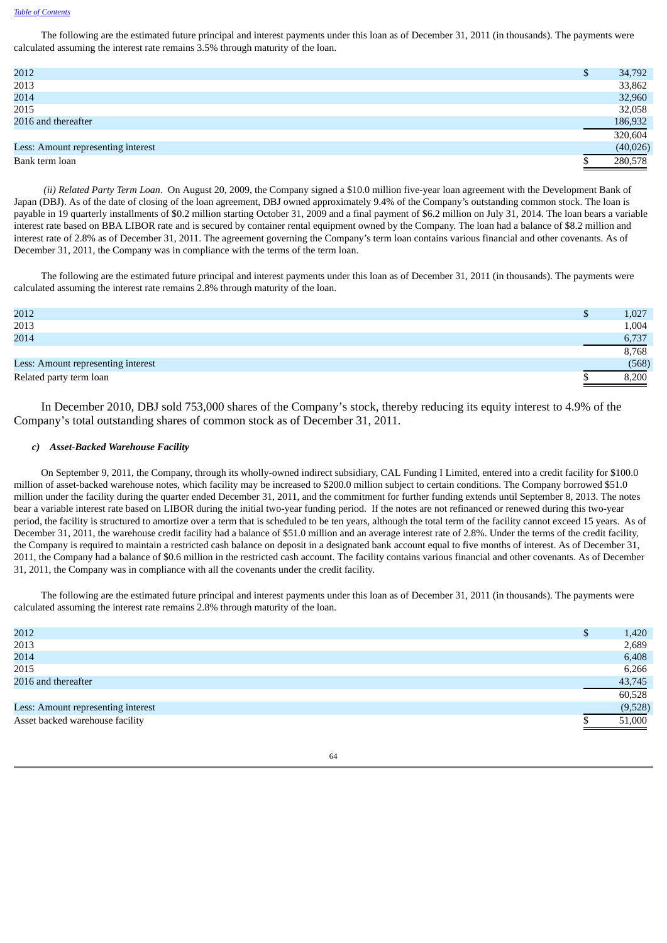The following are the estimated future principal and interest payments under this loan as of December 31, 2011 (in thousands). The payments were calculated assuming the interest rate remains 3.5% through maturity of the loan.

| 2012                               | 34,792   |
|------------------------------------|----------|
| 2013                               | 33,862   |
| 2014                               | 32,960   |
| 2015                               | 32,058   |
| 2016 and thereafter                | 186,932  |
|                                    | 320,604  |
| Less: Amount representing interest | (40,026) |
| Bank term loan                     | 280,578  |

*(ii) Related Party Term Loan*. On August 20, 2009, the Company signed a \$10.0 million five-year loan agreement with the Development Bank of Japan (DBJ). As of the date of closing of the loan agreement, DBJ owned approximately 9.4% of the Company's outstanding common stock. The loan is payable in 19 quarterly installments of \$0.2 million starting October 31, 2009 and a final payment of \$6.2 million on July 31, 2014. The loan bears a variable interest rate based on BBA LIBOR rate and is secured by container rental equipment owned by the Company. The loan had a balance of \$8.2 million and interest rate of 2.8% as of December 31, 2011. The agreement governing the Company's term loan contains various financial and other covenants. As of December 31, 2011, the Company was in compliance with the terms of the term loan.

The following are the estimated future principal and interest payments under this loan as of December 31, 2011 (in thousands). The payments were calculated assuming the interest rate remains 2.8% through maturity of the loan.

| 2012                               | 1,027 |
|------------------------------------|-------|
| 2013                               | 1,004 |
| 2014                               | 6,737 |
|                                    | 8,768 |
| Less: Amount representing interest | (568) |
| Related party term loan            | 8,200 |

In December 2010, DBJ sold 753,000 shares of the Company's stock, thereby reducing its equity interest to 4.9% of the Company's total outstanding shares of common stock as of December 31, 2011.

## *c) Asset-Backed Warehouse Facility*

On September 9, 2011, the Company, through its wholly-owned indirect subsidiary, CAL Funding I Limited, entered into a credit facility for \$100.0 million of asset-backed warehouse notes, which facility may be increased to \$200.0 million subject to certain conditions. The Company borrowed \$51.0 million under the facility during the quarter ended December 31, 2011, and the commitment for further funding extends until September 8, 2013. The notes bear a variable interest rate based on LIBOR during the initial two-year funding period. If the notes are not refinanced or renewed during this two-year period, the facility is structured to amortize over a term that is scheduled to be ten years, although the total term of the facility cannot exceed 15 years. As of December 31, 2011, the warehouse credit facility had a balance of \$51.0 million and an average interest rate of 2.8%. Under the terms of the credit facility, the Company is required to maintain a restricted cash balance on deposit in a designated bank account equal to five months of interest. As of December 31, 2011, the Company had a balance of \$0.6 million in the restricted cash account. The facility contains various financial and other covenants. As of December 31, 2011, the Company was in compliance with all the covenants under the credit facility.

The following are the estimated future principal and interest payments under this loan as of December 31, 2011 (in thousands). The payments were calculated assuming the interest rate remains 2.8% through maturity of the loan.

| 2012                               | 1,420   |
|------------------------------------|---------|
| 2013                               | 2,689   |
| 2014                               | 6,408   |
| 2015                               | 6,266   |
| 2016 and thereafter                | 43,745  |
|                                    | 60,528  |
| Less: Amount representing interest | (9,528) |
| Asset backed warehouse facility    | 51,000  |
|                                    |         |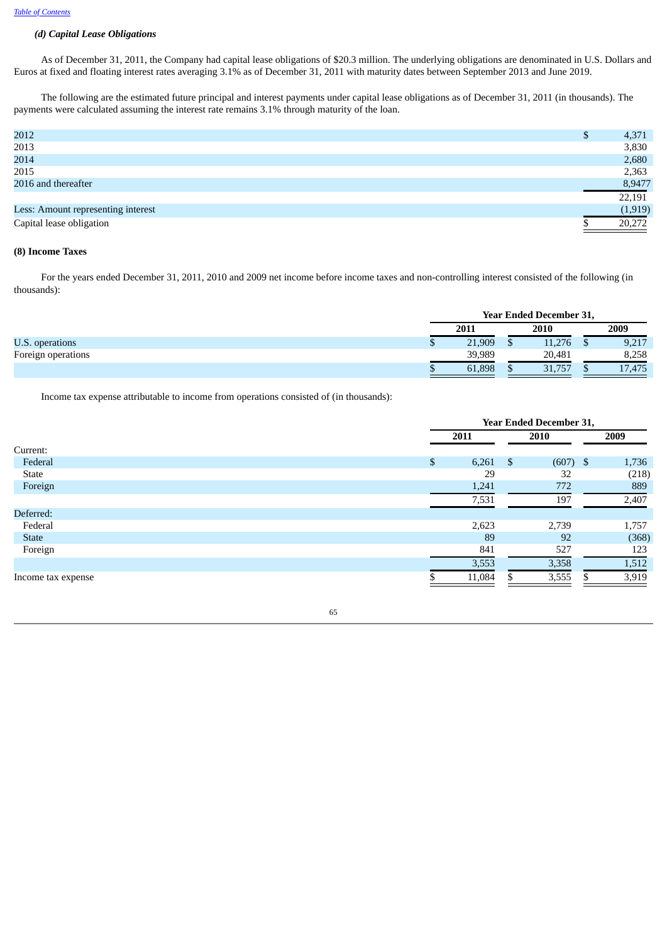## *(d) Capital Lease Obligations*

As of December 31, 2011, the Company had capital lease obligations of \$20.3 million. The underlying obligations are denominated in U.S. Dollars and Euros at fixed and floating interest rates averaging 3.1% as of December 31, 2011 with maturity dates between September 2013 and June 2019.

The following are the estimated future principal and interest payments under capital lease obligations as of December 31, 2011 (in thousands). The payments were calculated assuming the interest rate remains 3.1% through maturity of the loan.

| 2012                               | D | 4,371    |
|------------------------------------|---|----------|
| 2013                               |   | 3,830    |
| 2014                               |   | 2,680    |
| 2015                               |   | 2,363    |
| 2016 and thereafter                |   | 8,9477   |
|                                    |   | 22,191   |
| Less: Amount representing interest |   | (1, 919) |
| Capital lease obligation           |   | 20,272   |

## **(8) Income Taxes**

For the years ended December 31, 2011, 2010 and 2009 net income before income taxes and non-controlling interest consisted of the following (in thousands):

|                    | <b>Year Ended December 31,</b> |  |        |  |        |
|--------------------|--------------------------------|--|--------|--|--------|
|                    | 2011                           |  | 2010   |  | 2009   |
| U.S. operations    | 21,909                         |  | 11,276 |  | 9,217  |
| Foreign operations | 39,989                         |  | 20,481 |  | 8,258  |
|                    | 61,898                         |  | 31,757 |  | 17,475 |

Income tax expense attributable to income from operations consisted of (in thousands):

|                    | <b>Year Ended December 31,</b> |    |            |  |       |
|--------------------|--------------------------------|----|------------|--|-------|
|                    | 2011                           |    | 2010       |  | 2009  |
| Current:           |                                |    |            |  |       |
| Federal            | \$<br>6,261                    | \$ | $(607)$ \$ |  | 1,736 |
| State              | 29                             |    | 32         |  | (218) |
| Foreign            | 1,241                          |    | 772        |  | 889   |
|                    | 7,531                          |    | 197        |  | 2,407 |
| Deferred:          |                                |    |            |  |       |
| Federal            | 2,623                          |    | 2,739      |  | 1,757 |
| <b>State</b>       | 89                             |    | 92         |  | (368) |
| Foreign            | 841                            |    | 527        |  | 123   |
|                    | 3,553                          |    | 3,358      |  | 1,512 |
| Income tax expense | 11,084                         |    | 3,555      |  | 3,919 |
|                    |                                |    |            |  |       |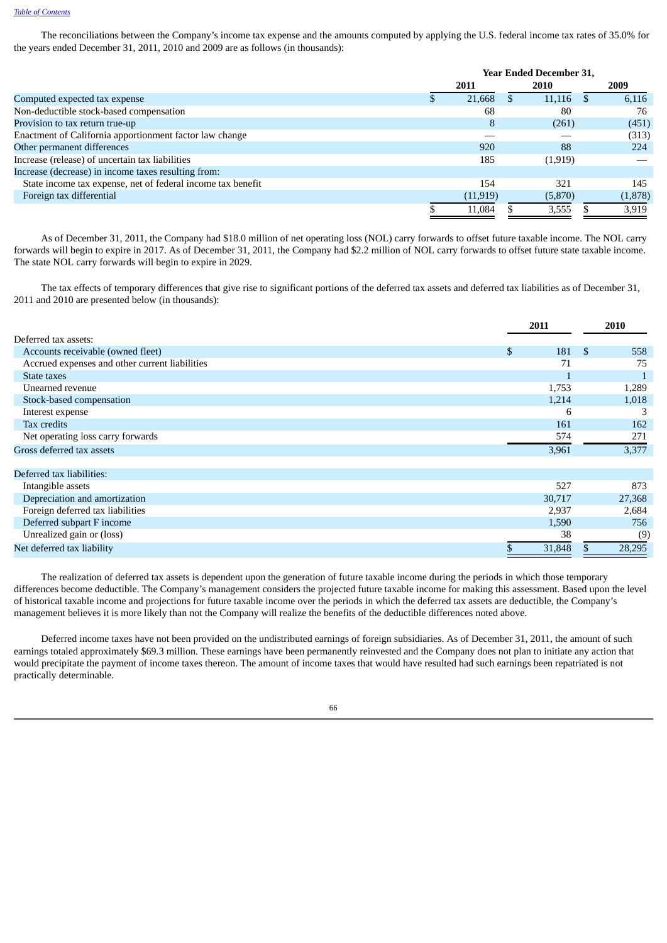The reconciliations between the Company's income tax expense and the amounts computed by applying the U.S. federal income tax rates of 35.0% for the years ended December 31, 2011, 2010 and 2009 are as follows (in thousands):

| <b>Year Ended December 31,</b> |           |  |          |  |         |
|--------------------------------|-----------|--|----------|--|---------|
|                                | 2011      |  | 2010     |  | 2009    |
|                                | 21,668    |  | 11,116   |  | 6,116   |
|                                | 68        |  | 80       |  | 76      |
|                                | 8         |  | (261)    |  | (451)   |
|                                |           |  |          |  | (313)   |
|                                | 920       |  | 88       |  | 224     |
|                                | 185       |  | (1, 919) |  |         |
|                                |           |  |          |  |         |
|                                | 154       |  | 321      |  | 145     |
|                                | (11, 919) |  | (5,870)  |  | (1,878) |
|                                | 11,084    |  | 3,555    |  | 3,919   |
|                                |           |  |          |  |         |

As of December 31, 2011, the Company had \$18.0 million of net operating loss (NOL) carry forwards to offset future taxable income. The NOL carry forwards will begin to expire in 2017. As of December 31, 2011, the Company had \$2.2 million of NOL carry forwards to offset future state taxable income. The state NOL carry forwards will begin to expire in 2029.

The tax effects of temporary differences that give rise to significant portions of the deferred tax assets and deferred tax liabilities as of December 31, 2011 and 2010 are presented below (in thousands):

|                                                | 2011        |      | 2010   |
|------------------------------------------------|-------------|------|--------|
| Deferred tax assets:                           |             |      |        |
| Accounts receivable (owned fleet)              | \$<br>181   | - \$ | 558    |
| Accrued expenses and other current liabilities | 71          |      | 75     |
| State taxes                                    |             |      |        |
| Unearned revenue                               | 1,753       |      | 1,289  |
| Stock-based compensation                       | 1,214       |      | 1,018  |
| Interest expense                               |             | 6    | 3      |
| Tax credits                                    | 161         |      | 162    |
| Net operating loss carry forwards              | 574         |      | 271    |
| Gross deferred tax assets                      | 3,961       |      | 3,377  |
|                                                |             |      |        |
| Deferred tax liabilities:                      |             |      |        |
| Intangible assets                              | 527         |      | 873    |
| Depreciation and amortization                  | 30,717      |      | 27,368 |
| Foreign deferred tax liabilities               | 2,937       |      | 2,684  |
| Deferred subpart F income                      | 1,590       |      | 756    |
| Unrealized gain or (loss)                      | 38          |      | (9)    |
| Net deferred tax liability                     | 31,848<br>S | S    | 28,295 |

The realization of deferred tax assets is dependent upon the generation of future taxable income during the periods in which those temporary differences become deductible. The Company's management considers the projected future taxable income for making this assessment. Based upon the level of historical taxable income and projections for future taxable income over the periods in which the deferred tax assets are deductible, the Company's management believes it is more likely than not the Company will realize the benefits of the deductible differences noted above.

Deferred income taxes have not been provided on the undistributed earnings of foreign subsidiaries. As of December 31, 2011, the amount of such earnings totaled approximately \$69.3 million. These earnings have been permanently reinvested and the Company does not plan to initiate any action that would precipitate the payment of income taxes thereon. The amount of income taxes that would have resulted had such earnings been repatriated is not practically determinable.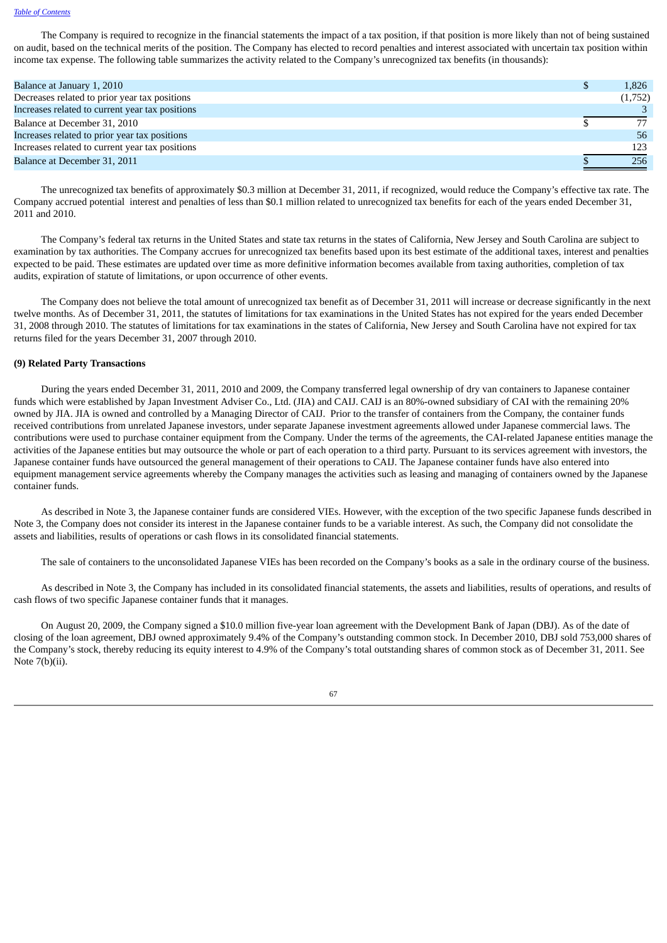The Company is required to recognize in the financial statements the impact of a tax position, if that position is more likely than not of being sustained on audit, based on the technical merits of the position. The Company has elected to record penalties and interest associated with uncertain tax position within income tax expense. The following table summarizes the activity related to the Company's unrecognized tax benefits (in thousands):

| Balance at January 1, 2010                      | 1,826   |
|-------------------------------------------------|---------|
| Decreases related to prior year tax positions   | (1,752) |
| Increases related to current year tax positions |         |
| Balance at December 31, 2010                    | 77      |
| Increases related to prior year tax positions   | 56      |
| Increases related to current year tax positions | 123     |
| Balance at December 31, 2011                    | 256     |

The unrecognized tax benefits of approximately \$0.3 million at December 31, 2011, if recognized, would reduce the Company's effective tax rate. The Company accrued potential interest and penalties of less than \$0.1 million related to unrecognized tax benefits for each of the years ended December 31, 2011 and 2010.

The Company's federal tax returns in the United States and state tax returns in the states of California, New Jersey and South Carolina are subject to examination by tax authorities. The Company accrues for unrecognized tax benefits based upon its best estimate of the additional taxes, interest and penalties expected to be paid. These estimates are updated over time as more definitive information becomes available from taxing authorities, completion of tax audits, expiration of statute of limitations, or upon occurrence of other events.

The Company does not believe the total amount of unrecognized tax benefit as of December 31, 2011 will increase or decrease significantly in the next twelve months. As of December 31, 2011, the statutes of limitations for tax examinations in the United States has not expired for the years ended December 31, 2008 through 2010. The statutes of limitations for tax examinations in the states of California, New Jersey and South Carolina have not expired for tax returns filed for the years December 31, 2007 through 2010.

### **(9) Related Party Transactions**

During the years ended December 31, 2011, 2010 and 2009, the Company transferred legal ownership of dry van containers to Japanese container funds which were established by Japan Investment Adviser Co., Ltd. (JIA) and CAIJ. CAIJ is an 80%-owned subsidiary of CAI with the remaining 20% owned by JIA. JIA is owned and controlled by a Managing Director of CAIJ. Prior to the transfer of containers from the Company, the container funds received contributions from unrelated Japanese investors, under separate Japanese investment agreements allowed under Japanese commercial laws. The contributions were used to purchase container equipment from the Company. Under the terms of the agreements, the CAI-related Japanese entities manage the activities of the Japanese entities but may outsource the whole or part of each operation to a third party. Pursuant to its services agreement with investors, the Japanese container funds have outsourced the general management of their operations to CAIJ. The Japanese container funds have also entered into equipment management service agreements whereby the Company manages the activities such as leasing and managing of containers owned by the Japanese container funds.

As described in Note 3, the Japanese container funds are considered VIEs. However, with the exception of the two specific Japanese funds described in Note 3, the Company does not consider its interest in the Japanese container funds to be a variable interest. As such, the Company did not consolidate the assets and liabilities, results of operations or cash flows in its consolidated financial statements.

The sale of containers to the unconsolidated Japanese VIEs has been recorded on the Company's books as a sale in the ordinary course of the business.

As described in Note 3, the Company has included in its consolidated financial statements, the assets and liabilities, results of operations, and results of cash flows of two specific Japanese container funds that it manages.

On August 20, 2009, the Company signed a \$10.0 million five-year loan agreement with the Development Bank of Japan (DBJ). As of the date of closing of the loan agreement, DBJ owned approximately 9.4% of the Company's outstanding common stock. In December 2010, DBJ sold 753,000 shares of the Company's stock, thereby reducing its equity interest to 4.9% of the Company's total outstanding shares of common stock as of December 31, 2011. See Note 7(b)(ii).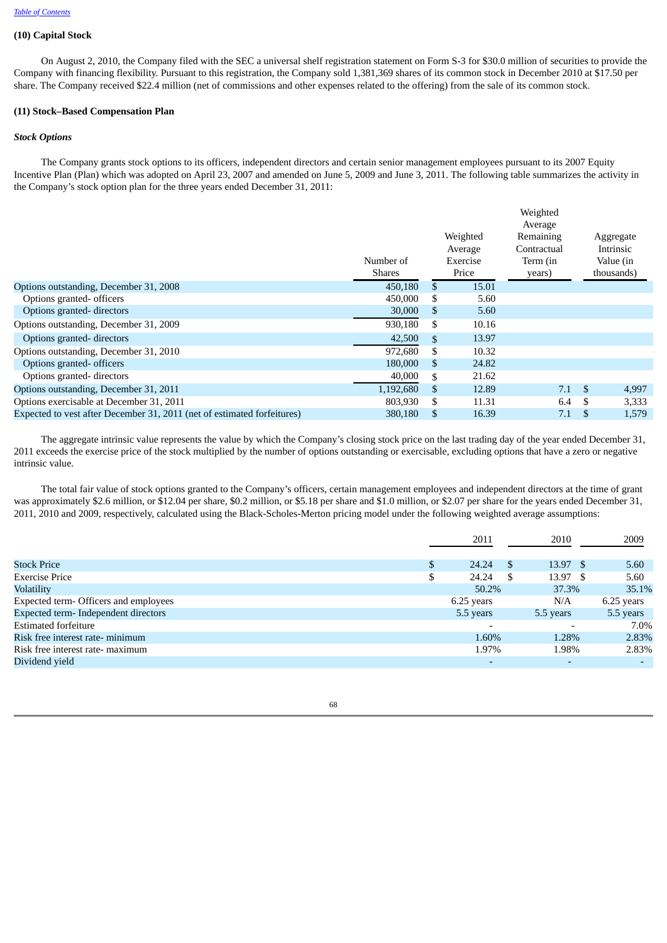# **(10) Capital Stock**

On August 2, 2010, the Company filed with the SEC a universal shelf registration statement on Form S-3 for \$30.0 million of securities to provide the Company with financing flexibility. Pursuant to this registration, the Company sold 1,381,369 shares of its common stock in December 2010 at \$17.50 per share. The Company received \$22.4 million (net of commissions and other expenses related to the offering) from the sale of its common stock.

## **(11) Stock–Based Compensation Plan**

#### *Stock Options*

The Company grants stock options to its officers, independent directors and certain senior management employees pursuant to its 2007 Equity Incentive Plan (Plan) which was adopted on April 23, 2007 and amended on June 5, 2009 and June 3, 2011. The following table summarizes the activity in the Company's stock option plan for the three years ended December 31, 2011:

|                                                                         |                     |                |                                          | Weighted<br>Average                            |     |                                                   |
|-------------------------------------------------------------------------|---------------------|----------------|------------------------------------------|------------------------------------------------|-----|---------------------------------------------------|
|                                                                         | Number of<br>Shares |                | Weighted<br>Average<br>Exercise<br>Price | Remaining<br>Contractual<br>Term (in<br>years) |     | Aggregate<br>Intrinsic<br>Value (in<br>thousands) |
| Options outstanding, December 31, 2008                                  | 450,180             | \$.            | 15.01                                    |                                                |     |                                                   |
| Options granted- officers                                               | 450,000             | S              | 5.60                                     |                                                |     |                                                   |
| Options granted-directors                                               | 30,000              | \$             | 5.60                                     |                                                |     |                                                   |
| Options outstanding, December 31, 2009                                  | 930,180             | \$             | 10.16                                    |                                                |     |                                                   |
| Options granted-directors                                               | 42,500              | $\mathfrak{L}$ | 13.97                                    |                                                |     |                                                   |
| Options outstanding, December 31, 2010                                  | 972,680             | \$             | 10.32                                    |                                                |     |                                                   |
| Options granted- officers                                               | 180,000             | \$             | 24.82                                    |                                                |     |                                                   |
| Options granted-directors                                               | 40,000              | \$             | 21.62                                    |                                                |     |                                                   |
| Options outstanding, December 31, 2011                                  | 1,192,680           | S              | 12.89                                    | 7.1                                            | -\$ | 4,997                                             |
| Options exercisable at December 31, 2011                                | 803,930             | S              | 11.31                                    | 6.4                                            | -S  | 3,333                                             |
| Expected to vest after December 31, 2011 (net of estimated forfeitures) | 380,180             | S              | 16.39                                    | 7.1                                            | -S  | 1,579                                             |
|                                                                         |                     |                |                                          |                                                |     |                                                   |

The aggregate intrinsic value represents the value by which the Company's closing stock price on the last trading day of the year ended December 31, 2011 exceeds the exercise price of the stock multiplied by the number of options outstanding or exercisable, excluding options that have a zero or negative intrinsic value.

The total fair value of stock options granted to the Company's officers, certain management employees and independent directors at the time of grant was approximately \$2.6 million, or \$12.04 per share, \$0.2 million, or \$5.18 per share and \$1.0 million, or \$2.07 per share for the years ended December 31, 2011, 2010 and 2009, respectively, calculated using the Black-Scholes-Merton pricing model under the following weighted average assumptions:

|                                       |   | 2011                     |     | 2010                     | 2009       |
|---------------------------------------|---|--------------------------|-----|--------------------------|------------|
|                                       |   |                          |     |                          |            |
| <b>Stock Price</b>                    | S | 24.24                    | -S  | 13.97 \$                 | 5.60       |
| <b>Exercise Price</b>                 | S | 24.24                    | -\$ | 13.97 \$                 | 5.60       |
| <b>Volatility</b>                     |   | 50.2%                    |     | 37.3%                    | 35.1%      |
| Expected term- Officers and employees |   | 6.25 years               |     | N/A                      | 6.25 years |
| Expected term- Independent directors  |   | 5.5 years                |     | 5.5 years                | 5.5 years  |
| <b>Estimated forfeiture</b>           |   | $\overline{\phantom{0}}$ |     |                          | 7.0%       |
| Risk free interest rate-minimum       |   | 1.60%                    |     | 1.28%                    | 2.83%      |
| Risk free interest rate- maximum      |   | 1.97%                    |     | 1.98%                    | 2.83%      |
| Dividend vield                        |   | $\overline{\phantom{0}}$ |     | $\overline{\phantom{a}}$ |            |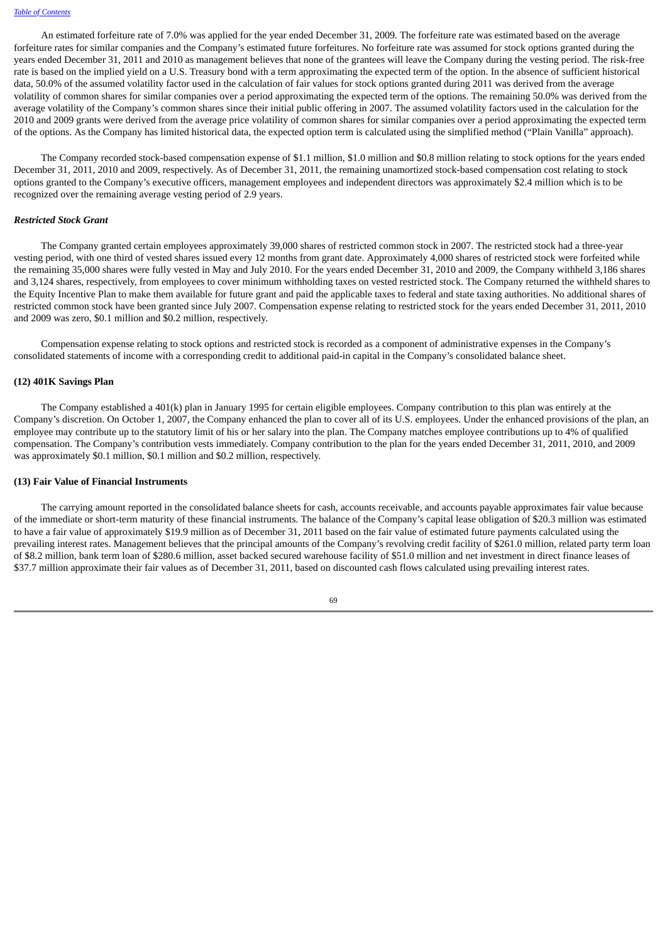An estimated forfeiture rate of 7.0% was applied for the year ended December 31, 2009. The forfeiture rate was estimated based on the average forfeiture rates for similar companies and the Company's estimated future forfeitures. No forfeiture rate was assumed for stock options granted during the years ended December 31, 2011 and 2010 as management believes that none of the grantees will leave the Company during the vesting period. The risk-free rate is based on the implied yield on a U.S. Treasury bond with a term approximating the expected term of the option. In the absence of sufficient historical data, 50.0% of the assumed volatility factor used in the calculation of fair values for stock options granted during 2011 was derived from the average volatility of common shares for similar companies over a period approximating the expected term of the options. The remaining 50.0% was derived from the average volatility of the Company's common shares since their initial public offering in 2007. The assumed volatility factors used in the calculation for the 2010 and 2009 grants were derived from the average price volatility of common shares for similar companies over a period approximating the expected term of the options. As the Company has limited historical data, the expected option term is calculated using the simplified method ("Plain Vanilla" approach).

The Company recorded stock-based compensation expense of \$1.1 million, \$1.0 million and \$0.8 million relating to stock options for the years ended December 31, 2011, 2010 and 2009, respectively. As of December 31, 2011, the remaining unamortized stock-based compensation cost relating to stock options granted to the Company's executive officers, management employees and independent directors was approximately \$2.4 million which is to be recognized over the remaining average vesting period of 2.9 years.

#### *Restricted Stock Grant*

The Company granted certain employees approximately 39,000 shares of restricted common stock in 2007. The restricted stock had a three-year vesting period, with one third of vested shares issued every 12 months from grant date. Approximately 4,000 shares of restricted stock were forfeited while the remaining 35,000 shares were fully vested in May and July 2010. For the years ended December 31, 2010 and 2009, the Company withheld 3,186 shares and 3,124 shares, respectively, from employees to cover minimum withholding taxes on vested restricted stock. The Company returned the withheld shares to the Equity Incentive Plan to make them available for future grant and paid the applicable taxes to federal and state taxing authorities. No additional shares of restricted common stock have been granted since July 2007. Compensation expense relating to restricted stock for the years ended December 31, 2011, 2010 and 2009 was zero, \$0.1 million and \$0.2 million, respectively.

Compensation expense relating to stock options and restricted stock is recorded as a component of administrative expenses in the Company's consolidated statements of income with a corresponding credit to additional paid-in capital in the Company's consolidated balance sheet.

#### **(12) 401K Savings Plan**

The Company established a 401(k) plan in January 1995 for certain eligible employees. Company contribution to this plan was entirely at the Company's discretion. On October 1, 2007, the Company enhanced the plan to cover all of its U.S. employees. Under the enhanced provisions of the plan, an employee may contribute up to the statutory limit of his or her salary into the plan. The Company matches employee contributions up to 4% of qualified compensation. The Company's contribution vests immediately. Company contribution to the plan for the years ended December 31, 2011, 2010, and 2009 was approximately \$0.1 million, \$0.1 million and \$0.2 million, respectively.

### **(13) Fair Value of Financial Instruments**

The carrying amount reported in the consolidated balance sheets for cash, accounts receivable, and accounts payable approximates fair value because of the immediate or short-term maturity of these financial instruments. The balance of the Company's capital lease obligation of \$20.3 million was estimated to have a fair value of approximately \$19.9 million as of December 31, 2011 based on the fair value of estimated future payments calculated using the prevailing interest rates. Management believes that the principal amounts of the Company's revolving credit facility of \$261.0 million, related party term loan of \$8.2 million, bank term loan of \$280.6 million, asset backed secured warehouse facility of \$51.0 million and net investment in direct finance leases of \$37.7 million approximate their fair values as of December 31, 2011, based on discounted cash flows calculated using prevailing interest rates.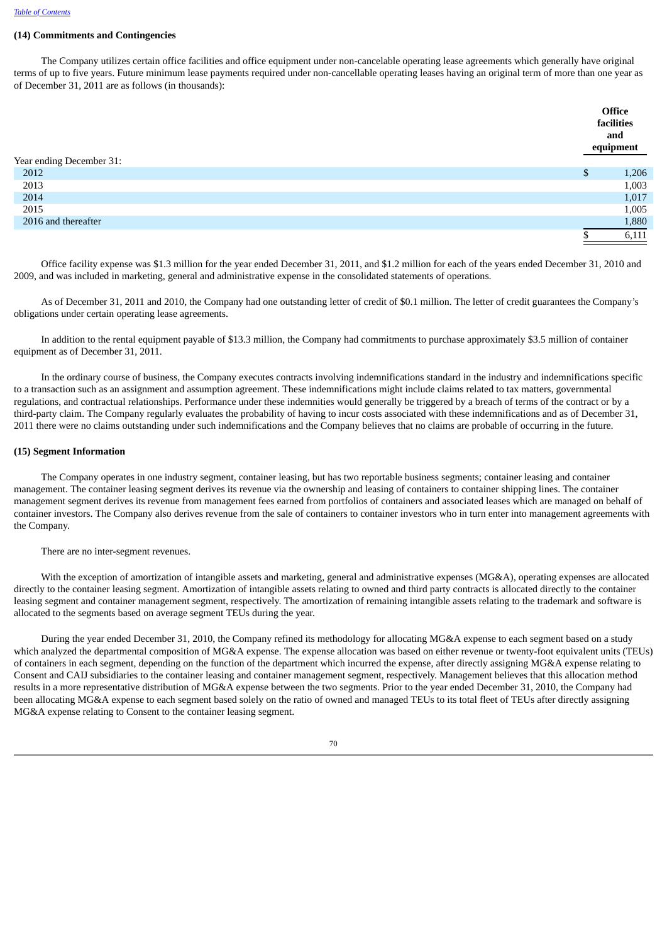## **(14) Commitments and Contingencies**

The Company utilizes certain office facilities and office equipment under non-cancelable operating lease agreements which generally have original terms of up to five years. Future minimum lease payments required under non-cancellable operating leases having an original term of more than one year as of December 31, 2011 are as follows (in thousands):

| Year ending December 31: | <b>Office</b><br>facilities<br>and<br>equipment |
|--------------------------|-------------------------------------------------|
| 2012                     | \$<br>1,206                                     |
| 2013                     | 1,003                                           |
| 2014                     | 1,017                                           |
| 2015                     | 1,005                                           |
| 2016 and thereafter      | 1,880                                           |
|                          | 6,111                                           |

Office facility expense was \$1.3 million for the year ended December 31, 2011, and \$1.2 million for each of the years ended December 31, 2010 and 2009, and was included in marketing, general and administrative expense in the consolidated statements of operations.

As of December 31, 2011 and 2010, the Company had one outstanding letter of credit of \$0.1 million. The letter of credit guarantees the Company's obligations under certain operating lease agreements.

In addition to the rental equipment payable of \$13.3 million, the Company had commitments to purchase approximately \$3.5 million of container equipment as of December 31, 2011.

In the ordinary course of business, the Company executes contracts involving indemnifications standard in the industry and indemnifications specific to a transaction such as an assignment and assumption agreement. These indemnifications might include claims related to tax matters, governmental regulations, and contractual relationships. Performance under these indemnities would generally be triggered by a breach of terms of the contract or by a third-party claim. The Company regularly evaluates the probability of having to incur costs associated with these indemnifications and as of December 31, 2011 there were no claims outstanding under such indemnifications and the Company believes that no claims are probable of occurring in the future.

### **(15) Segment Information**

The Company operates in one industry segment, container leasing, but has two reportable business segments; container leasing and container management. The container leasing segment derives its revenue via the ownership and leasing of containers to container shipping lines. The container management segment derives its revenue from management fees earned from portfolios of containers and associated leases which are managed on behalf of container investors. The Company also derives revenue from the sale of containers to container investors who in turn enter into management agreements with the Company.

There are no inter-segment revenues.

With the exception of amortization of intangible assets and marketing, general and administrative expenses (MG&A), operating expenses are allocated directly to the container leasing segment. Amortization of intangible assets relating to owned and third party contracts is allocated directly to the container leasing segment and container management segment, respectively. The amortization of remaining intangible assets relating to the trademark and software is allocated to the segments based on average segment TEUs during the year.

During the year ended December 31, 2010, the Company refined its methodology for allocating MG&A expense to each segment based on a study which analyzed the departmental composition of MG&A expense. The expense allocation was based on either revenue or twenty-foot equivalent units (TEUs) of containers in each segment, depending on the function of the department which incurred the expense, after directly assigning MG&A expense relating to Consent and CAIJ subsidiaries to the container leasing and container management segment, respectively. Management believes that this allocation method results in a more representative distribution of MG&A expense between the two segments. Prior to the year ended December 31, 2010, the Company had been allocating MG&A expense to each segment based solely on the ratio of owned and managed TEUs to its total fleet of TEUs after directly assigning MG&A expense relating to Consent to the container leasing segment.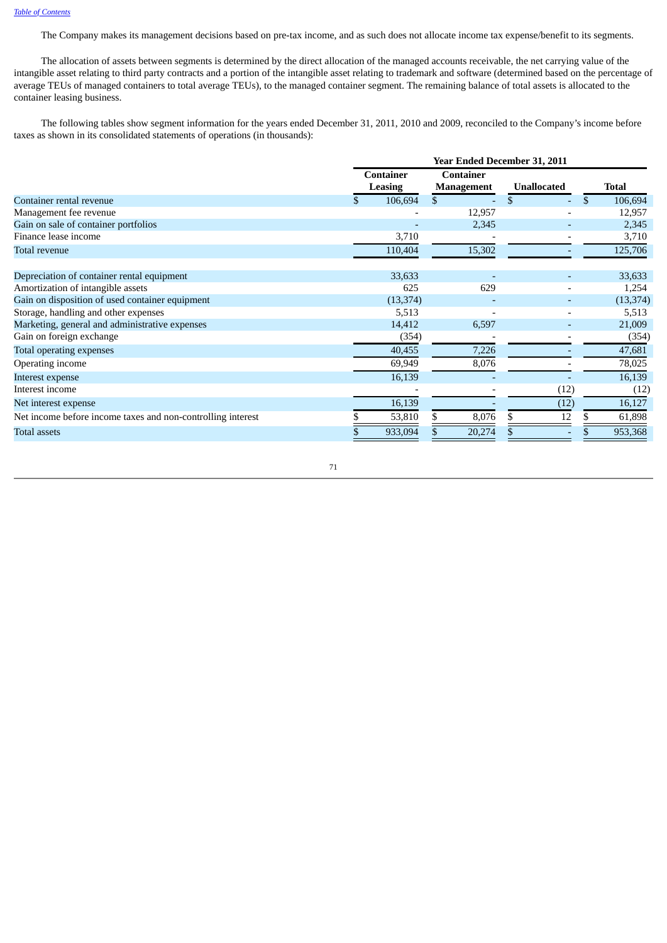The Company makes its management decisions based on pre-tax income, and as such does not allocate income tax expense/benefit to its segments.

The allocation of assets between segments is determined by the direct allocation of the managed accounts receivable, the net carrying value of the intangible asset relating to third party contracts and a portion of the intangible asset relating to trademark and software (determined based on the percentage of average TEUs of managed containers to total average TEUs), to the managed container segment. The remaining balance of total assets is allocated to the container leasing business.

The following tables show segment information for the years ended December 31, 2011, 2010 and 2009, reconciled to the Company's income before taxes as shown in its consolidated statements of operations (in thousands):

|                                                             |     | Year Ended December 31, 2011 |                  |                    |  |           |
|-------------------------------------------------------------|-----|------------------------------|------------------|--------------------|--|-----------|
|                                                             |     | <b>Container</b>             | <b>Container</b> |                    |  |           |
|                                                             |     | Leasing                      | Management       | <b>Unallocated</b> |  | Total     |
| Container rental revenue                                    | \$. | 106,694                      | \$.              |                    |  | 106,694   |
| Management fee revenue                                      |     |                              | 12,957           |                    |  | 12,957    |
| Gain on sale of container portfolios                        |     |                              | 2,345            |                    |  | 2,345     |
| Finance lease income                                        |     | 3,710                        |                  |                    |  | 3,710     |
| Total revenue                                               |     | 110,404                      | 15,302           |                    |  | 125,706   |
| Depreciation of container rental equipment                  |     | 33,633                       |                  |                    |  | 33,633    |
| Amortization of intangible assets                           |     | 625                          | 629              |                    |  | 1,254     |
| Gain on disposition of used container equipment             |     | (13, 374)                    |                  |                    |  | (13, 374) |
| Storage, handling and other expenses                        |     | 5,513                        |                  |                    |  | 5,513     |
| Marketing, general and administrative expenses              |     | 14,412                       | 6,597            |                    |  | 21,009    |
| Gain on foreign exchange                                    |     | (354)                        |                  |                    |  | (354)     |
| Total operating expenses                                    |     | 40,455                       | 7,226            |                    |  | 47,681    |
| Operating income                                            |     | 69,949                       | 8,076            |                    |  | 78,025    |
| Interest expense                                            |     | 16,139                       |                  |                    |  | 16,139    |
| Interest income                                             |     |                              |                  | (12)               |  | (12)      |
| Net interest expense                                        |     | 16,139                       |                  | (12)               |  | 16,127    |
| Net income before income taxes and non-controlling interest |     | 53,810                       | 8,076<br>\$      | 12<br>S            |  | 61,898    |
| Total assets                                                |     | 933,094                      | 20,274           |                    |  | 953,368   |
|                                                             |     |                              |                  |                    |  |           |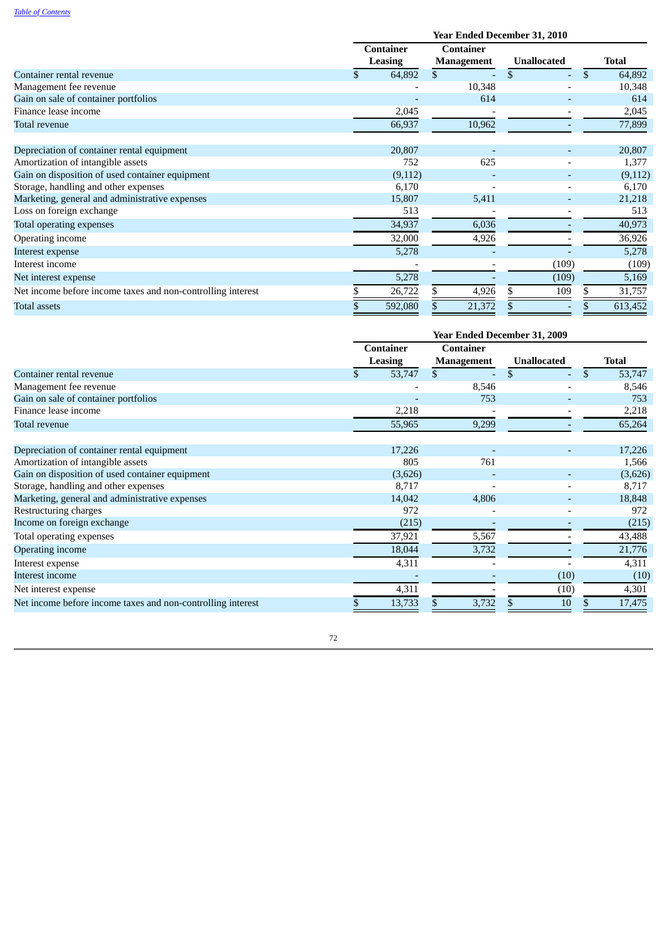|                                                             |   |                             |     | Year Ended December 31, 2010          |                    |              |
|-------------------------------------------------------------|---|-----------------------------|-----|---------------------------------------|--------------------|--------------|
|                                                             |   | <b>Container</b><br>Leasing |     | <b>Container</b><br><b>Management</b> | <b>Unallocated</b> | Total        |
| Container rental revenue                                    | S | 64,892                      | \$. |                                       | \$<br>٠            | \$<br>64,892 |
| Management fee revenue                                      |   |                             |     | 10,348                                |                    | 10,348       |
| Gain on sale of container portfolios                        |   |                             |     | 614                                   |                    | 614          |
| Finance lease income                                        |   | 2,045                       |     |                                       |                    | 2,045        |
| Total revenue                                               |   | 66,937                      |     | 10,962                                |                    | 77,899       |
|                                                             |   |                             |     |                                       |                    |              |
| Depreciation of container rental equipment                  |   | 20,807                      |     |                                       |                    | 20,807       |
| Amortization of intangible assets                           |   | 752                         |     | 625                                   |                    | 1,377        |
| Gain on disposition of used container equipment             |   | (9,112)                     |     |                                       |                    | (9, 112)     |
| Storage, handling and other expenses                        |   | 6,170                       |     |                                       |                    | 6,170        |
| Marketing, general and administrative expenses              |   | 15,807                      |     | 5,411                                 |                    | 21,218       |
| Loss on foreign exchange                                    |   | 513                         |     |                                       |                    | 513          |
| Total operating expenses                                    |   | 34,937                      |     | 6,036                                 |                    | 40,973       |
| Operating income                                            |   | 32,000                      |     | 4,926                                 |                    | 36,926       |
| Interest expense                                            |   | 5,278                       |     |                                       |                    | 5,278        |
| Interest income                                             |   |                             |     |                                       | (109)              | (109)        |
| Net interest expense                                        |   | 5,278                       |     |                                       | (109)              | 5,169        |
| Net income before income taxes and non-controlling interest |   | 26,722                      |     | 4,926                                 | 109                | 31,757       |
| <b>Total assets</b>                                         |   | 592,080                     |     | 21,372                                |                    | 613,452      |

|                                                             |    |                                    |                                       | Year Ended December 31, 2009 |              |
|-------------------------------------------------------------|----|------------------------------------|---------------------------------------|------------------------------|--------------|
|                                                             |    | <b>Container</b><br><b>Leasing</b> | <b>Container</b><br><b>Management</b> | <b>Unallocated</b>           | Total        |
| Container rental revenue                                    | S. | 53,747                             | \$                                    | \$<br>٠                      | 53,747<br>\$ |
| Management fee revenue                                      |    |                                    | 8,546                                 |                              | 8,546        |
| Gain on sale of container portfolios                        |    |                                    | 753                                   |                              | 753          |
| Finance lease income                                        |    | 2,218                              |                                       |                              | 2,218        |
| Total revenue                                               |    | 55,965                             | 9,299                                 |                              | 65,264       |
| Depreciation of container rental equipment                  |    | 17,226                             |                                       | ٠                            | 17,226       |
| Amortization of intangible assets                           |    | 805                                | 761                                   |                              | 1,566        |
| Gain on disposition of used container equipment             |    | (3,626)                            |                                       |                              | (3,626)      |
| Storage, handling and other expenses                        |    | 8,717                              |                                       |                              | 8,717        |
| Marketing, general and administrative expenses              |    | 14,042                             | 4,806                                 |                              | 18,848       |
| Restructuring charges                                       |    | 972                                |                                       | ۰                            | 972          |
| Income on foreign exchange                                  |    | (215)                              |                                       |                              | (215)        |
| Total operating expenses                                    |    | 37,921                             | 5,567                                 |                              | 43,488       |
| Operating income                                            |    | 18,044                             | 3,732                                 |                              | 21,776       |
| Interest expense                                            |    | 4,311                              |                                       |                              | 4,311        |
| Interest income                                             |    |                                    |                                       | (10)                         | (10)         |
| Net interest expense                                        |    | 4,311                              |                                       | (10)                         | 4,301        |
| Net income before income taxes and non-controlling interest |    | 13,733                             | 3,732<br>S                            | 10                           | 17,475       |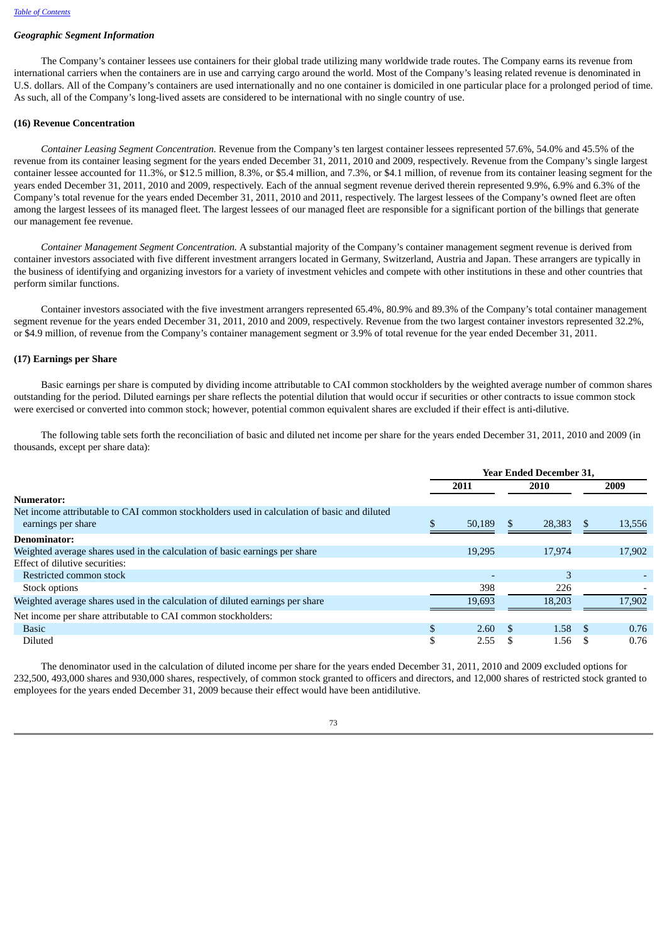### *Geographic Segment Information*

The Company's container lessees use containers for their global trade utilizing many worldwide trade routes. The Company earns its revenue from international carriers when the containers are in use and carrying cargo around the world. Most of the Company's leasing related revenue is denominated in U.S. dollars. All of the Company's containers are used internationally and no one container is domiciled in one particular place for a prolonged period of time. As such, all of the Company's long-lived assets are considered to be international with no single country of use.

#### **(16) Revenue Concentration**

*Container Leasing Segment Concentration.* Revenue from the Company's ten largest container lessees represented 57.6%, 54.0% and 45.5% of the revenue from its container leasing segment for the years ended December 31, 2011, 2010 and 2009, respectively. Revenue from the Company's single largest container lessee accounted for 11.3%, or \$12.5 million, 8.3%, or \$5.4 million, and 7.3%, or \$4.1 million, of revenue from its container leasing segment for the years ended December 31, 2011, 2010 and 2009, respectively. Each of the annual segment revenue derived therein represented 9.9%, 6.9% and 6.3% of the Company's total revenue for the years ended December 31, 2011, 2010 and 2011, respectively. The largest lessees of the Company's owned fleet are often among the largest lessees of its managed fleet. The largest lessees of our managed fleet are responsible for a significant portion of the billings that generate our management fee revenue.

*Container Management Segment Concentration.* A substantial majority of the Company's container management segment revenue is derived from container investors associated with five different investment arrangers located in Germany, Switzerland, Austria and Japan. These arrangers are typically in the business of identifying and organizing investors for a variety of investment vehicles and compete with other institutions in these and other countries that perform similar functions.

Container investors associated with the five investment arrangers represented 65.4%, 80.9% and 89.3% of the Company's total container management segment revenue for the years ended December 31, 2011, 2010 and 2009, respectively. Revenue from the two largest container investors represented 32.2%, or \$4.9 million, of revenue from the Company's container management segment or 3.9% of total revenue for the year ended December 31, 2011.

#### **(17) Earnings per Share**

Basic earnings per share is computed by dividing income attributable to CAI common stockholders by the weighted average number of common shares outstanding for the period. Diluted earnings per share reflects the potential dilution that would occur if securities or other contracts to issue common stock were exercised or converted into common stock; however, potential common equivalent shares are excluded if their effect is anti-dilutive.

The following table sets forth the reconciliation of basic and diluted net income per share for the years ended December 31, 2011, 2010 and 2009 (in thousands, except per share data):

|                                                                                             | <b>Year Ended December 31.</b> |                          |     |        |      |        |
|---------------------------------------------------------------------------------------------|--------------------------------|--------------------------|-----|--------|------|--------|
|                                                                                             |                                | 2011                     |     | 2010   |      | 2009   |
| Numerator:                                                                                  |                                |                          |     |        |      |        |
| Net income attributable to CAI common stockholders used in calculation of basic and diluted |                                |                          |     |        |      |        |
| earnings per share                                                                          |                                | 50,189                   | \$. | 28,383 | \$.  | 13,556 |
| Denominator:                                                                                |                                |                          |     |        |      |        |
| Weighted average shares used in the calculation of basic earnings per share                 |                                | 19.295                   |     | 17.974 |      | 17,902 |
| Effect of dilutive securities:                                                              |                                |                          |     |        |      |        |
| Restricted common stock                                                                     |                                | $\overline{\phantom{0}}$ |     | 3      |      |        |
| Stock options                                                                               |                                | 398                      |     | 226    |      |        |
| Weighted average shares used in the calculation of diluted earnings per share               |                                | 19,693                   |     | 18,203 |      | 17,902 |
| Net income per share attributable to CAI common stockholders:                               |                                |                          |     |        |      |        |
| <b>Basic</b>                                                                                | \$                             | 2.60                     | -\$ | 1.58   | - \$ | 0.76   |
| Diluted                                                                                     | \$                             | 2.55                     |     | 1.56   |      | 0.76   |

The denominator used in the calculation of diluted income per share for the years ended December 31, 2011, 2010 and 2009 excluded options for 232,500, 493,000 shares and 930,000 shares, respectively, of common stock granted to officers and directors, and 12,000 shares of restricted stock granted to employees for the years ended December 31, 2009 because their effect would have been antidilutive.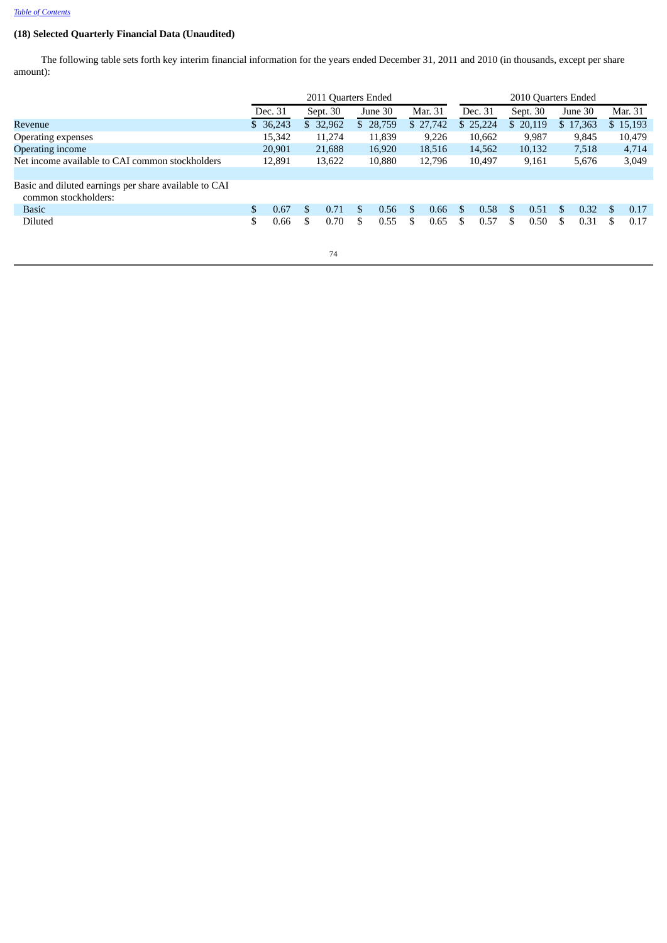## *Table of [Contents](#page-2-0)*

# **(18) Selected Quarterly Financial Data (Unaudited)**

The following table sets forth key interim financial information for the years ended December 31, 2011 and 2010 (in thousands, except per share amount):

|                                                                               | 2011 Quarters Ended |        |               |          |     |          |     |          |               |        | 2010 Quarters Ended |          |    |          |               |          |
|-------------------------------------------------------------------------------|---------------------|--------|---------------|----------|-----|----------|-----|----------|---------------|--------|---------------------|----------|----|----------|---------------|----------|
|                                                                               | Dec. 31             |        |               | Sept. 30 |     | June 30  |     | Mar. 31  | Dec. 31       |        |                     | Sept. 30 |    | June 30  |               | Mar. 31  |
| Revenue                                                                       | \$36,243            |        |               | \$32,962 |     | \$28,759 |     | \$27,742 | \$25,224      |        |                     | \$20,119 |    | \$17,363 |               | \$15,193 |
| Operating expenses                                                            |                     | 15,342 |               | 11,274   |     | 11,839   |     | 9,226    |               | 10,662 |                     | 9,987    |    | 9,845    |               | 10,479   |
| Operating income                                                              |                     | 20,901 |               | 21,688   |     | 16.920   |     | 18.516   |               | 14,562 |                     | 10,132   |    | 7,518    |               | 4,714    |
| Net income available to CAI common stockholders                               |                     | 12,891 |               | 13,622   |     | 10,880   |     | 12,796   |               | 10,497 |                     | 9,161    |    | 5,676    |               | 3,049    |
|                                                                               |                     |        |               |          |     |          |     |          |               |        |                     |          |    |          |               |          |
| Basic and diluted earnings per share available to CAI<br>common stockholders: |                     |        |               |          |     |          |     |          |               |        |                     |          |    |          |               |          |
| <b>Basic</b>                                                                  | \$                  | 0.67   | <sup>\$</sup> | 0.71     | \$. | 0.56     | \$. | 0.66     | <sup>\$</sup> | 0.58   | <sup>\$</sup>       | 0.51     | -S | 0.32     | <sup>\$</sup> | 0.17     |
| <b>Diluted</b>                                                                | \$                  | 0.66   | S             | 0.70     | S.  | 0.55     | \$. | 0.65     | S             | 0.57   | S                   | 0.50     | S  | 0.31     | S             | 0.17     |
|                                                                               |                     |        |               |          |     |          |     |          |               |        |                     |          |    |          |               |          |
|                                                                               |                     |        |               | 74       |     |          |     |          |               |        |                     |          |    |          |               |          |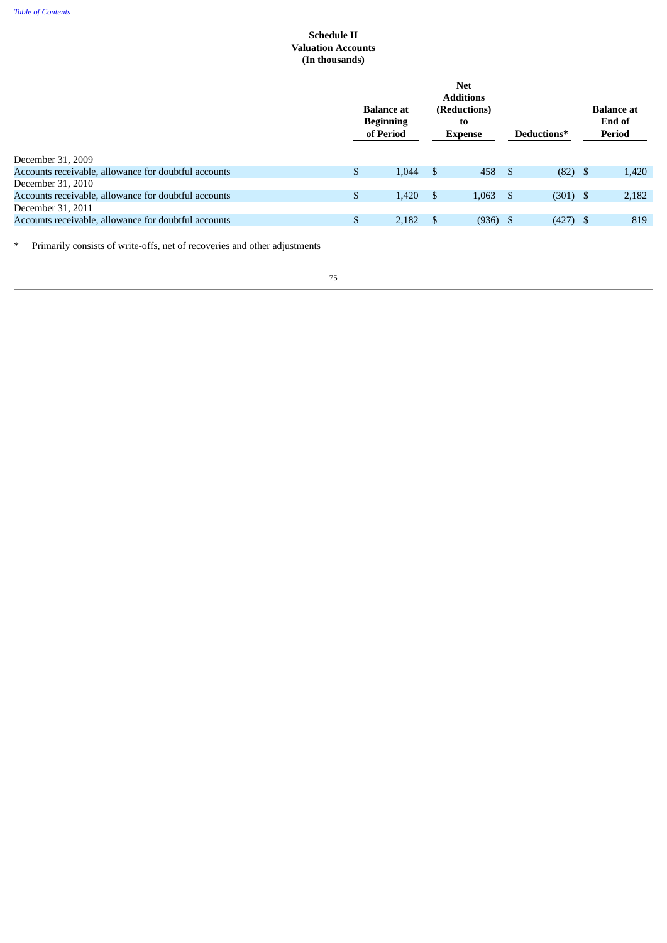## **Schedule II Valuation Accounts (In thousands)**

|                                                      | <b>Balance</b> at<br><b>Beginning</b><br>of Period |    | <b>Net</b><br><b>Additions</b><br>(Reductions)<br>to<br><b>Expense</b> |    | Deductions* | <b>Balance at</b><br>End of<br><b>Period</b> |
|------------------------------------------------------|----------------------------------------------------|----|------------------------------------------------------------------------|----|-------------|----------------------------------------------|
| December 31, 2009                                    |                                                    |    |                                                                        |    |             |                                              |
| Accounts receivable, allowance for doubtful accounts | \$<br>1.044                                        | -S | 458 \$                                                                 |    | $(82)$ \$   | 1,420                                        |
| December 31, 2010                                    |                                                    |    |                                                                        |    |             |                                              |
| Accounts receivable, allowance for doubtful accounts | \$<br>1,420                                        | -S | 1,063                                                                  | -S | $(301)$ \$  | 2,182                                        |
| December 31, 2011                                    |                                                    |    |                                                                        |    |             |                                              |
| Accounts receivable, allowance for doubtful accounts | \$<br>2,182                                        | S  | $(936)$ \$                                                             |    | $(427)$ \$  | 819                                          |
|                                                      |                                                    |    |                                                                        |    |             |                                              |

\* Primarily consists of write-offs, net of recoveries and other adjustments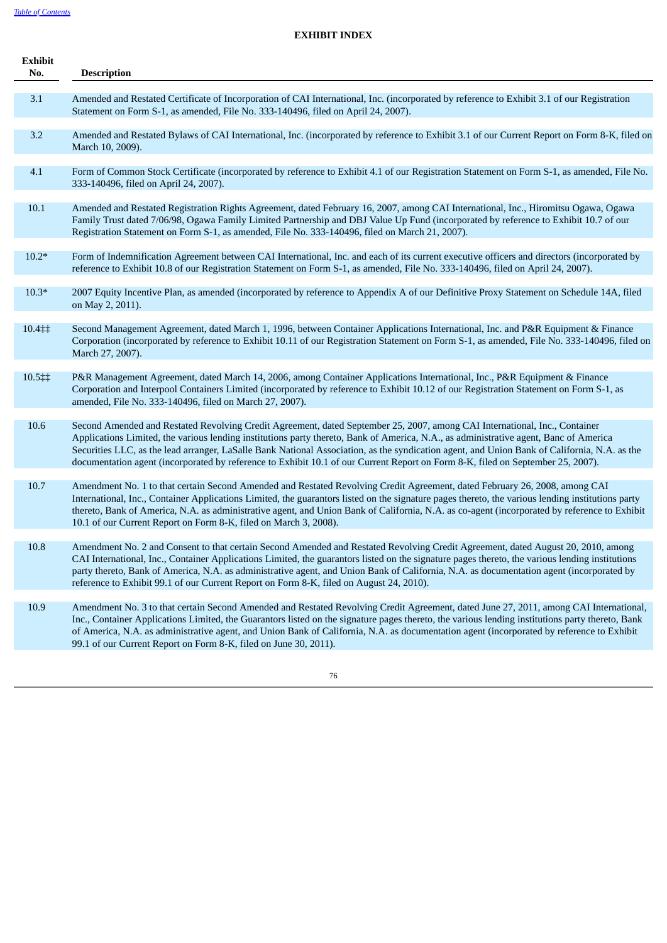## **EXHIBIT INDEX**

| <b>Exhibit</b><br>No.    | <b>Description</b>                                                                                                                                                                                                                                                                                                                                                                                                                                                                                                                                     |
|--------------------------|--------------------------------------------------------------------------------------------------------------------------------------------------------------------------------------------------------------------------------------------------------------------------------------------------------------------------------------------------------------------------------------------------------------------------------------------------------------------------------------------------------------------------------------------------------|
| 3.1                      | Amended and Restated Certificate of Incorporation of CAI International, Inc. (incorporated by reference to Exhibit 3.1 of our Registration<br>Statement on Form S-1, as amended, File No. 333-140496, filed on April 24, 2007).                                                                                                                                                                                                                                                                                                                        |
| 3.2                      | Amended and Restated Bylaws of CAI International, Inc. (incorporated by reference to Exhibit 3.1 of our Current Report on Form 8-K, filed on<br>March 10, 2009).                                                                                                                                                                                                                                                                                                                                                                                       |
| 4.1                      | Form of Common Stock Certificate (incorporated by reference to Exhibit 4.1 of our Registration Statement on Form S-1, as amended, File No.<br>333-140496, filed on April 24, 2007).                                                                                                                                                                                                                                                                                                                                                                    |
| 10.1                     | Amended and Restated Registration Rights Agreement, dated February 16, 2007, among CAI International, Inc., Hiromitsu Ogawa, Ogawa<br>Family Trust dated 7/06/98, Ogawa Family Limited Partnership and DBJ Value Up Fund (incorporated by reference to Exhibit 10.7 of our<br>Registration Statement on Form S-1, as amended, File No. 333-140496, filed on March 21, 2007).                                                                                                                                                                           |
| $10.2*$                  | Form of Indemnification Agreement between CAI International, Inc. and each of its current executive officers and directors (incorporated by<br>reference to Exhibit 10.8 of our Registration Statement on Form S-1, as amended, File No. 333-140496, filed on April 24, 2007).                                                                                                                                                                                                                                                                         |
| $10.3*$                  | 2007 Equity Incentive Plan, as amended (incorporated by reference to Appendix A of our Definitive Proxy Statement on Schedule 14A, filed<br>on May 2, 2011).                                                                                                                                                                                                                                                                                                                                                                                           |
| 10.4##                   | Second Management Agreement, dated March 1, 1996, between Container Applications International, Inc. and P&R Equipment & Finance<br>Corporation (incorporated by reference to Exhibit 10.11 of our Registration Statement on Form S-1, as amended, File No. 333-140496, filed on<br>March 27, 2007).                                                                                                                                                                                                                                                   |
| $10.5 \ddagger \ddagger$ | P&R Management Agreement, dated March 14, 2006, among Container Applications International, Inc., P&R Equipment & Finance<br>Corporation and Interpool Containers Limited (incorporated by reference to Exhibit 10.12 of our Registration Statement on Form S-1, as<br>amended, File No. 333-140496, filed on March 27, 2007).                                                                                                                                                                                                                         |
| 10.6                     | Second Amended and Restated Revolving Credit Agreement, dated September 25, 2007, among CAI International, Inc., Container<br>Applications Limited, the various lending institutions party thereto, Bank of America, N.A., as administrative agent, Banc of America<br>Securities LLC, as the lead arranger, LaSalle Bank National Association, as the syndication agent, and Union Bank of California, N.A. as the<br>documentation agent (incorporated by reference to Exhibit 10.1 of our Current Report on Form 8-K, filed on September 25, 2007). |
| 10.7                     | Amendment No. 1 to that certain Second Amended and Restated Revolving Credit Agreement, dated February 26, 2008, among CAI<br>International, Inc., Container Applications Limited, the guarantors listed on the signature pages thereto, the various lending institutions party<br>thereto, Bank of America, N.A. as administrative agent, and Union Bank of California, N.A. as co-agent (incorporated by reference to Exhibit<br>10.1 of our Current Report on Form 8-K, filed on March 3, 2008).                                                    |
| 10.8                     | Amendment No. 2 and Consent to that certain Second Amended and Restated Revolving Credit Agreement, dated August 20, 2010, among                                                                                                                                                                                                                                                                                                                                                                                                                       |
|                          | CAI International, Inc., Container Applications Limited, the guarantors listed on the signature pages thereto, the various lending institutions<br>party thereto, Bank of America, N.A. as administrative agent, and Union Bank of California, N.A. as documentation agent (incorporated by<br>reference to Exhibit 99.1 of our Current Report on Form 8-K, filed on August 24, 2010).                                                                                                                                                                 |
| 10.9                     | Amendment No. 3 to that certain Second Amended and Restated Revolving Credit Agreement, dated June 27, 2011, among CAI International,<br>Inc., Container Applications Limited, the Guarantors listed on the signature pages thereto, the various lending institutions party thereto, Bank<br>of America, N.A. as administrative agent, and Union Bank of California, N.A. as documentation agent (incorporated by reference to Exhibit<br>99.1 of our Current Report on Form 8-K, filed on June 30, 2011).                                             |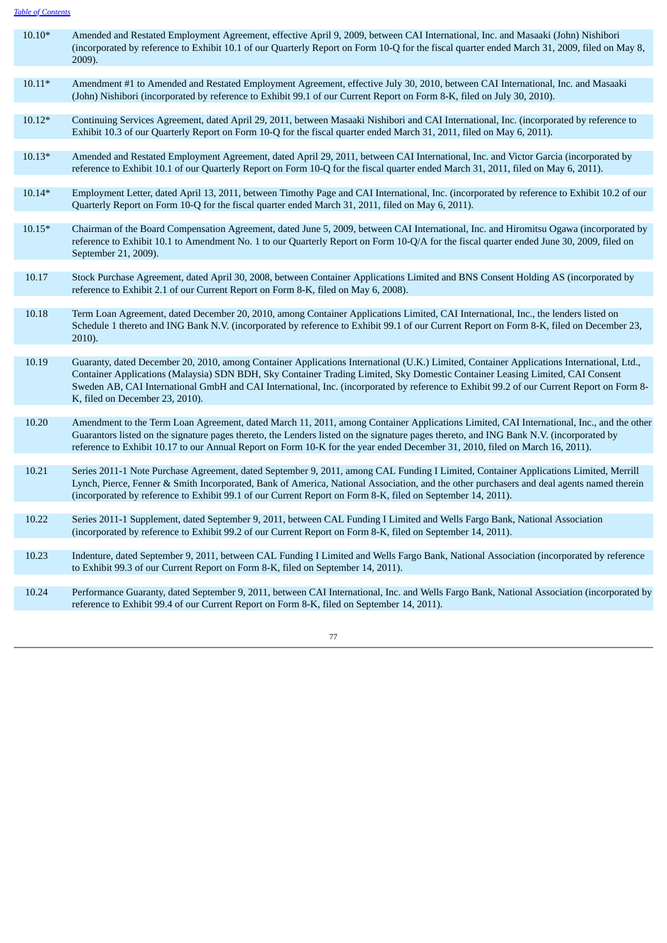*Table of [Contents](#page-2-0)*

| $10.10*$ | Amended and Restated Employment Agreement, effective April 9, 2009, between CAI International, Inc. and Masaaki (John) Nishibori<br>(incorporated by reference to Exhibit 10.1 of our Quarterly Report on Form 10-Q for the fiscal quarter ended March 31, 2009, filed on May 8,<br>2009).                                                                                                                          |
|----------|---------------------------------------------------------------------------------------------------------------------------------------------------------------------------------------------------------------------------------------------------------------------------------------------------------------------------------------------------------------------------------------------------------------------|
| $10.11*$ | Amendment #1 to Amended and Restated Employment Agreement, effective July 30, 2010, between CAI International, Inc. and Masaaki<br>(John) Nishibori (incorporated by reference to Exhibit 99.1 of our Current Report on Form 8-K, filed on July 30, 2010).                                                                                                                                                          |
| $10.12*$ | Continuing Services Agreement, dated April 29, 2011, between Masaaki Nishibori and CAI International, Inc. (incorporated by reference to<br>Exhibit 10.3 of our Quarterly Report on Form 10-Q for the fiscal quarter ended March 31, 2011, filed on May 6, 2011).                                                                                                                                                   |
| $10.13*$ | Amended and Restated Employment Agreement, dated April 29, 2011, between CAI International, Inc. and Victor Garcia (incorporated by<br>reference to Exhibit 10.1 of our Quarterly Report on Form 10-Q for the fiscal quarter ended March 31, 2011, filed on May 6, 2011).                                                                                                                                           |
| $10.14*$ | Employment Letter, dated April 13, 2011, between Timothy Page and CAI International, Inc. (incorporated by reference to Exhibit 10.2 of our<br>Quarterly Report on Form 10-Q for the fiscal quarter ended March 31, 2011, filed on May 6, 2011).                                                                                                                                                                    |
| $10.15*$ | Chairman of the Board Compensation Agreement, dated June 5, 2009, between CAI International, Inc. and Hiromitsu Ogawa (incorporated by<br>reference to Exhibit 10.1 to Amendment No. 1 to our Quarterly Report on Form 10-Q/A for the fiscal quarter ended June 30, 2009, filed on<br>September 21, 2009).                                                                                                          |
| 10.17    | Stock Purchase Agreement, dated April 30, 2008, between Container Applications Limited and BNS Consent Holding AS (incorporated by<br>reference to Exhibit 2.1 of our Current Report on Form 8-K, filed on May 6, 2008).                                                                                                                                                                                            |
| 10.18    | Term Loan Agreement, dated December 20, 2010, among Container Applications Limited, CAI International, Inc., the lenders listed on<br>Schedule 1 thereto and ING Bank N.V. (incorporated by reference to Exhibit 99.1 of our Current Report on Form 8-K, filed on December 23,<br>2010).                                                                                                                            |
| 10.19    | Guaranty, dated December 20, 2010, among Container Applications International (U.K.) Limited, Container Applications International, Ltd.,                                                                                                                                                                                                                                                                           |
|          | Container Applications (Malaysia) SDN BDH, Sky Container Trading Limited, Sky Domestic Container Leasing Limited, CAI Consent<br>Sweden AB, CAI International GmbH and CAI International, Inc. (incorporated by reference to Exhibit 99.2 of our Current Report on Form 8-<br>K, filed on December 23, 2010).                                                                                                       |
|          |                                                                                                                                                                                                                                                                                                                                                                                                                     |
| 10.20    | Amendment to the Term Loan Agreement, dated March 11, 2011, among Container Applications Limited, CAI International, Inc., and the other<br>Guarantors listed on the signature pages thereto, the Lenders listed on the signature pages thereto, and ING Bank N.V. (incorporated by<br>reference to Exhibit 10.17 to our Annual Report on Form 10-K for the year ended December 31, 2010, filed on March 16, 2011). |
| 10.21    | Series 2011-1 Note Purchase Agreement, dated September 9, 2011, among CAL Funding I Limited, Container Applications Limited, Merrill<br>Lynch, Pierce, Fenner & Smith Incorporated, Bank of America, National Association, and the other purchasers and deal agents named therein<br>(incorporated by reference to Exhibit 99.1 of our Current Report on Form 8-K, filed on September 14, 2011).                    |
| 10.22    | Series 2011-1 Supplement, dated September 9, 2011, between CAL Funding I Limited and Wells Fargo Bank, National Association<br>(incorporated by reference to Exhibit 99.2 of our Current Report on Form 8-K, filed on September 14, 2011).                                                                                                                                                                          |
| 10.23    | Indenture, dated September 9, 2011, between CAL Funding I Limited and Wells Fargo Bank, National Association (incorporated by reference<br>to Exhibit 99.3 of our Current Report on Form 8-K, filed on September 14, 2011).                                                                                                                                                                                         |
| 10.24    | Performance Guaranty, dated September 9, 2011, between CAI International, Inc. and Wells Fargo Bank, National Association (incorporated by<br>reference to Exhibit 99.4 of our Current Report on Form 8-K, filed on September 14, 2011).                                                                                                                                                                            |
|          |                                                                                                                                                                                                                                                                                                                                                                                                                     |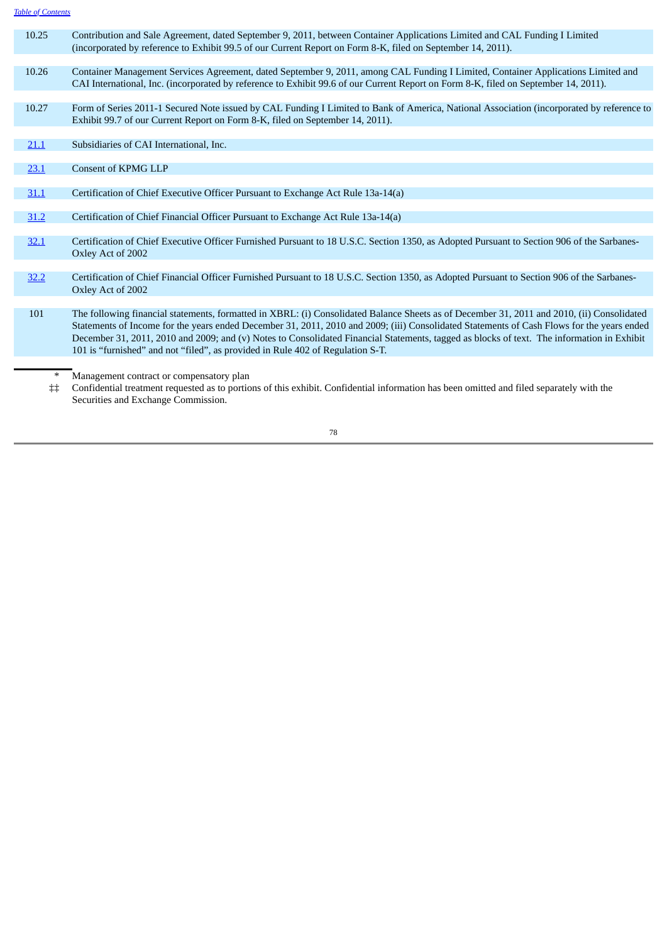*Table of [Contents](#page-2-0)*

| 10.25                | Contribution and Sale Agreement, dated September 9, 2011, between Container Applications Limited and CAL Funding I Limited<br>(incorporated by reference to Exhibit 99.5 of our Current Report on Form 8-K, filed on September 14, 2011).                                                                                                                                                                                                                                                                                |
|----------------------|--------------------------------------------------------------------------------------------------------------------------------------------------------------------------------------------------------------------------------------------------------------------------------------------------------------------------------------------------------------------------------------------------------------------------------------------------------------------------------------------------------------------------|
| 10.26                | Container Management Services Agreement, dated September 9, 2011, among CAL Funding I Limited, Container Applications Limited and<br>CAI International, Inc. (incorporated by reference to Exhibit 99.6 of our Current Report on Form 8-K, filed on September 14, 2011).                                                                                                                                                                                                                                                 |
| 10.27                | Form of Series 2011-1 Secured Note issued by CAL Funding I Limited to Bank of America, National Association (incorporated by reference to<br>Exhibit 99.7 of our Current Report on Form 8-K, filed on September 14, 2011).                                                                                                                                                                                                                                                                                               |
| 21.1                 | Subsidiaries of CAI International, Inc.                                                                                                                                                                                                                                                                                                                                                                                                                                                                                  |
| 23.1                 | <b>Consent of KPMG LLP</b>                                                                                                                                                                                                                                                                                                                                                                                                                                                                                               |
| 31.1                 | Certification of Chief Executive Officer Pursuant to Exchange Act Rule 13a-14(a)                                                                                                                                                                                                                                                                                                                                                                                                                                         |
| 31.2                 | Certification of Chief Financial Officer Pursuant to Exchange Act Rule 13a-14(a)                                                                                                                                                                                                                                                                                                                                                                                                                                         |
| 32.1                 | Certification of Chief Executive Officer Furnished Pursuant to 18 U.S.C. Section 1350, as Adopted Pursuant to Section 906 of the Sarbanes-<br>Oxley Act of 2002                                                                                                                                                                                                                                                                                                                                                          |
| 32.2                 | Certification of Chief Financial Officer Furnished Pursuant to 18 U.S.C. Section 1350, as Adopted Pursuant to Section 906 of the Sarbanes-<br>Oxley Act of 2002                                                                                                                                                                                                                                                                                                                                                          |
| 101                  | The following financial statements, formatted in XBRL: (i) Consolidated Balance Sheets as of December 31, 2011 and 2010, (ii) Consolidated<br>Statements of Income for the years ended December 31, 2011, 2010 and 2009; (iii) Consolidated Statements of Cash Flows for the years ended<br>December 31, 2011, 2010 and 2009; and (v) Notes to Consolidated Financial Statements, tagged as blocks of text. The information in Exhibit<br>101 is "furnished" and not "filed", as provided in Rule 402 of Regulation S-T. |
| $\ast$<br>$\ddagger$ | Management contract or compensatory plan<br>Confidential treatment requested as to portions of this exhibit. Confidential information has been omitted and filed separately with the<br>Securities and Exchange Commission.                                                                                                                                                                                                                                                                                              |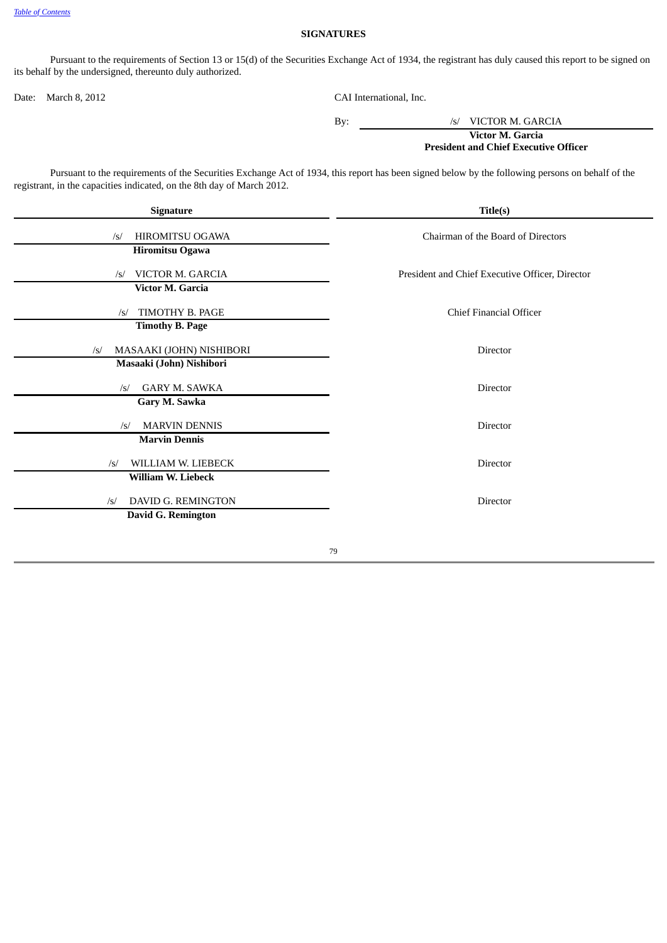### **SIGNATURES**

Pursuant to the requirements of Section 13 or 15(d) of the Securities Exchange Act of 1934, the registrant has duly caused this report to be signed on its behalf by the undersigned, thereunto duly authorized.

Date: March 8, 2012 CAI International, Inc.

By: /s/ VICTOR M. GARCIA

**Victor M. Garcia**

**President and Chief Executive Officer**

Pursuant to the requirements of the Securities Exchange Act of 1934, this report has been signed below by the following persons on behalf of the registrant, in the capacities indicated, on the 8th day of March 2012.

| Signature                              | Title(s)                                        |
|----------------------------------------|-------------------------------------------------|
| HIROMITSU OGAWA<br>$\sqrt{s}$          | Chairman of the Board of Directors              |
| <b>Hiromitsu Ogawa</b>                 |                                                 |
| VICTOR M. GARCIA<br>$\sqrt{s}$         | President and Chief Executive Officer, Director |
| <b>Victor M. Garcia</b>                |                                                 |
| TIMOTHY B. PAGE<br>$\sqrt{s}$          | Chief Financial Officer                         |
| <b>Timothy B. Page</b>                 |                                                 |
| MASAAKI (JOHN) NISHIBORI<br>$\sqrt{s}$ | Director                                        |
| Masaaki (John) Nishibori               |                                                 |
| GARY M. SAWKA<br>$\sqrt{s}$            | Director                                        |
| Gary M. Sawka                          |                                                 |
| <b>MARVIN DENNIS</b><br>$\sqrt{s}$     | Director                                        |
| <b>Marvin Dennis</b>                   |                                                 |
| WILLIAM W. LIEBECK<br>$\sqrt{s}$       | Director                                        |
| <b>William W. Liebeck</b>              |                                                 |
| DAVID G. REMINGTON<br>$\sqrt{s}$       | Director                                        |
| David G. Remington                     |                                                 |
|                                        |                                                 |

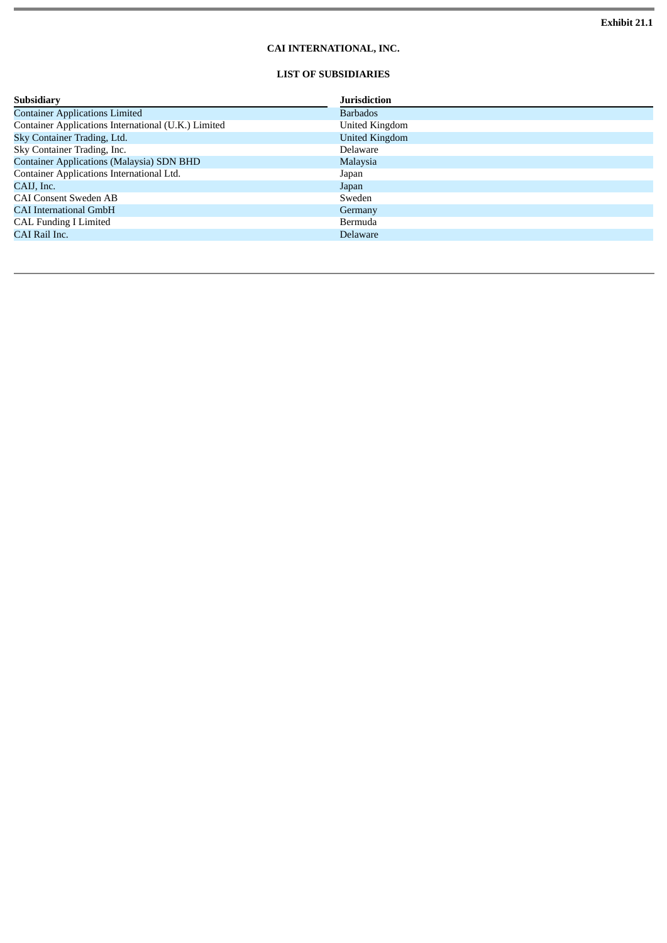## **CAI INTERNATIONAL, INC.**

## **LIST OF SUBSIDIARIES**

| <b>Subsidiary</b>                                   | <b>Jurisdiction</b>   |
|-----------------------------------------------------|-----------------------|
| <b>Container Applications Limited</b>               | <b>Barbados</b>       |
| Container Applications International (U.K.) Limited | United Kingdom        |
| Sky Container Trading, Ltd.                         | <b>United Kingdom</b> |
| Sky Container Trading, Inc.                         | Delaware              |
| <b>Container Applications (Malaysia) SDN BHD</b>    | Malaysia              |
| Container Applications International Ltd.           | Japan                 |
| CAIJ, Inc.                                          | Japan                 |
| <b>CAI Consent Sweden AB</b>                        | Sweden                |
| <b>CAI International GmbH</b>                       | Germany               |
| <b>CAL Funding I Limited</b>                        | Bermuda               |
| CAI Rail Inc.                                       | <b>Delaware</b>       |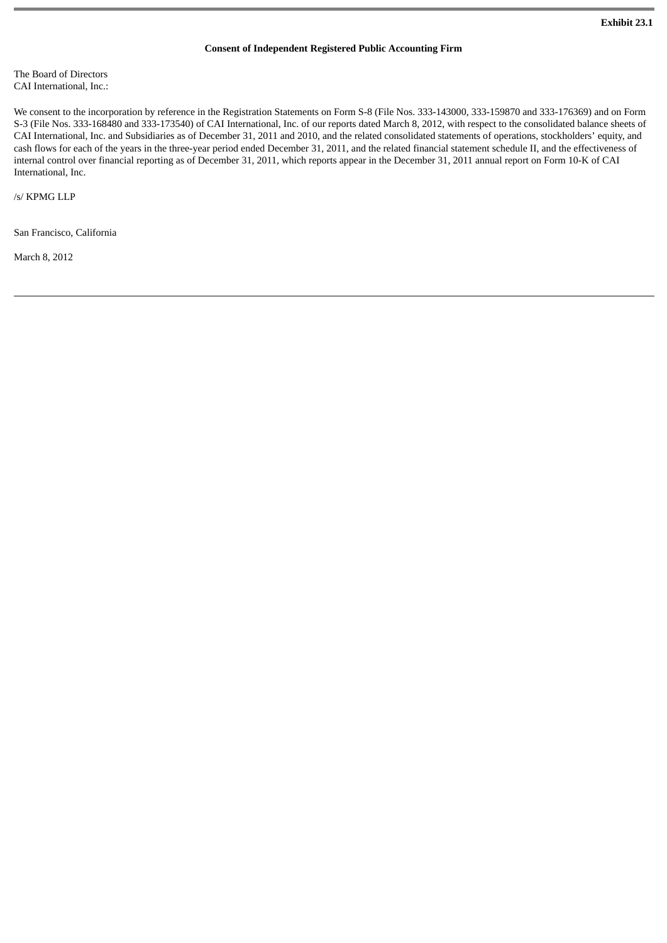### **Consent of Independent Registered Public Accounting Firm**

The Board of Directors CAI International, Inc.:

We consent to the incorporation by reference in the Registration Statements on Form S-8 (File Nos. 333-143000, 333-159870 and 333-176369) and on Form S-3 (File Nos. 333-168480 and 333-173540) of CAI International, Inc. of our reports dated March 8, 2012, with respect to the consolidated balance sheets of CAI International, Inc. and Subsidiaries as of December 31, 2011 and 2010, and the related consolidated statements of operations, stockholders' equity, and cash flows for each of the years in the three-year period ended December 31, 2011, and the related financial statement schedule II, and the effectiveness of internal control over financial reporting as of December 31, 2011, which reports appear in the December 31, 2011 annual report on Form 10-K of CAI International, Inc.

/s/ KPMG LLP

San Francisco, California

March 8, 2012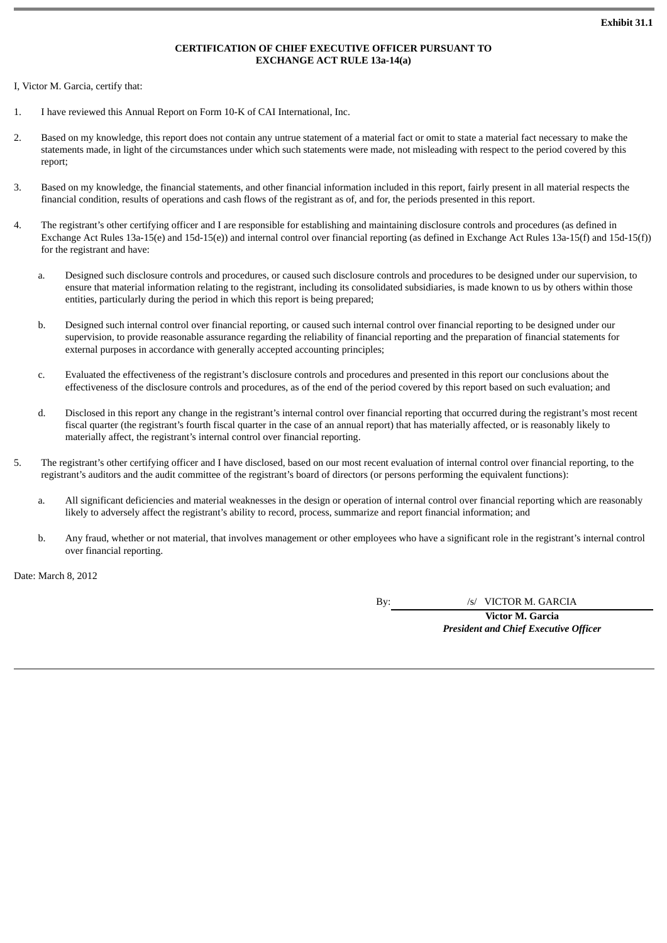## **CERTIFICATION OF CHIEF EXECUTIVE OFFICER PURSUANT TO EXCHANGE ACT RULE 13a-14(a)**

I, Victor M. Garcia, certify that:

- 1. I have reviewed this Annual Report on Form 10-K of CAI International, Inc.
- 2. Based on my knowledge, this report does not contain any untrue statement of a material fact or omit to state a material fact necessary to make the statements made, in light of the circumstances under which such statements were made, not misleading with respect to the period covered by this report;
- 3. Based on my knowledge, the financial statements, and other financial information included in this report, fairly present in all material respects the financial condition, results of operations and cash flows of the registrant as of, and for, the periods presented in this report.
- 4. The registrant's other certifying officer and I are responsible for establishing and maintaining disclosure controls and procedures (as defined in Exchange Act Rules 13a-15(e) and 15d-15(e)) and internal control over financial reporting (as defined in Exchange Act Rules 13a-15(f) and 15d-15(f)) for the registrant and have:
	- a. Designed such disclosure controls and procedures, or caused such disclosure controls and procedures to be designed under our supervision, to ensure that material information relating to the registrant, including its consolidated subsidiaries, is made known to us by others within those entities, particularly during the period in which this report is being prepared;
	- b. Designed such internal control over financial reporting, or caused such internal control over financial reporting to be designed under our supervision, to provide reasonable assurance regarding the reliability of financial reporting and the preparation of financial statements for external purposes in accordance with generally accepted accounting principles;
	- c. Evaluated the effectiveness of the registrant's disclosure controls and procedures and presented in this report our conclusions about the effectiveness of the disclosure controls and procedures, as of the end of the period covered by this report based on such evaluation; and
	- d. Disclosed in this report any change in the registrant's internal control over financial reporting that occurred during the registrant's most recent fiscal quarter (the registrant's fourth fiscal quarter in the case of an annual report) that has materially affected, or is reasonably likely to materially affect, the registrant's internal control over financial reporting.
- 5. The registrant's other certifying officer and I have disclosed, based on our most recent evaluation of internal control over financial reporting, to the registrant's auditors and the audit committee of the registrant's board of directors (or persons performing the equivalent functions):
	- a. All significant deficiencies and material weaknesses in the design or operation of internal control over financial reporting which are reasonably likely to adversely affect the registrant's ability to record, process, summarize and report financial information; and
	- b. Any fraud, whether or not material, that involves management or other employees who have a significant role in the registrant's internal control over financial reporting.

Date: March 8, 2012

By: /s/ VICTOR M. GARCIA

**Victor M. Garcia** *President and Chief Executive Officer*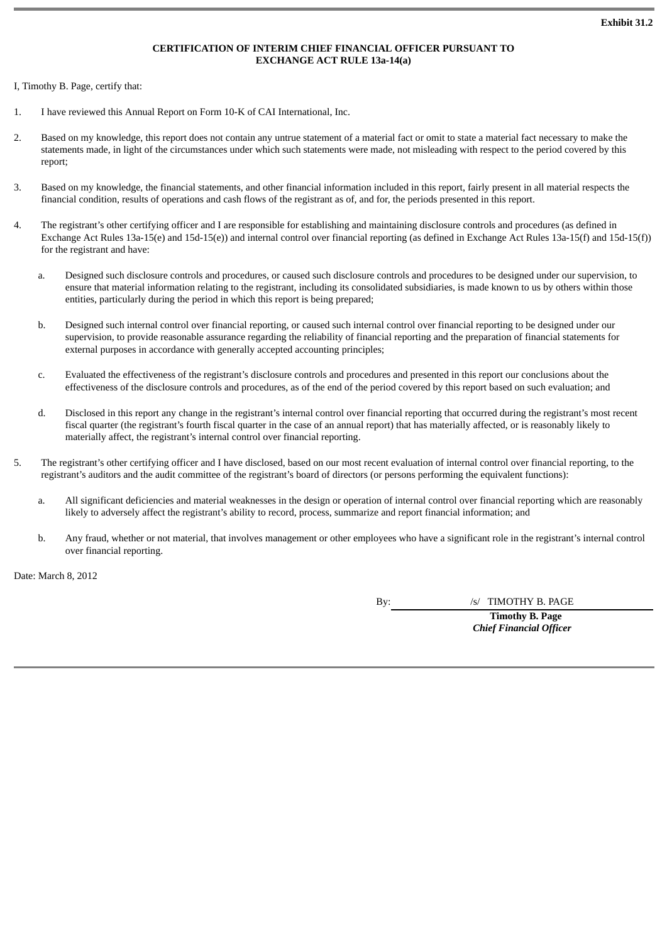## **CERTIFICATION OF INTERIM CHIEF FINANCIAL OFFICER PURSUANT TO EXCHANGE ACT RULE 13a-14(a)**

I, Timothy B. Page, certify that:

- 1. I have reviewed this Annual Report on Form 10-K of CAI International, Inc.
- 2. Based on my knowledge, this report does not contain any untrue statement of a material fact or omit to state a material fact necessary to make the statements made, in light of the circumstances under which such statements were made, not misleading with respect to the period covered by this report;
- 3. Based on my knowledge, the financial statements, and other financial information included in this report, fairly present in all material respects the financial condition, results of operations and cash flows of the registrant as of, and for, the periods presented in this report.
- 4. The registrant's other certifying officer and I are responsible for establishing and maintaining disclosure controls and procedures (as defined in Exchange Act Rules 13a-15(e) and 15d-15(e)) and internal control over financial reporting (as defined in Exchange Act Rules 13a-15(f) and 15d-15(f)) for the registrant and have:
	- a. Designed such disclosure controls and procedures, or caused such disclosure controls and procedures to be designed under our supervision, to ensure that material information relating to the registrant, including its consolidated subsidiaries, is made known to us by others within those entities, particularly during the period in which this report is being prepared;
	- b. Designed such internal control over financial reporting, or caused such internal control over financial reporting to be designed under our supervision, to provide reasonable assurance regarding the reliability of financial reporting and the preparation of financial statements for external purposes in accordance with generally accepted accounting principles;
	- c. Evaluated the effectiveness of the registrant's disclosure controls and procedures and presented in this report our conclusions about the effectiveness of the disclosure controls and procedures, as of the end of the period covered by this report based on such evaluation; and
	- d. Disclosed in this report any change in the registrant's internal control over financial reporting that occurred during the registrant's most recent fiscal quarter (the registrant's fourth fiscal quarter in the case of an annual report) that has materially affected, or is reasonably likely to materially affect, the registrant's internal control over financial reporting.
- 5. The registrant's other certifying officer and I have disclosed, based on our most recent evaluation of internal control over financial reporting, to the registrant's auditors and the audit committee of the registrant's board of directors (or persons performing the equivalent functions):
	- a. All significant deficiencies and material weaknesses in the design or operation of internal control over financial reporting which are reasonably likely to adversely affect the registrant's ability to record, process, summarize and report financial information; and
	- b. Any fraud, whether or not material, that involves management or other employees who have a significant role in the registrant's internal control over financial reporting.

Date: March 8, 2012

By: /s/ TIMOTHY B. PAGE

**Timothy B. Page** *Chief Financial Officer*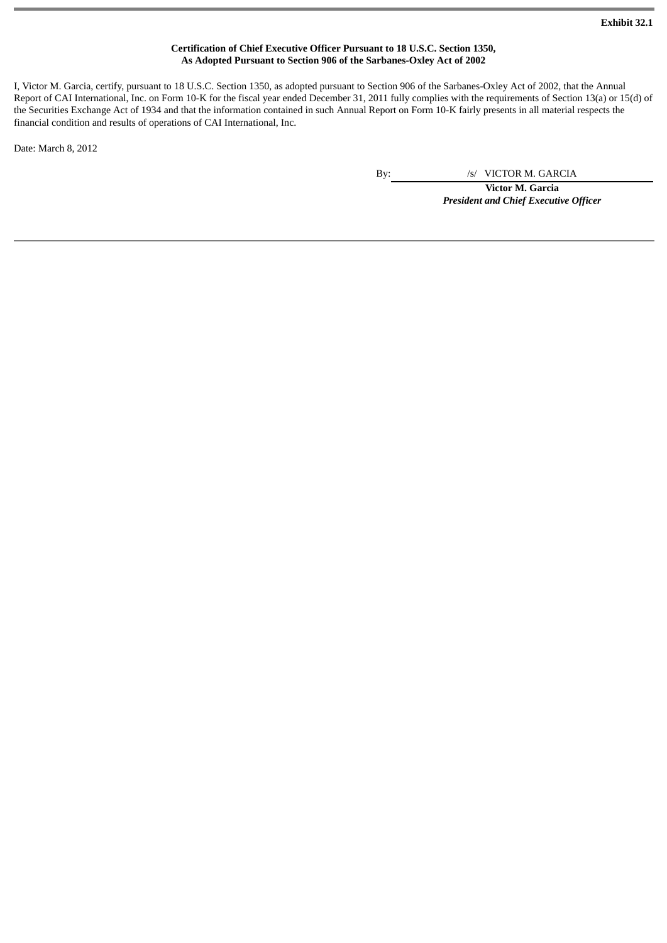### **Certification of Chief Executive Officer Pursuant to 18 U.S.C. Section 1350, As Adopted Pursuant to Section 906 of the Sarbanes-Oxley Act of 2002**

I, Victor M. Garcia, certify, pursuant to 18 U.S.C. Section 1350, as adopted pursuant to Section 906 of the Sarbanes-Oxley Act of 2002, that the Annual Report of CAI International, Inc. on Form 10-K for the fiscal year ended December 31, 2011 fully complies with the requirements of Section 13(a) or 15(d) of the Securities Exchange Act of 1934 and that the information contained in such Annual Report on Form 10-K fairly presents in all material respects the financial condition and results of operations of CAI International, Inc.

Date: March 8, 2012

By: /s/ VICTOR M. GARCIA

**Victor M. Garcia** *President and Chief Executive Officer*